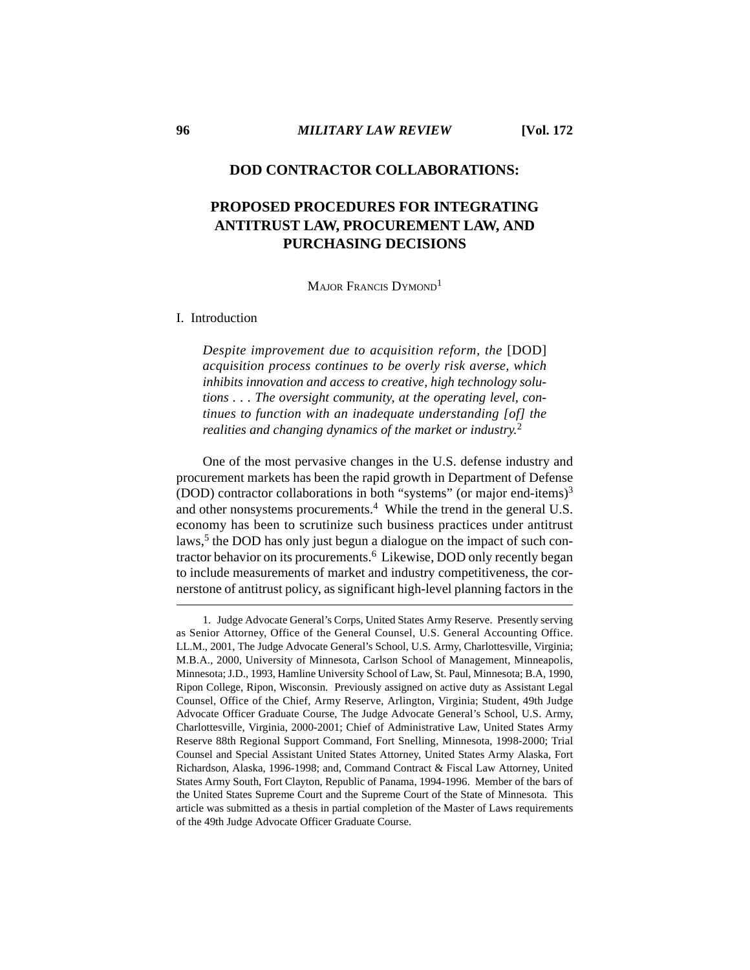# **DOD CONTRACTOR COLLABORATIONS:**

# **PROPOSED PROCEDURES FOR INTEGRATING ANTITRUST LAW, PROCUREMENT LAW, AND PURCHASING DECISIONS**

MAJOR FRANCIS DYMOND<sup>1</sup>

### I. Introduction

*Despite improvement due to acquisition reform, the* [DOD] *acquisition process continues to be overly risk averse, which inhibits innovation and access to creative, high technology solutions . . . The oversight community, at the operating level, continues to function with an inadequate understanding [of] the realities and changing dynamics of the market or industry.*<sup>2</sup>

One of the most pervasive changes in the U.S. defense industry and procurement markets has been the rapid growth in Department of Defense (DOD) contractor collaborations in both "systems" (or major end-items)3 and other nonsystems procurements.<sup>4</sup> While the trend in the general U.S. economy has been to scrutinize such business practices under antitrust laws,<sup>5</sup> the DOD has only just begun a dialogue on the impact of such contractor behavior on its procurements.<sup>6</sup> Likewise, DOD only recently began to include measurements of market and industry competitiveness, the cornerstone of antitrust policy, as significant high-level planning factors in the

<sup>1.</sup> Judge Advocate General's Corps, United States Army Reserve. Presently serving as Senior Attorney, Office of the General Counsel, U.S. General Accounting Office. LL.M., 2001, The Judge Advocate General's School, U.S. Army, Charlottesville, Virginia; M.B.A., 2000, University of Minnesota, Carlson School of Management, Minneapolis, Minnesota; J.D., 1993, Hamline University School of Law, St. Paul, Minnesota; B.A, 1990, Ripon College, Ripon, Wisconsin. Previously assigned on active duty as Assistant Legal Counsel, Office of the Chief, Army Reserve, Arlington, Virginia; Student, 49th Judge Advocate Officer Graduate Course, The Judge Advocate General's School, U.S. Army, Charlottesville, Virginia, 2000-2001; Chief of Administrative Law, United States Army Reserve 88th Regional Support Command, Fort Snelling, Minnesota, 1998-2000; Trial Counsel and Special Assistant United States Attorney, United States Army Alaska, Fort Richardson, Alaska, 1996-1998; and, Command Contract & Fiscal Law Attorney, United States Army South, Fort Clayton, Republic of Panama, 1994-1996. Member of the bars of the United States Supreme Court and the Supreme Court of the State of Minnesota. This article was submitted as a thesis in partial completion of the Master of Laws requirements of the 49th Judge Advocate Officer Graduate Course.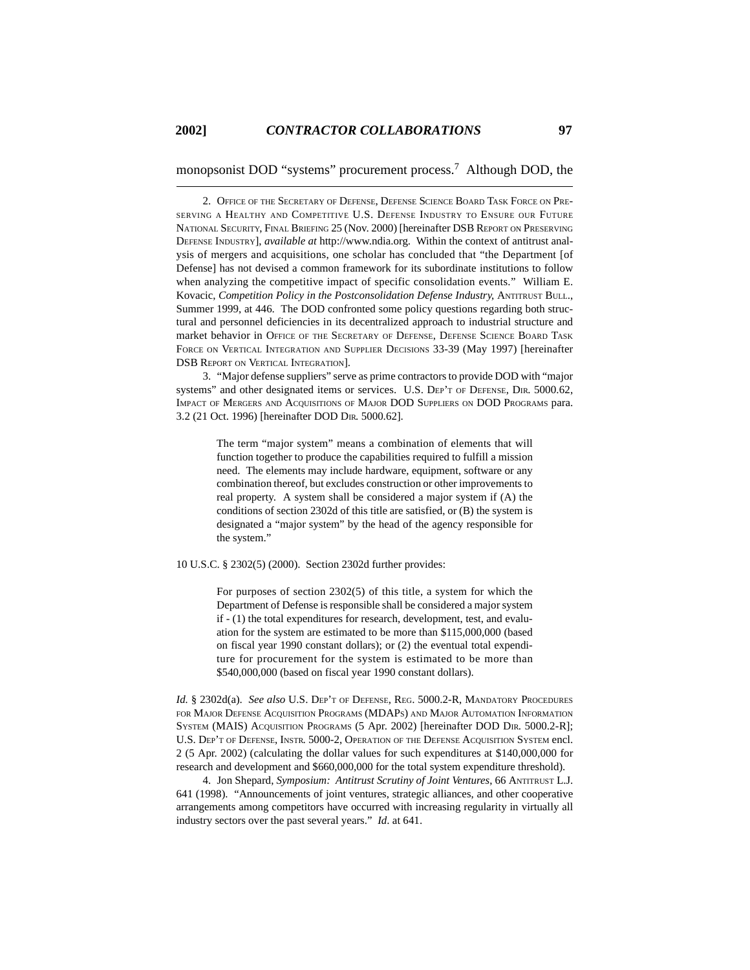monopsonist DOD "systems" procurement process.7 Although DOD, the

2. OFFICE OF THE SECRETARY OF DEFENSE, DEFENSE SCIENCE BOARD TASK FORCE ON PRE-SERVING A HEALTHY AND COMPETITIVE U.S. DEFENSE INDUSTRY TO ENSURE OUR FUTURE NATIONAL SECURITY, FINAL BRIEFING 25 (Nov. 2000) [hereinafter DSB REPORT ON PRESERVING DEFENSE INDUSTRY], *available at* http://www.ndia.org. Within the context of antitrust analysis of mergers and acquisitions, one scholar has concluded that "the Department [of Defense] has not devised a common framework for its subordinate institutions to follow when analyzing the competitive impact of specific consolidation events." William E. Kovacic, *Competition Policy in the Postconsolidation Defense Industry*, ANTITRUST BULL., Summer 1999, at 446. The DOD confronted some policy questions regarding both structural and personnel deficiencies in its decentralized approach to industrial structure and market behavior in OFFICE OF THE SECRETARY OF DEFENSE, DEFENSE SCIENCE BOARD TASK FORCE ON VERTICAL INTEGRATION AND SUPPLIER DECISIONS 33-39 (May 1997) [hereinafter DSB REPORT ON VERTICAL INTEGRATION].

3. "Major defense suppliers" serve as prime contractors to provide DOD with "major systems" and other designated items or services. U.S. DEP'T OF DEFENSE, DIR. 5000.62, IMPACT OF MERGERS AND ACQUISITIONS OF MAJOR DOD SUPPLIERS ON DOD PROGRAMS para. 3.2 (21 Oct. 1996) [hereinafter DOD DIR. 5000.62].

> The term "major system" means a combination of elements that will function together to produce the capabilities required to fulfill a mission need. The elements may include hardware, equipment, software or any combination thereof, but excludes construction or other improvements to real property. A system shall be considered a major system if (A) the conditions of section 2302d of this title are satisfied, or (B) the system is designated a "major system" by the head of the agency responsible for the system."

10 U.S.C. § 2302(5) (2000). Section 2302d further provides:

For purposes of section 2302(5) of this title, a system for which the Department of Defense is responsible shall be considered a major system if - (1) the total expenditures for research, development, test, and evaluation for the system are estimated to be more than \$115,000,000 (based on fiscal year 1990 constant dollars); or (2) the eventual total expenditure for procurement for the system is estimated to be more than \$540,000,000 (based on fiscal year 1990 constant dollars).

*Id.* § 2302d(a). *See also* U.S. DEP'T OF DEFENSE, REG. 5000.2-R, MANDATORY PROCEDURES FOR MAJOR DEFENSE ACQUISITION PROGRAMS (MDAPS) AND MAJOR AUTOMATION INFORMATION SYSTEM (MAIS) ACQUISITION PROGRAMS (5 Apr. 2002) [hereinafter DOD DIR. 5000.2-R]; U.S. DEP'T OF DEFENSE, INSTR. 5000-2, OPERATION OF THE DEFENSE ACQUISITION SYSTEM encl. 2 (5 Apr. 2002) (calculating the dollar values for such expenditures at \$140,000,000 for research and development and \$660,000,000 for the total system expenditure threshold).

4. Jon Shepard, *Symposium: Antitrust Scrutiny of Joint Ventures*, 66 ANTITRUST L.J. 641 (1998). "Announcements of joint ventures, strategic alliances, and other cooperative arrangements among competitors have occurred with increasing regularity in virtually all industry sectors over the past several years." *Id*. at 641.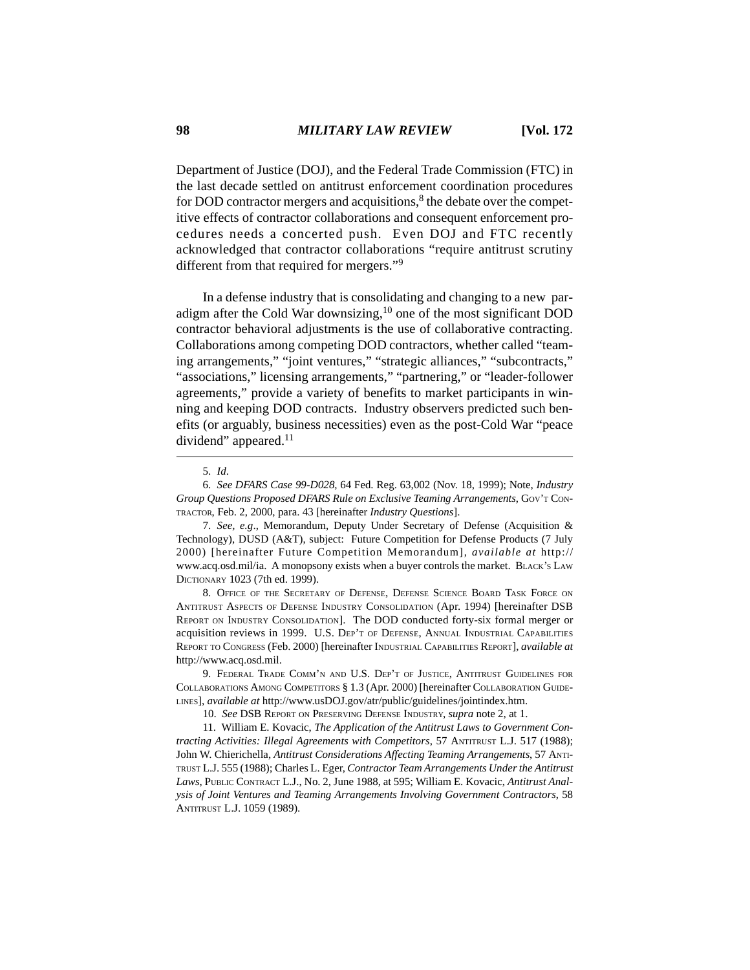Department of Justice (DOJ), and the Federal Trade Commission (FTC) in the last decade settled on antitrust enforcement coordination procedures for DOD contractor mergers and acquisitions, $\delta$  the debate over the competitive effects of contractor collaborations and consequent enforcement procedures needs a concerted push. Even DOJ and FTC recently acknowledged that contractor collaborations "require antitrust scrutiny different from that required for mergers."9

In a defense industry that is consolidating and changing to a new paradigm after the Cold War downsizing, $10$  one of the most significant DOD contractor behavioral adjustments is the use of collaborative contracting. Collaborations among competing DOD contractors, whether called "teaming arrangements," "joint ventures," "strategic alliances," "subcontracts," "associations," licensing arrangements," "partnering," or "leader-follower agreements," provide a variety of benefits to market participants in winning and keeping DOD contracts. Industry observers predicted such benefits (or arguably, business necessities) even as the post-Cold War "peace dividend" appeared.<sup>11</sup>

8. OFFICE OF THE SECRETARY OF DEFENSE, DEFENSE SCIENCE BOARD TASK FORCE ON ANTITRUST ASPECTS OF DEFENSE INDUSTRY CONSOLIDATION (Apr. 1994) [hereinafter DSB REPORT ON INDUSTRY CONSOLIDATION]. The DOD conducted forty-six formal merger or acquisition reviews in 1999. U.S. DEP'T OF DEFENSE, ANNUAL INDUSTRIAL CAPABILITIES REPORT TO CONGRESS (Feb. 2000) [hereinafter INDUSTRIAL CAPABILITIES REPORT], *available at* http://www.acq.osd.mil.

9. FEDERAL TRADE COMM'N AND U.S. DEP'T OF JUSTICE, ANTITRUST GUIDELINES FOR COLLABORATIONS AMONG COMPETITORS § 1.3 (Apr. 2000) [hereinafter COLLABORATION GUIDE-LINES], *available at* http://www.usDOJ.gov/atr/public/guidelines/jointindex.htm.

10. *See* DSB REPORT ON PRESERVING DEFENSE INDUSTRY, *supra* note 2, at 1.

11. William E. Kovacic, *The Application of the Antitrust Laws to Government Contracting Activities: Illegal Agreements with Competitors*, 57 ANTITRUST L.J. 517 (1988); John W. Chierichella, *Antitrust Considerations Affecting Teaming Arrangements*, 57 ANTI-TRUST L.J. 555 (1988); Charles L. Eger, *Contractor Team Arrangements Under the Antitrust Laws*, PUBLIC CONTRACT L.J., No. 2, June 1988, at 595; William E. Kovacic, *Antitrust Analysis of Joint Ventures and Teaming Arrangements Involving Government Contractors*, 58 ANTITRUST L.J. 1059 (1989).

<sup>5.</sup> *Id*.

<sup>6.</sup> *See DFARS Case 99-D028*, 64 Fed. Reg. 63,002 (Nov. 18, 1999); Note, *Industry Group Questions Proposed DFARS Rule on Exclusive Teaming Arrangements*, GOV'T CON-TRACTOR, Feb. 2, 2000, para. 43 [hereinafter *Industry Questions*].

<sup>7.</sup> *See, e.g*., Memorandum, Deputy Under Secretary of Defense (Acquisition & Technology), DUSD (A&T), subject: Future Competition for Defense Products (7 July 2000) [hereinafter Future Competition Memorandum], *available at* http:// www.acq.osd.mil/ia. A monopsony exists when a buyer controls the market. BLACK's LAW DICTIONARY 1023 (7th ed. 1999).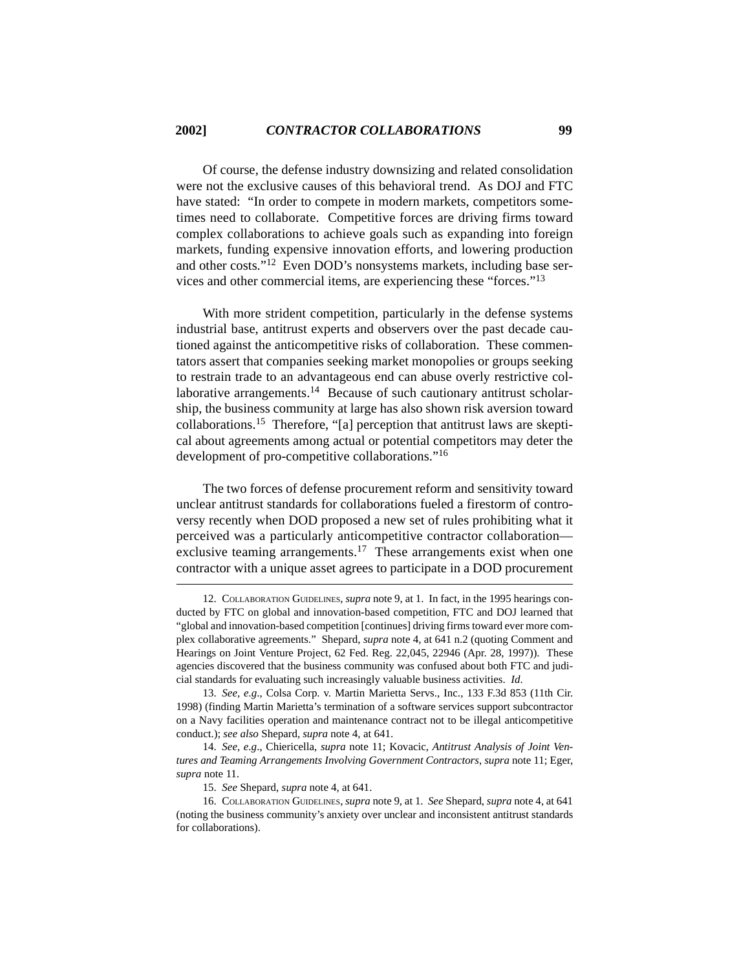Of course, the defense industry downsizing and related consolidation were not the exclusive causes of this behavioral trend. As DOJ and FTC have stated: "In order to compete in modern markets, competitors sometimes need to collaborate. Competitive forces are driving firms toward complex collaborations to achieve goals such as expanding into foreign markets, funding expensive innovation efforts, and lowering production and other costs."12 Even DOD's nonsystems markets, including base services and other commercial items, are experiencing these "forces."13

With more strident competition, particularly in the defense systems industrial base, antitrust experts and observers over the past decade cautioned against the anticompetitive risks of collaboration. These commentators assert that companies seeking market monopolies or groups seeking to restrain trade to an advantageous end can abuse overly restrictive collaborative arrangements.<sup>14</sup> Because of such cautionary antitrust scholarship, the business community at large has also shown risk aversion toward collaborations.15 Therefore, "[a] perception that antitrust laws are skeptical about agreements among actual or potential competitors may deter the development of pro-competitive collaborations."16

The two forces of defense procurement reform and sensitivity toward unclear antitrust standards for collaborations fueled a firestorm of controversy recently when DOD proposed a new set of rules prohibiting what it perceived was a particularly anticompetitive contractor collaboration exclusive teaming arrangements.<sup>17</sup> These arrangements exist when one contractor with a unique asset agrees to participate in a DOD procurement

<sup>12.</sup> COLLABORATION GUIDELINES, *supra* note 9, at 1. In fact, in the 1995 hearings conducted by FTC on global and innovation-based competition, FTC and DOJ learned that "global and innovation-based competition [continues] driving firms toward ever more complex collaborative agreements." Shepard, *supra* note 4, at 641 n.2 (quoting Comment and Hearings on Joint Venture Project, 62 Fed. Reg. 22,045, 22946 (Apr. 28, 1997)). These agencies discovered that the business community was confused about both FTC and judicial standards for evaluating such increasingly valuable business activities. *Id*.

<sup>13.</sup> *See, e.g*., Colsa Corp. v. Martin Marietta Servs., Inc., 133 F.3d 853 (11th Cir. 1998) (finding Martin Marietta's termination of a software services support subcontractor on a Navy facilities operation and maintenance contract not to be illegal anticompetitive conduct.); *see also* Shepard, *supra* note 4, at 641.

<sup>14.</sup> *See, e.g*., Chiericella, *supra* note 11; Kovacic, *Antitrust Analysis of Joint Ventures and Teaming Arrangements Involving Government Contractors*, *supra* note 11; Eger, *supra* note 11.

<sup>15.</sup> *See* Shepard, *supra* note 4, at 641.

<sup>16.</sup> COLLABORATION GUIDELINES, *supra* note 9, at 1. *See* Shepard, *supra* note 4, at 641 (noting the business community's anxiety over unclear and inconsistent antitrust standards for collaborations).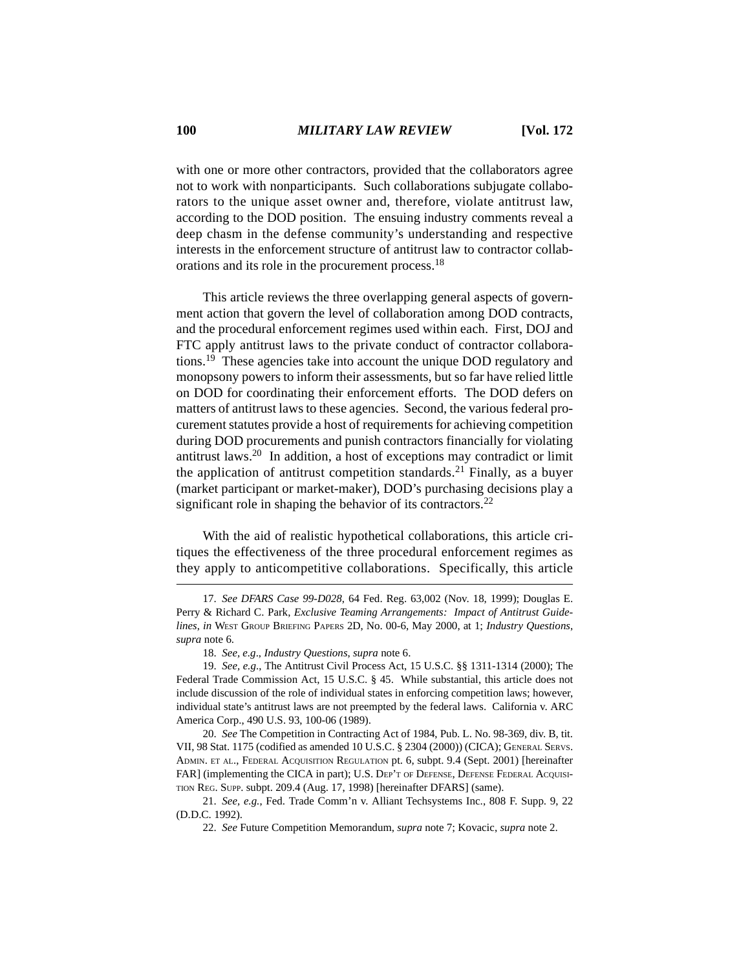with one or more other contractors, provided that the collaborators agree not to work with nonparticipants. Such collaborations subjugate collaborators to the unique asset owner and, therefore, violate antitrust law, according to the DOD position. The ensuing industry comments reveal a deep chasm in the defense community's understanding and respective interests in the enforcement structure of antitrust law to contractor collaborations and its role in the procurement process.18

This article reviews the three overlapping general aspects of government action that govern the level of collaboration among DOD contracts, and the procedural enforcement regimes used within each. First, DOJ and FTC apply antitrust laws to the private conduct of contractor collaborations.19 These agencies take into account the unique DOD regulatory and monopsony powers to inform their assessments, but so far have relied little on DOD for coordinating their enforcement efforts. The DOD defers on matters of antitrust laws to these agencies. Second, the various federal procurement statutes provide a host of requirements for achieving competition during DOD procurements and punish contractors financially for violating antitrust laws.20 In addition, a host of exceptions may contradict or limit the application of antitrust competition standards.<sup>21</sup> Finally, as a buyer (market participant or market-maker), DOD's purchasing decisions play a significant role in shaping the behavior of its contractors.<sup>22</sup>

With the aid of realistic hypothetical collaborations, this article critiques the effectiveness of the three procedural enforcement regimes as they apply to anticompetitive collaborations. Specifically, this article

<sup>17.</sup> *See DFARS Case 99-D028*, 64 Fed. Reg. 63,002 (Nov. 18, 1999); Douglas E. Perry & Richard C. Park, *Exclusive Teaming Arrangements: Impact of Antitrust Guidelines*, *in* WEST GROUP BRIEFING PAPERS 2D, No. 00-6, May 2000, at 1; *Industry Questions*, *supra* note 6.

<sup>18.</sup> *See, e.g*., *Industry Questions*, *supra* note 6.

<sup>19.</sup> *See, e.g*., The Antitrust Civil Process Act, 15 U.S.C. §§ 1311-1314 (2000); The Federal Trade Commission Act, 15 U.S.C. § 45. While substantial, this article does not include discussion of the role of individual states in enforcing competition laws; however, individual state's antitrust laws are not preempted by the federal laws. California v. ARC America Corp., 490 U.S. 93, 100-06 (1989).

<sup>20.</sup> *See* The Competition in Contracting Act of 1984, Pub. L. No. 98-369, div. B, tit. VII, 98 Stat. 1175 (codified as amended 10 U.S.C. § 2304 (2000)) (CICA); GENERAL SERVS. ADMIN. ET AL., FEDERAL ACQUISITION REGULATION pt. 6, subpt. 9.4 (Sept. 2001) [hereinafter FAR] (implementing the CICA in part); U.S. DEP'T OF DEFENSE, DEFENSE FEDERAL ACQUISI-TION REG. SUPP. subpt. 209.4 (Aug. 17, 1998) [hereinafter DFARS] (same).

<sup>21.</sup> *See, e.g.*, Fed. Trade Comm'n v. Alliant Techsystems Inc., 808 F. Supp. 9, 22 (D.D.C. 1992).

<sup>22.</sup> *See* Future Competition Memorandum, *supra* note 7; Kovacic, *supra* note 2.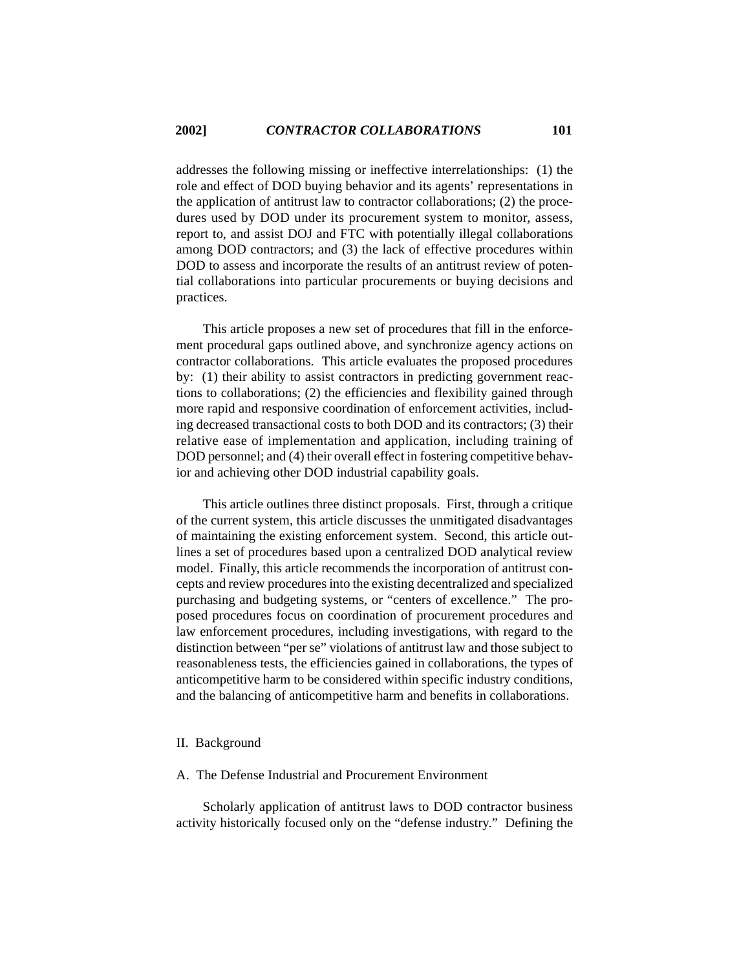addresses the following missing or ineffective interrelationships: (1) the role and effect of DOD buying behavior and its agents' representations in the application of antitrust law to contractor collaborations; (2) the procedures used by DOD under its procurement system to monitor, assess, report to, and assist DOJ and FTC with potentially illegal collaborations among DOD contractors; and (3) the lack of effective procedures within DOD to assess and incorporate the results of an antitrust review of potential collaborations into particular procurements or buying decisions and practices.

This article proposes a new set of procedures that fill in the enforcement procedural gaps outlined above, and synchronize agency actions on contractor collaborations. This article evaluates the proposed procedures by: (1) their ability to assist contractors in predicting government reactions to collaborations; (2) the efficiencies and flexibility gained through more rapid and responsive coordination of enforcement activities, including decreased transactional costs to both DOD and its contractors; (3) their relative ease of implementation and application, including training of DOD personnel; and (4) their overall effect in fostering competitive behavior and achieving other DOD industrial capability goals.

This article outlines three distinct proposals. First, through a critique of the current system, this article discusses the unmitigated disadvantages of maintaining the existing enforcement system. Second, this article outlines a set of procedures based upon a centralized DOD analytical review model. Finally, this article recommends the incorporation of antitrust concepts and review procedures into the existing decentralized and specialized purchasing and budgeting systems, or "centers of excellence." The proposed procedures focus on coordination of procurement procedures and law enforcement procedures, including investigations, with regard to the distinction between "per se" violations of antitrust law and those subject to reasonableness tests, the efficiencies gained in collaborations, the types of anticompetitive harm to be considered within specific industry conditions, and the balancing of anticompetitive harm and benefits in collaborations.

### II. Background

### A. The Defense Industrial and Procurement Environment

Scholarly application of antitrust laws to DOD contractor business activity historically focused only on the "defense industry." Defining the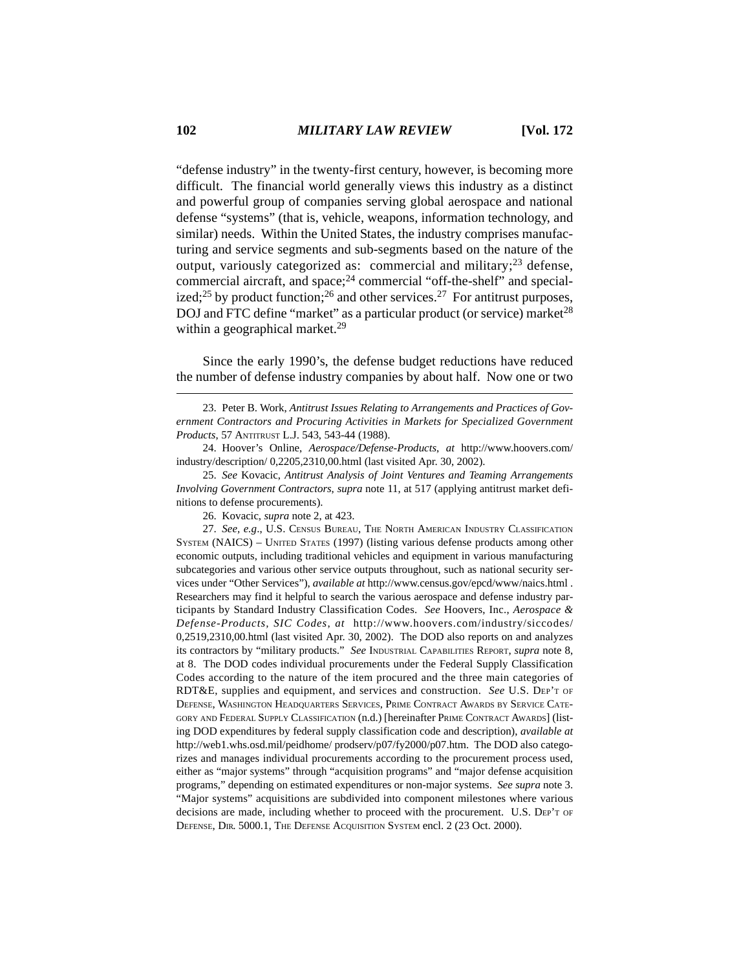"defense industry" in the twenty-first century, however, is becoming more difficult. The financial world generally views this industry as a distinct and powerful group of companies serving global aerospace and national defense "systems" (that is, vehicle, weapons, information technology, and similar) needs. Within the United States, the industry comprises manufacturing and service segments and sub-segments based on the nature of the output, variously categorized as: commercial and military;<sup>23</sup> defense, commercial aircraft, and space;<sup>24</sup> commercial "off-the-shelf" and specialized;<sup>25</sup> by product function;<sup>26</sup> and other services.<sup>27</sup> For antitrust purposes, DOJ and FTC define "market" as a particular product (or service) market<sup>28</sup> within a geographical market.<sup>29</sup>

Since the early 1990's, the defense budget reductions have reduced the number of defense industry companies by about half. Now one or two

24. Hoover's Online, *Aerospace/Defense-Products*, *at* http://www.hoovers.com/ industry/description/ 0,2205,2310,00.html (last visited Apr. 30, 2002).

25. *See* Kovacic, *Antitrust Analysis of Joint Ventures and Teaming Arrangements Involving Government Contractors*, *supra* note 11, at 517 (applying antitrust market definitions to defense procurements).

26. Kovacic, *supra* note 2, at 423.

27. *See, e.g*., U.S. CENSUS BUREAU, THE NORTH AMERICAN INDUSTRY CLASSIFICATION SYSTEM (NAICS) – UNITED STATES (1997) (listing various defense products among other economic outputs, including traditional vehicles and equipment in various manufacturing subcategories and various other service outputs throughout, such as national security services under "Other Services"), *available at* http://www.census.gov/epcd/www/naics.html . Researchers may find it helpful to search the various aerospace and defense industry participants by Standard Industry Classification Codes. *See* Hoovers, Inc., *Aerospace & Defense-Products, SIC Codes*, *at* http://www.hoovers.com/industry/siccodes/ 0,2519,2310,00.html (last visited Apr. 30, 2002). The DOD also reports on and analyzes its contractors by "military products." *See* INDUSTRIAL CAPABILITIES REPORT, *supra* note 8, at 8. The DOD codes individual procurements under the Federal Supply Classification Codes according to the nature of the item procured and the three main categories of RDT&E, supplies and equipment, and services and construction. *See* U.S. DEP'T OF DEFENSE, WASHINGTON HEADQUARTERS SERVICES, PRIME CONTRACT AWARDS BY SERVICE CATE-GORY AND FEDERAL SUPPLY CLASSIFICATION (n.d.) [hereinafter PRIME CONTRACT AWARDS] (listing DOD expenditures by federal supply classification code and description), *available at* http://web1.whs.osd.mil/peidhome/ prodserv/p07/fy2000/p07.htm. The DOD also categorizes and manages individual procurements according to the procurement process used, either as "major systems" through "acquisition programs" and "major defense acquisition programs," depending on estimated expenditures or non-major systems. *See supra* note 3. "Major systems" acquisitions are subdivided into component milestones where various decisions are made, including whether to proceed with the procurement. U.S. DEP'T OF DEFENSE, DIR. 5000.1, THE DEFENSE ACQUISITION SYSTEM encl. 2 (23 Oct. 2000).

<sup>23.</sup> Peter B. Work, *Antitrust Issues Relating to Arrangements and Practices of Government Contractors and Procuring Activities in Markets for Specialized Government Products*, 57 ANTITRUST L.J. 543, 543-44 (1988).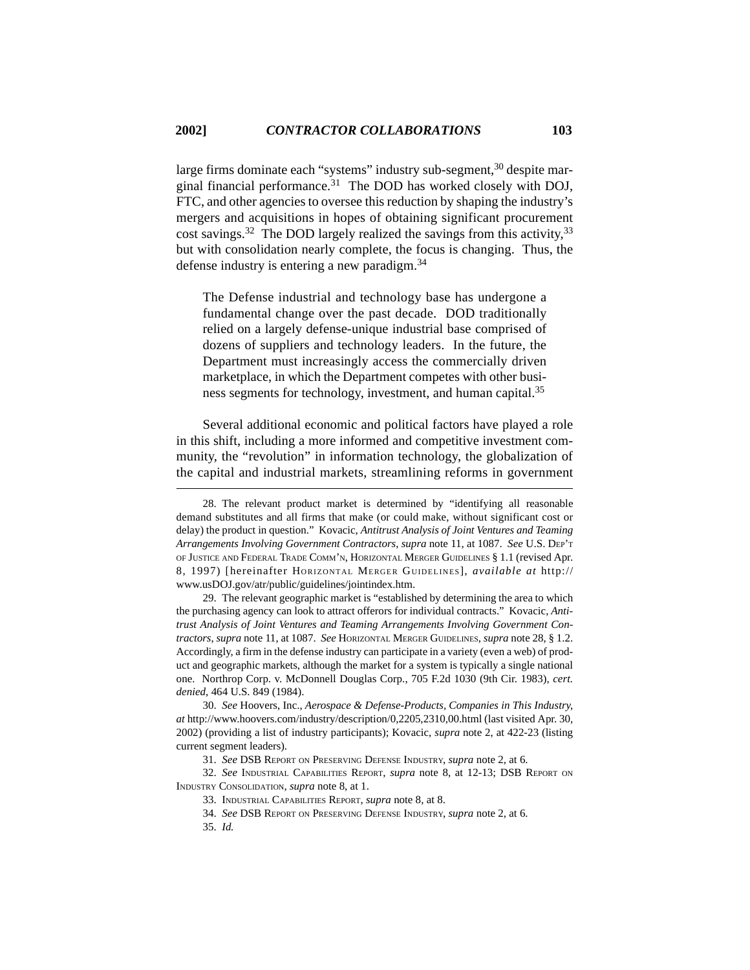large firms dominate each "systems" industry sub-segment,<sup>30</sup> despite marginal financial performance. $31$  The DOD has worked closely with DOJ, FTC, and other agencies to oversee this reduction by shaping the industry's mergers and acquisitions in hopes of obtaining significant procurement cost savings.<sup>32</sup> The DOD largely realized the savings from this activity,<sup>33</sup> but with consolidation nearly complete, the focus is changing. Thus, the defense industry is entering a new paradigm.34

The Defense industrial and technology base has undergone a fundamental change over the past decade. DOD traditionally relied on a largely defense-unique industrial base comprised of dozens of suppliers and technology leaders. In the future, the Department must increasingly access the commercially driven marketplace, in which the Department competes with other business segments for technology, investment, and human capital.<sup>35</sup>

Several additional economic and political factors have played a role in this shift, including a more informed and competitive investment community, the "revolution" in information technology, the globalization of the capital and industrial markets, streamlining reforms in government

29. The relevant geographic market is "established by determining the area to which the purchasing agency can look to attract offerors for individual contracts." Kovacic, *Antitrust Analysis of Joint Ventures and Teaming Arrangements Involving Government Contractors*, *supra* note 11, at 1087. *See* HORIZONTAL MERGER GUIDELINES, *supra* note 28, § 1.2. Accordingly, a firm in the defense industry can participate in a variety (even a web) of product and geographic markets, although the market for a system is typically a single national one. Northrop Corp. v. McDonnell Douglas Corp., 705 F.2d 1030 (9th Cir. 1983), *cert. denied*, 464 U.S. 849 (1984).

30. *See* Hoovers, Inc., *Aerospace & Defense-Products, Companies in This Industry*, *at* http://www.hoovers.com/industry/description/0,2205,2310,00.html (last visited Apr. 30, 2002) (providing a list of industry participants); Kovacic, *supra* note 2, at 422-23 (listing current segment leaders).

31. *See* DSB REPORT ON PRESERVING DEFENSE INDUSTRY, *supra* note 2, at 6.

32. *See* INDUSTRIAL CAPABILITIES REPORT, *supra* note 8, at 12-13; DSB REPORT ON INDUSTRY CONSOLIDATION, *supra* note 8, at 1.

<sup>28.</sup> The relevant product market is determined by "identifying all reasonable demand substitutes and all firms that make (or could make, without significant cost or delay) the product in question." Kovacic, *Antitrust Analysis of Joint Ventures and Teaming Arrangements Involving Government Contractors*, *supra* note 11, at 1087. *See* U.S. DEP'T OF JUSTICE AND FEDERAL TRADE COMM'N, HORIZONTAL MERGER GUIDELINES § 1.1 (revised Apr. 8, 1997) [hereinafter HORIZONTAL MERGER GUIDELINES], *available at* http:// www.usDOJ.gov/atr/public/guidelines/jointindex.htm.

<sup>33.</sup> INDUSTRIAL CAPABILITIES REPORT, *supra* note 8, at 8.

<sup>34.</sup> *See* DSB REPORT ON PRESERVING DEFENSE INDUSTRY, *supra* note 2, at 6.

<sup>35.</sup> *Id.*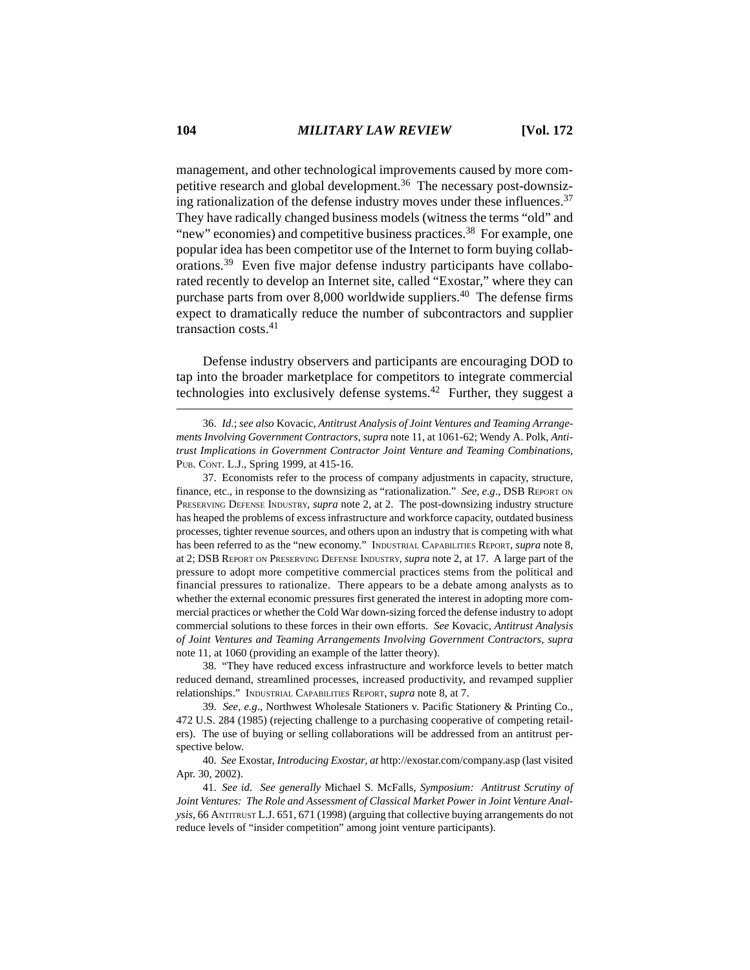management, and other technological improvements caused by more competitive research and global development.<sup>36</sup> The necessary post-downsizing rationalization of the defense industry moves under these influences.<sup>37</sup> They have radically changed business models (witness the terms "old" and "new" economies) and competitive business practices.<sup>38</sup> For example, one popular idea has been competitor use of the Internet to form buying collaborations.39 Even five major defense industry participants have collaborated recently to develop an Internet site, called "Exostar," where they can purchase parts from over  $8,000$  worldwide suppliers.<sup>40</sup> The defense firms expect to dramatically reduce the number of subcontractors and supplier transaction costs.41

Defense industry observers and participants are encouraging DOD to tap into the broader marketplace for competitors to integrate commercial technologies into exclusively defense systems.42 Further, they suggest a

38. "They have reduced excess infrastructure and workforce levels to better match reduced demand, streamlined processes, increased productivity, and revamped supplier relationships." INDUSTRIAL CAPABILITIES REPORT, *supra* note 8, at 7.

39. *See, e.g*., Northwest Wholesale Stationers v. Pacific Stationery & Printing Co., 472 U.S. 284 (1985) (rejecting challenge to a purchasing cooperative of competing retailers). The use of buying or selling collaborations will be addressed from an antitrust perspective below.

40. *See* Exostar, *Introducing Exostar*, *at* http://exostar.com/company.asp (last visited Apr. 30, 2002).

41. *See id*. *See generally* Michael S. McFalls, *Symposium: Antitrust Scrutiny of Joint Ventures: The Role and Assessment of Classical Market Power in Joint Venture Analysis*, 66 ANTITRUST L.J. 651, 671 (1998) (arguing that collective buying arrangements do not reduce levels of "insider competition" among joint venture participants).

<sup>36.</sup> *Id*.; *see also* Kovacic, *Antitrust Analysis of Joint Ventures and Teaming Arrangements Involving Government Contractors*, *supra* note 11, at 1061-62; Wendy A. Polk, *Antitrust Implications in Government Contractor Joint Venture and Teaming Combinations*, PUB. CONT. L.J., Spring 1999, at 415-16.

<sup>37.</sup> Economists refer to the process of company adjustments in capacity, structure, finance, etc., in response to the downsizing as "rationalization." *See, e.g*., DSB REPORT ON PRESERVING DEFENSE INDUSTRY, *supra* note 2, at 2. The post-downsizing industry structure has heaped the problems of excess infrastructure and workforce capacity, outdated business processes, tighter revenue sources, and others upon an industry that is competing with what has been referred to as the "new economy." INDUSTRIAL CAPABILITIES REPORT, *supra* note 8, at 2; DSB REPORT ON PRESERVING DEFENSE INDUSTRY, *supra* note 2, at 17. A large part of the pressure to adopt more competitive commercial practices stems from the political and financial pressures to rationalize. There appears to be a debate among analysts as to whether the external economic pressures first generated the interest in adopting more commercial practices or whether the Cold War down-sizing forced the defense industry to adopt commercial solutions to these forces in their own efforts. *See* Kovacic, *Antitrust Analysis of Joint Ventures and Teaming Arrangements Involving Government Contractors*, *supra* note 11, at 1060 (providing an example of the latter theory).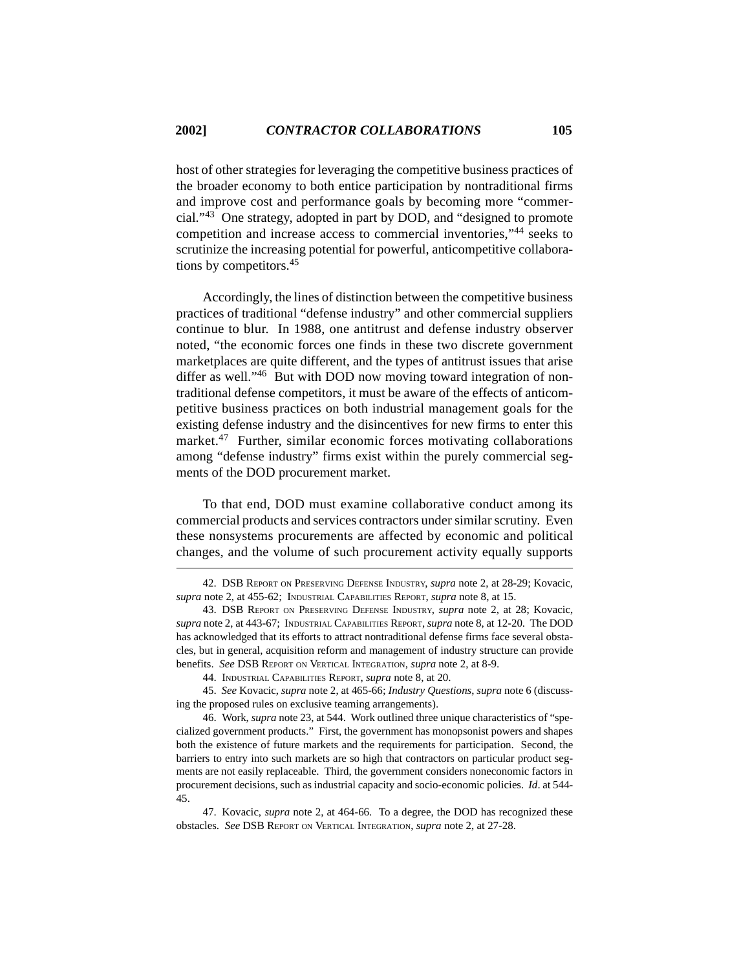host of other strategies for leveraging the competitive business practices of the broader economy to both entice participation by nontraditional firms and improve cost and performance goals by becoming more "commercial."43 One strategy, adopted in part by DOD, and "designed to promote competition and increase access to commercial inventories,"44 seeks to scrutinize the increasing potential for powerful, anticompetitive collaborations by competitors.45

Accordingly, the lines of distinction between the competitive business practices of traditional "defense industry" and other commercial suppliers continue to blur. In 1988, one antitrust and defense industry observer noted, "the economic forces one finds in these two discrete government marketplaces are quite different, and the types of antitrust issues that arise differ as well."<sup>46</sup> But with DOD now moving toward integration of nontraditional defense competitors, it must be aware of the effects of anticompetitive business practices on both industrial management goals for the existing defense industry and the disincentives for new firms to enter this market.47 Further, similar economic forces motivating collaborations among "defense industry" firms exist within the purely commercial segments of the DOD procurement market.

To that end, DOD must examine collaborative conduct among its commercial products and services contractors under similar scrutiny. Even these nonsystems procurements are affected by economic and political changes, and the volume of such procurement activity equally supports

<sup>42.</sup> DSB REPORT ON PRESERVING DEFENSE INDUSTRY, *supra* note 2, at 28-29; Kovacic, *supra* note 2, at 455-62; INDUSTRIAL CAPABILITIES REPORT, *supra* note 8, at 15.

<sup>43.</sup> DSB REPORT ON PRESERVING DEFENSE INDUSTRY, *supra* note 2, at 28; Kovacic, *supra* note 2, at 443-67; INDUSTRIAL CAPABILITIES REPORT, *supra* note 8, at 12-20. The DOD has acknowledged that its efforts to attract nontraditional defense firms face several obstacles, but in general, acquisition reform and management of industry structure can provide benefits. *See* DSB REPORT ON VERTICAL INTEGRATION, *supra* note 2, at 8-9.

<sup>44.</sup> INDUSTRIAL CAPABILITIES REPORT, *supra* note 8, at 20.

<sup>45.</sup> *See* Kovacic, *supra* note 2, at 465-66; *Industry Questions*, *supra* note 6 (discussing the proposed rules on exclusive teaming arrangements).

<sup>46.</sup> Work, *supra* note 23, at 544. Work outlined three unique characteristics of "specialized government products." First, the government has monopsonist powers and shapes both the existence of future markets and the requirements for participation. Second, the barriers to entry into such markets are so high that contractors on particular product segments are not easily replaceable. Third, the government considers noneconomic factors in procurement decisions, such as industrial capacity and socio-economic policies. *Id*. at 544- 45.

<sup>47.</sup> Kovacic, *supra* note 2, at 464-66. To a degree, the DOD has recognized these obstacles. *See* DSB REPORT ON VERTICAL INTEGRATION, *supra* note 2, at 27-28.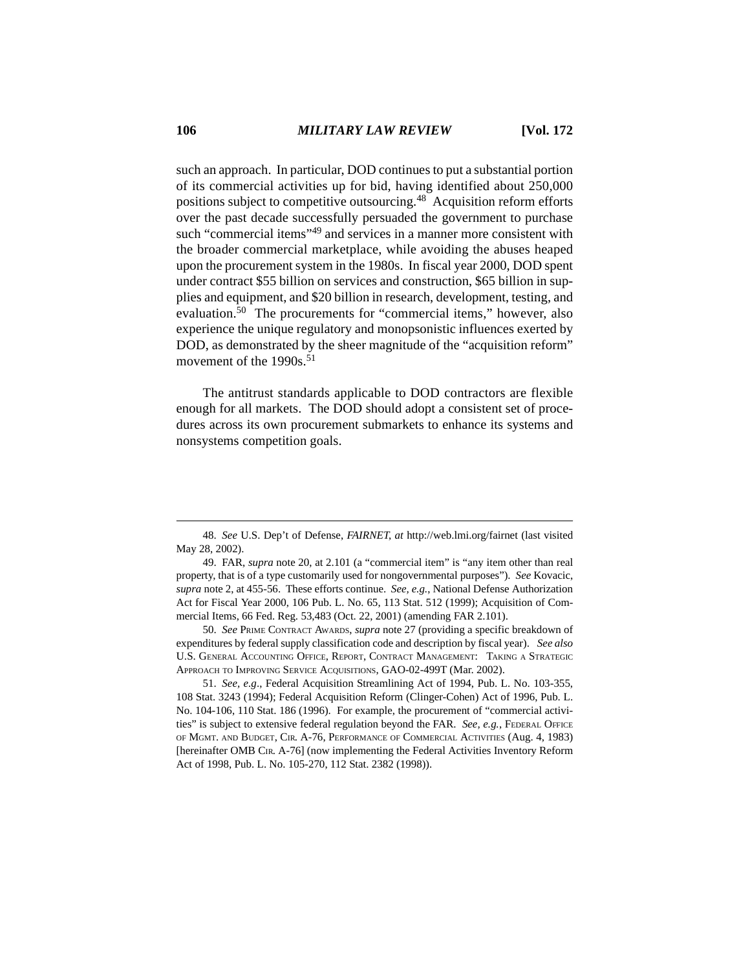such an approach. In particular, DOD continues to put a substantial portion of its commercial activities up for bid, having identified about 250,000 positions subject to competitive outsourcing.<sup>48</sup> Acquisition reform efforts over the past decade successfully persuaded the government to purchase such "commercial items"<sup>49</sup> and services in a manner more consistent with the broader commercial marketplace, while avoiding the abuses heaped upon the procurement system in the 1980s. In fiscal year 2000, DOD spent under contract \$55 billion on services and construction, \$65 billion in supplies and equipment, and \$20 billion in research, development, testing, and evaluation.50 The procurements for "commercial items," however, also experience the unique regulatory and monopsonistic influences exerted by DOD, as demonstrated by the sheer magnitude of the "acquisition reform" movement of the 1990s.<sup>51</sup>

The antitrust standards applicable to DOD contractors are flexible enough for all markets. The DOD should adopt a consistent set of procedures across its own procurement submarkets to enhance its systems and nonsystems competition goals.

50. *See* PRIME CONTRACT AWARDS, *supra* note 27 (providing a specific breakdown of expenditures by federal supply classification code and description by fiscal year). *See also* U.S. GENERAL ACCOUNTING OFFICE, REPORT, CONTRACT MANAGEMENT: TAKING A STRATEGIC APPROACH TO IMPROVING SERVICE ACQUISITIONS, GAO-02-499T (Mar. 2002).

51. *See, e.g*., Federal Acquisition Streamlining Act of 1994, Pub. L. No. 103-355, 108 Stat. 3243 (1994); Federal Acquisition Reform (Clinger-Cohen) Act of 1996, Pub. L. No. 104-106, 110 Stat. 186 (1996). For example, the procurement of "commercial activities" is subject to extensive federal regulation beyond the FAR. *See, e.g.*, FEDERAL OFFICE OF MGMT. AND BUDGET, CIR. A-76, PERFORMANCE OF COMMERCIAL ACTIVITIES (Aug. 4, 1983) [hereinafter OMB CIR. A-76] (now implementing the Federal Activities Inventory Reform Act of 1998, Pub. L. No. 105-270, 112 Stat. 2382 (1998)).

<sup>48.</sup> *See* U.S. Dep't of Defense, *FAIRNET*, *at* http://web.lmi.org/fairnet (last visited May 28, 2002).

<sup>49.</sup> FAR, *supra* note 20, at 2.101 (a "commercial item" is "any item other than real property, that is of a type customarily used for nongovernmental purposes"). *See* Kovacic, *supra* note 2, at 455-56. These efforts continue. *See, e.g.*, National Defense Authorization Act for Fiscal Year 2000, 106 Pub. L. No. 65, 113 Stat. 512 (1999); Acquisition of Commercial Items, 66 Fed. Reg. 53,483 (Oct. 22, 2001) (amending FAR 2.101).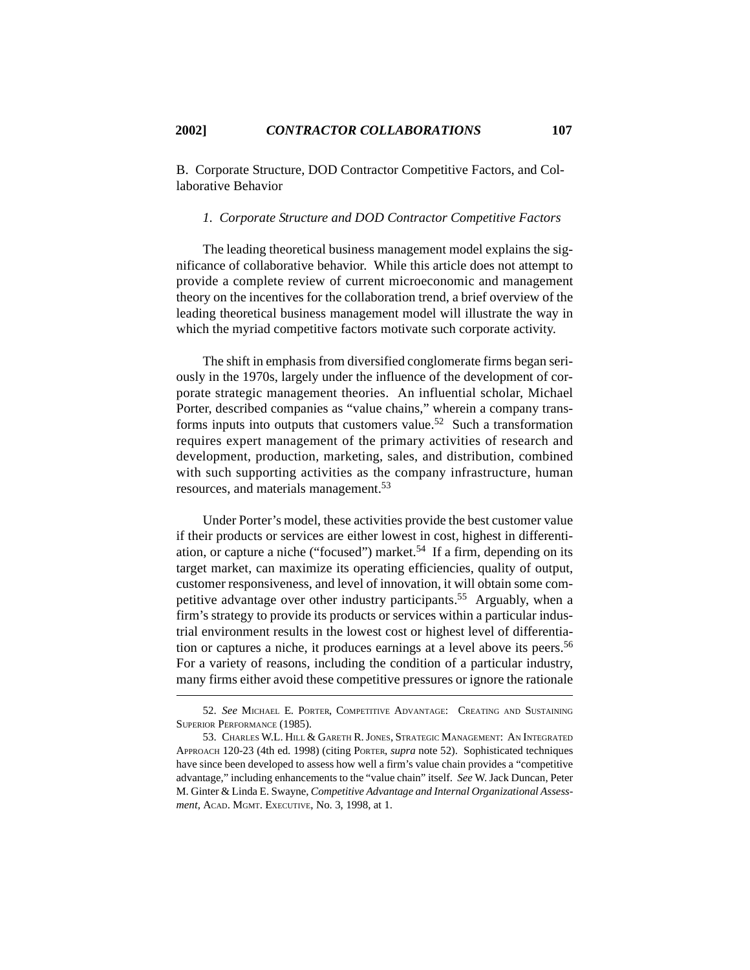B. Corporate Structure, DOD Contractor Competitive Factors, and Collaborative Behavior

### *1. Corporate Structure and DOD Contractor Competitive Factors*

The leading theoretical business management model explains the significance of collaborative behavior. While this article does not attempt to provide a complete review of current microeconomic and management theory on the incentives for the collaboration trend, a brief overview of the leading theoretical business management model will illustrate the way in which the myriad competitive factors motivate such corporate activity.

The shift in emphasis from diversified conglomerate firms began seriously in the 1970s, largely under the influence of the development of corporate strategic management theories. An influential scholar, Michael Porter, described companies as "value chains," wherein a company transforms inputs into outputs that customers value.<sup>52</sup> Such a transformation requires expert management of the primary activities of research and development, production, marketing, sales, and distribution, combined with such supporting activities as the company infrastructure, human resources, and materials management.<sup>53</sup>

Under Porter's model, these activities provide the best customer value if their products or services are either lowest in cost, highest in differentiation, or capture a niche ("focused") market.<sup>54</sup> If a firm, depending on its target market, can maximize its operating efficiencies, quality of output, customer responsiveness, and level of innovation, it will obtain some competitive advantage over other industry participants.<sup>55</sup> Arguably, when a firm's strategy to provide its products or services within a particular industrial environment results in the lowest cost or highest level of differentiation or captures a niche, it produces earnings at a level above its peers.<sup>56</sup> For a variety of reasons, including the condition of a particular industry, many firms either avoid these competitive pressures or ignore the rationale

<sup>52.</sup> *See* MICHAEL E. PORTER, COMPETITIVE ADVANTAGE: CREATING AND SUSTAINING SUPERIOR PERFORMANCE (1985).

<sup>53.</sup> CHARLES W.L. HILL & GARETH R. JONES, STRATEGIC MANAGEMENT: AN INTEGRATED APPROACH 120-23 (4th ed. 1998) (citing PORTER, *supra* note 52). Sophisticated techniques have since been developed to assess how well a firm's value chain provides a "competitive advantage," including enhancements to the "value chain" itself. *See* W. Jack Duncan, Peter M. Ginter & Linda E. Swayne, *Competitive Advantage and Internal Organizational Assessment*, ACAD. MGMT. EXECUTIVE, No. 3, 1998, at 1.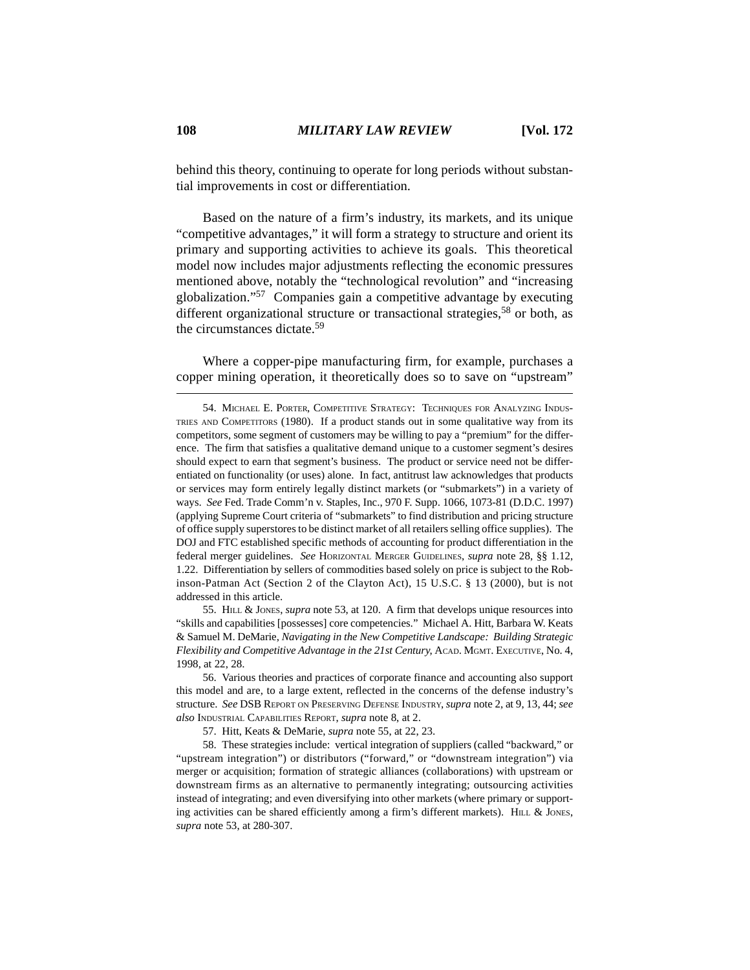behind this theory, continuing to operate for long periods without substantial improvements in cost or differentiation.

Based on the nature of a firm's industry, its markets, and its unique "competitive advantages," it will form a strategy to structure and orient its primary and supporting activities to achieve its goals. This theoretical model now includes major adjustments reflecting the economic pressures mentioned above, notably the "technological revolution" and "increasing globalization."57 Companies gain a competitive advantage by executing different organizational structure or transactional strategies,<sup>58</sup> or both, as the circumstances dictate.<sup>59</sup>

Where a copper-pipe manufacturing firm, for example, purchases a copper mining operation, it theoretically does so to save on "upstream"

55. HILL & JONES, *supra* note 53, at 120. A firm that develops unique resources into "skills and capabilities [possesses] core competencies." Michael A. Hitt, Barbara W. Keats & Samuel M. DeMarie, *Navigating in the New Competitive Landscape: Building Strategic Flexibility and Competitive Advantage in the 21st Century*, ACAD. MGMT. EXECUTIVE, No. 4, 1998, at 22, 28.

56. Various theories and practices of corporate finance and accounting also support this model and are, to a large extent, reflected in the concerns of the defense industry's structure. *See* DSB REPORT ON PRESERVING DEFENSE INDUSTRY, *supra* note 2, at 9, 13, 44; *see also* INDUSTRIAL CAPABILITIES REPORT, *supra* note 8, at 2.

57. Hitt, Keats & DeMarie, *supra* note 55, at 22, 23.

58. These strategies include: vertical integration of suppliers (called "backward," or "upstream integration") or distributors ("forward," or "downstream integration") via merger or acquisition; formation of strategic alliances (collaborations) with upstream or downstream firms as an alternative to permanently integrating; outsourcing activities instead of integrating; and even diversifying into other markets (where primary or supporting activities can be shared efficiently among a firm's different markets). HILL  $\&$  JONES, *supra* note 53, at 280-307.

<sup>54.</sup> MICHAEL E. PORTER, COMPETITIVE STRATEGY: TECHNIQUES FOR ANALYZING INDUS-TRIES AND COMPETITORS (1980). If a product stands out in some qualitative way from its competitors, some segment of customers may be willing to pay a "premium" for the difference. The firm that satisfies a qualitative demand unique to a customer segment's desires should expect to earn that segment's business. The product or service need not be differentiated on functionality (or uses) alone. In fact, antitrust law acknowledges that products or services may form entirely legally distinct markets (or "submarkets") in a variety of ways. *See* Fed. Trade Comm'n v. Staples, Inc., 970 F. Supp. 1066, 1073-81 (D.D.C. 1997) (applying Supreme Court criteria of "submarkets" to find distribution and pricing structure of office supply superstores to be distinct market of all retailers selling office supplies). The DOJ and FTC established specific methods of accounting for product differentiation in the federal merger guidelines. *See* HORIZONTAL MERGER GUIDELINES, *supra* note 28, §§ 1.12, 1.22. Differentiation by sellers of commodities based solely on price is subject to the Robinson-Patman Act (Section 2 of the Clayton Act), 15 U.S.C. § 13 (2000), but is not addressed in this article.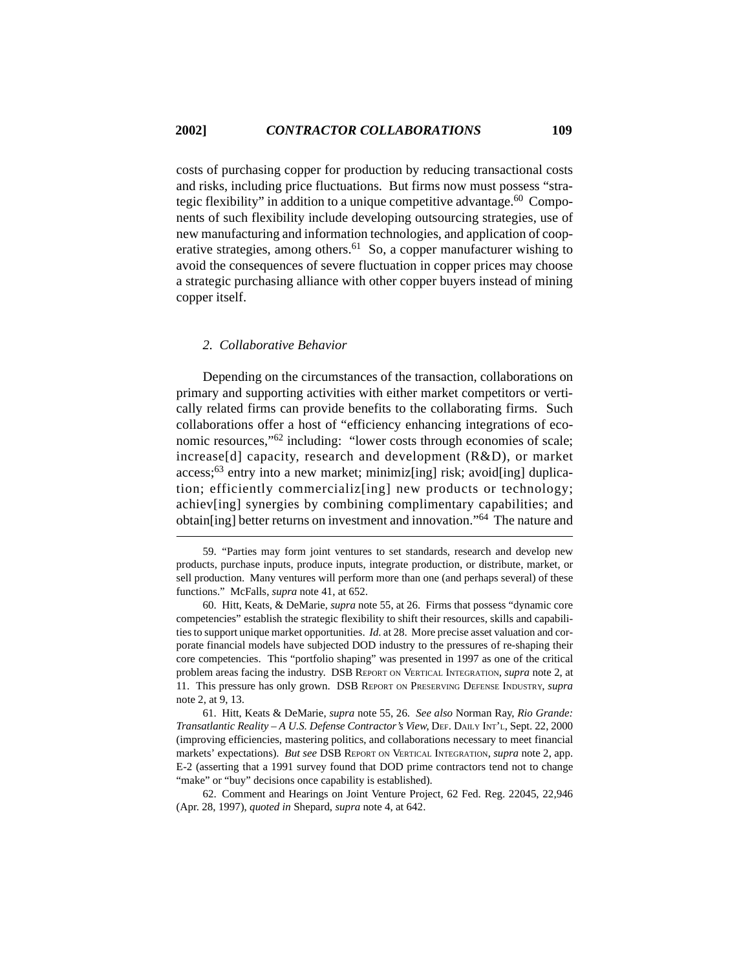costs of purchasing copper for production by reducing transactional costs and risks, including price fluctuations. But firms now must possess "strategic flexibility" in addition to a unique competitive advantage.<sup>60</sup> Components of such flexibility include developing outsourcing strategies, use of new manufacturing and information technologies, and application of cooperative strategies, among others.<sup>61</sup> So, a copper manufacturer wishing to avoid the consequences of severe fluctuation in copper prices may choose a strategic purchasing alliance with other copper buyers instead of mining copper itself.

### *2. Collaborative Behavior*

Depending on the circumstances of the transaction, collaborations on primary and supporting activities with either market competitors or vertically related firms can provide benefits to the collaborating firms. Such collaborations offer a host of "efficiency enhancing integrations of economic resources,"62 including: "lower costs through economies of scale; increase[d] capacity, research and development (R&D), or market  $access; 63$  entry into a new market; minimiz[ing] risk; avoid[ing] duplication; efficiently commercializ[ing] new products or technology; achiev[ing] synergies by combining complimentary capabilities; and obtain[ing] better returns on investment and innovation."64 The nature and

<sup>59. &</sup>quot;Parties may form joint ventures to set standards, research and develop new products, purchase inputs, produce inputs, integrate production, or distribute, market, or sell production. Many ventures will perform more than one (and perhaps several) of these functions." McFalls, *supra* note 41, at 652.

<sup>60.</sup> Hitt, Keats, & DeMarie, *supra* note 55, at 26. Firms that possess "dynamic core competencies" establish the strategic flexibility to shift their resources, skills and capabilities to support unique market opportunities. *Id*. at 28. More precise asset valuation and corporate financial models have subjected DOD industry to the pressures of re-shaping their core competencies. This "portfolio shaping" was presented in 1997 as one of the critical problem areas facing the industry. DSB REPORT ON VERTICAL INTEGRATION, *supra* note 2, at 11. This pressure has only grown. DSB REPORT ON PRESERVING DEFENSE INDUSTRY, *supra* note 2, at 9, 13.

<sup>61.</sup> Hitt, Keats & DeMarie, *supra* note 55, 26. *See also* Norman Ray, *Rio Grande: Transatlantic Reality – A U.S. Defense Contractor's View*, DEF. DAILY INT'L, Sept. 22, 2000 (improving efficiencies, mastering politics, and collaborations necessary to meet financial markets' expectations). *But see* DSB REPORT ON VERTICAL INTEGRATION, *supra* note 2, app. E-2 (asserting that a 1991 survey found that DOD prime contractors tend not to change "make" or "buy" decisions once capability is established).

<sup>62.</sup> Comment and Hearings on Joint Venture Project, 62 Fed. Reg. 22045, 22,946 (Apr. 28, 1997), *quoted in* Shepard, *supra* note 4, at 642.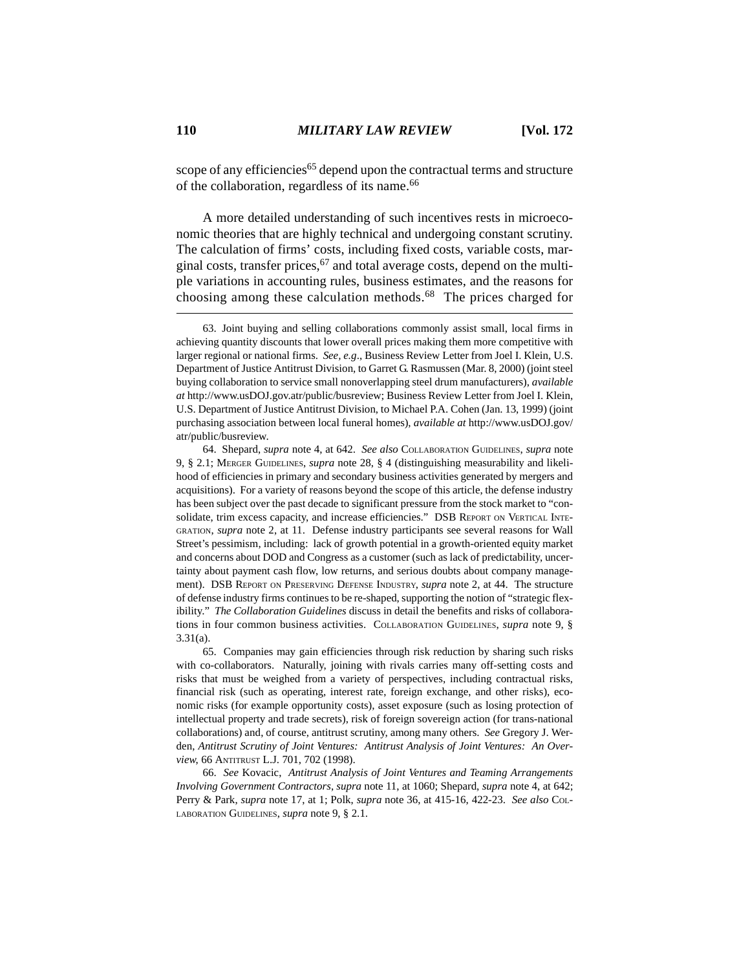scope of any efficiencies<sup>65</sup> depend upon the contractual terms and structure of the collaboration, regardless of its name.<sup>66</sup>

A more detailed understanding of such incentives rests in microeconomic theories that are highly technical and undergoing constant scrutiny. The calculation of firms' costs, including fixed costs, variable costs, marginal costs, transfer prices,  $67$  and total average costs, depend on the multiple variations in accounting rules, business estimates, and the reasons for choosing among these calculation methods.68 The prices charged for

65. Companies may gain efficiencies through risk reduction by sharing such risks with co-collaborators. Naturally, joining with rivals carries many off-setting costs and risks that must be weighed from a variety of perspectives, including contractual risks, financial risk (such as operating, interest rate, foreign exchange, and other risks), economic risks (for example opportunity costs), asset exposure (such as losing protection of intellectual property and trade secrets), risk of foreign sovereign action (for trans-national collaborations) and, of course, antitrust scrutiny, among many others. *See* Gregory J. Werden, *Antitrust Scrutiny of Joint Ventures: Antitrust Analysis of Joint Ventures: An Overview*, 66 ANTITRUST L.J. 701, 702 (1998).

66. *See* Kovacic, *Antitrust Analysis of Joint Ventures and Teaming Arrangements Involving Government Contractors*, *supra* note 11, at 1060; Shepard, *supra* note 4, at 642; Perry & Park, *supra* note 17, at 1; Polk, *supra* note 36, at 415-16, 422-23. *See also* COL-LABORATION GUIDELINES, *supra* note 9, § 2.1.

<sup>63.</sup> Joint buying and selling collaborations commonly assist small, local firms in achieving quantity discounts that lower overall prices making them more competitive with larger regional or national firms. *See, e.g*., Business Review Letter from Joel I. Klein, U.S. Department of Justice Antitrust Division, to Garret G. Rasmussen (Mar. 8, 2000) (joint steel buying collaboration to service small nonoverlapping steel drum manufacturers), *available at* http://www.usDOJ.gov.atr/public/busreview; Business Review Letter from Joel I. Klein, U.S. Department of Justice Antitrust Division, to Michael P.A. Cohen (Jan. 13, 1999) (joint purchasing association between local funeral homes), *available at* http://www.usDOJ.gov/ atr/public/busreview.

<sup>64.</sup> Shepard, *supra* note 4, at 642. *See also* COLLABORATION GUIDELINES, *supra* note 9, § 2.1; MERGER GUIDELINES, *supra* note 28, § 4 (distinguishing measurability and likelihood of efficiencies in primary and secondary business activities generated by mergers and acquisitions). For a variety of reasons beyond the scope of this article, the defense industry has been subject over the past decade to significant pressure from the stock market to "consolidate, trim excess capacity, and increase efficiencies." DSB REPORT ON VERTICAL INTE-GRATION, *supra* note 2, at 11. Defense industry participants see several reasons for Wall Street's pessimism, including: lack of growth potential in a growth-oriented equity market and concerns about DOD and Congress as a customer (such as lack of predictability, uncertainty about payment cash flow, low returns, and serious doubts about company management). DSB REPORT ON PRESERVING DEFENSE INDUSTRY, *supra* note 2, at 44. The structure of defense industry firms continues to be re-shaped, supporting the notion of "strategic flexibility." *The Collaboration Guidelines* discuss in detail the benefits and risks of collaborations in four common business activities. COLLABORATION GUIDELINES, *supra* note 9, § 3.31(a).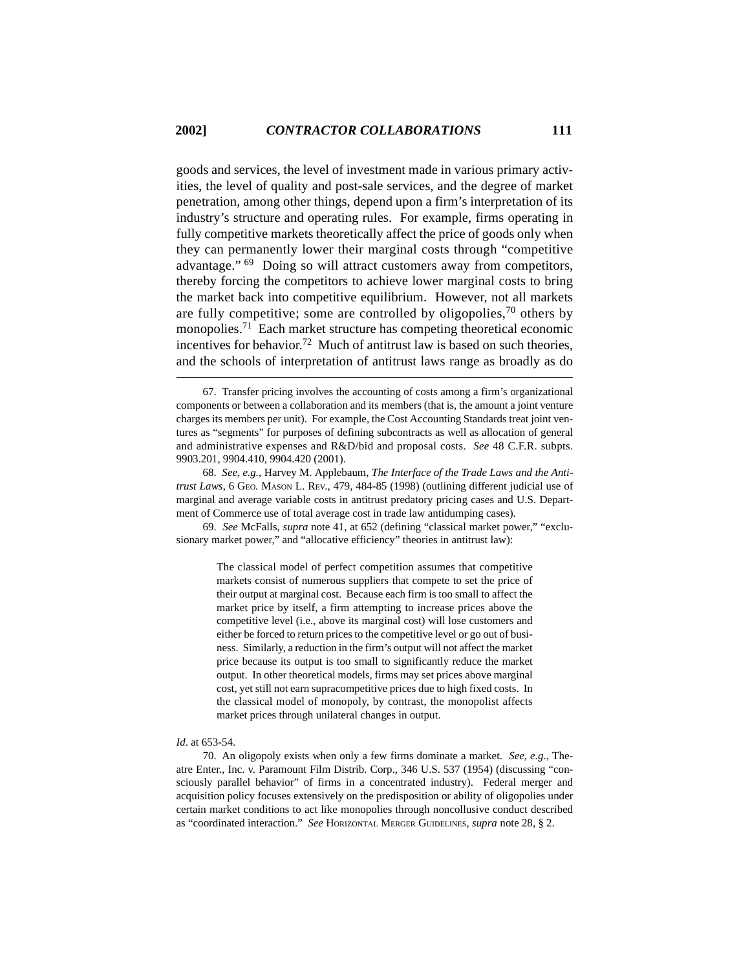goods and services, the level of investment made in various primary activities, the level of quality and post-sale services, and the degree of market penetration, among other things, depend upon a firm's interpretation of its industry's structure and operating rules. For example, firms operating in fully competitive markets theoretically affect the price of goods only when they can permanently lower their marginal costs through "competitive advantage." <sup>69</sup> Doing so will attract customers away from competitors, thereby forcing the competitors to achieve lower marginal costs to bring the market back into competitive equilibrium. However, not all markets are fully competitive; some are controlled by oligopolies,  $70$  others by monopolies.71 Each market structure has competing theoretical economic incentives for behavior.<sup>72</sup> Much of antitrust law is based on such theories, and the schools of interpretation of antitrust laws range as broadly as do

69. *See* McFalls, *supra* note 41, at 652 (defining "classical market power," "exclusionary market power," and "allocative efficiency" theories in antitrust law):

> The classical model of perfect competition assumes that competitive markets consist of numerous suppliers that compete to set the price of their output at marginal cost. Because each firm is too small to affect the market price by itself, a firm attempting to increase prices above the competitive level (i.e., above its marginal cost) will lose customers and either be forced to return prices to the competitive level or go out of business. Similarly, a reduction in the firm's output will not affect the market price because its output is too small to significantly reduce the market output. In other theoretical models, firms may set prices above marginal cost, yet still not earn supracompetitive prices due to high fixed costs. In the classical model of monopoly, by contrast, the monopolist affects market prices through unilateral changes in output.

#### *Id*. at 653-54.

70. An oligopoly exists when only a few firms dominate a market. *See, e.g*., Theatre Enter., Inc. v. Paramount Film Distrib. Corp., 346 U.S. 537 (1954) (discussing "consciously parallel behavior" of firms in a concentrated industry). Federal merger and acquisition policy focuses extensively on the predisposition or ability of oligopolies under certain market conditions to act like monopolies through noncollusive conduct described as "coordinated interaction." *See* HORIZONTAL MERGER GUIDELINES, *supra* note 28, § 2.

<sup>67.</sup> Transfer pricing involves the accounting of costs among a firm's organizational components or between a collaboration and its members (that is, the amount a joint venture charges its members per unit). For example, the Cost Accounting Standards treat joint ventures as "segments" for purposes of defining subcontracts as well as allocation of general and administrative expenses and R&D/bid and proposal costs. *See* 48 C.F.R. subpts. 9903.201, 9904.410, 9904.420 (2001).

<sup>68.</sup> *See, e.g.*, Harvey M. Applebaum, *The Interface of the Trade Laws and the Antitrust Laws*, 6 GEO. MASON L. REV., 479, 484-85 (1998) (outlining different judicial use of marginal and average variable costs in antitrust predatory pricing cases and U.S. Department of Commerce use of total average cost in trade law antidumping cases).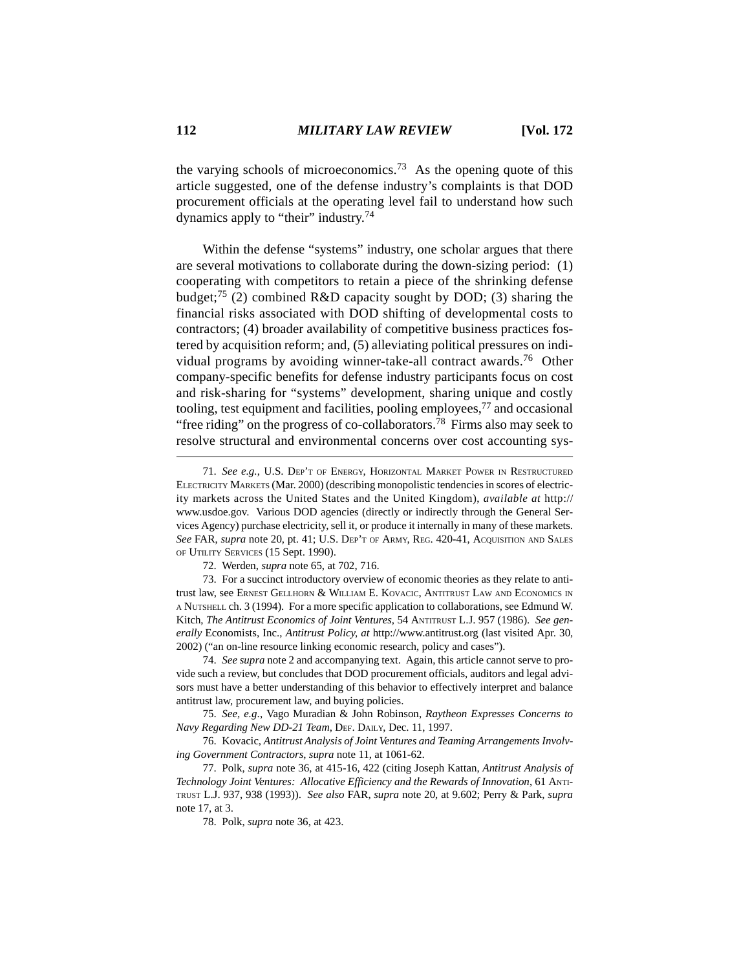the varying schools of microeconomics.<sup>73</sup> As the opening quote of this article suggested, one of the defense industry's complaints is that DOD procurement officials at the operating level fail to understand how such dynamics apply to "their" industry.74

Within the defense "systems" industry, one scholar argues that there are several motivations to collaborate during the down-sizing period: (1) cooperating with competitors to retain a piece of the shrinking defense budget;<sup>75</sup> (2) combined R&D capacity sought by DOD; (3) sharing the financial risks associated with DOD shifting of developmental costs to contractors; (4) broader availability of competitive business practices fostered by acquisition reform; and, (5) alleviating political pressures on individual programs by avoiding winner-take-all contract awards.<sup>76</sup> Other company-specific benefits for defense industry participants focus on cost and risk-sharing for "systems" development, sharing unique and costly tooling, test equipment and facilities, pooling employees,77 and occasional "free riding" on the progress of co-collaborators.<sup>78</sup> Firms also may seek to resolve structural and environmental concerns over cost accounting sys-

72. Werden, *supra* note 65, at 702, 716.

73. For a succinct introductory overview of economic theories as they relate to antitrust law, see ERNEST GELLHORN & WILLIAM E. KOVACIC, ANTITRUST LAW AND ECONOMICS IN A NUTSHELL ch. 3 (1994). For a more specific application to collaborations, see Edmund W. Kitch, *The Antitrust Economics of Joint Ventures*, 54 ANTITRUST L.J. 957 (1986). *See generally* Economists, Inc., *Antitrust Policy*, *at* http://www.antitrust.org (last visited Apr. 30, 2002) ("an on-line resource linking economic research, policy and cases").

74. *See supra* note 2 and accompanying text. Again, this article cannot serve to provide such a review, but concludes that DOD procurement officials, auditors and legal advisors must have a better understanding of this behavior to effectively interpret and balance antitrust law, procurement law, and buying policies.

75. *See, e.g*., Vago Muradian & John Robinson, *Raytheon Expresses Concerns to Navy Regarding New DD-21 Team*, DEF. DAILY, Dec. 11, 1997.

76. Kovacic, *Antitrust Analysis of Joint Ventures and Teaming Arrangements Involving Government Contractors*, *supra* note 11, at 1061-62.

77. Polk, *supra* note 36, at 415-16, 422 (citing Joseph Kattan, *Antitrust Analysis of Technology Joint Ventures: Allocative Efficiency and the Rewards of Innovation*, 61 ANTI-TRUST L.J. 937, 938 (1993)). *See also* FAR, *supra* note 20, at 9.602; Perry & Park, *supra* note 17, at 3.

78. Polk, *supra* note 36, at 423.

<sup>71.</sup> *See e.g.*, U.S. DEP'T OF ENERGY, HORIZONTAL MARKET POWER IN RESTRUCTURED ELECTRICITY MARKETS (Mar. 2000) (describing monopolistic tendencies in scores of electricity markets across the United States and the United Kingdom), *available at* http:// www.usdoe.gov. Various DOD agencies (directly or indirectly through the General Services Agency) purchase electricity, sell it, or produce it internally in many of these markets. *See* FAR, *supra* note 20, pt. 41; U.S. DEP'T OF ARMY, REG. 420-41, ACQUISITION AND SALES OF UTILITY SERVICES (15 Sept. 1990).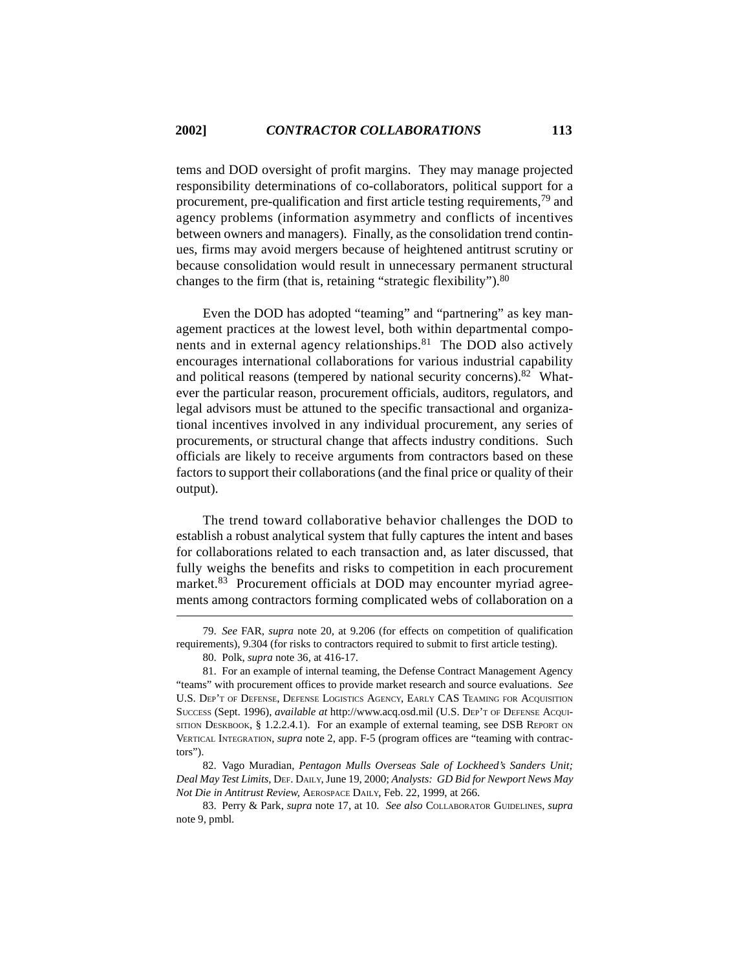tems and DOD oversight of profit margins. They may manage projected responsibility determinations of co-collaborators, political support for a procurement, pre-qualification and first article testing requirements,<sup>79</sup> and agency problems (information asymmetry and conflicts of incentives between owners and managers). Finally, as the consolidation trend continues, firms may avoid mergers because of heightened antitrust scrutiny or because consolidation would result in unnecessary permanent structural changes to the firm (that is, retaining "strategic flexibility").<sup>80</sup>

Even the DOD has adopted "teaming" and "partnering" as key management practices at the lowest level, both within departmental components and in external agency relationships. $81$  The DOD also actively encourages international collaborations for various industrial capability and political reasons (tempered by national security concerns).<sup>82</sup> Whatever the particular reason, procurement officials, auditors, regulators, and legal advisors must be attuned to the specific transactional and organizational incentives involved in any individual procurement, any series of procurements, or structural change that affects industry conditions. Such officials are likely to receive arguments from contractors based on these factors to support their collaborations (and the final price or quality of their output).

The trend toward collaborative behavior challenges the DOD to establish a robust analytical system that fully captures the intent and bases for collaborations related to each transaction and, as later discussed, that fully weighs the benefits and risks to competition in each procurement market.<sup>83</sup> Procurement officials at DOD may encounter myriad agreements among contractors forming complicated webs of collaboration on a

<sup>79.</sup> *See* FAR, *supra* note 20, at 9.206 (for effects on competition of qualification requirements), 9.304 (for risks to contractors required to submit to first article testing).

<sup>80.</sup> Polk, *supra* note 36, at 416-17.

<sup>81.</sup> For an example of internal teaming, the Defense Contract Management Agency "teams" with procurement offices to provide market research and source evaluations. *See* U.S. DEP'T OF DEFENSE, DEFENSE LOGISTICS AGENCY, EARLY CAS TEAMING FOR ACQUISITION SUCCESS (Sept. 1996), *available at* http://www.acq.osd.mil (U.S. DEP'T OF DEFENSE ACQUI-SITION DESKBOOK,  $\S$  1.2.2.4.1). For an example of external teaming, see DSB REPORT ON VERTICAL INTEGRATION, *supra* note 2, app. F-5 (program offices are "teaming with contractors").

<sup>82.</sup> Vago Muradian, *Pentagon Mulls Overseas Sale of Lockheed's Sanders Unit; Deal May Test Limits*, DEF. DAILY, June 19, 2000; *Analysts: GD Bid for Newport News May Not Die in Antitrust Review*, AEROSPACE DAILY, Feb. 22, 1999, at 266.

<sup>83.</sup> Perry & Park, *supra* note 17, at 10. *See also* COLLABORATOR GUIDELINES, *supra* note 9, pmbl.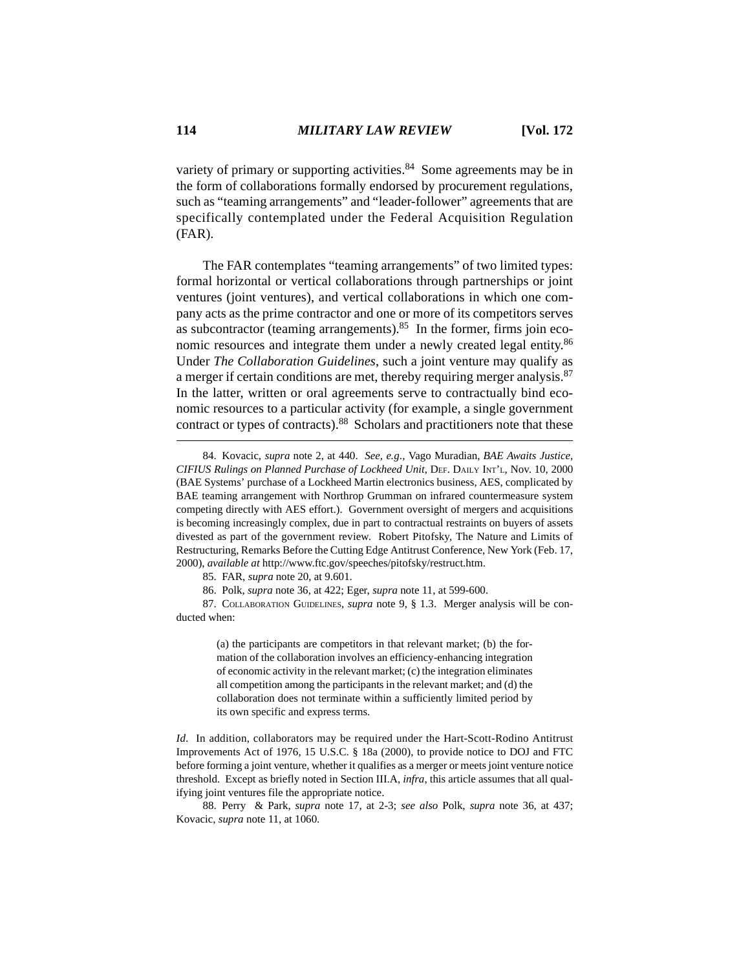variety of primary or supporting activities. $84$  Some agreements may be in the form of collaborations formally endorsed by procurement regulations, such as "teaming arrangements" and "leader-follower" agreements that are specifically contemplated under the Federal Acquisition Regulation (FAR).

The FAR contemplates "teaming arrangements" of two limited types: formal horizontal or vertical collaborations through partnerships or joint ventures (joint ventures), and vertical collaborations in which one company acts as the prime contractor and one or more of its competitors serves as subcontractor (teaming arrangements). $85$  In the former, firms join economic resources and integrate them under a newly created legal entity.<sup>86</sup> Under *The Collaboration Guidelines*, such a joint venture may qualify as a merger if certain conditions are met, thereby requiring merger analysis.<sup>87</sup> In the latter, written or oral agreements serve to contractually bind economic resources to a particular activity (for example, a single government contract or types of contracts).88 Scholars and practitioners note that these

(a) the participants are competitors in that relevant market; (b) the formation of the collaboration involves an efficiency-enhancing integration of economic activity in the relevant market; (c) the integration eliminates all competition among the participants in the relevant market; and (d) the collaboration does not terminate within a sufficiently limited period by its own specific and express terms.

*Id.* In addition, collaborators may be required under the Hart-Scott-Rodino Antitrust Improvements Act of 1976, 15 U.S.C. § 18a (2000), to provide notice to DOJ and FTC before forming a joint venture, whether it qualifies as a merger or meets joint venture notice threshold. Except as briefly noted in Section III.A, *infra*, this article assumes that all qualifying joint ventures file the appropriate notice.

88. Perry & Park, *supra* note 17, at 2-3; *see also* Polk, *supra* note 36, at 437; Kovacic, *supra* note 11, at 1060.

<sup>84.</sup> Kovacic, *supra* note 2, at 440. *See, e.g*., Vago Muradian, *BAE Awaits Justice, CIFIUS Rulings on Planned Purchase of Lockheed Unit*, DEF. DAILY INT'L, Nov. 10, 2000 (BAE Systems' purchase of a Lockheed Martin electronics business, AES, complicated by BAE teaming arrangement with Northrop Grumman on infrared countermeasure system competing directly with AES effort.). Government oversight of mergers and acquisitions is becoming increasingly complex, due in part to contractual restraints on buyers of assets divested as part of the government review. Robert Pitofsky, The Nature and Limits of Restructuring, Remarks Before the Cutting Edge Antitrust Conference, New York (Feb. 17, 2000), *available at* http://www.ftc.gov/speeches/pitofsky/restruct.htm.

<sup>85.</sup> FAR, *supra* note 20, at 9.601.

<sup>86.</sup> Polk, *supra* note 36, at 422; Eger, *supra* note 11, at 599-600.

<sup>87.</sup> COLLABORATION GUIDELINES, *supra* note 9, § 1.3. Merger analysis will be conducted when: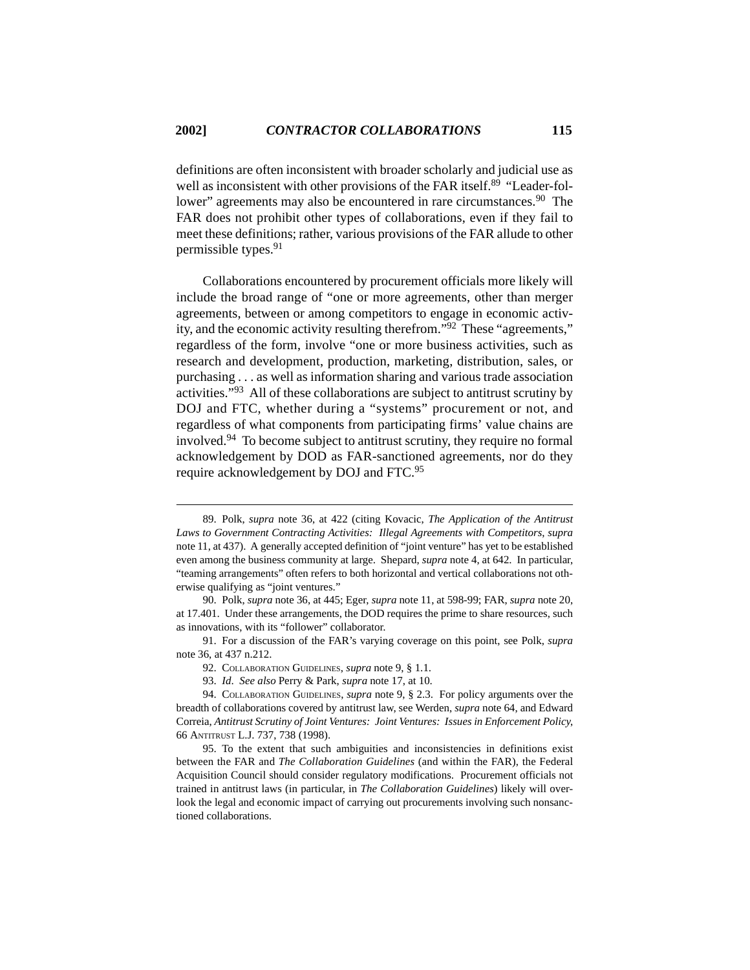definitions are often inconsistent with broader scholarly and judicial use as well as inconsistent with other provisions of the FAR itself.<sup>89</sup> "Leader-follower" agreements may also be encountered in rare circumstances.<sup>90</sup> The FAR does not prohibit other types of collaborations, even if they fail to meet these definitions; rather, various provisions of the FAR allude to other permissible types.<sup>91</sup>

Collaborations encountered by procurement officials more likely will include the broad range of "one or more agreements, other than merger agreements, between or among competitors to engage in economic activity, and the economic activity resulting therefrom."92 These "agreements," regardless of the form, involve "one or more business activities, such as research and development, production, marketing, distribution, sales, or purchasing . . . as well as information sharing and various trade association activities."93 All of these collaborations are subject to antitrust scrutiny by DOJ and FTC, whether during a "systems" procurement or not, and regardless of what components from participating firms' value chains are involved.94 To become subject to antitrust scrutiny, they require no formal acknowledgement by DOD as FAR-sanctioned agreements, nor do they require acknowledgement by DOJ and FTC.95

<sup>89.</sup> Polk, *supra* note 36, at 422 (citing Kovacic, *The Application of the Antitrust Laws to Government Contracting Activities: Illegal Agreements with Competitors*, *supra* note 11, at 437). A generally accepted definition of "joint venture" has yet to be established even among the business community at large. Shepard, *supra* note 4, at 642. In particular, "teaming arrangements" often refers to both horizontal and vertical collaborations not otherwise qualifying as "joint ventures."

<sup>90.</sup> Polk, *supra* note 36, at 445; Eger, *supra* note 11, at 598-99; FAR, *supra* note 20, at 17.401. Under these arrangements, the DOD requires the prime to share resources, such as innovations, with its "follower" collaborator.

<sup>91.</sup> For a discussion of the FAR's varying coverage on this point, see Polk, *supra* note 36, at 437 n.212.

<sup>92.</sup> COLLABORATION GUIDELINES, *supra* note 9, § 1.1.

<sup>93.</sup> *Id*. *See also* Perry & Park, *supra* note 17, at 10.

<sup>94.</sup> COLLABORATION GUIDELINES, *supra* note 9, § 2.3. For policy arguments over the breadth of collaborations covered by antitrust law, see Werden, *supra* note 64, and Edward Correia, *Antitrust Scrutiny of Joint Ventures: Joint Ventures: Issues in Enforcement Policy*, 66 ANTITRUST L.J. 737, 738 (1998).

<sup>95.</sup> To the extent that such ambiguities and inconsistencies in definitions exist between the FAR and *The Collaboration Guidelines* (and within the FAR), the Federal Acquisition Council should consider regulatory modifications. Procurement officials not trained in antitrust laws (in particular, in *The Collaboration Guidelines*) likely will overlook the legal and economic impact of carrying out procurements involving such nonsanctioned collaborations.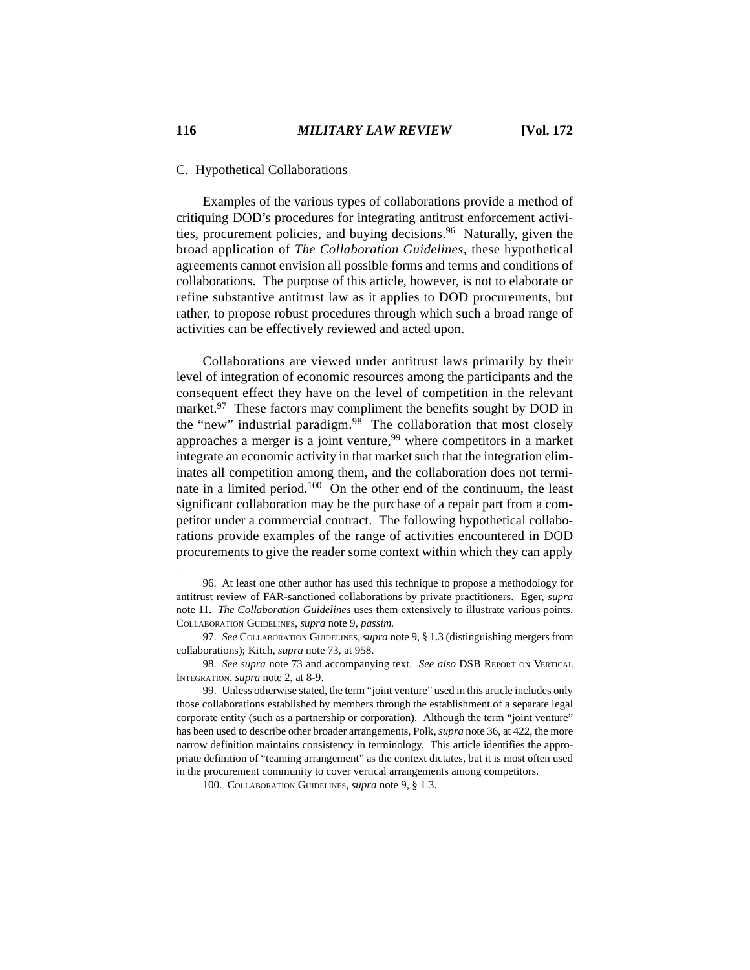### C. Hypothetical Collaborations

Examples of the various types of collaborations provide a method of critiquing DOD's procedures for integrating antitrust enforcement activities, procurement policies, and buying decisions.<sup>96</sup> Naturally, given the broad application of *The Collaboration Guidelines*, these hypothetical agreements cannot envision all possible forms and terms and conditions of collaborations. The purpose of this article, however, is not to elaborate or refine substantive antitrust law as it applies to DOD procurements, but rather, to propose robust procedures through which such a broad range of activities can be effectively reviewed and acted upon.

Collaborations are viewed under antitrust laws primarily by their level of integration of economic resources among the participants and the consequent effect they have on the level of competition in the relevant market.<sup>97</sup> These factors may compliment the benefits sought by DOD in the "new" industrial paradigm.<sup>98</sup> The collaboration that most closely approaches a merger is a joint venture,  $99$  where competitors in a market integrate an economic activity in that market such that the integration eliminates all competition among them, and the collaboration does not terminate in a limited period.100 On the other end of the continuum, the least significant collaboration may be the purchase of a repair part from a competitor under a commercial contract. The following hypothetical collaborations provide examples of the range of activities encountered in DOD procurements to give the reader some context within which they can apply

98. *See supra* note 73 and accompanying text. *See also* DSB REPORT ON VERTICAL INTEGRATION, *supra* note 2, at 8-9.

<sup>96.</sup> At least one other author has used this technique to propose a methodology for antitrust review of FAR-sanctioned collaborations by private practitioners. Eger, *supra* note 11. *The Collaboration Guidelines* uses them extensively to illustrate various points. COLLABORATION GUIDELINES, *supra* note 9, *passim.*

<sup>97.</sup> *See* COLLABORATION GUIDELINES, *supra* note 9, § 1.3 (distinguishing mergers from collaborations); Kitch, *supra* note 73, at 958.

<sup>99.</sup> Unless otherwise stated, the term "joint venture" used in this article includes only those collaborations established by members through the establishment of a separate legal corporate entity (such as a partnership or corporation). Although the term "joint venture" has been used to describe other broader arrangements, Polk, *supra* note 36, at 422, the more narrow definition maintains consistency in terminology. This article identifies the appropriate definition of "teaming arrangement" as the context dictates, but it is most often used in the procurement community to cover vertical arrangements among competitors.

<sup>100.</sup> COLLABORATION GUIDELINES, *supra* note 9, § 1.3.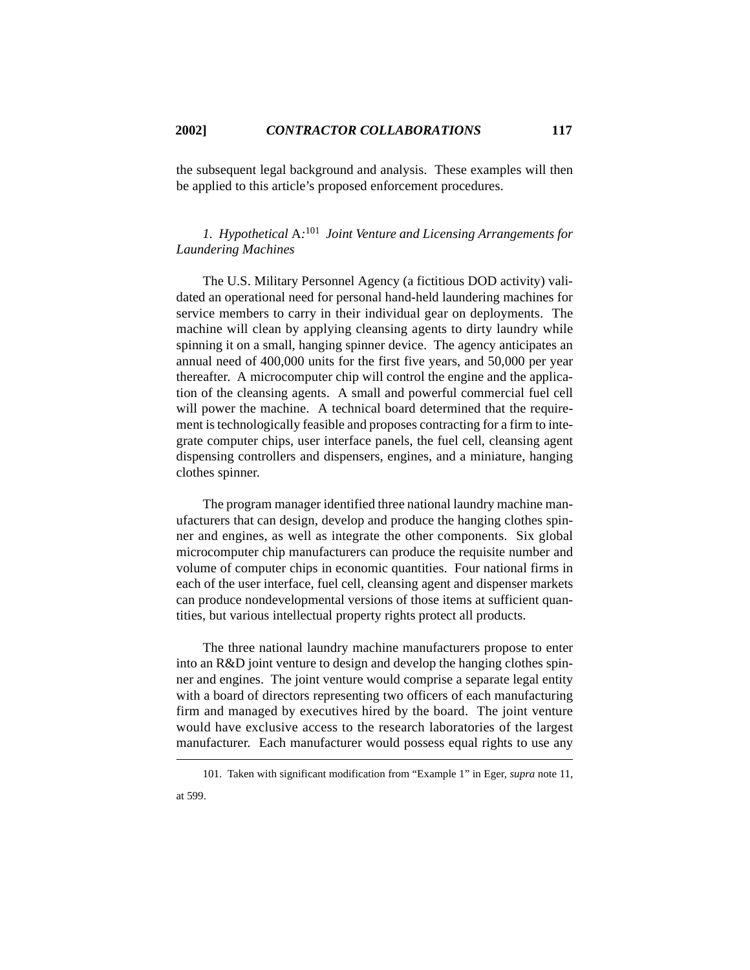the subsequent legal background and analysis. These examples will then be applied to this article's proposed enforcement procedures.

*1. Hypothetical* A*:* 101 *Joint Venture and Licensing Arrangements for Laundering Machines*

The U.S. Military Personnel Agency (a fictitious DOD activity) validated an operational need for personal hand-held laundering machines for service members to carry in their individual gear on deployments. The machine will clean by applying cleansing agents to dirty laundry while spinning it on a small, hanging spinner device. The agency anticipates an annual need of 400,000 units for the first five years, and 50,000 per year thereafter. A microcomputer chip will control the engine and the application of the cleansing agents. A small and powerful commercial fuel cell will power the machine. A technical board determined that the requirement is technologically feasible and proposes contracting for a firm to integrate computer chips, user interface panels, the fuel cell, cleansing agent dispensing controllers and dispensers, engines, and a miniature, hanging clothes spinner.

The program manager identified three national laundry machine manufacturers that can design, develop and produce the hanging clothes spinner and engines, as well as integrate the other components. Six global microcomputer chip manufacturers can produce the requisite number and volume of computer chips in economic quantities. Four national firms in each of the user interface, fuel cell, cleansing agent and dispenser markets can produce nondevelopmental versions of those items at sufficient quantities, but various intellectual property rights protect all products.

The three national laundry machine manufacturers propose to enter into an R&D joint venture to design and develop the hanging clothes spinner and engines. The joint venture would comprise a separate legal entity with a board of directors representing two officers of each manufacturing firm and managed by executives hired by the board. The joint venture would have exclusive access to the research laboratories of the largest manufacturer. Each manufacturer would possess equal rights to use any

<sup>101.</sup> Taken with significant modification from "Example 1" in Eger, *supra* note 11, at 599.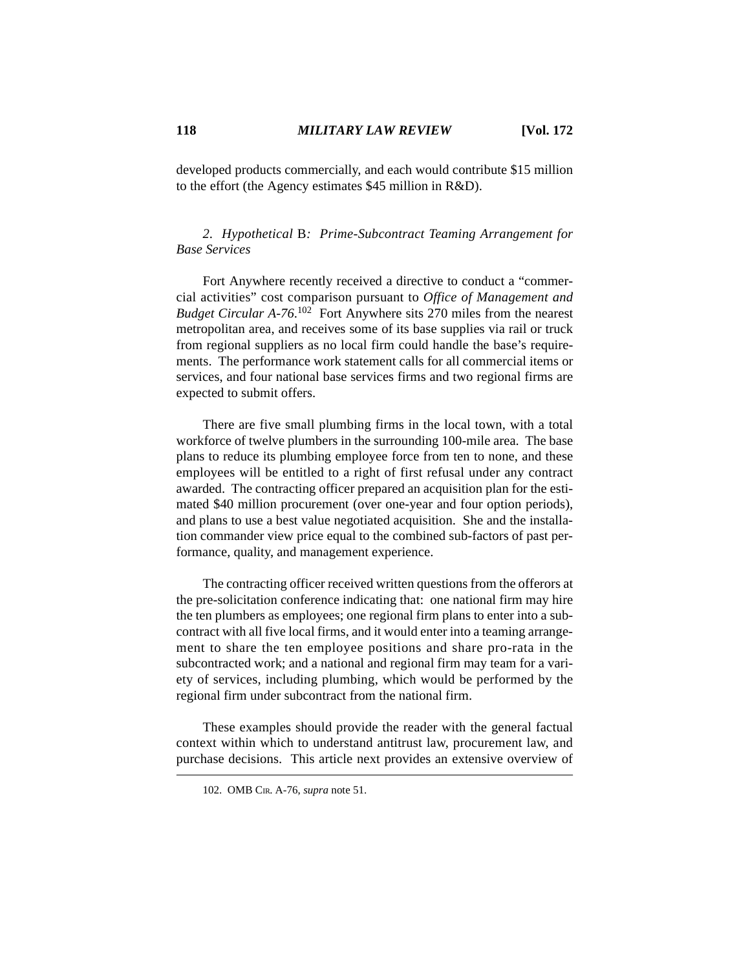developed products commercially, and each would contribute \$15 million to the effort (the Agency estimates \$45 million in R&D).

# *2. Hypothetical* B*: Prime-Subcontract Teaming Arrangement for Base Services*

Fort Anywhere recently received a directive to conduct a "commercial activities" cost comparison pursuant to *Office of Management and* Budget Circular A-76.<sup>102</sup> Fort Anywhere sits 270 miles from the nearest metropolitan area, and receives some of its base supplies via rail or truck from regional suppliers as no local firm could handle the base's requirements. The performance work statement calls for all commercial items or services, and four national base services firms and two regional firms are expected to submit offers.

There are five small plumbing firms in the local town, with a total workforce of twelve plumbers in the surrounding 100-mile area. The base plans to reduce its plumbing employee force from ten to none, and these employees will be entitled to a right of first refusal under any contract awarded. The contracting officer prepared an acquisition plan for the estimated \$40 million procurement (over one-year and four option periods), and plans to use a best value negotiated acquisition. She and the installation commander view price equal to the combined sub-factors of past performance, quality, and management experience.

The contracting officer received written questions from the offerors at the pre-solicitation conference indicating that: one national firm may hire the ten plumbers as employees; one regional firm plans to enter into a subcontract with all five local firms, and it would enter into a teaming arrangement to share the ten employee positions and share pro-rata in the subcontracted work; and a national and regional firm may team for a variety of services, including plumbing, which would be performed by the regional firm under subcontract from the national firm.

These examples should provide the reader with the general factual context within which to understand antitrust law, procurement law, and purchase decisions. This article next provides an extensive overview of

<sup>102.</sup> OMB CIR. A-76, *supra* note 51.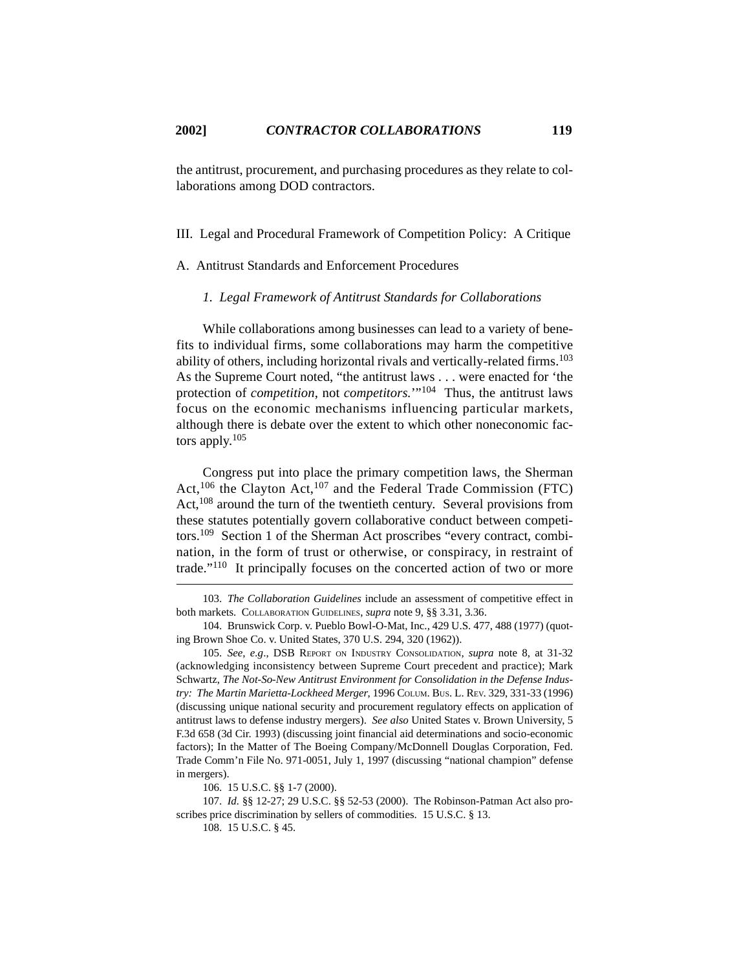the antitrust, procurement, and purchasing procedures as they relate to collaborations among DOD contractors.

III. Legal and Procedural Framework of Competition Policy: A Critique

A. Antitrust Standards and Enforcement Procedures

*1. Legal Framework of Antitrust Standards for Collaborations*

While collaborations among businesses can lead to a variety of benefits to individual firms, some collaborations may harm the competitive ability of others, including horizontal rivals and vertically-related firms.103 As the Supreme Court noted, "the antitrust laws . . . were enacted for 'the protection of *competition*, not *competitors.*'"104 Thus, the antitrust laws focus on the economic mechanisms influencing particular markets, although there is debate over the extent to which other noneconomic factors apply. $105$ 

Congress put into place the primary competition laws, the Sherman Act,<sup>106</sup> the Clayton Act,<sup>107</sup> and the Federal Trade Commission (FTC) Act,<sup>108</sup> around the turn of the twentieth century. Several provisions from these statutes potentially govern collaborative conduct between competitors.109 Section 1 of the Sherman Act proscribes "every contract, combination, in the form of trust or otherwise, or conspiracy, in restraint of trade."110 It principally focuses on the concerted action of two or more

106. 15 U.S.C. §§ 1-7 (2000).

107. *Id.* §§ 12-27; 29 U.S.C. §§ 52-53 (2000). The Robinson-Patman Act also proscribes price discrimination by sellers of commodities. 15 U.S.C. § 13.

108. 15 U.S.C. § 45.

<sup>103.</sup> *The Collaboration Guidelines* include an assessment of competitive effect in both markets. COLLABORATION GUIDELINES, *supra* note 9, §§ 3.31, 3.36.

<sup>104.</sup> Brunswick Corp. v. Pueblo Bowl-O-Mat, Inc., 429 U.S. 477, 488 (1977) (quoting Brown Shoe Co. v. United States, 370 U.S. 294, 320 (1962)).

<sup>105.</sup> *See, e.g*., DSB REPORT ON INDUSTRY CONSOLIDATION, *supra* note 8, at 31-32 (acknowledging inconsistency between Supreme Court precedent and practice); Mark Schwartz, *The Not-So-New Antitrust Environment for Consolidation in the Defense Industry: The Martin Marietta-Lockheed Merger*, 1996 COLUM. BUS. L. REV. 329, 331-33 (1996) (discussing unique national security and procurement regulatory effects on application of antitrust laws to defense industry mergers). *See also* United States v. Brown University, 5 F.3d 658 (3d Cir. 1993) (discussing joint financial aid determinations and socio-economic factors); In the Matter of The Boeing Company/McDonnell Douglas Corporation, Fed. Trade Comm'n File No. 971-0051, July 1, 1997 (discussing "national champion" defense in mergers).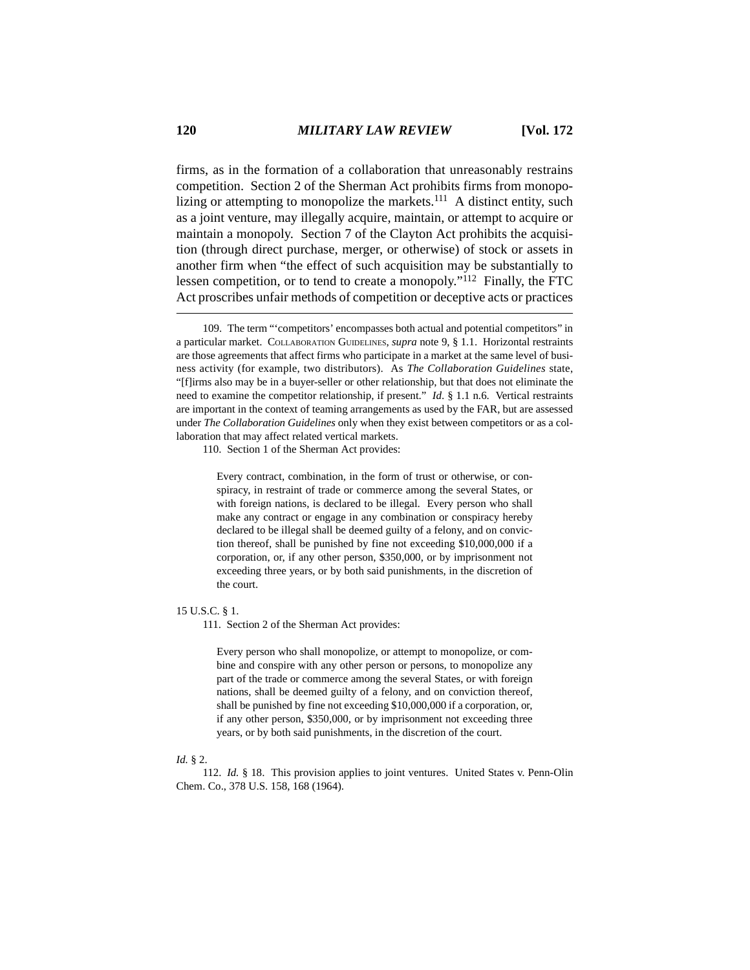firms, as in the formation of a collaboration that unreasonably restrains competition. Section 2 of the Sherman Act prohibits firms from monopolizing or attempting to monopolize the markets.<sup>111</sup> A distinct entity, such as a joint venture, may illegally acquire, maintain, or attempt to acquire or maintain a monopoly. Section 7 of the Clayton Act prohibits the acquisition (through direct purchase, merger, or otherwise) of stock or assets in another firm when "the effect of such acquisition may be substantially to lessen competition, or to tend to create a monopoly."112 Finally, the FTC Act proscribes unfair methods of competition or deceptive acts or practices

110. Section 1 of the Sherman Act provides:

Every contract, combination, in the form of trust or otherwise, or conspiracy, in restraint of trade or commerce among the several States, or with foreign nations, is declared to be illegal. Every person who shall make any contract or engage in any combination or conspiracy hereby declared to be illegal shall be deemed guilty of a felony, and on conviction thereof, shall be punished by fine not exceeding \$10,000,000 if a corporation, or, if any other person, \$350,000, or by imprisonment not exceeding three years, or by both said punishments, in the discretion of the court.

### 15 U.S.C. § 1.

111. Section 2 of the Sherman Act provides:

Every person who shall monopolize, or attempt to monopolize, or combine and conspire with any other person or persons, to monopolize any part of the trade or commerce among the several States, or with foreign nations, shall be deemed guilty of a felony, and on conviction thereof, shall be punished by fine not exceeding \$10,000,000 if a corporation, or, if any other person, \$350,000, or by imprisonment not exceeding three years, or by both said punishments, in the discretion of the court.

#### *Id.* § 2.

112. *Id.* § 18. This provision applies to joint ventures. United States v. Penn-Olin Chem. Co., 378 U.S. 158, 168 (1964).

<sup>109.</sup> The term "'competitors' encompasses both actual and potential competitors" in a particular market. COLLABORATION GUIDELINES, *supra* note 9, § 1.1. Horizontal restraints are those agreements that affect firms who participate in a market at the same level of business activity (for example, two distributors). As *The Collaboration Guidelines* state, "[f]irms also may be in a buyer-seller or other relationship, but that does not eliminate the need to examine the competitor relationship, if present." *Id*. § 1.1 n.6. Vertical restraints are important in the context of teaming arrangements as used by the FAR, but are assessed under *The Collaboration Guidelines* only when they exist between competitors or as a collaboration that may affect related vertical markets.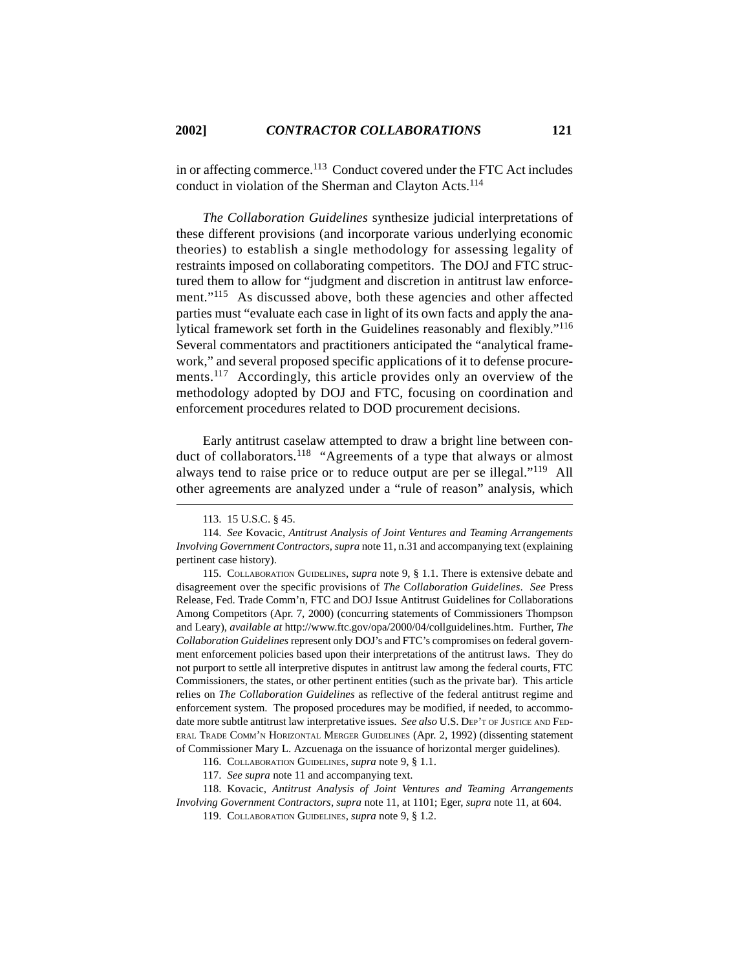in or affecting commerce.113 Conduct covered under the FTC Act includes conduct in violation of the Sherman and Clayton Acts.<sup>114</sup>

*The Collaboration Guidelines* synthesize judicial interpretations of these different provisions (and incorporate various underlying economic theories) to establish a single methodology for assessing legality of restraints imposed on collaborating competitors. The DOJ and FTC structured them to allow for "judgment and discretion in antitrust law enforcement."<sup>115</sup> As discussed above, both these agencies and other affected parties must "evaluate each case in light of its own facts and apply the analytical framework set forth in the Guidelines reasonably and flexibly."116 Several commentators and practitioners anticipated the "analytical framework," and several proposed specific applications of it to defense procurements.<sup>117</sup> Accordingly, this article provides only an overview of the methodology adopted by DOJ and FTC, focusing on coordination and enforcement procedures related to DOD procurement decisions.

Early antitrust caselaw attempted to draw a bright line between conduct of collaborators.<sup>118</sup> "Agreements of a type that always or almost always tend to raise price or to reduce output are per se illegal."119 All other agreements are analyzed under a "rule of reason" analysis, which

<sup>113. 15</sup> U.S.C. § 45.

<sup>114.</sup> *See* Kovacic, *Antitrust Analysis of Joint Ventures and Teaming Arrangements Involving Government Contractors*, *supra* note 11, n.31 and accompanying text (explaining pertinent case history).

<sup>115.</sup> COLLABORATION GUIDELINES, *supra* note 9, § 1.1. There is extensive debate and disagreement over the specific provisions of *The* C*ollaboration Guidelines*. *See* Press Release, Fed. Trade Comm'n, FTC and DOJ Issue Antitrust Guidelines for Collaborations Among Competitors (Apr. 7, 2000) (concurring statements of Commissioners Thompson and Leary), *available at* http://www.ftc.gov/opa/2000/04/collguidelines.htm. Further, *The Collaboration Guidelines* represent only DOJ's and FTC's compromises on federal government enforcement policies based upon their interpretations of the antitrust laws. They do not purport to settle all interpretive disputes in antitrust law among the federal courts, FTC Commissioners, the states, or other pertinent entities (such as the private bar). This article relies on *The Collaboration Guidelines* as reflective of the federal antitrust regime and enforcement system. The proposed procedures may be modified, if needed, to accommodate more subtle antitrust law interpretative issues. *See also* U.S. DEP'T OF JUSTICE AND FED-ERAL TRADE COMM'N HORIZONTAL MERGER GUIDELINES (Apr. 2, 1992) (dissenting statement of Commissioner Mary L. Azcuenaga on the issuance of horizontal merger guidelines).

<sup>116.</sup> COLLABORATION GUIDELINES, *supra* note 9, § 1.1.

<sup>117.</sup> *See supra* note 11 and accompanying text.

<sup>118.</sup> Kovacic, *Antitrust Analysis of Joint Ventures and Teaming Arrangements Involving Government Contractors*, *supra* note 11, at 1101; Eger, *supra* note 11, at 604.

<sup>119.</sup> COLLABORATION GUIDELINES, *supra* note 9, § 1.2.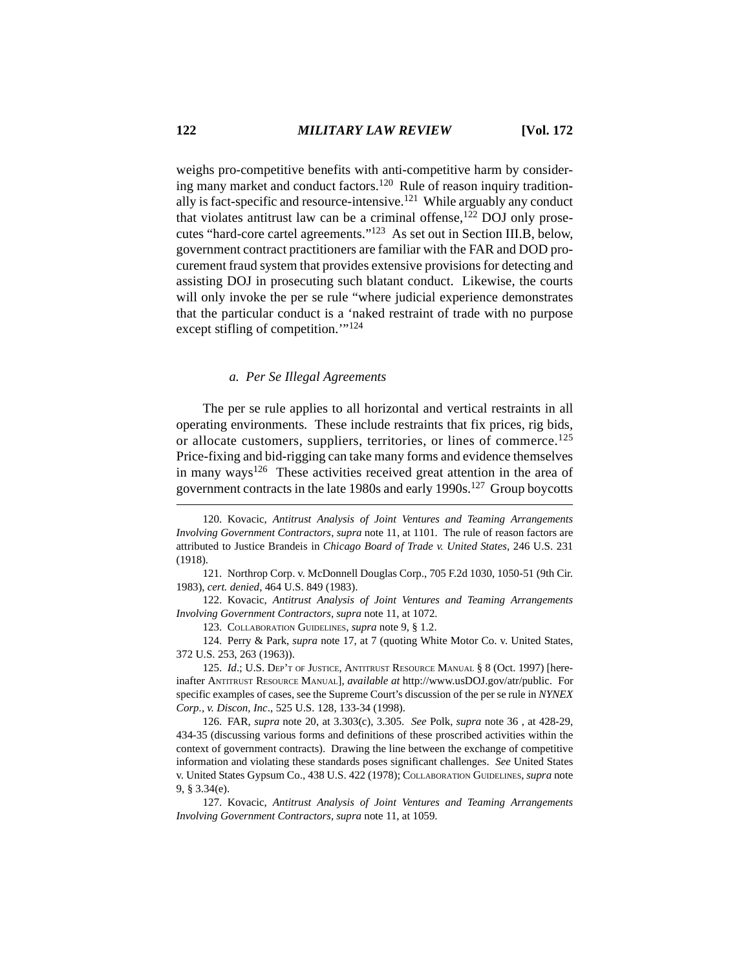weighs pro-competitive benefits with anti-competitive harm by considering many market and conduct factors.<sup>120</sup> Rule of reason inquiry traditionally is fact-specific and resource-intensive.<sup>121</sup> While arguably any conduct that violates antitrust law can be a criminal offense, $122$  DOJ only prosecutes "hard-core cartel agreements."123 As set out in Section III.B, below, government contract practitioners are familiar with the FAR and DOD procurement fraud system that provides extensive provisions for detecting and assisting DOJ in prosecuting such blatant conduct. Likewise, the courts will only invoke the per se rule "where judicial experience demonstrates that the particular conduct is a 'naked restraint of trade with no purpose except stifling of competition.'"124

## *a. Per Se Illegal Agreements*

The per se rule applies to all horizontal and vertical restraints in all operating environments. These include restraints that fix prices, rig bids, or allocate customers, suppliers, territories, or lines of commerce.<sup>125</sup> Price-fixing and bid-rigging can take many forms and evidence themselves in many ways<sup>126</sup> These activities received great attention in the area of government contracts in the late 1980s and early 1990s.127 Group boycotts

121. Northrop Corp. v. McDonnell Douglas Corp., 705 F.2d 1030, 1050-51 (9th Cir. 1983), *cert. denied*, 464 U.S. 849 (1983).

122. Kovacic, *Antitrust Analysis of Joint Ventures and Teaming Arrangements Involving Government Contractors*, *supra* note 11, at 1072.

123. COLLABORATION GUIDELINES, *supra* note 9, § 1.2.

124. Perry & Park, *supra* note 17, at 7 (quoting White Motor Co. v. United States, 372 U.S. 253, 263 (1963)).

125. *Id.*; U.S. DEP'T OF JUSTICE, ANTITRUST RESOURCE MANUAL § 8 (Oct. 1997) [hereinafter ANTITRUST RESOURCE MANUAL], *available at* http://www.usDOJ.gov/atr/public. For specific examples of cases, see the Supreme Court's discussion of the per se rule in *NYNEX Corp., v. Discon, Inc*., 525 U.S. 128, 133-34 (1998).

126. FAR, *supra* note 20, at 3.303(c), 3.305. *See* Polk, *supra* note 36 , at 428-29, 434-35 (discussing various forms and definitions of these proscribed activities within the context of government contracts). Drawing the line between the exchange of competitive information and violating these standards poses significant challenges. *See* United States v. United States Gypsum Co., 438 U.S. 422 (1978); COLLABORATION GUIDELINES, *supra* note 9, § 3.34(e).

127. Kovacic, *Antitrust Analysis of Joint Ventures and Teaming Arrangements Involving Government Contractors*, *supra* note 11, at 1059.

<sup>120.</sup> Kovacic, *Antitrust Analysis of Joint Ventures and Teaming Arrangements Involving Government Contractors*, *supra* note 11, at 1101. The rule of reason factors are attributed to Justice Brandeis in *Chicago Board of Trade v. United States*, 246 U.S. 231 (1918).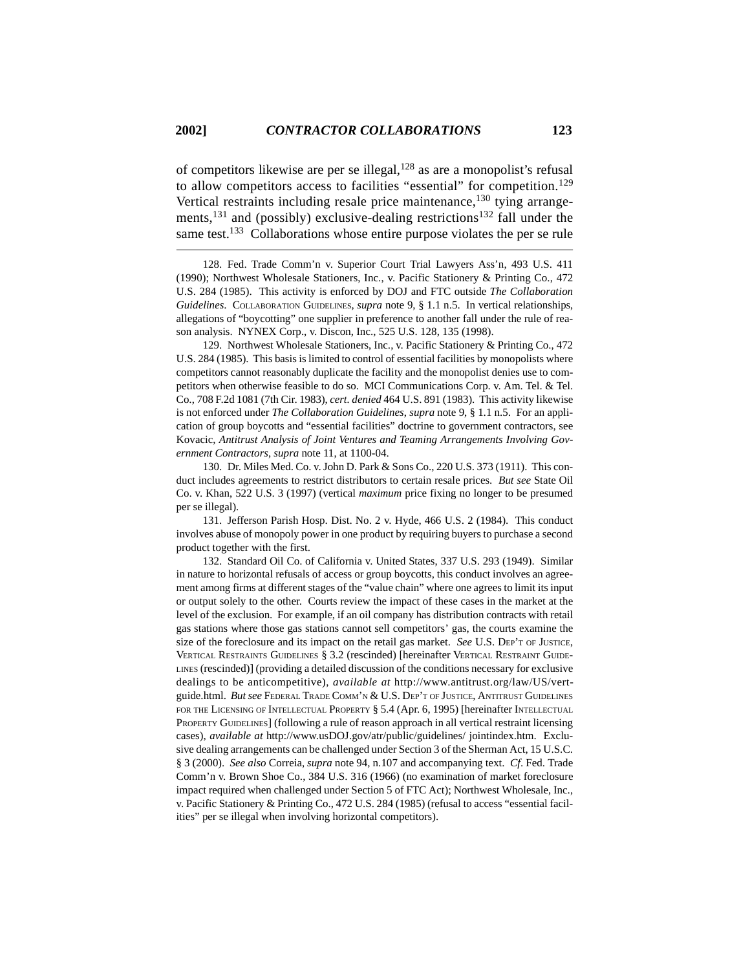of competitors likewise are per se illegal,  $128$  as are a monopolist's refusal to allow competitors access to facilities "essential" for competition.<sup>129</sup> Vertical restraints including resale price maintenance,  $^{130}$  tying arrangements,<sup>131</sup> and (possibly) exclusive-dealing restrictions<sup>132</sup> fall under the same test.<sup>133</sup> Collaborations whose entire purpose violates the per se rule

128. Fed. Trade Comm'n v. Superior Court Trial Lawyers Ass'n, 493 U.S. 411 (1990); Northwest Wholesale Stationers, Inc., v. Pacific Stationery & Printing Co., 472 U.S. 284 (1985). This activity is enforced by DOJ and FTC outside *The Collaboration Guidelines*. COLLABORATION GUIDELINES, *supra* note 9, § 1.1 n.5. In vertical relationships, allegations of "boycotting" one supplier in preference to another fall under the rule of reason analysis. NYNEX Corp., v. Discon, Inc., 525 U.S. 128, 135 (1998).

129. Northwest Wholesale Stationers, Inc., v. Pacific Stationery & Printing Co., 472 U.S. 284 (1985). This basis is limited to control of essential facilities by monopolists where competitors cannot reasonably duplicate the facility and the monopolist denies use to competitors when otherwise feasible to do so. MCI Communications Corp. v. Am. Tel. & Tel. Co., 708 F.2d 1081 (7th Cir. 1983), *cert. denied* 464 U.S. 891 (1983). This activity likewise is not enforced under *The Collaboration Guidelines*, *supra* note 9, § 1.1 n.5. For an application of group boycotts and "essential facilities" doctrine to government contractors, see Kovacic, *Antitrust Analysis of Joint Ventures and Teaming Arrangements Involving Government Contractors*, *supra* note 11, at 1100-04.

130. Dr. Miles Med. Co. v. John D. Park & Sons Co., 220 U.S. 373 (1911). This conduct includes agreements to restrict distributors to certain resale prices. *But see* State Oil Co. v. Khan, 522 U.S. 3 (1997) (vertical *maximum* price fixing no longer to be presumed per se illegal).

131. Jefferson Parish Hosp. Dist. No. 2 v. Hyde, 466 U.S. 2 (1984). This conduct involves abuse of monopoly power in one product by requiring buyers to purchase a second product together with the first.

132. Standard Oil Co. of California v. United States, 337 U.S. 293 (1949). Similar in nature to horizontal refusals of access or group boycotts, this conduct involves an agreement among firms at different stages of the "value chain" where one agrees to limit its input or output solely to the other. Courts review the impact of these cases in the market at the level of the exclusion. For example, if an oil company has distribution contracts with retail gas stations where those gas stations cannot sell competitors' gas, the courts examine the size of the foreclosure and its impact on the retail gas market. *See* U.S. DEP'T OF JUSTICE, VERTICAL RESTRAINTS GUIDELINES § 3.2 (rescinded) [hereinafter VERTICAL RESTRAINT GUIDE-LINES (rescinded)] (providing a detailed discussion of the conditions necessary for exclusive dealings to be anticompetitive), *available at* http://www.antitrust.org/law/US/vertguide.html. *But see* FEDERAL TRADE COMM'N & U.S. DEP'T OF JUSTICE, ANTITRUST GUIDELINES FOR THE LICENSING OF INTELLECTUAL PROPERTY § 5.4 (Apr. 6, 1995) [hereinafter INTELLECTUAL PROPERTY GUIDELINES] (following a rule of reason approach in all vertical restraint licensing cases), *available at* http://www.usDOJ.gov/atr/public/guidelines/ jointindex.htm. Exclusive dealing arrangements can be challenged under Section 3 of the Sherman Act, 15 U.S.C. § 3 (2000). *See also* Correia, *supra* note 94, n.107 and accompanying text. *Cf*. Fed. Trade Comm'n v. Brown Shoe Co., 384 U.S. 316 (1966) (no examination of market foreclosure impact required when challenged under Section 5 of FTC Act); Northwest Wholesale, Inc., v. Pacific Stationery & Printing Co., 472 U.S. 284 (1985) (refusal to access "essential facilities" per se illegal when involving horizontal competitors).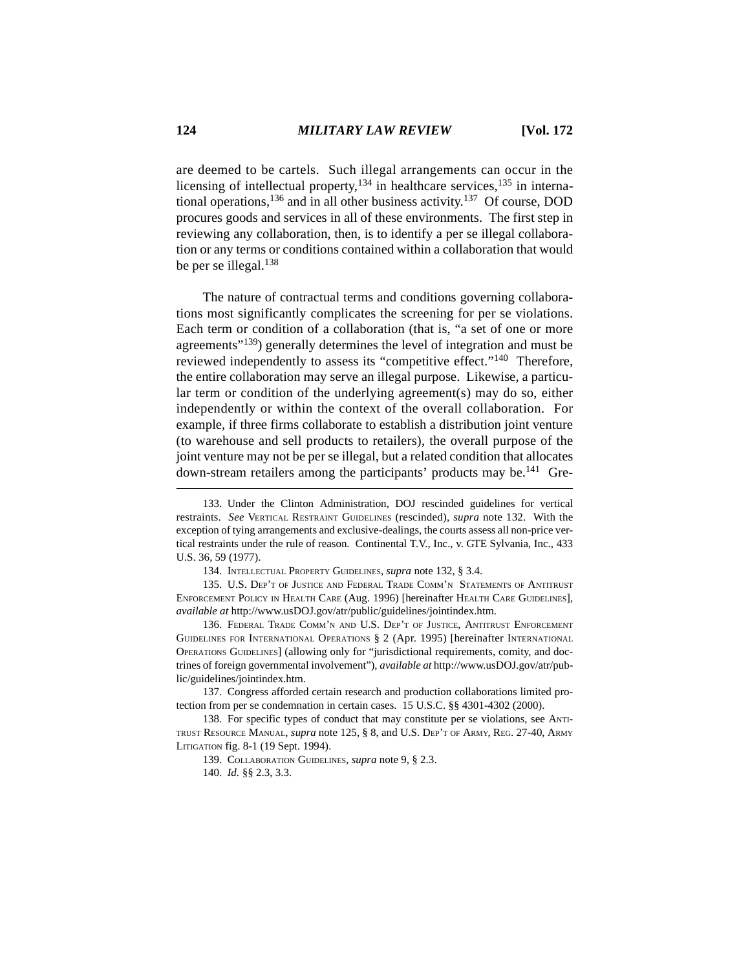are deemed to be cartels. Such illegal arrangements can occur in the licensing of intellectual property, $134$  in healthcare services, $135$  in international operations,136 and in all other business activity.137 Of course, DOD procures goods and services in all of these environments. The first step in reviewing any collaboration, then, is to identify a per se illegal collaboration or any terms or conditions contained within a collaboration that would be per se illegal.<sup>138</sup>

The nature of contractual terms and conditions governing collaborations most significantly complicates the screening for per se violations. Each term or condition of a collaboration (that is, "a set of one or more agreements"139) generally determines the level of integration and must be reviewed independently to assess its "competitive effect."140 Therefore, the entire collaboration may serve an illegal purpose. Likewise, a particular term or condition of the underlying agreement(s) may do so, either independently or within the context of the overall collaboration. For example, if three firms collaborate to establish a distribution joint venture (to warehouse and sell products to retailers), the overall purpose of the joint venture may not be per se illegal, but a related condition that allocates down-stream retailers among the participants' products may be.<sup>141</sup> Gre-

<sup>133.</sup> Under the Clinton Administration, DOJ rescinded guidelines for vertical restraints. *See* VERTICAL RESTRAINT GUIDELINES (rescinded), *supra* note 132. With the exception of tying arrangements and exclusive-dealings, the courts assess all non-price vertical restraints under the rule of reason. Continental T.V., Inc., v. GTE Sylvania, Inc., 433 U.S. 36, 59 (1977).

<sup>134.</sup> INTELLECTUAL PROPERTY GUIDELINES, *supra* note 132, § 3.4.

<sup>135.</sup> U.S. DEP'T OF JUSTICE AND FEDERAL TRADE COMM'N STATEMENTS OF ANTITRUST ENFORCEMENT POLICY IN HEALTH CARE (Aug. 1996) [hereinafter HEALTH CARE GUIDELINES], *available at* http://www.usDOJ.gov/atr/public/guidelines/jointindex.htm.

<sup>136.</sup> FEDERAL TRADE COMM'N AND U.S. DEP'T OF JUSTICE, ANTITRUST ENFORCEMENT GUIDELINES FOR INTERNATIONAL OPERATIONS § 2 (Apr. 1995) [hereinafter INTERNATIONAL OPERATIONS GUIDELINES] (allowing only for "jurisdictional requirements, comity, and doctrines of foreign governmental involvement"), *available at* http://www.usDOJ.gov/atr/public/guidelines/jointindex.htm.

<sup>137.</sup> Congress afforded certain research and production collaborations limited protection from per se condemnation in certain cases. 15 U.S.C. §§ 4301-4302 (2000).

<sup>138.</sup> For specific types of conduct that may constitute per se violations, see ANTI-TRUST RESOURCE MANUAL, *supra* note 125, § 8, and U.S. DEP'T OF ARMY, REG. 27-40, ARMY LITIGATION fig. 8-1 (19 Sept. 1994).

<sup>139.</sup> COLLABORATION GUIDELINES, *supra* note 9, § 2.3.

<sup>140.</sup> *Id.* §§ 2.3, 3.3.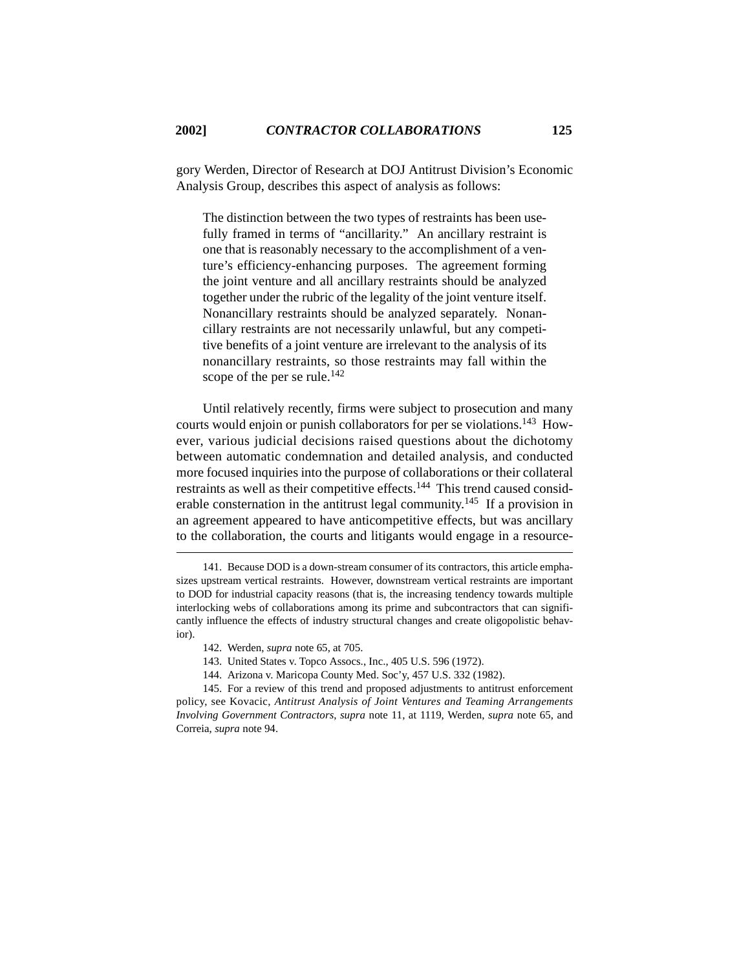gory Werden, Director of Research at DOJ Antitrust Division's Economic Analysis Group, describes this aspect of analysis as follows:

The distinction between the two types of restraints has been usefully framed in terms of "ancillarity." An ancillary restraint is one that is reasonably necessary to the accomplishment of a venture's efficiency-enhancing purposes. The agreement forming the joint venture and all ancillary restraints should be analyzed together under the rubric of the legality of the joint venture itself. Nonancillary restraints should be analyzed separately. Nonancillary restraints are not necessarily unlawful, but any competitive benefits of a joint venture are irrelevant to the analysis of its nonancillary restraints, so those restraints may fall within the scope of the per se rule.<sup>142</sup>

Until relatively recently, firms were subject to prosecution and many courts would enjoin or punish collaborators for per se violations.143 However, various judicial decisions raised questions about the dichotomy between automatic condemnation and detailed analysis, and conducted more focused inquiries into the purpose of collaborations or their collateral restraints as well as their competitive effects.<sup>144</sup> This trend caused considerable consternation in the antitrust legal community.145 If a provision in an agreement appeared to have anticompetitive effects, but was ancillary to the collaboration, the courts and litigants would engage in a resource-

- 143. United States v. Topco Assocs., Inc., 405 U.S. 596 (1972).
- 144. Arizona v. Maricopa County Med. Soc'y, 457 U.S. 332 (1982).

145. For a review of this trend and proposed adjustments to antitrust enforcement policy, see Kovacic, *Antitrust Analysis of Joint Ventures and Teaming Arrangements Involving Government Contractors*, *supra* note 11, at 1119, Werden, *supra* note 65, and Correia, *supra* note 94.

<sup>141.</sup> Because DOD is a down-stream consumer of its contractors, this article emphasizes upstream vertical restraints. However, downstream vertical restraints are important to DOD for industrial capacity reasons (that is, the increasing tendency towards multiple interlocking webs of collaborations among its prime and subcontractors that can significantly influence the effects of industry structural changes and create oligopolistic behavior).

<sup>142.</sup> Werden, *supra* note 65, at 705.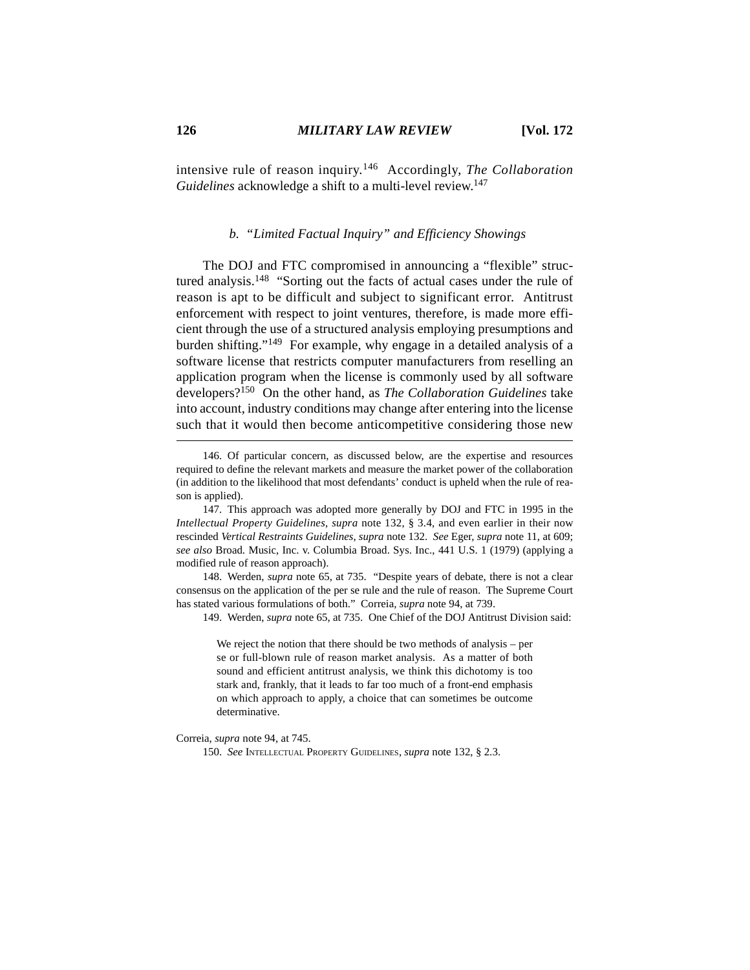intensive rule of reason inquiry.146 Accordingly, *The Collaboration Guidelines* acknowledge a shift to a multi-level review.<sup>147</sup>

## *b. "Limited Factual Inquiry" and Efficiency Showings*

The DOJ and FTC compromised in announcing a "flexible" structured analysis.148 "Sorting out the facts of actual cases under the rule of reason is apt to be difficult and subject to significant error. Antitrust enforcement with respect to joint ventures, therefore, is made more efficient through the use of a structured analysis employing presumptions and burden shifting."149 For example, why engage in a detailed analysis of a software license that restricts computer manufacturers from reselling an application program when the license is commonly used by all software developers?150 On the other hand, as *The Collaboration Guidelines* take into account, industry conditions may change after entering into the license such that it would then become anticompetitive considering those new

148. Werden, *supra* note 65, at 735. "Despite years of debate, there is not a clear consensus on the application of the per se rule and the rule of reason. The Supreme Court has stated various formulations of both." Correia, *supra* note 94, at 739.

149. Werden, *supra* note 65, at 735. One Chief of the DOJ Antitrust Division said:

We reject the notion that there should be two methods of analysis – per se or full-blown rule of reason market analysis. As a matter of both sound and efficient antitrust analysis, we think this dichotomy is too stark and, frankly, that it leads to far too much of a front-end emphasis on which approach to apply, a choice that can sometimes be outcome determinative.

Correia, *supra* note 94, at 745.

150. *See* INTELLECTUAL PROPERTY GUIDELINES, *supra* note 132, § 2.3.

<sup>146.</sup> Of particular concern, as discussed below, are the expertise and resources required to define the relevant markets and measure the market power of the collaboration (in addition to the likelihood that most defendants' conduct is upheld when the rule of reason is applied).

<sup>147.</sup> This approach was adopted more generally by DOJ and FTC in 1995 in the *Intellectual Property Guidelines*, *supra* note 132, § 3.4, and even earlier in their now rescinded *Vertical Restraints Guidelines*, *supra* note 132. *See* Eger, *supra* note 11, at 609; *see also* Broad. Music, Inc. v. Columbia Broad. Sys. Inc., 441 U.S. 1 (1979) (applying a modified rule of reason approach).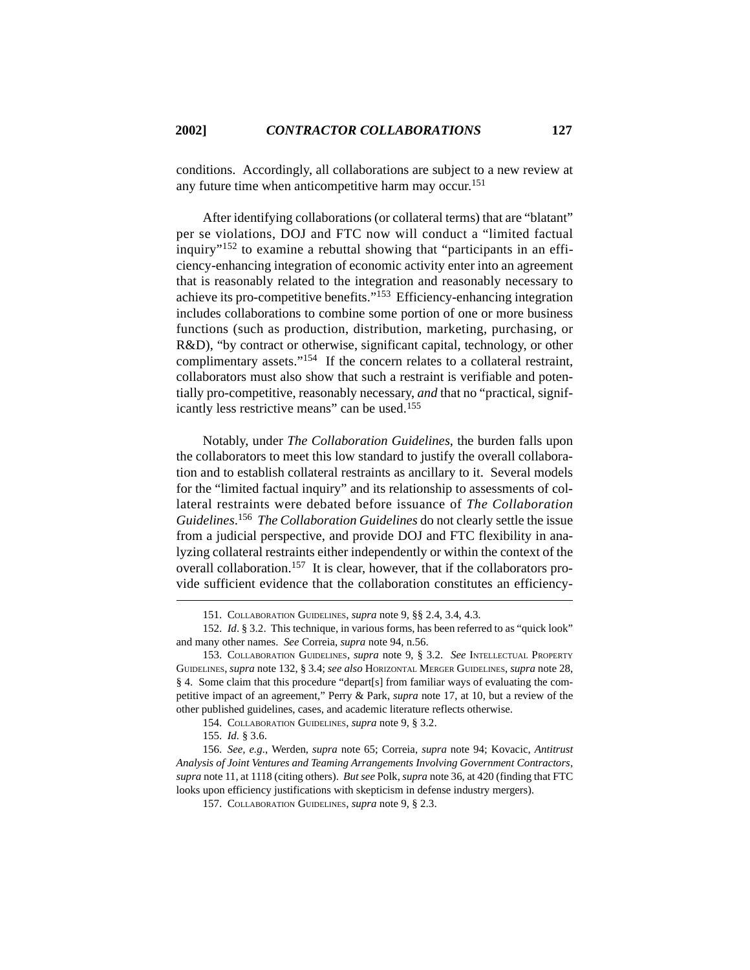conditions. Accordingly, all collaborations are subject to a new review at any future time when anticompetitive harm may occur.<sup>151</sup>

After identifying collaborations (or collateral terms) that are "blatant" per se violations, DOJ and FTC now will conduct a "limited factual inquiry"<sup>152</sup> to examine a rebuttal showing that "participants in an efficiency-enhancing integration of economic activity enter into an agreement that is reasonably related to the integration and reasonably necessary to achieve its pro-competitive benefits."153 Efficiency-enhancing integration includes collaborations to combine some portion of one or more business functions (such as production, distribution, marketing, purchasing, or R&D), "by contract or otherwise, significant capital, technology, or other complimentary assets."154 If the concern relates to a collateral restraint, collaborators must also show that such a restraint is verifiable and potentially pro-competitive, reasonably necessary, *and* that no "practical, significantly less restrictive means" can be used.<sup>155</sup>

Notably, under *The Collaboration Guidelines*, the burden falls upon the collaborators to meet this low standard to justify the overall collaboration and to establish collateral restraints as ancillary to it. Several models for the "limited factual inquiry" and its relationship to assessments of collateral restraints were debated before issuance of *The Collaboration Guidelines*. 156 *The Collaboration Guidelines* do not clearly settle the issue from a judicial perspective, and provide DOJ and FTC flexibility in analyzing collateral restraints either independently or within the context of the overall collaboration.<sup>157</sup> It is clear, however, that if the collaborators provide sufficient evidence that the collaboration constitutes an efficiency-

<sup>151.</sup> COLLABORATION GUIDELINES, *supra* note 9, §§ 2.4, 3.4, 4.3.

<sup>152.</sup> *Id*. § 3.2. This technique, in various forms, has been referred to as "quick look" and many other names. *See* Correia, *supra* note 94, n.56.

<sup>153.</sup> COLLABORATION GUIDELINES, *supra* note 9, § 3.2. *See* INTELLECTUAL PROPERTY GUIDELINES, *supra* note 132, § 3.4; *see also* HORIZONTAL MERGER GUIDELINES, *supra* note 28, § 4. Some claim that this procedure "depart[s] from familiar ways of evaluating the competitive impact of an agreement," Perry & Park, *supra* note 17, at 10, but a review of the other published guidelines, cases, and academic literature reflects otherwise.

<sup>154.</sup> COLLABORATION GUIDELINES, *supra* note 9, § 3.2.

<sup>155.</sup> *Id.* § 3.6.

<sup>156.</sup> *See, e.g.*, Werden, *supra* note 65; Correia, *supra* note 94; Kovacic, *Antitrust Analysis of Joint Ventures and Teaming Arrangements Involving Government Contractors*, *supra* note 11, at 1118 (citing others). *But see* Polk, *supra* note 36, at 420 (finding that FTC looks upon efficiency justifications with skepticism in defense industry mergers).

<sup>157.</sup> COLLABORATION GUIDELINES, *supra* note 9, § 2.3.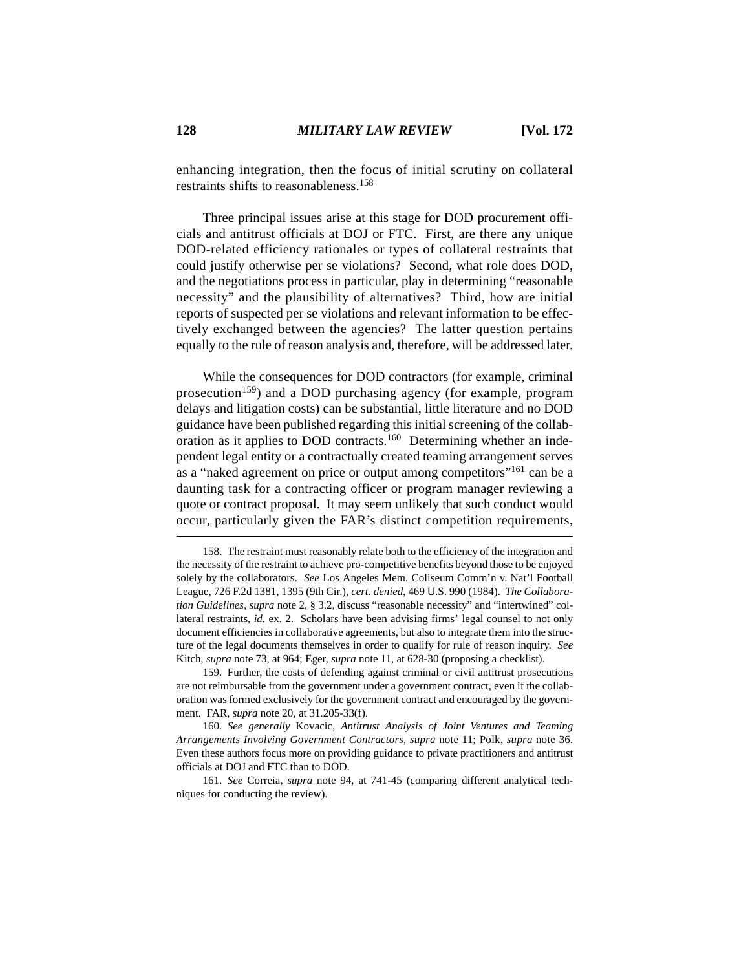enhancing integration, then the focus of initial scrutiny on collateral restraints shifts to reasonableness.158

Three principal issues arise at this stage for DOD procurement officials and antitrust officials at DOJ or FTC. First, are there any unique DOD-related efficiency rationales or types of collateral restraints that could justify otherwise per se violations? Second, what role does DOD, and the negotiations process in particular, play in determining "reasonable necessity" and the plausibility of alternatives? Third, how are initial reports of suspected per se violations and relevant information to be effectively exchanged between the agencies? The latter question pertains equally to the rule of reason analysis and, therefore, will be addressed later.

While the consequences for DOD contractors (for example, criminal prosecution<sup>159</sup>) and a DOD purchasing agency (for example, program delays and litigation costs) can be substantial, little literature and no DOD guidance have been published regarding this initial screening of the collaboration as it applies to DOD contracts.<sup>160</sup> Determining whether an independent legal entity or a contractually created teaming arrangement serves as a "naked agreement on price or output among competitors"<sup>161</sup> can be a daunting task for a contracting officer or program manager reviewing a quote or contract proposal. It may seem unlikely that such conduct would occur, particularly given the FAR's distinct competition requirements,

<sup>158.</sup> The restraint must reasonably relate both to the efficiency of the integration and the necessity of the restraint to achieve pro-competitive benefits beyond those to be enjoyed solely by the collaborators. *See* Los Angeles Mem. Coliseum Comm'n v. Nat'l Football League, 726 F.2d 1381, 1395 (9th Cir.), *cert. denied*, 469 U.S. 990 (1984). *The Collaboration Guidelines*, *supra* note 2, § 3.2, discuss "reasonable necessity" and "intertwined" collateral restraints, *id.* ex. 2. Scholars have been advising firms' legal counsel to not only document efficiencies in collaborative agreements, but also to integrate them into the structure of the legal documents themselves in order to qualify for rule of reason inquiry. *See* Kitch, *supra* note 73, at 964; Eger, *supra* note 11, at 628-30 (proposing a checklist).

<sup>159.</sup> Further, the costs of defending against criminal or civil antitrust prosecutions are not reimbursable from the government under a government contract, even if the collaboration was formed exclusively for the government contract and encouraged by the government. FAR, *supra* note 20, at 31.205-33(f).

<sup>160.</sup> *See generally* Kovacic, *Antitrust Analysis of Joint Ventures and Teaming Arrangements Involving Government Contractors*, *supra* note 11; Polk, *supra* note 36. Even these authors focus more on providing guidance to private practitioners and antitrust officials at DOJ and FTC than to DOD.

<sup>161.</sup> *See* Correia, *supra* note 94, at 741-45 (comparing different analytical techniques for conducting the review).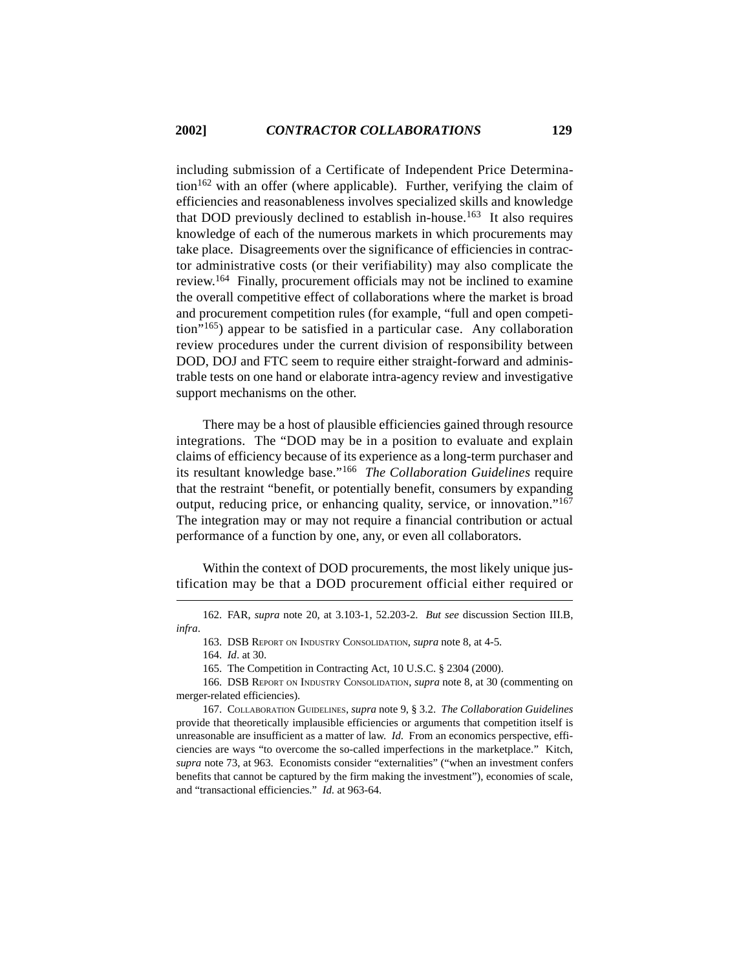including submission of a Certificate of Independent Price Determina- $\mu$  tion<sup>162</sup> with an offer (where applicable). Further, verifying the claim of efficiencies and reasonableness involves specialized skills and knowledge that DOD previously declined to establish in-house.<sup>163</sup> It also requires knowledge of each of the numerous markets in which procurements may take place. Disagreements over the significance of efficiencies in contractor administrative costs (or their verifiability) may also complicate the review.164 Finally, procurement officials may not be inclined to examine the overall competitive effect of collaborations where the market is broad and procurement competition rules (for example, "full and open competition"165) appear to be satisfied in a particular case. Any collaboration review procedures under the current division of responsibility between DOD, DOJ and FTC seem to require either straight-forward and administrable tests on one hand or elaborate intra-agency review and investigative support mechanisms on the other.

There may be a host of plausible efficiencies gained through resource integrations. The "DOD may be in a position to evaluate and explain claims of efficiency because of its experience as a long-term purchaser and its resultant knowledge base."166 *The Collaboration Guidelines* require that the restraint "benefit, or potentially benefit, consumers by expanding output, reducing price, or enhancing quality, service, or innovation."167 The integration may or may not require a financial contribution or actual performance of a function by one, any, or even all collaborators.

Within the context of DOD procurements, the most likely unique justification may be that a DOD procurement official either required or

162. FAR, *supra* note 20, at 3.103-1, 52.203-2. *But see* discussion Section III.B, *infra*.

163. DSB REPORT ON INDUSTRY CONSOLIDATION, *supra* note 8, at 4-5.

164. *Id*. at 30.

165. The Competition in Contracting Act, 10 U.S.C. § 2304 (2000).

166. DSB REPORT ON INDUSTRY CONSOLIDATION, *supra* note 8, at 30 (commenting on merger-related efficiencies).

167. COLLABORATION GUIDELINES, *supra* note 9, § 3.2. *The Collaboration Guidelines* provide that theoretically implausible efficiencies or arguments that competition itself is unreasonable are insufficient as a matter of law. *Id*. From an economics perspective, efficiencies are ways "to overcome the so-called imperfections in the marketplace." Kitch, *supra* note 73, at 963. Economists consider "externalities" ("when an investment confers benefits that cannot be captured by the firm making the investment"), economies of scale, and "transactional efficiencies." *Id*. at 963-64.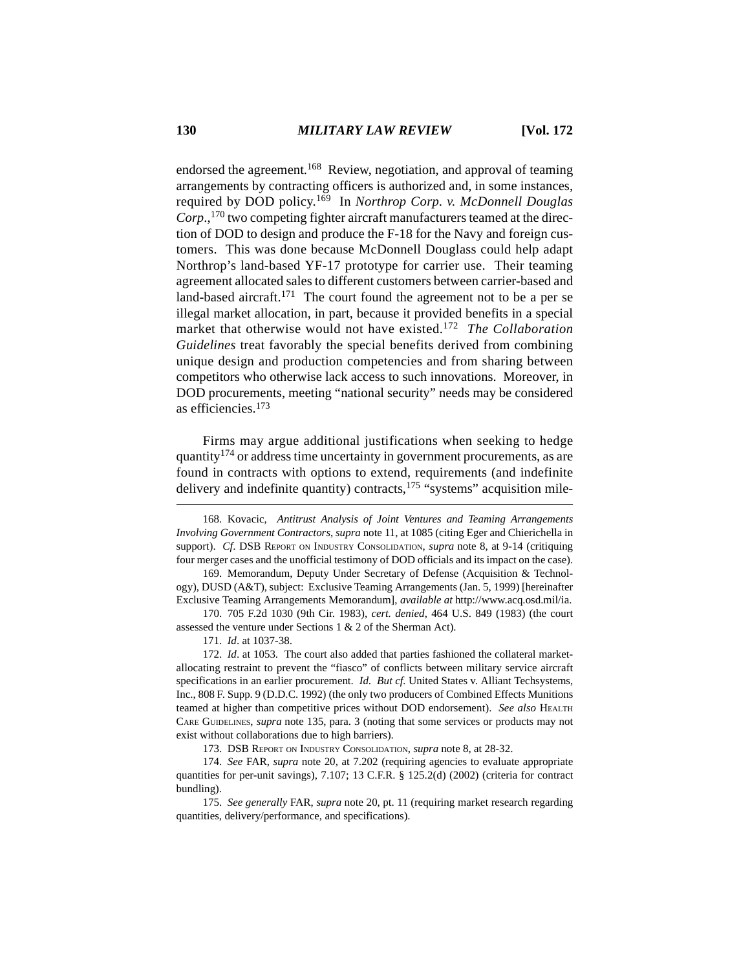endorsed the agreement.<sup>168</sup> Review, negotiation, and approval of teaming arrangements by contracting officers is authorized and, in some instances, required by DOD policy.169 In *Northrop Corp. v. McDonnell Douglas Corp*.,170 two competing fighter aircraft manufacturers teamed at the direction of DOD to design and produce the F-18 for the Navy and foreign customers. This was done because McDonnell Douglass could help adapt Northrop's land-based YF-17 prototype for carrier use. Their teaming agreement allocated sales to different customers between carrier-based and land-based aircraft.<sup>171</sup> The court found the agreement not to be a per se illegal market allocation, in part, because it provided benefits in a special market that otherwise would not have existed.172 *The Collaboration Guidelines* treat favorably the special benefits derived from combining unique design and production competencies and from sharing between competitors who otherwise lack access to such innovations. Moreover, in DOD procurements, meeting "national security" needs may be considered as efficiencies.173

Firms may argue additional justifications when seeking to hedge quantity<sup>174</sup> or address time uncertainty in government procurements, as are found in contracts with options to extend, requirements (and indefinite delivery and indefinite quantity) contracts, $175$  "systems" acquisition mile-

168. Kovacic, *Antitrust Analysis of Joint Ventures and Teaming Arrangements Involving Government Contractors*, *supra* note 11, at 1085 (citing Eger and Chierichella in support). *Cf*. DSB REPORT ON INDUSTRY CONSOLIDATION, *supra* note 8, at 9-14 (critiquing four merger cases and the unofficial testimony of DOD officials and its impact on the case).

169. Memorandum, Deputy Under Secretary of Defense (Acquisition & Technology), DUSD (A&T), subject: Exclusive Teaming Arrangements (Jan. 5, 1999) [hereinafter Exclusive Teaming Arrangements Memorandum], *available at* http://www.acq.osd.mil/ia.

170. 705 F.2d 1030 (9th Cir. 1983), *cert. denied*, 464 U.S. 849 (1983) (the court assessed the venture under Sections 1 & 2 of the Sherman Act).

171. *Id*. at 1037-38.

172. *Id*. at 1053. The court also added that parties fashioned the collateral marketallocating restraint to prevent the "fiasco" of conflicts between military service aircraft specifications in an earlier procurement. *Id*. *But cf.* United States v. Alliant Techsystems, Inc., 808 F. Supp. 9 (D.D.C. 1992) (the only two producers of Combined Effects Munitions teamed at higher than competitive prices without DOD endorsement). *See also* HEALTH CARE GUIDELINES, *supra* note 135, para. 3 (noting that some services or products may not exist without collaborations due to high barriers).

173. DSB REPORT ON INDUSTRY CONSOLIDATION, *supra* note 8, at 28-32.

175. *See generally* FAR, *supra* note 20, pt. 11 (requiring market research regarding quantities, delivery/performance, and specifications).

<sup>174.</sup> *See* FAR, *supra* note 20, at 7.202 (requiring agencies to evaluate appropriate quantities for per-unit savings), 7.107; 13 C.F.R. § 125.2(d) (2002) (criteria for contract bundling).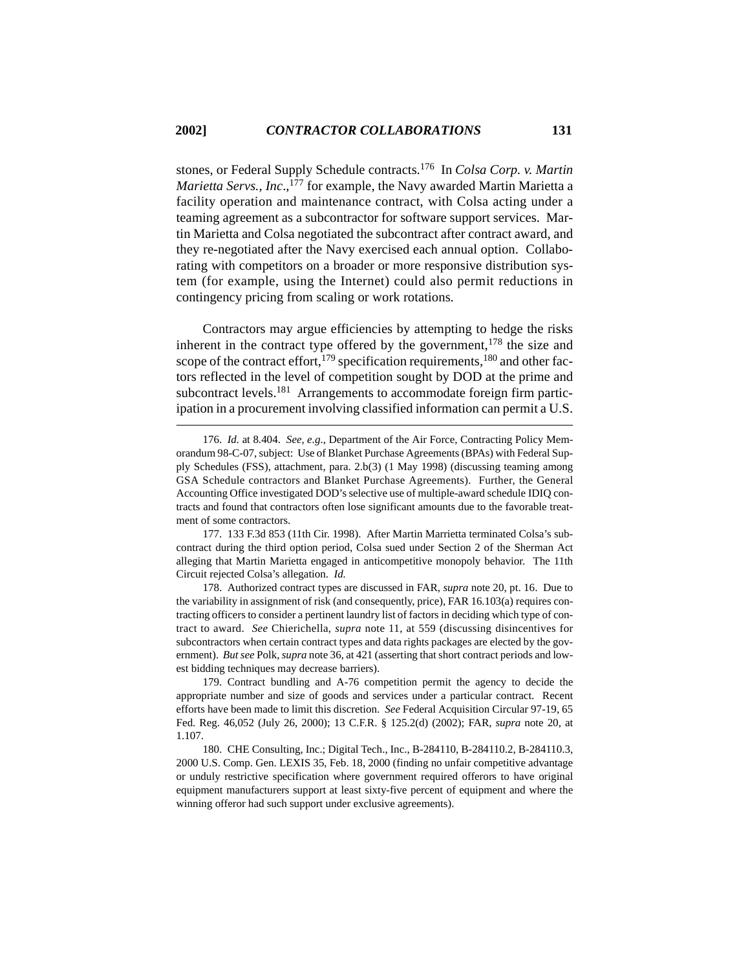stones, or Federal Supply Schedule contracts.176 In *Colsa Corp. v. Martin Marietta Servs., Inc.,*<sup>177</sup> for example, the Navy awarded Martin Marietta a facility operation and maintenance contract, with Colsa acting under a teaming agreement as a subcontractor for software support services. Martin Marietta and Colsa negotiated the subcontract after contract award, and they re-negotiated after the Navy exercised each annual option. Collaborating with competitors on a broader or more responsive distribution system (for example, using the Internet) could also permit reductions in contingency pricing from scaling or work rotations.

Contractors may argue efficiencies by attempting to hedge the risks inherent in the contract type offered by the government,  $178$  the size and scope of the contract effort,<sup>179</sup> specification requirements,<sup>180</sup> and other factors reflected in the level of competition sought by DOD at the prime and subcontract levels.<sup>181</sup> Arrangements to accommodate foreign firm participation in a procurement involving classified information can permit a U.S.

177. 133 F.3d 853 (11th Cir. 1998). After Martin Marrietta terminated Colsa's subcontract during the third option period, Colsa sued under Section 2 of the Sherman Act alleging that Martin Marietta engaged in anticompetitive monopoly behavior. The 11th Circuit rejected Colsa's allegation. *Id.*

178. Authorized contract types are discussed in FAR, *supra* note 20, pt. 16. Due to the variability in assignment of risk (and consequently, price), FAR 16.103(a) requires contracting officers to consider a pertinent laundry list of factors in deciding which type of contract to award. *See* Chierichella, *supra* note 11, at 559 (discussing disincentives for subcontractors when certain contract types and data rights packages are elected by the government). *But see* Polk, *supra* note 36, at 421 (asserting that short contract periods and lowest bidding techniques may decrease barriers).

179. Contract bundling and A-76 competition permit the agency to decide the appropriate number and size of goods and services under a particular contract. Recent efforts have been made to limit this discretion. *See* Federal Acquisition Circular 97-19, 65 Fed. Reg. 46,052 (July 26, 2000); 13 C.F.R. § 125.2(d) (2002); FAR, *supra* note 20, at 1.107.

180. CHE Consulting, Inc.; Digital Tech., Inc., B-284110, B-284110.2, B-284110.3, 2000 U.S. Comp. Gen. LEXIS 35, Feb. 18, 2000 (finding no unfair competitive advantage or unduly restrictive specification where government required offerors to have original equipment manufacturers support at least sixty-five percent of equipment and where the winning offeror had such support under exclusive agreements).

<sup>176.</sup> *Id.* at 8.404. *See, e.g*., Department of the Air Force, Contracting Policy Memorandum 98-C-07, subject: Use of Blanket Purchase Agreements (BPAs) with Federal Supply Schedules (FSS), attachment, para. 2.b(3) (1 May 1998) (discussing teaming among GSA Schedule contractors and Blanket Purchase Agreements). Further, the General Accounting Office investigated DOD's selective use of multiple-award schedule IDIQ contracts and found that contractors often lose significant amounts due to the favorable treatment of some contractors.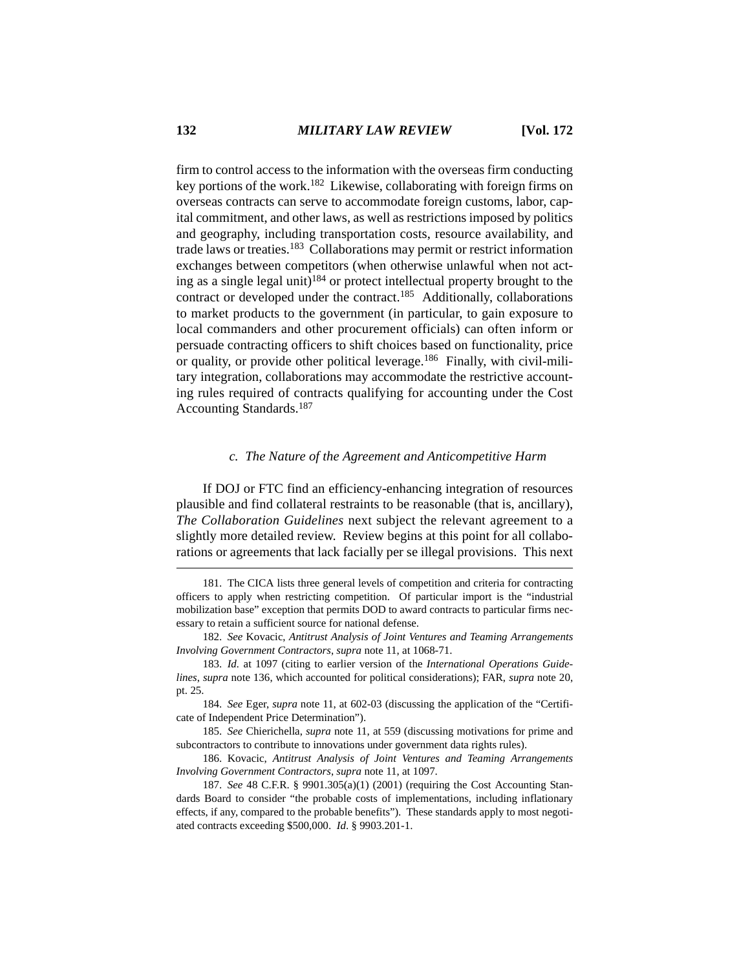firm to control access to the information with the overseas firm conducting key portions of the work.182 Likewise, collaborating with foreign firms on overseas contracts can serve to accommodate foreign customs, labor, capital commitment, and other laws, as well as restrictions imposed by politics and geography, including transportation costs, resource availability, and trade laws or treaties.183 Collaborations may permit or restrict information exchanges between competitors (when otherwise unlawful when not acting as a single legal unit)<sup>184</sup> or protect intellectual property brought to the contract or developed under the contract.<sup>185</sup> Additionally, collaborations to market products to the government (in particular, to gain exposure to local commanders and other procurement officials) can often inform or persuade contracting officers to shift choices based on functionality, price or quality, or provide other political leverage.186 Finally, with civil-military integration, collaborations may accommodate the restrictive accounting rules required of contracts qualifying for accounting under the Cost Accounting Standards.187

## *c. The Nature of the Agreement and Anticompetitive Harm*

If DOJ or FTC find an efficiency-enhancing integration of resources plausible and find collateral restraints to be reasonable (that is, ancillary), *The Collaboration Guidelines* next subject the relevant agreement to a slightly more detailed review. Review begins at this point for all collaborations or agreements that lack facially per se illegal provisions. This next

<sup>181.</sup> The CICA lists three general levels of competition and criteria for contracting officers to apply when restricting competition. Of particular import is the "industrial mobilization base" exception that permits DOD to award contracts to particular firms necessary to retain a sufficient source for national defense.

<sup>182.</sup> *See* Kovacic, *Antitrust Analysis of Joint Ventures and Teaming Arrangements Involving Government Contractors*, *supra* note 11, at 1068-71.

<sup>183.</sup> *Id.* at 1097 (citing to earlier version of the *International Operations Guidelines*, *supra* note 136, which accounted for political considerations); FAR, *supra* note 20, pt. 25.

<sup>184.</sup> *See* Eger, *supra* note 11, at 602-03 (discussing the application of the "Certificate of Independent Price Determination").

<sup>185.</sup> *See* Chierichella, *supra* note 11, at 559 (discussing motivations for prime and subcontractors to contribute to innovations under government data rights rules).

<sup>186.</sup> Kovacic, *Antitrust Analysis of Joint Ventures and Teaming Arrangements Involving Government Contractors*, *supra* note 11, at 1097.

<sup>187.</sup> *See* 48 C.F.R. § 9901.305(a)(1) (2001) (requiring the Cost Accounting Standards Board to consider "the probable costs of implementations, including inflationary effects, if any, compared to the probable benefits"). These standards apply to most negotiated contracts exceeding \$500,000. *Id*. § 9903.201-1.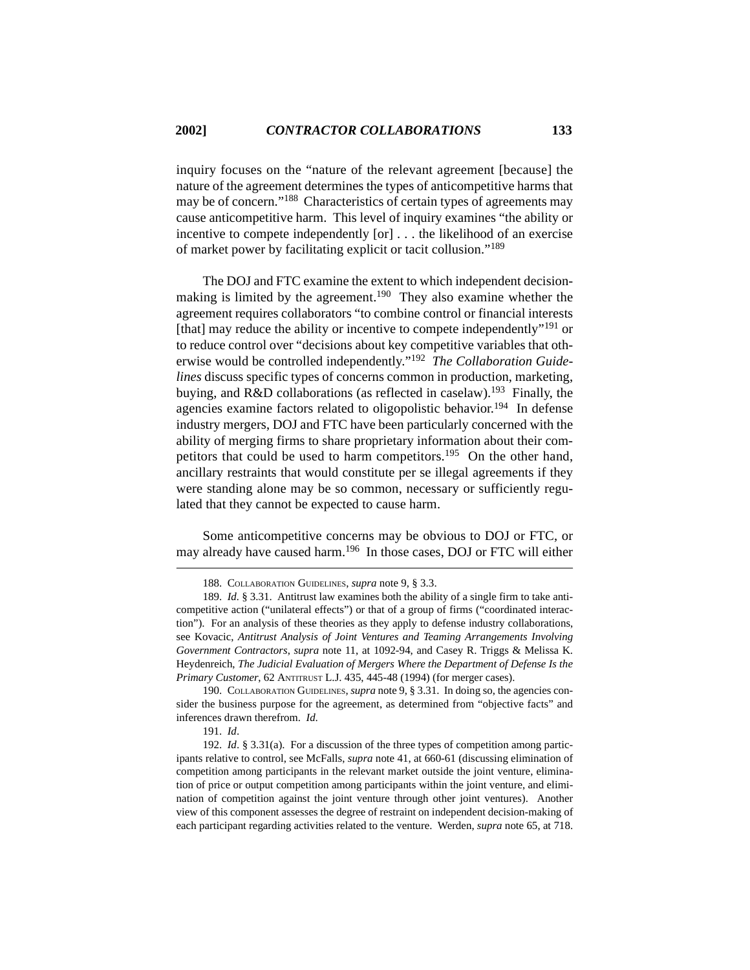inquiry focuses on the "nature of the relevant agreement [because] the nature of the agreement determines the types of anticompetitive harms that may be of concern."188 Characteristics of certain types of agreements may cause anticompetitive harm. This level of inquiry examines "the ability or incentive to compete independently [or] . . . the likelihood of an exercise of market power by facilitating explicit or tacit collusion."<sup>189</sup>

The DOJ and FTC examine the extent to which independent decisionmaking is limited by the agreement.<sup>190</sup> They also examine whether the agreement requires collaborators "to combine control or financial interests [that] may reduce the ability or incentive to compete independently"<sup>191</sup> or to reduce control over "decisions about key competitive variables that otherwise would be controlled independently."192 *The Collaboration Guidelines* discuss specific types of concerns common in production, marketing, buying, and R&D collaborations (as reflected in caselaw).<sup>193</sup> Finally, the agencies examine factors related to oligopolistic behavior.<sup>194</sup> In defense industry mergers, DOJ and FTC have been particularly concerned with the ability of merging firms to share proprietary information about their competitors that could be used to harm competitors.<sup>195</sup> On the other hand, ancillary restraints that would constitute per se illegal agreements if they were standing alone may be so common, necessary or sufficiently regulated that they cannot be expected to cause harm.

Some anticompetitive concerns may be obvious to DOJ or FTC, or may already have caused harm.196 In those cases, DOJ or FTC will either

<sup>188.</sup> COLLABORATION GUIDELINES, *supra* note 9, § 3.3.

<sup>189.</sup> *Id.* § 3.31. Antitrust law examines both the ability of a single firm to take anticompetitive action ("unilateral effects") or that of a group of firms ("coordinated interaction"). For an analysis of these theories as they apply to defense industry collaborations, see Kovacic, *Antitrust Analysis of Joint Ventures and Teaming Arrangements Involving Government Contractors*, *supra* note 11, at 1092-94, and Casey R. Triggs & Melissa K. Heydenreich, *The Judicial Evaluation of Mergers Where the Department of Defense Is the Primary Customer*, 62 ANTITRUST L.J. 435, 445-48 (1994) (for merger cases).

<sup>190.</sup> COLLABORATION GUIDELINES, *supra* note 9, § 3.31. In doing so, the agencies consider the business purpose for the agreement, as determined from "objective facts" and inferences drawn therefrom. *Id*.

<sup>191.</sup> *Id*.

<sup>192.</sup> *Id*. § 3.31(a). For a discussion of the three types of competition among participants relative to control, see McFalls, *supra* note 41, at 660-61 (discussing elimination of competition among participants in the relevant market outside the joint venture, elimination of price or output competition among participants within the joint venture, and elimination of competition against the joint venture through other joint ventures). Another view of this component assesses the degree of restraint on independent decision-making of each participant regarding activities related to the venture. Werden, *supra* note 65, at 718.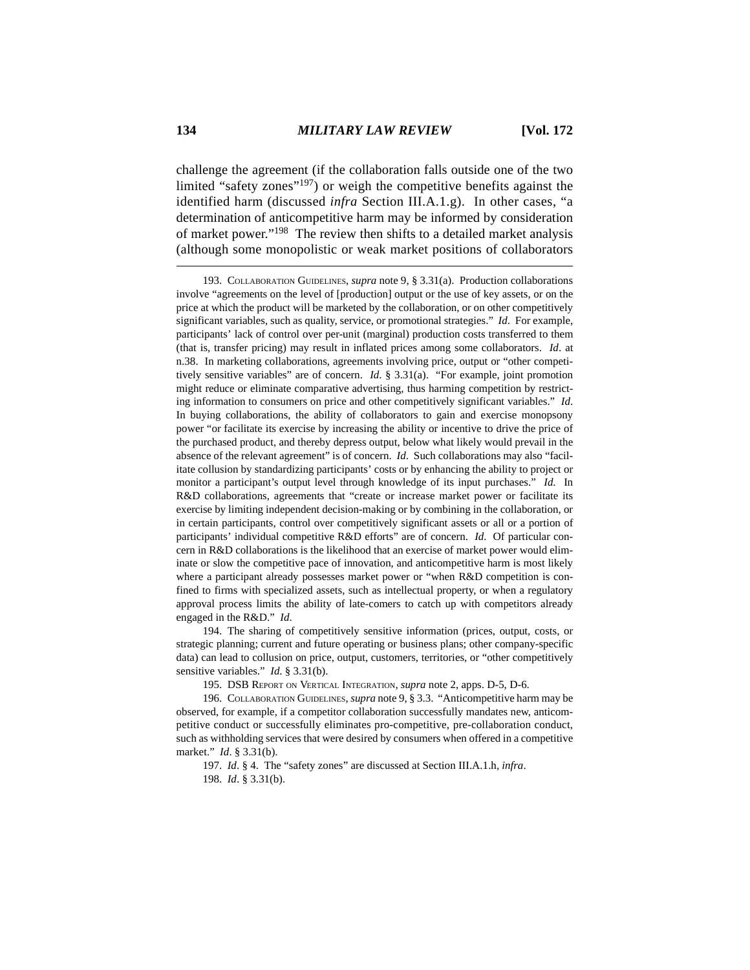challenge the agreement (if the collaboration falls outside one of the two limited "safety zones"197) or weigh the competitive benefits against the identified harm (discussed *infra* Section III.A.1.g). In other cases, "a determination of anticompetitive harm may be informed by consideration of market power."198 The review then shifts to a detailed market analysis (although some monopolistic or weak market positions of collaborators

194. The sharing of competitively sensitive information (prices, output, costs, or strategic planning; current and future operating or business plans; other company-specific data) can lead to collusion on price, output, customers, territories, or "other competitively sensitive variables." *Id*. § 3.31(b).

195. DSB REPORT ON VERTICAL INTEGRATION, *supra* note 2, apps. D-5, D-6.

196. COLLABORATION GUIDELINES, *supra* note 9, § 3.3. "Anticompetitive harm may be observed, for example, if a competitor collaboration successfully mandates new, anticompetitive conduct or successfully eliminates pro-competitive, pre-collaboration conduct, such as withholding services that were desired by consumers when offered in a competitive market." *Id*. § 3.31(b).

197. *Id*. § 4. The "safety zones" are discussed at Section III.A.1.h, *infra*.

<sup>193.</sup> COLLABORATION GUIDELINES, *supra* note 9, § 3.31(a). Production collaborations involve "agreements on the level of [production] output or the use of key assets, or on the price at which the product will be marketed by the collaboration, or on other competitively significant variables, such as quality, service, or promotional strategies." *Id*. For example, participants' lack of control over per-unit (marginal) production costs transferred to them (that is, transfer pricing) may result in inflated prices among some collaborators. *Id*. at n.38. In marketing collaborations, agreements involving price, output or "other competitively sensitive variables" are of concern. *Id*. § 3.31(a). "For example, joint promotion might reduce or eliminate comparative advertising, thus harming competition by restricting information to consumers on price and other competitively significant variables." *Id*. In buying collaborations, the ability of collaborators to gain and exercise monopsony power "or facilitate its exercise by increasing the ability or incentive to drive the price of the purchased product, and thereby depress output, below what likely would prevail in the absence of the relevant agreement" is of concern. *Id*. Such collaborations may also "facilitate collusion by standardizing participants' costs or by enhancing the ability to project or monitor a participant's output level through knowledge of its input purchases." *Id*. In R&D collaborations, agreements that "create or increase market power or facilitate its exercise by limiting independent decision-making or by combining in the collaboration, or in certain participants, control over competitively significant assets or all or a portion of participants' individual competitive R&D efforts" are of concern. *Id*. Of particular concern in R&D collaborations is the likelihood that an exercise of market power would eliminate or slow the competitive pace of innovation, and anticompetitive harm is most likely where a participant already possesses market power or "when R&D competition is confined to firms with specialized assets, such as intellectual property, or when a regulatory approval process limits the ability of late-comers to catch up with competitors already engaged in the R&D." *Id*.

<sup>198.</sup> *Id*. § 3.31(b).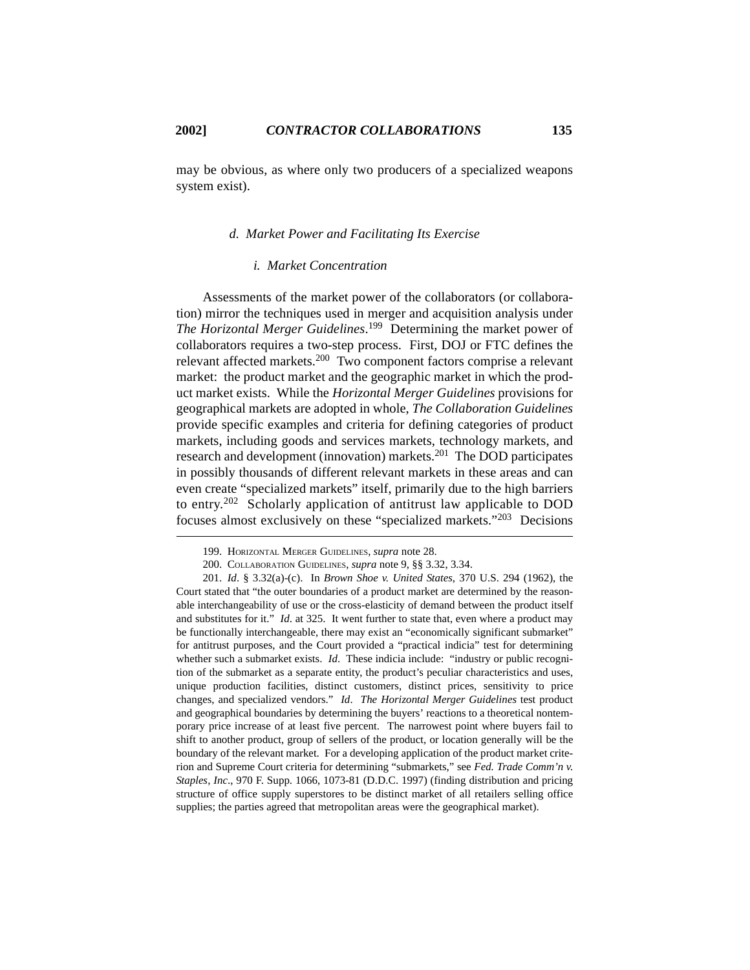may be obvious, as where only two producers of a specialized weapons system exist).

## *d. Market Power and Facilitating Its Exercise*

#### *i. Market Concentration*

Assessments of the market power of the collaborators (or collaboration) mirror the techniques used in merger and acquisition analysis under *The Horizontal Merger Guidelines*. 199 Determining the market power of collaborators requires a two-step process. First, DOJ or FTC defines the relevant affected markets.200 Two component factors comprise a relevant market: the product market and the geographic market in which the product market exists. While the *Horizontal Merger Guidelines* provisions for geographical markets are adopted in whole, *The Collaboration Guidelines* provide specific examples and criteria for defining categories of product markets, including goods and services markets, technology markets, and research and development (innovation) markets.201 The DOD participates in possibly thousands of different relevant markets in these areas and can even create "specialized markets" itself, primarily due to the high barriers to entry.202 Scholarly application of antitrust law applicable to DOD focuses almost exclusively on these "specialized markets."203 Decisions

<sup>199.</sup> HORIZONTAL MERGER GUIDELINES, *supra* note 28.

<sup>200.</sup> COLLABORATION GUIDELINES, *supra* note 9, §§ 3.32, 3.34.

<sup>201.</sup> *Id*. § 3.32(a)-(c). In *Brown Shoe v. United States*, 370 U.S. 294 (1962), the Court stated that "the outer boundaries of a product market are determined by the reasonable interchangeability of use or the cross-elasticity of demand between the product itself and substitutes for it." *Id*. at 325. It went further to state that, even where a product may be functionally interchangeable, there may exist an "economically significant submarket" for antitrust purposes, and the Court provided a "practical indicia" test for determining whether such a submarket exists. *Id*. These indicia include: "industry or public recognition of the submarket as a separate entity, the product's peculiar characteristics and uses, unique production facilities, distinct customers, distinct prices, sensitivity to price changes, and specialized vendors." *Id*. *The Horizontal Merger Guidelines* test product and geographical boundaries by determining the buyers' reactions to a theoretical nontemporary price increase of at least five percent. The narrowest point where buyers fail to shift to another product, group of sellers of the product, or location generally will be the boundary of the relevant market. For a developing application of the product market criterion and Supreme Court criteria for determining "submarkets," see *Fed. Trade Comm'n v. Staples, Inc*., 970 F. Supp. 1066, 1073-81 (D.D.C. 1997) (finding distribution and pricing structure of office supply superstores to be distinct market of all retailers selling office supplies; the parties agreed that metropolitan areas were the geographical market).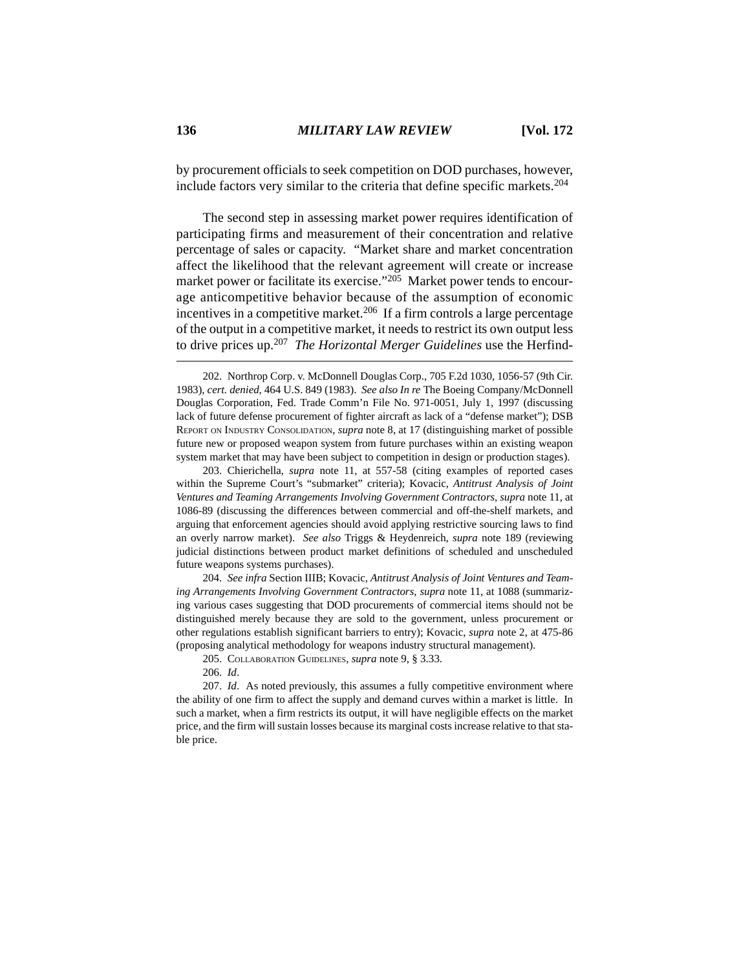by procurement officials to seek competition on DOD purchases, however, include factors very similar to the criteria that define specific markets.<sup>204</sup>

The second step in assessing market power requires identification of participating firms and measurement of their concentration and relative percentage of sales or capacity. "Market share and market concentration affect the likelihood that the relevant agreement will create or increase market power or facilitate its exercise."<sup>205</sup> Market power tends to encourage anticompetitive behavior because of the assumption of economic incentives in a competitive market.<sup>206</sup> If a firm controls a large percentage of the output in a competitive market, it needs to restrict its own output less to drive prices up.207 *The Horizontal Merger Guidelines* use the Herfind-

202. Northrop Corp. v. McDonnell Douglas Corp., 705 F.2d 1030, 1056-57 (9th Cir. 1983), *cert. denied*, 464 U.S. 849 (1983). *See also In re* The Boeing Company/McDonnell Douglas Corporation, Fed. Trade Comm'n File No. 971-0051, July 1, 1997 (discussing lack of future defense procurement of fighter aircraft as lack of a "defense market"); DSB REPORT ON INDUSTRY CONSOLIDATION, *supra* note 8, at 17 (distinguishing market of possible future new or proposed weapon system from future purchases within an existing weapon system market that may have been subject to competition in design or production stages).

203. Chierichella, *supra* note 11, at 557-58 (citing examples of reported cases within the Supreme Court's "submarket" criteria); Kovacic, *Antitrust Analysis of Joint Ventures and Teaming Arrangements Involving Government Contractors*, *supra* note 11, at 1086-89 (discussing the differences between commercial and off-the-shelf markets, and arguing that enforcement agencies should avoid applying restrictive sourcing laws to find an overly narrow market). *See also* Triggs & Heydenreich, *supra* note 189 (reviewing judicial distinctions between product market definitions of scheduled and unscheduled future weapons systems purchases).

204. *See infra* Section IIIB; Kovacic, *Antitrust Analysis of Joint Ventures and Teaming Arrangements Involving Government Contractors*, *supra* note 11, at 1088 (summarizing various cases suggesting that DOD procurements of commercial items should not be distinguished merely because they are sold to the government, unless procurement or other regulations establish significant barriers to entry); Kovacic, *supra* note 2, at 475-86 (proposing analytical methodology for weapons industry structural management).

205. COLLABORATION GUIDELINES, *supra* note 9, § 3.33.

206. *Id*.

207. *Id*. As noted previously, this assumes a fully competitive environment where the ability of one firm to affect the supply and demand curves within a market is little. In such a market, when a firm restricts its output, it will have negligible effects on the market price, and the firm will sustain losses because its marginal costs increase relative to that stable price.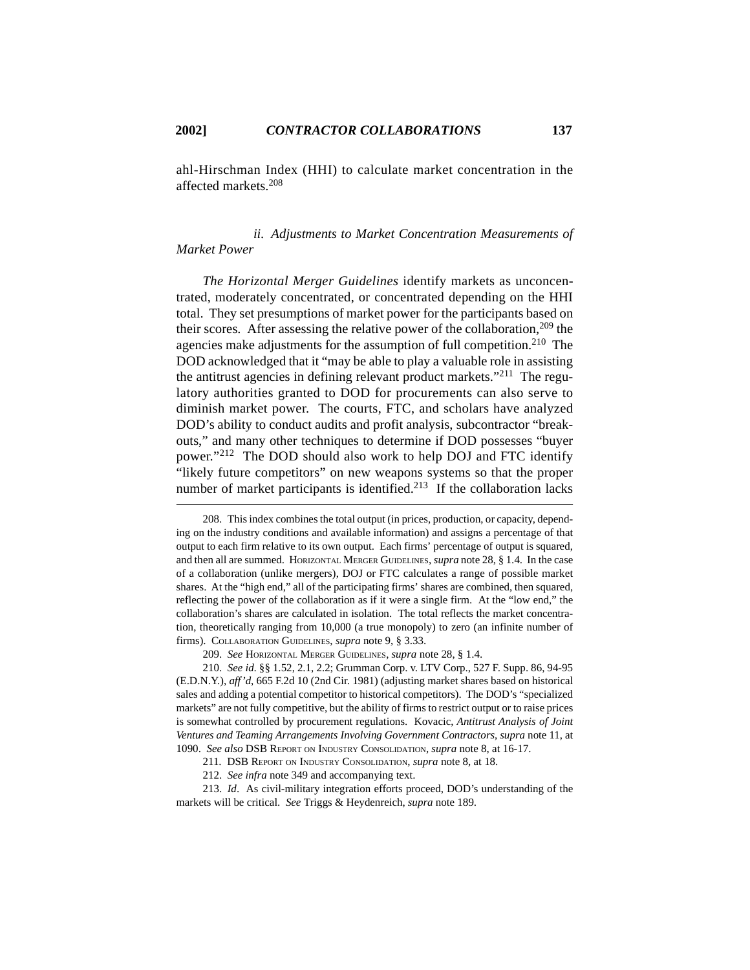ahl-Hirschman Index (HHI) to calculate market concentration in the affected markets.208

# *ii. Adjustments to Market Concentration Measurements of Market Power*

*The Horizontal Merger Guidelines* identify markets as unconcentrated, moderately concentrated, or concentrated depending on the HHI total. They set presumptions of market power for the participants based on their scores. After assessing the relative power of the collaboration,  $209$  the agencies make adjustments for the assumption of full competition.<sup>210</sup> The DOD acknowledged that it "may be able to play a valuable role in assisting the antitrust agencies in defining relevant product markets."211 The regulatory authorities granted to DOD for procurements can also serve to diminish market power. The courts, FTC, and scholars have analyzed DOD's ability to conduct audits and profit analysis, subcontractor "breakouts," and many other techniques to determine if DOD possesses "buyer power."212 The DOD should also work to help DOJ and FTC identify "likely future competitors" on new weapons systems so that the proper number of market participants is identified. $213$  If the collaboration lacks

<sup>208.</sup> This index combines the total output (in prices, production, or capacity, depending on the industry conditions and available information) and assigns a percentage of that output to each firm relative to its own output. Each firms' percentage of output is squared, and then all are summed. HORIZONTAL MERGER GUIDELINES, *supra* note 28, § 1.4. In the case of a collaboration (unlike mergers), DOJ or FTC calculates a range of possible market shares. At the "high end," all of the participating firms' shares are combined, then squared, reflecting the power of the collaboration as if it were a single firm. At the "low end," the collaboration's shares are calculated in isolation. The total reflects the market concentration, theoretically ranging from 10,000 (a true monopoly) to zero (an infinite number of firms). COLLABORATION GUIDELINES, *supra* note 9, § 3.33.

<sup>209.</sup> *See* HORIZONTAL MERGER GUIDELINES, *supra* note 28, § 1.4.

<sup>210.</sup> *See id*. §§ 1.52, 2.1, 2.2; Grumman Corp. v. LTV Corp., 527 F. Supp. 86, 94-95 (E.D.N.Y.), *aff'd*, 665 F.2d 10 (2nd Cir. 1981) (adjusting market shares based on historical sales and adding a potential competitor to historical competitors). The DOD's "specialized markets" are not fully competitive, but the ability of firms to restrict output or to raise prices is somewhat controlled by procurement regulations. Kovacic, *Antitrust Analysis of Joint Ventures and Teaming Arrangements Involving Government Contractors*, *supra* note 11, at 1090. *See also* DSB REPORT ON INDUSTRY CONSOLIDATION, *supra* note 8, at 16-17.

<sup>211.</sup> DSB REPORT ON INDUSTRY CONSOLIDATION, *supra* note 8, at 18.

<sup>212.</sup> *See infra* note 349 and accompanying text.

<sup>213.</sup> *Id*. As civil-military integration efforts proceed, DOD's understanding of the markets will be critical. *See* Triggs & Heydenreich, *supra* note 189.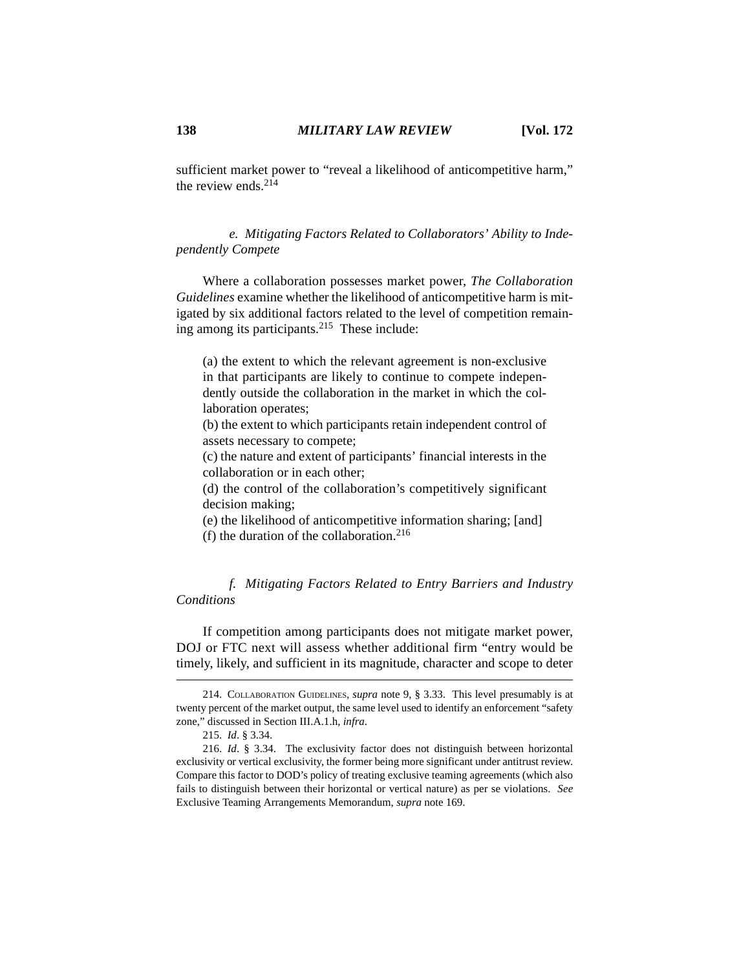sufficient market power to "reveal a likelihood of anticompetitive harm," the review ends  $214$ 

*e. Mitigating Factors Related to Collaborators' Ability to Independently Compete*

Where a collaboration possesses market power, *The Collaboration Guidelines* examine whether the likelihood of anticompetitive harm is mitigated by six additional factors related to the level of competition remaining among its participants.215 These include:

(a) the extent to which the relevant agreement is non-exclusive in that participants are likely to continue to compete independently outside the collaboration in the market in which the collaboration operates;

(b) the extent to which participants retain independent control of assets necessary to compete;

(c) the nature and extent of participants' financial interests in the collaboration or in each other;

(d) the control of the collaboration's competitively significant decision making;

(e) the likelihood of anticompetitive information sharing; [and] (f) the duration of the collaboration.<sup>216</sup>

*f. Mitigating Factors Related to Entry Barriers and Industry Conditions*

If competition among participants does not mitigate market power, DOJ or FTC next will assess whether additional firm "entry would be timely, likely, and sufficient in its magnitude, character and scope to deter

<sup>214.</sup> COLLABORATION GUIDELINES, *supra* note 9, § 3.33. This level presumably is at twenty percent of the market output, the same level used to identify an enforcement "safety zone," discussed in Section III.A.1.h, *infra*.

<sup>215.</sup> *Id*. § 3.34.

<sup>216.</sup> *Id*. § 3.34. The exclusivity factor does not distinguish between horizontal exclusivity or vertical exclusivity, the former being more significant under antitrust review. Compare this factor to DOD's policy of treating exclusive teaming agreements (which also fails to distinguish between their horizontal or vertical nature) as per se violations. *See* Exclusive Teaming Arrangements Memorandum, *supra* note 169.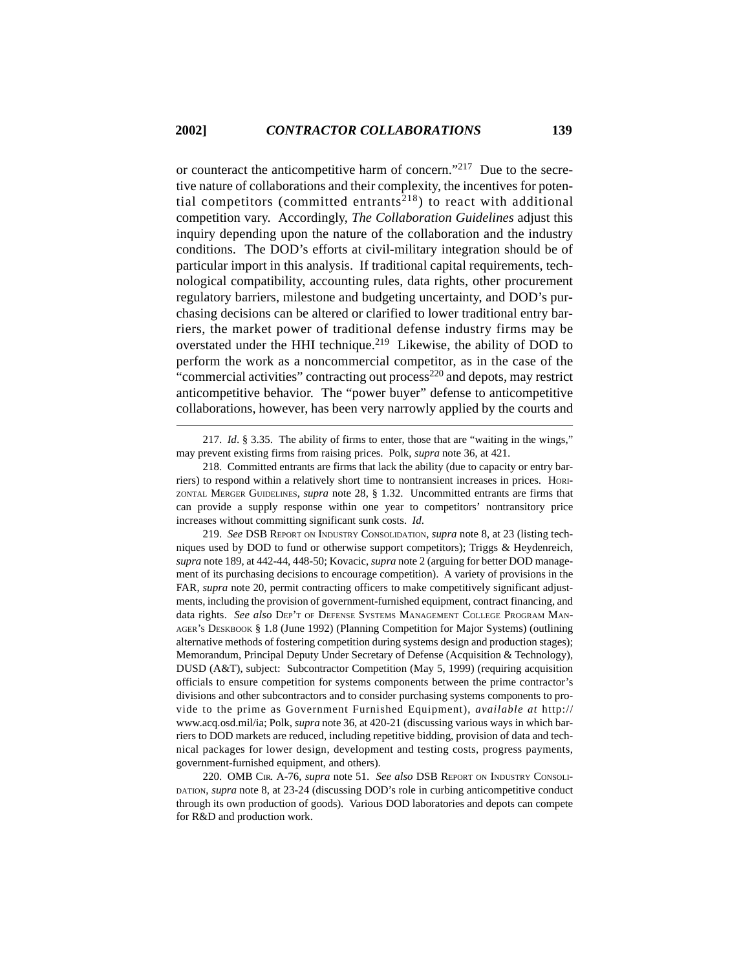or counteract the anticompetitive harm of concern."217 Due to the secretive nature of collaborations and their complexity, the incentives for potential competitors (committed entrants<sup>218</sup>) to react with additional competition vary. Accordingly, *The Collaboration Guidelines* adjust this inquiry depending upon the nature of the collaboration and the industry conditions. The DOD's efforts at civil-military integration should be of particular import in this analysis. If traditional capital requirements, technological compatibility, accounting rules, data rights, other procurement regulatory barriers, milestone and budgeting uncertainty, and DOD's purchasing decisions can be altered or clarified to lower traditional entry barriers, the market power of traditional defense industry firms may be overstated under the HHI technique.<sup>219</sup> Likewise, the ability of DOD to perform the work as a noncommercial competitor, as in the case of the "commercial activities" contracting out process<sup>220</sup> and depots, may restrict anticompetitive behavior. The "power buyer" defense to anticompetitive collaborations, however, has been very narrowly applied by the courts and

217. *Id*. § 3.35. The ability of firms to enter, those that are "waiting in the wings," may prevent existing firms from raising prices. Polk, *supra* note 36, at 421.

218. Committed entrants are firms that lack the ability (due to capacity or entry barriers) to respond within a relatively short time to nontransient increases in prices. HORI-ZONTAL MERGER GUIDELINES, *supra* note 28, § 1.32. Uncommitted entrants are firms that can provide a supply response within one year to competitors' nontransitory price increases without committing significant sunk costs. *Id*.

219. *See* DSB REPORT ON INDUSTRY CONSOLIDATION, *supra* note 8, at 23 (listing techniques used by DOD to fund or otherwise support competitors); Triggs & Heydenreich, *supra* note 189, at 442-44, 448-50; Kovacic, *supra* note 2 (arguing for better DOD management of its purchasing decisions to encourage competition). A variety of provisions in the FAR, *supra* note 20, permit contracting officers to make competitively significant adjustments, including the provision of government-furnished equipment, contract financing, and data rights. *See also* DEP'T OF DEFENSE SYSTEMS MANAGEMENT COLLEGE PROGRAM MAN-AGER'S DESKBOOK § 1.8 (June 1992) (Planning Competition for Major Systems) (outlining alternative methods of fostering competition during systems design and production stages); Memorandum, Principal Deputy Under Secretary of Defense (Acquisition & Technology), DUSD (A&T), subject: Subcontractor Competition (May 5, 1999) (requiring acquisition officials to ensure competition for systems components between the prime contractor's divisions and other subcontractors and to consider purchasing systems components to provide to the prime as Government Furnished Equipment), *available at* http:// www.acq.osd.mil/ia; Polk, *supra* note 36, at 420-21 (discussing various ways in which barriers to DOD markets are reduced, including repetitive bidding, provision of data and technical packages for lower design, development and testing costs, progress payments, government-furnished equipment, and others).

220. OMB CIR. A-76, *supra* note 51. *See also* DSB REPORT ON INDUSTRY CONSOLI-DATION, *supra* note 8, at 23-24 (discussing DOD's role in curbing anticompetitive conduct through its own production of goods). Various DOD laboratories and depots can compete for R&D and production work.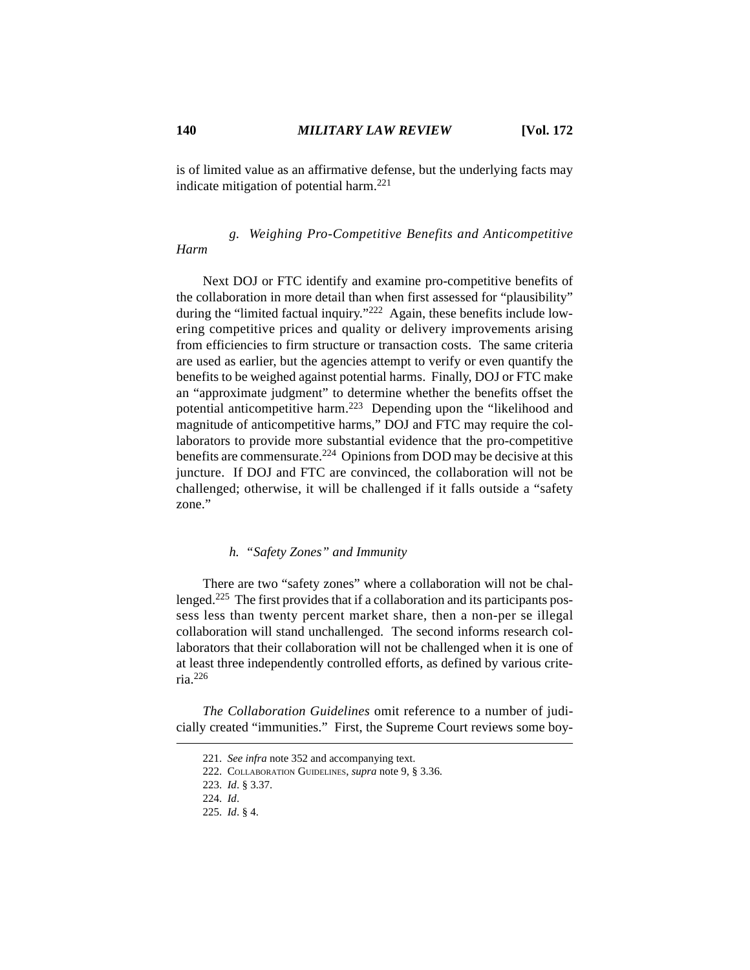is of limited value as an affirmative defense, but the underlying facts may indicate mitigation of potential harm.<sup>221</sup>

# *g. Weighing Pro-Competitive Benefits and Anticompetitive Harm*

Next DOJ or FTC identify and examine pro-competitive benefits of the collaboration in more detail than when first assessed for "plausibility" during the "limited factual inquiry."222 Again, these benefits include lowering competitive prices and quality or delivery improvements arising from efficiencies to firm structure or transaction costs. The same criteria are used as earlier, but the agencies attempt to verify or even quantify the benefits to be weighed against potential harms. Finally, DOJ or FTC make an "approximate judgment" to determine whether the benefits offset the potential anticompetitive harm.<sup>223</sup> Depending upon the "likelihood and magnitude of anticompetitive harms," DOJ and FTC may require the collaborators to provide more substantial evidence that the pro-competitive benefits are commensurate.<sup>224</sup> Opinions from DOD may be decisive at this juncture. If DOJ and FTC are convinced, the collaboration will not be challenged; otherwise, it will be challenged if it falls outside a "safety zone."

# *h. "Safety Zones" and Immunity*

There are two "safety zones" where a collaboration will not be challenged.225 The first provides that if a collaboration and its participants possess less than twenty percent market share, then a non-per se illegal collaboration will stand unchallenged. The second informs research collaborators that their collaboration will not be challenged when it is one of at least three independently controlled efforts, as defined by various criteria.<sup>226</sup>

*The Collaboration Guidelines* omit reference to a number of judicially created "immunities." First, the Supreme Court reviews some boy-

<sup>221.</sup> *See infra* note 352 and accompanying text.

<sup>222.</sup> COLLABORATION GUIDELINES, *supra* note 9, § 3.36.

<sup>223.</sup> *Id*. § 3.37.

<sup>224.</sup> *Id*.

<sup>225.</sup> *Id*. § 4.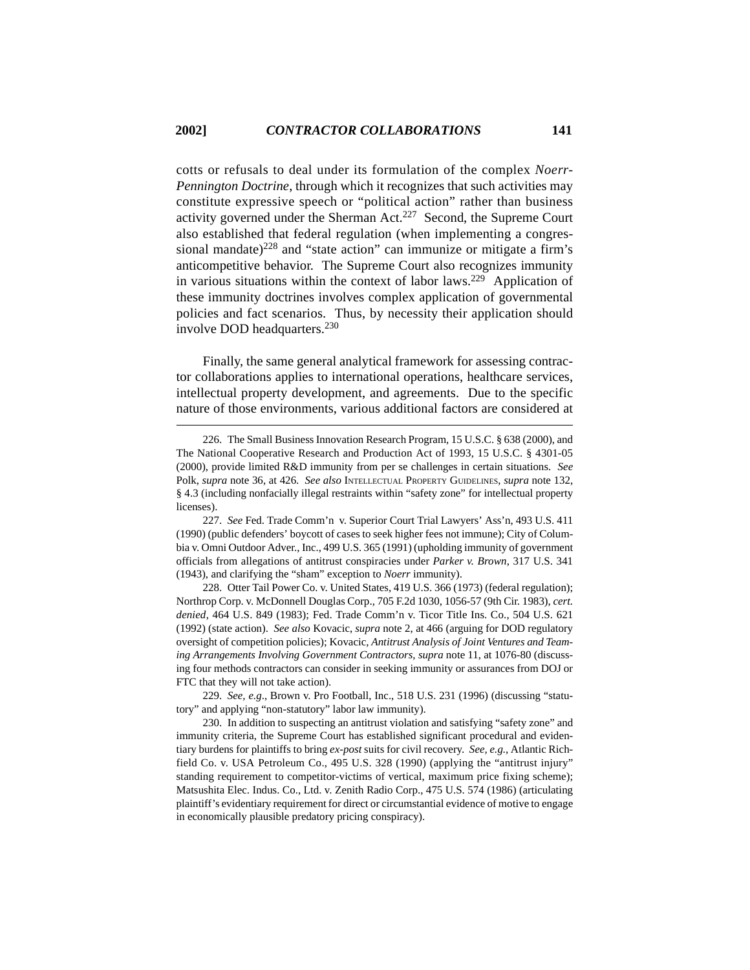cotts or refusals to deal under its formulation of the complex *Noerr-Pennington Doctrine*, through which it recognizes that such activities may constitute expressive speech or "political action" rather than business activity governed under the Sherman Act.<sup>227</sup> Second, the Supreme Court also established that federal regulation (when implementing a congressional mandate) $228$  and "state action" can immunize or mitigate a firm's anticompetitive behavior. The Supreme Court also recognizes immunity in various situations within the context of labor laws.<sup>229</sup> Application of these immunity doctrines involves complex application of governmental policies and fact scenarios. Thus, by necessity their application should involve DOD headquarters.230

Finally, the same general analytical framework for assessing contractor collaborations applies to international operations, healthcare services, intellectual property development, and agreements. Due to the specific nature of those environments, various additional factors are considered at

228. Otter Tail Power Co. v. United States, 419 U.S. 366 (1973) (federal regulation); Northrop Corp. v. McDonnell Douglas Corp., 705 F.2d 1030, 1056-57 (9th Cir. 1983), *cert. denied*, 464 U.S. 849 (1983); Fed. Trade Comm'n v. Ticor Title Ins. Co., 504 U.S. 621 (1992) (state action). *See also* Kovacic, *supra* note 2, at 466 (arguing for DOD regulatory oversight of competition policies); Kovacic, *Antitrust Analysis of Joint Ventures and Teaming Arrangements Involving Government Contractors*, *supra* note 11, at 1076-80 (discussing four methods contractors can consider in seeking immunity or assurances from DOJ or FTC that they will not take action).

229. *See, e.g*., Brown v. Pro Football, Inc., 518 U.S. 231 (1996) (discussing "statutory" and applying "non-statutory" labor law immunity).

230. In addition to suspecting an antitrust violation and satisfying "safety zone" and immunity criteria, the Supreme Court has established significant procedural and evidentiary burdens for plaintiffs to bring *ex-post* suits for civil recovery. *See, e.g*., Atlantic Richfield Co. v. USA Petroleum Co., 495 U.S. 328 (1990) (applying the "antitrust injury" standing requirement to competitor-victims of vertical, maximum price fixing scheme); Matsushita Elec. Indus. Co., Ltd. v. Zenith Radio Corp., 475 U.S. 574 (1986) (articulating plaintiff's evidentiary requirement for direct or circumstantial evidence of motive to engage in economically plausible predatory pricing conspiracy).

<sup>226.</sup> The Small Business Innovation Research Program, 15 U.S.C. § 638 (2000), and The National Cooperative Research and Production Act of 1993, 15 U.S.C. § 4301-05 (2000), provide limited R&D immunity from per se challenges in certain situations. *See* Polk, *supra* note 36, at 426. *See also* INTELLECTUAL PROPERTY GUIDELINES, *supra* note 132, § 4.3 (including nonfacially illegal restraints within "safety zone" for intellectual property licenses).

<sup>227.</sup> *See* Fed. Trade Comm'n v. Superior Court Trial Lawyers' Ass'n, 493 U.S. 411 (1990) (public defenders' boycott of cases to seek higher fees not immune); City of Columbia v. Omni Outdoor Adver., Inc., 499 U.S. 365 (1991) (upholding immunity of government officials from allegations of antitrust conspiracies under *Parker v. Brown*, 317 U.S. 341 (1943), and clarifying the "sham" exception to *Noerr* immunity).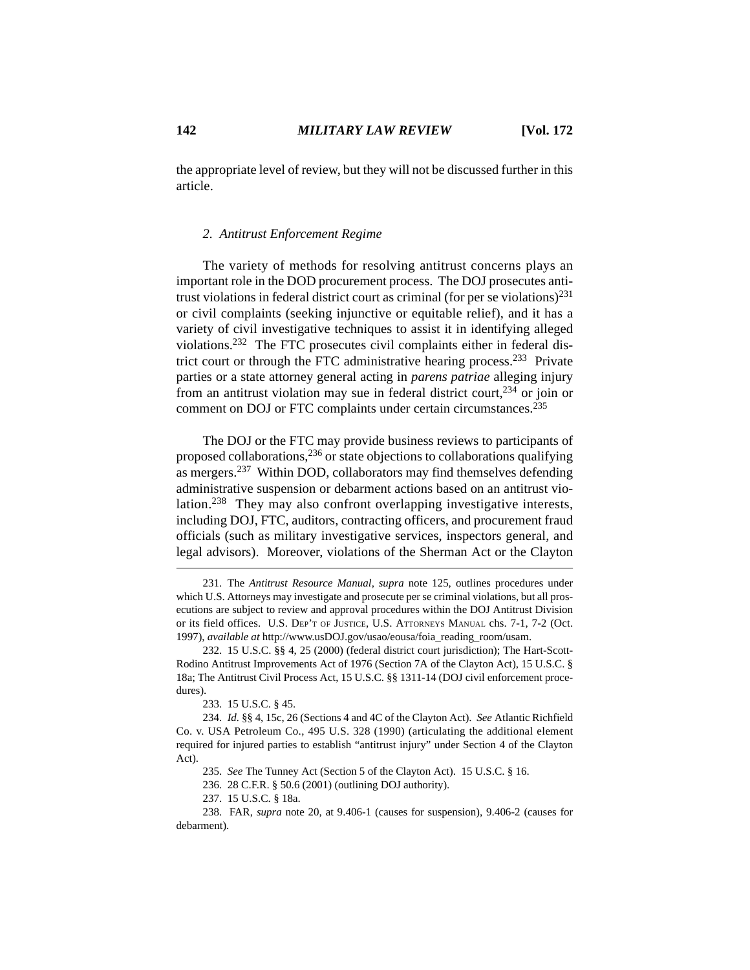the appropriate level of review, but they will not be discussed further in this article.

# *2. Antitrust Enforcement Regime*

The variety of methods for resolving antitrust concerns plays an important role in the DOD procurement process. The DOJ prosecutes antitrust violations in federal district court as criminal (for per se violations)<sup>231</sup> or civil complaints (seeking injunctive or equitable relief), and it has a variety of civil investigative techniques to assist it in identifying alleged violations.232 The FTC prosecutes civil complaints either in federal district court or through the FTC administrative hearing process.233 Private parties or a state attorney general acting in *parens patriae* alleging injury from an antitrust violation may sue in federal district court,  $234$  or join or comment on DOJ or FTC complaints under certain circumstances.235

The DOJ or the FTC may provide business reviews to participants of proposed collaborations,236 or state objections to collaborations qualifying as mergers.237 Within DOD, collaborators may find themselves defending administrative suspension or debarment actions based on an antitrust violation.<sup>238</sup> They may also confront overlapping investigative interests, including DOJ, FTC, auditors, contracting officers, and procurement fraud officials (such as military investigative services, inspectors general, and legal advisors). Moreover, violations of the Sherman Act or the Clayton

233. 15 U.S.C. § 45.

<sup>231.</sup> The *Antitrust Resource Manual*, *supra* note 125, outlines procedures under which U.S. Attorneys may investigate and prosecute per se criminal violations, but all prosecutions are subject to review and approval procedures within the DOJ Antitrust Division or its field offices. U.S. DEP'T OF JUSTICE, U.S. ATTORNEYS MANUAL chs. 7-1, 7-2 (Oct. 1997), *available at* http://www.usDOJ.gov/usao/eousa/foia\_reading\_room/usam.

<sup>232. 15</sup> U.S.C. §§ 4, 25 (2000) (federal district court jurisdiction); The Hart-Scott-Rodino Antitrust Improvements Act of 1976 (Section 7A of the Clayton Act), 15 U.S.C. § 18a; The Antitrust Civil Process Act, 15 U.S.C. §§ 1311-14 (DOJ civil enforcement procedures).

<sup>234.</sup> *Id.* §§ 4, 15c, 26 (Sections 4 and 4C of the Clayton Act). *See* Atlantic Richfield Co. v. USA Petroleum Co., 495 U.S. 328 (1990) (articulating the additional element required for injured parties to establish "antitrust injury" under Section 4 of the Clayton Act).

<sup>235.</sup> *See* The Tunney Act (Section 5 of the Clayton Act). 15 U.S.C. § 16.

<sup>236. 28</sup> C.F.R. § 50.6 (2001) (outlining DOJ authority).

<sup>237. 15</sup> U.S.C. § 18a.

<sup>238.</sup> FAR, *supra* note 20, at 9.406-1 (causes for suspension), 9.406-2 (causes for debarment).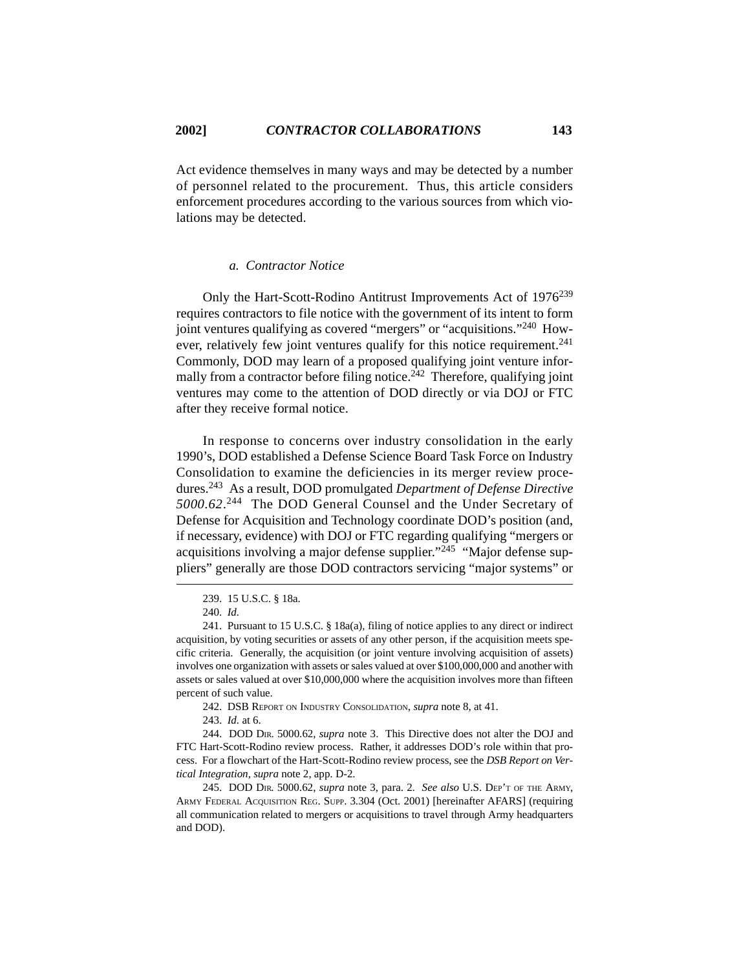Act evidence themselves in many ways and may be detected by a number of personnel related to the procurement. Thus, this article considers enforcement procedures according to the various sources from which violations may be detected.

#### *a. Contractor Notice*

Only the Hart-Scott-Rodino Antitrust Improvements Act of 1976<sup>239</sup> requires contractors to file notice with the government of its intent to form joint ventures qualifying as covered "mergers" or "acquisitions."240 However, relatively few joint ventures qualify for this notice requirement.<sup>241</sup> Commonly, DOD may learn of a proposed qualifying joint venture informally from a contractor before filing notice.<sup>242</sup> Therefore, qualifying joint ventures may come to the attention of DOD directly or via DOJ or FTC after they receive formal notice.

In response to concerns over industry consolidation in the early 1990's, DOD established a Defense Science Board Task Force on Industry Consolidation to examine the deficiencies in its merger review procedures.243 As a result, DOD promulgated *Department of Defense Directive 5000.62*. 244 The DOD General Counsel and the Under Secretary of Defense for Acquisition and Technology coordinate DOD's position (and, if necessary, evidence) with DOJ or FTC regarding qualifying "mergers or acquisitions involving a major defense supplier." $^{245}$  "Major defense suppliers" generally are those DOD contractors servicing "major systems" or

242. DSB REPORT ON INDUSTRY CONSOLIDATION, *supra* note 8, at 41.

243. *Id.* at 6.

244. DOD DIR. 5000.62, *supra* note 3. This Directive does not alter the DOJ and FTC Hart-Scott-Rodino review process. Rather, it addresses DOD's role within that process. For a flowchart of the Hart-Scott-Rodino review process, see the *DSB Report on Vertical Integration*, *supra* note 2, app. D-2.

245. DOD DIR. 5000.62, *supra* note 3, para. 2. *See also* U.S. DEP'T OF THE ARMY, ARMY FEDERAL ACQUISITION REG. SUPP. 3.304 (Oct. 2001) [hereinafter AFARS] (requiring all communication related to mergers or acquisitions to travel through Army headquarters and DOD).

<sup>239. 15</sup> U.S.C. § 18a.

<sup>240.</sup> *Id.*

<sup>241.</sup> Pursuant to 15 U.S.C. § 18a(a), filing of notice applies to any direct or indirect acquisition, by voting securities or assets of any other person, if the acquisition meets specific criteria. Generally, the acquisition (or joint venture involving acquisition of assets) involves one organization with assets or sales valued at over \$100,000,000 and another with assets or sales valued at over \$10,000,000 where the acquisition involves more than fifteen percent of such value.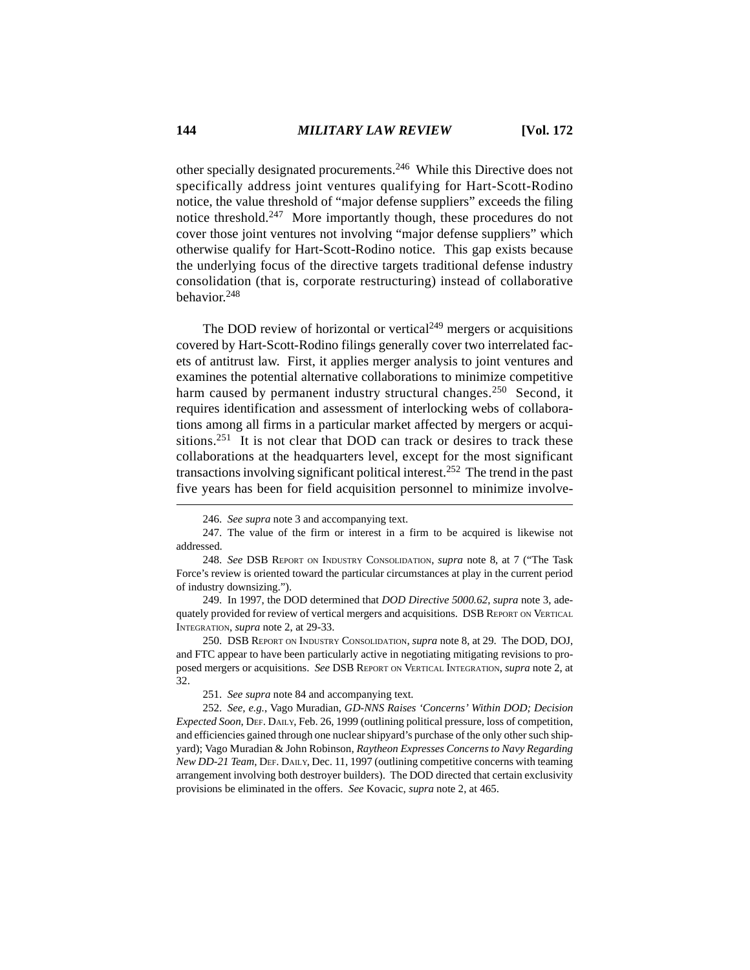other specially designated procurements.246 While this Directive does not specifically address joint ventures qualifying for Hart-Scott-Rodino notice, the value threshold of "major defense suppliers" exceeds the filing notice threshold.247 More importantly though, these procedures do not cover those joint ventures not involving "major defense suppliers" which otherwise qualify for Hart-Scott-Rodino notice. This gap exists because the underlying focus of the directive targets traditional defense industry consolidation (that is, corporate restructuring) instead of collaborative behavior.<sup>248</sup>

The DOD review of horizontal or vertical $249$  mergers or acquisitions covered by Hart-Scott-Rodino filings generally cover two interrelated facets of antitrust law. First, it applies merger analysis to joint ventures and examines the potential alternative collaborations to minimize competitive harm caused by permanent industry structural changes.<sup>250</sup> Second, it requires identification and assessment of interlocking webs of collaborations among all firms in a particular market affected by mergers or acquisitions.<sup>251</sup> It is not clear that DOD can track or desires to track these collaborations at the headquarters level, except for the most significant transactions involving significant political interest.252 The trend in the past five years has been for field acquisition personnel to minimize involve-

249. In 1997, the DOD determined that *DOD Directive 5000.62*, *supra* note 3, adequately provided for review of vertical mergers and acquisitions. DSB REPORT ON VERTICAL INTEGRATION, *supra* note 2, at 29-33.

250. DSB REPORT ON INDUSTRY CONSOLIDATION, *supra* note 8, at 29. The DOD, DOJ, and FTC appear to have been particularly active in negotiating mitigating revisions to proposed mergers or acquisitions. *See* DSB REPORT ON VERTICAL INTEGRATION, *supra* note 2, at 32.

251. *See supra* note 84 and accompanying text.

252. *See, e.g.*, Vago Muradian, *GD-NNS Raises 'Concerns' Within DOD; Decision Expected Soon*, DEF. DAILY, Feb. 26, 1999 (outlining political pressure, loss of competition, and efficiencies gained through one nuclear shipyard's purchase of the only other such shipyard); Vago Muradian & John Robinson, *Raytheon Expresses Concerns to Navy Regarding New DD-21 Team*, DEF. DAILY, Dec. 11, 1997 (outlining competitive concerns with teaming arrangement involving both destroyer builders). The DOD directed that certain exclusivity provisions be eliminated in the offers. *See* Kovacic, *supra* note 2, at 465.

<sup>246.</sup> *See supra* note 3 and accompanying text.

<sup>247.</sup> The value of the firm or interest in a firm to be acquired is likewise not addressed.

<sup>248.</sup> *See* DSB REPORT ON INDUSTRY CONSOLIDATION, *supra* note 8, at 7 ("The Task Force's review is oriented toward the particular circumstances at play in the current period of industry downsizing.").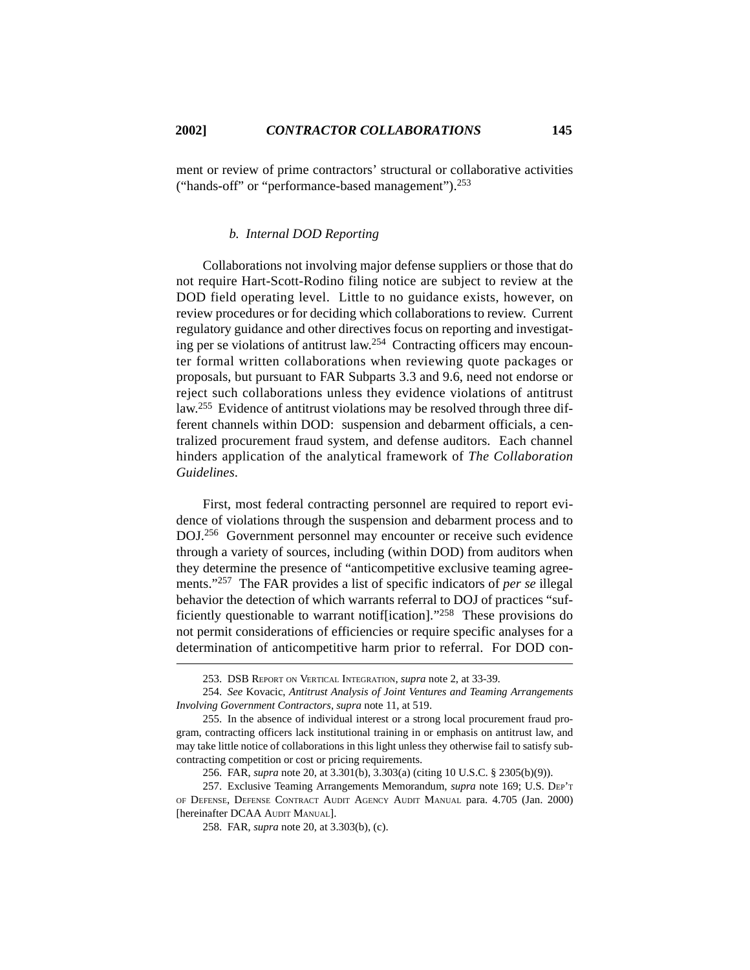ment or review of prime contractors' structural or collaborative activities ("hands-off" or "performance-based management").<sup>253</sup>

# *b. Internal DOD Reporting*

Collaborations not involving major defense suppliers or those that do not require Hart-Scott-Rodino filing notice are subject to review at the DOD field operating level. Little to no guidance exists, however, on review procedures or for deciding which collaborations to review. Current regulatory guidance and other directives focus on reporting and investigating per se violations of antitrust law.<sup>254</sup> Contracting officers may encounter formal written collaborations when reviewing quote packages or proposals, but pursuant to FAR Subparts 3.3 and 9.6, need not endorse or reject such collaborations unless they evidence violations of antitrust law.255 Evidence of antitrust violations may be resolved through three different channels within DOD: suspension and debarment officials, a centralized procurement fraud system, and defense auditors. Each channel hinders application of the analytical framework of *The Collaboration Guidelines*.

First, most federal contracting personnel are required to report evidence of violations through the suspension and debarment process and to DOJ.256 Government personnel may encounter or receive such evidence through a variety of sources, including (within DOD) from auditors when they determine the presence of "anticompetitive exclusive teaming agreements."257 The FAR provides a list of specific indicators of *per se* illegal behavior the detection of which warrants referral to DOJ of practices "sufficiently questionable to warrant notif[ication]."258 These provisions do not permit considerations of efficiencies or require specific analyses for a determination of anticompetitive harm prior to referral. For DOD con-

<sup>253.</sup> DSB REPORT ON VERTICAL INTEGRATION, *supra* note 2, at 33-39.

<sup>254.</sup> *See* Kovacic, *Antitrust Analysis of Joint Ventures and Teaming Arrangements Involving Government Contractors*, *supra* note 11, at 519.

<sup>255.</sup> In the absence of individual interest or a strong local procurement fraud program, contracting officers lack institutional training in or emphasis on antitrust law, and may take little notice of collaborations in this light unless they otherwise fail to satisfy subcontracting competition or cost or pricing requirements.

<sup>256.</sup> FAR, *supra* note 20, at 3.301(b), 3.303(a) (citing 10 U.S.C. § 2305(b)(9)).

<sup>257.</sup> Exclusive Teaming Arrangements Memorandum, *supra* note 169; U.S. DEP'T OF DEFENSE, DEFENSE CONTRACT AUDIT AGENCY AUDIT MANUAL para. 4.705 (Jan. 2000) [hereinafter DCAA AUDIT MANUAL].

<sup>258.</sup> FAR, *supra* note 20, at 3.303(b), (c).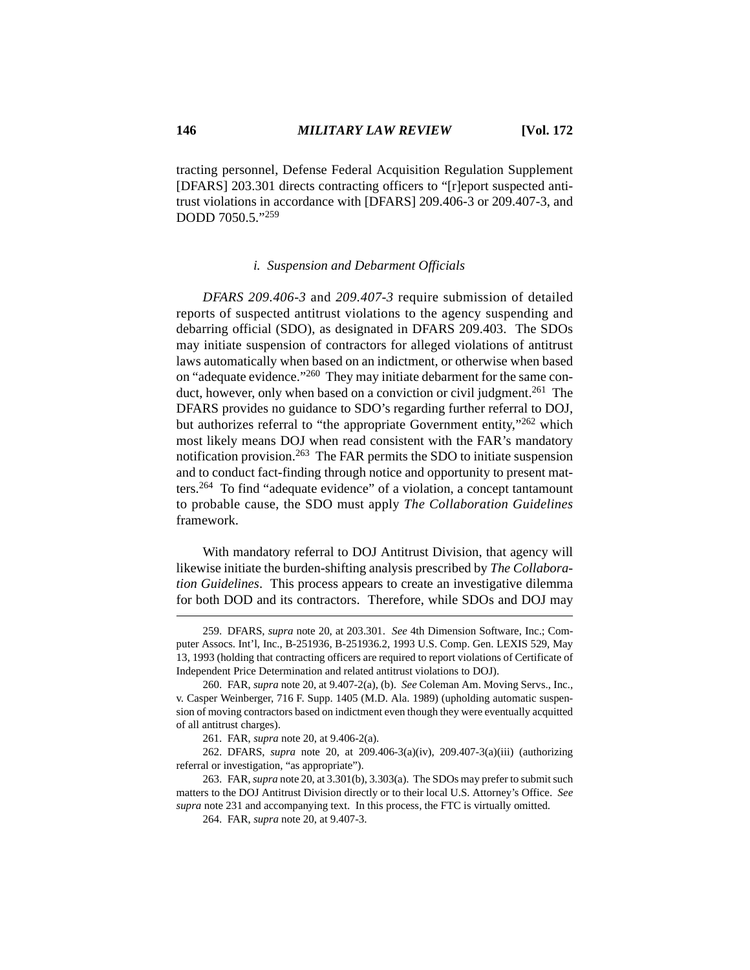tracting personnel, Defense Federal Acquisition Regulation Supplement [DFARS] 203.301 directs contracting officers to "[r]eport suspected antitrust violations in accordance with [DFARS] 209.406-3 or 209.407-3, and DODD 7050.5."259

#### *i. Suspension and Debarment Officials*

*DFARS 209.406-3* and *209.407-3* require submission of detailed reports of suspected antitrust violations to the agency suspending and debarring official (SDO), as designated in DFARS 209.403. The SDOs may initiate suspension of contractors for alleged violations of antitrust laws automatically when based on an indictment, or otherwise when based on "adequate evidence."260 They may initiate debarment for the same conduct, however, only when based on a conviction or civil judgment.<sup>261</sup> The DFARS provides no guidance to SDO's regarding further referral to DOJ, but authorizes referral to "the appropriate Government entity,"<sup>262</sup> which most likely means DOJ when read consistent with the FAR's mandatory notification provision.263 The FAR permits the SDO to initiate suspension and to conduct fact-finding through notice and opportunity to present matters.264 To find "adequate evidence" of a violation, a concept tantamount to probable cause, the SDO must apply *The Collaboration Guidelines* framework.

With mandatory referral to DOJ Antitrust Division, that agency will likewise initiate the burden-shifting analysis prescribed by *The Collaboration Guidelines*. This process appears to create an investigative dilemma for both DOD and its contractors. Therefore, while SDOs and DOJ may

<sup>259.</sup> DFARS, *supra* note 20, at 203.301. *See* 4th Dimension Software, Inc.; Computer Assocs. Int'l, Inc., B-251936, B-251936.2, 1993 U.S. Comp. Gen. LEXIS 529, May 13, 1993 (holding that contracting officers are required to report violations of Certificate of Independent Price Determination and related antitrust violations to DOJ).

<sup>260.</sup> FAR, *supra* note 20, at 9.407-2(a), (b). *See* Coleman Am. Moving Servs., Inc., v. Casper Weinberger, 716 F. Supp. 1405 (M.D. Ala. 1989) (upholding automatic suspension of moving contractors based on indictment even though they were eventually acquitted of all antitrust charges).

<sup>261.</sup> FAR, *supra* note 20, at 9.406-2(a).

<sup>262.</sup> DFARS, *supra* note 20, at 209.406-3(a)(iv), 209.407-3(a)(iii) (authorizing referral or investigation, "as appropriate").

<sup>263.</sup> FAR, *supra* note 20, at 3.301(b), 3.303(a). The SDOs may prefer to submit such matters to the DOJ Antitrust Division directly or to their local U.S. Attorney's Office. *See supra* note 231 and accompanying text. In this process, the FTC is virtually omitted.

<sup>264.</sup> FAR, *supra* note 20, at 9.407-3.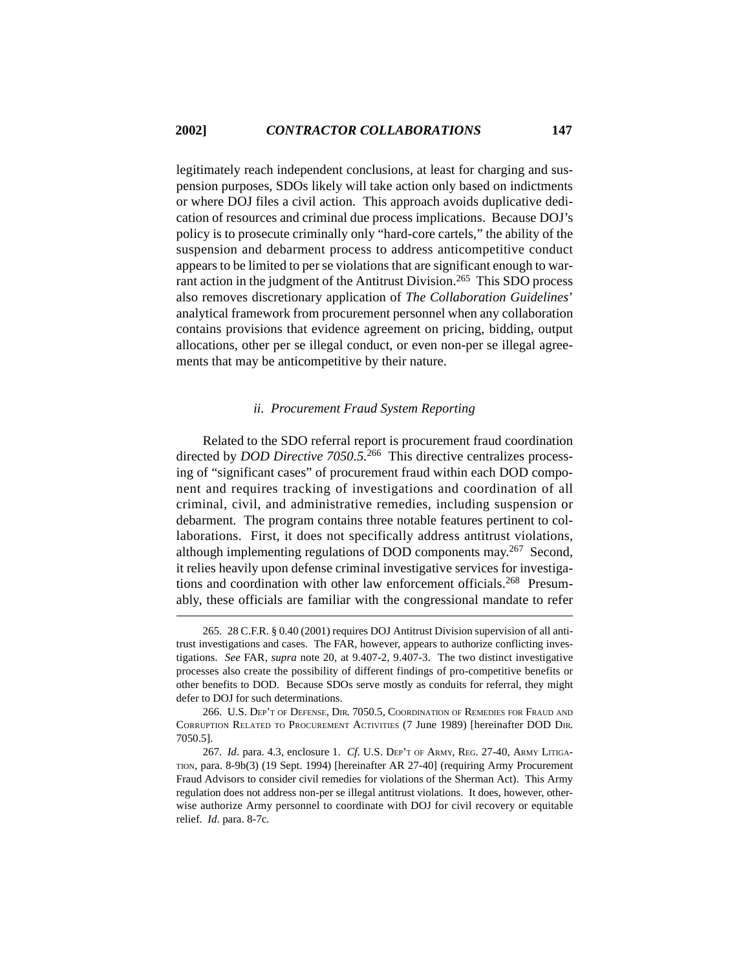legitimately reach independent conclusions, at least for charging and suspension purposes, SDOs likely will take action only based on indictments or where DOJ files a civil action. This approach avoids duplicative dedication of resources and criminal due process implications. Because DOJ's policy is to prosecute criminally only "hard-core cartels," the ability of the suspension and debarment process to address anticompetitive conduct appears to be limited to per se violations that are significant enough to warrant action in the judgment of the Antitrust Division.<sup>265</sup> This SDO process also removes discretionary application of *The Collaboration Guidelines*' analytical framework from procurement personnel when any collaboration contains provisions that evidence agreement on pricing, bidding, output allocations, other per se illegal conduct, or even non-per se illegal agreements that may be anticompetitive by their nature.

# *ii. Procurement Fraud System Reporting*

Related to the SDO referral report is procurement fraud coordination directed by *DOD Directive 7050.5.*266 This directive centralizes processing of "significant cases" of procurement fraud within each DOD component and requires tracking of investigations and coordination of all criminal, civil, and administrative remedies, including suspension or debarment. The program contains three notable features pertinent to collaborations. First, it does not specifically address antitrust violations, although implementing regulations of DOD components may.267 Second, it relies heavily upon defense criminal investigative services for investigations and coordination with other law enforcement officials.<sup>268</sup> Presumably, these officials are familiar with the congressional mandate to refer

<sup>265. 28</sup> C.F.R. § 0.40 (2001) requires DOJ Antitrust Division supervision of all antitrust investigations and cases. The FAR, however, appears to authorize conflicting investigations. *See* FAR, *supra* note 20, at 9.407-2, 9.407-3. The two distinct investigative processes also create the possibility of different findings of pro-competitive benefits or other benefits to DOD. Because SDOs serve mostly as conduits for referral, they might defer to DOJ for such determinations.

<sup>266.</sup> U.S. DEP'T OF DEFENSE, DIR. 7050.5, COORDINATION OF REMEDIES FOR FRAUD AND CORRUPTION RELATED TO PROCUREMENT ACTIVITIES (7 June 1989) [hereinafter DOD DIR. 7050.5].

<sup>267.</sup> *Id*. para. 4.3, enclosure 1. *Cf*. U.S. DEP'T OF ARMY, REG. 27-40, ARMY LITIGA-TION, para. 8-9b(3) (19 Sept. 1994) [hereinafter AR 27-40] (requiring Army Procurement Fraud Advisors to consider civil remedies for violations of the Sherman Act). This Army regulation does not address non-per se illegal antitrust violations. It does, however, otherwise authorize Army personnel to coordinate with DOJ for civil recovery or equitable relief. *Id*. para. 8-7c.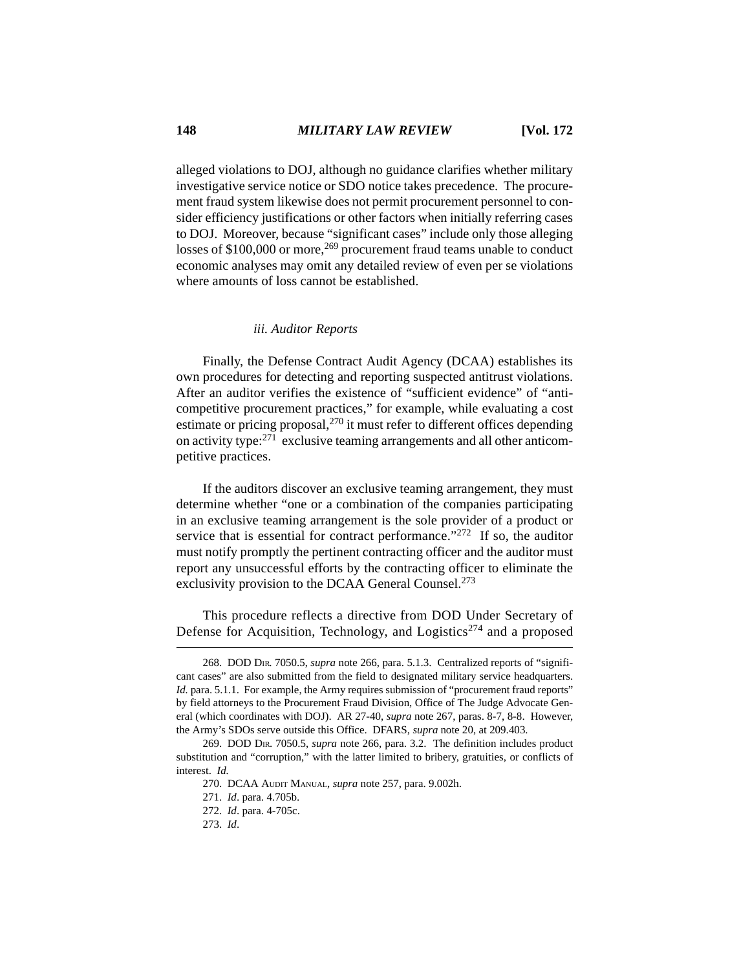alleged violations to DOJ, although no guidance clarifies whether military investigative service notice or SDO notice takes precedence. The procurement fraud system likewise does not permit procurement personnel to consider efficiency justifications or other factors when initially referring cases to DOJ. Moreover, because "significant cases" include only those alleging losses of \$100,000 or more,<sup>269</sup> procurement fraud teams unable to conduct economic analyses may omit any detailed review of even per se violations where amounts of loss cannot be established.

#### *iii. Auditor Reports*

Finally, the Defense Contract Audit Agency (DCAA) establishes its own procedures for detecting and reporting suspected antitrust violations. After an auditor verifies the existence of "sufficient evidence" of "anticompetitive procurement practices," for example, while evaluating a cost estimate or pricing proposal,270 it must refer to different offices depending on activity type:271 exclusive teaming arrangements and all other anticompetitive practices.

If the auditors discover an exclusive teaming arrangement, they must determine whether "one or a combination of the companies participating in an exclusive teaming arrangement is the sole provider of a product or service that is essential for contract performance."<sup>272</sup> If so, the auditor must notify promptly the pertinent contracting officer and the auditor must report any unsuccessful efforts by the contracting officer to eliminate the exclusivity provision to the DCAA General Counsel.<sup>273</sup>

This procedure reflects a directive from DOD Under Secretary of Defense for Acquisition, Technology, and Logistics<sup>274</sup> and a proposed

<sup>268.</sup> DOD DIR. 7050.5, *supra* note 266, para. 5.1.3. Centralized reports of "significant cases" are also submitted from the field to designated military service headquarters. *Id.* para. 5.1.1. For example, the Army requires submission of "procurement fraud reports" by field attorneys to the Procurement Fraud Division, Office of The Judge Advocate General (which coordinates with DOJ). AR 27-40, *supra* note 267, paras. 8-7, 8-8. However, the Army's SDOs serve outside this Office. DFARS, *supra* note 20, at 209.403.

<sup>269.</sup> DOD DIR. 7050.5, *supra* note 266, para. 3.2. The definition includes product substitution and "corruption," with the latter limited to bribery, gratuities, or conflicts of interest. *Id.*

<sup>270.</sup> DCAA AUDIT MANUAL, *supra* note 257, para. 9.002h.

<sup>271.</sup> *Id*. para. 4.705b.

<sup>272.</sup> *Id*. para. 4-705c.

<sup>273.</sup> *Id*.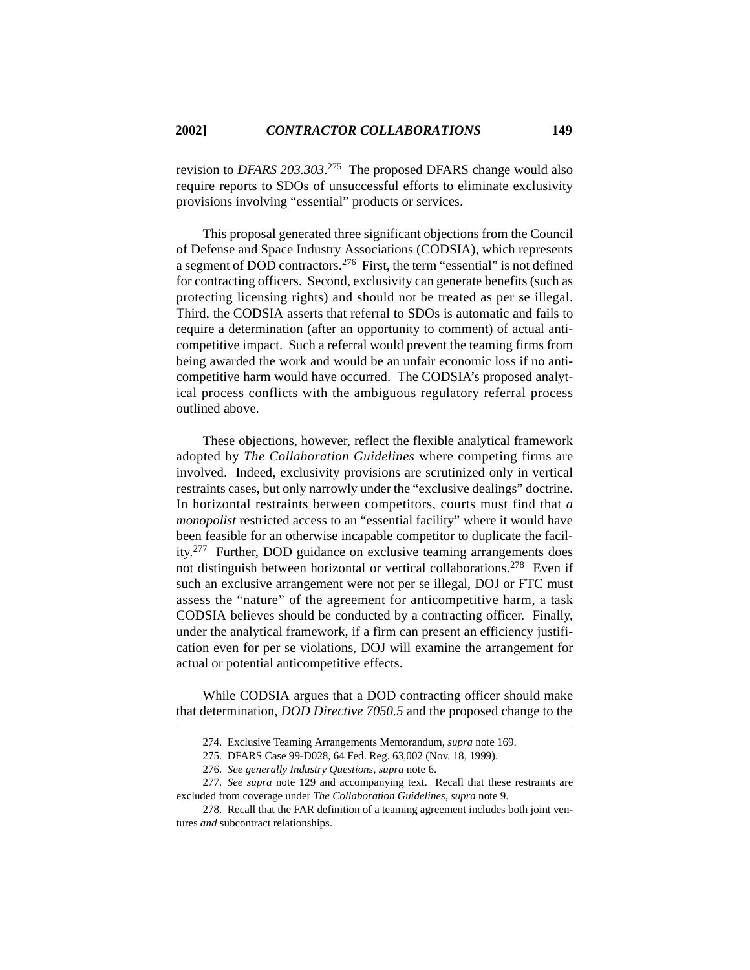revision to *DFARS 203.303*. 275 The proposed DFARS change would also require reports to SDOs of unsuccessful efforts to eliminate exclusivity provisions involving "essential" products or services.

This proposal generated three significant objections from the Council of Defense and Space Industry Associations (CODSIA), which represents a segment of DOD contractors.276 First, the term "essential" is not defined for contracting officers. Second, exclusivity can generate benefits (such as protecting licensing rights) and should not be treated as per se illegal. Third, the CODSIA asserts that referral to SDOs is automatic and fails to require a determination (after an opportunity to comment) of actual anticompetitive impact. Such a referral would prevent the teaming firms from being awarded the work and would be an unfair economic loss if no anticompetitive harm would have occurred. The CODSIA's proposed analytical process conflicts with the ambiguous regulatory referral process outlined above.

These objections, however, reflect the flexible analytical framework adopted by *The Collaboration Guidelines* where competing firms are involved. Indeed, exclusivity provisions are scrutinized only in vertical restraints cases, but only narrowly under the "exclusive dealings" doctrine. In horizontal restraints between competitors, courts must find that *a monopolist* restricted access to an "essential facility" where it would have been feasible for an otherwise incapable competitor to duplicate the facility.277 Further, DOD guidance on exclusive teaming arrangements does not distinguish between horizontal or vertical collaborations.278 Even if such an exclusive arrangement were not per se illegal, DOJ or FTC must assess the "nature" of the agreement for anticompetitive harm, a task CODSIA believes should be conducted by a contracting officer. Finally, under the analytical framework, if a firm can present an efficiency justification even for per se violations, DOJ will examine the arrangement for actual or potential anticompetitive effects.

While CODSIA argues that a DOD contracting officer should make that determination, *DOD Directive 7050.5* and the proposed change to the

<sup>274.</sup> Exclusive Teaming Arrangements Memorandum, *supra* note 169.

<sup>275.</sup> DFARS Case 99-D028, 64 Fed. Reg. 63,002 (Nov. 18, 1999).

<sup>276.</sup> *See generally Industry Questions*, *supra* note 6.

<sup>277.</sup> *See supra* note 129 and accompanying text. Recall that these restraints are excluded from coverage under *The Collaboration Guidelines*, *supra* note 9.

<sup>278.</sup> Recall that the FAR definition of a teaming agreement includes both joint ventures *and* subcontract relationships.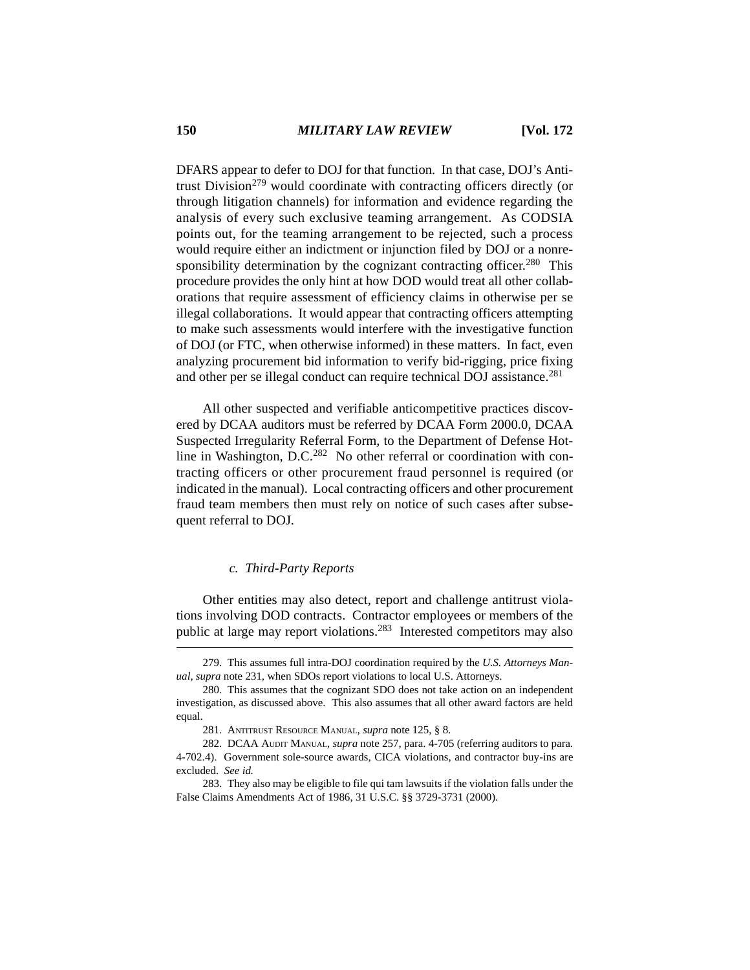DFARS appear to defer to DOJ for that function. In that case, DOJ's Antitrust Division<sup>279</sup> would coordinate with contracting officers directly (or through litigation channels) for information and evidence regarding the analysis of every such exclusive teaming arrangement. As CODSIA points out, for the teaming arrangement to be rejected, such a process would require either an indictment or injunction filed by DOJ or a nonresponsibility determination by the cognizant contracting officer.<sup>280</sup> This procedure provides the only hint at how DOD would treat all other collaborations that require assessment of efficiency claims in otherwise per se illegal collaborations. It would appear that contracting officers attempting to make such assessments would interfere with the investigative function of DOJ (or FTC, when otherwise informed) in these matters. In fact, even analyzing procurement bid information to verify bid-rigging, price fixing and other per se illegal conduct can require technical DOJ assistance.<sup>281</sup>

All other suspected and verifiable anticompetitive practices discovered by DCAA auditors must be referred by DCAA Form 2000.0, DCAA Suspected Irregularity Referral Form, to the Department of Defense Hotline in Washington, D.C.<sup>282</sup> No other referral or coordination with contracting officers or other procurement fraud personnel is required (or indicated in the manual). Local contracting officers and other procurement fraud team members then must rely on notice of such cases after subsequent referral to DOJ.

#### *c. Third-Party Reports*

Other entities may also detect, report and challenge antitrust violations involving DOD contracts. Contractor employees or members of the public at large may report violations.283 Interested competitors may also

<sup>279.</sup> This assumes full intra-DOJ coordination required by the *U.S. Attorneys Manual*, *supra* note 231, when SDOs report violations to local U.S. Attorneys.

<sup>280.</sup> This assumes that the cognizant SDO does not take action on an independent investigation, as discussed above. This also assumes that all other award factors are held equal.

<sup>281.</sup> ANTITRUST RESOURCE MANUAL, *supra* note 125, § 8.

<sup>282.</sup> DCAA AUDIT MANUAL, *supra* note 257, para. 4-705 (referring auditors to para. 4-702.4). Government sole-source awards, CICA violations, and contractor buy-ins are excluded. *See id.*

<sup>283.</sup> They also may be eligible to file qui tam lawsuits if the violation falls under the False Claims Amendments Act of 1986, 31 U.S.C. §§ 3729-3731 (2000).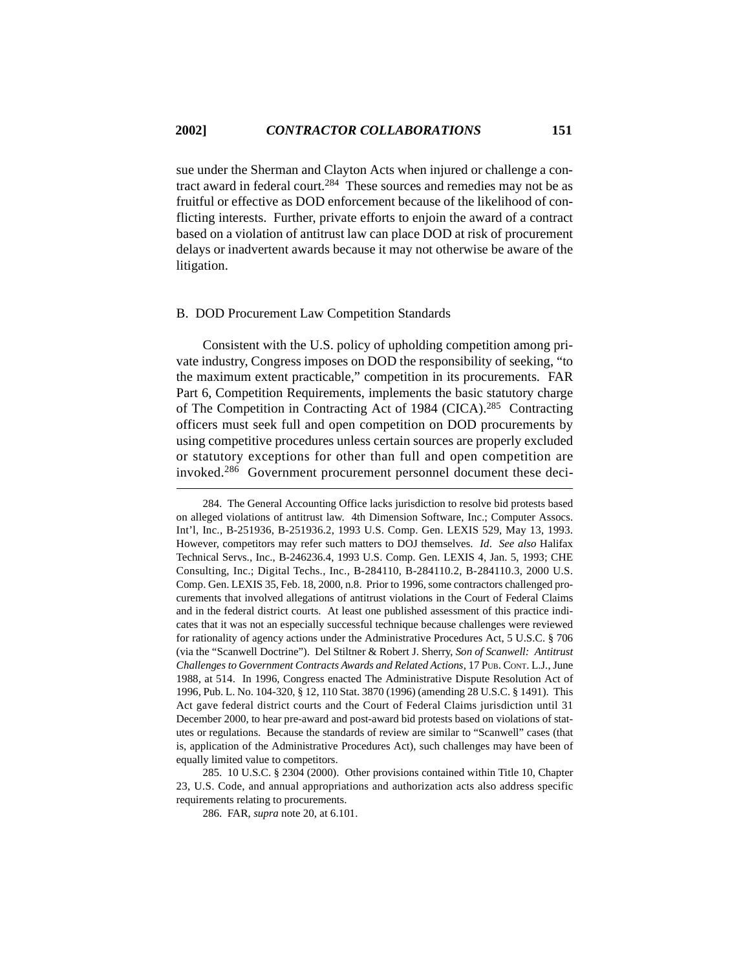sue under the Sherman and Clayton Acts when injured or challenge a contract award in federal court.284 These sources and remedies may not be as fruitful or effective as DOD enforcement because of the likelihood of conflicting interests. Further, private efforts to enjoin the award of a contract based on a violation of antitrust law can place DOD at risk of procurement delays or inadvertent awards because it may not otherwise be aware of the litigation.

### B. DOD Procurement Law Competition Standards

Consistent with the U.S. policy of upholding competition among private industry, Congress imposes on DOD the responsibility of seeking, "to the maximum extent practicable," competition in its procurements. FAR Part 6, Competition Requirements, implements the basic statutory charge of The Competition in Contracting Act of 1984 (CICA).285 Contracting officers must seek full and open competition on DOD procurements by using competitive procedures unless certain sources are properly excluded or statutory exceptions for other than full and open competition are invoked.286 Government procurement personnel document these deci-

285. 10 U.S.C. § 2304 (2000). Other provisions contained within Title 10, Chapter 23, U.S. Code, and annual appropriations and authorization acts also address specific requirements relating to procurements.

286. FAR, *supra* note 20, at 6.101.

<sup>284.</sup> The General Accounting Office lacks jurisdiction to resolve bid protests based on alleged violations of antitrust law. 4th Dimension Software, Inc.; Computer Assocs. Int'l, Inc., B-251936, B-251936.2, 1993 U.S. Comp. Gen. LEXIS 529, May 13, 1993. However, competitors may refer such matters to DOJ themselves. *Id*. *See also* Halifax Technical Servs., Inc., B-246236.4, 1993 U.S. Comp. Gen. LEXIS 4, Jan. 5, 1993; CHE Consulting, Inc.; Digital Techs., Inc., B-284110, B-284110.2, B-284110.3, 2000 U.S. Comp. Gen. LEXIS 35, Feb. 18, 2000, n.8. Prior to 1996, some contractors challenged procurements that involved allegations of antitrust violations in the Court of Federal Claims and in the federal district courts. At least one published assessment of this practice indicates that it was not an especially successful technique because challenges were reviewed for rationality of agency actions under the Administrative Procedures Act, 5 U.S.C. § 706 (via the "Scanwell Doctrine"). Del Stiltner & Robert J. Sherry, *Son of Scanwell: Antitrust Challenges to Government Contracts Awards and Related Actions*, 17 PUB. CONT. L.J., June 1988, at 514. In 1996, Congress enacted The Administrative Dispute Resolution Act of 1996, Pub. L. No. 104-320, § 12, 110 Stat. 3870 (1996) (amending 28 U.S.C. § 1491). This Act gave federal district courts and the Court of Federal Claims jurisdiction until 31 December 2000, to hear pre-award and post-award bid protests based on violations of statutes or regulations. Because the standards of review are similar to "Scanwell" cases (that is, application of the Administrative Procedures Act), such challenges may have been of equally limited value to competitors.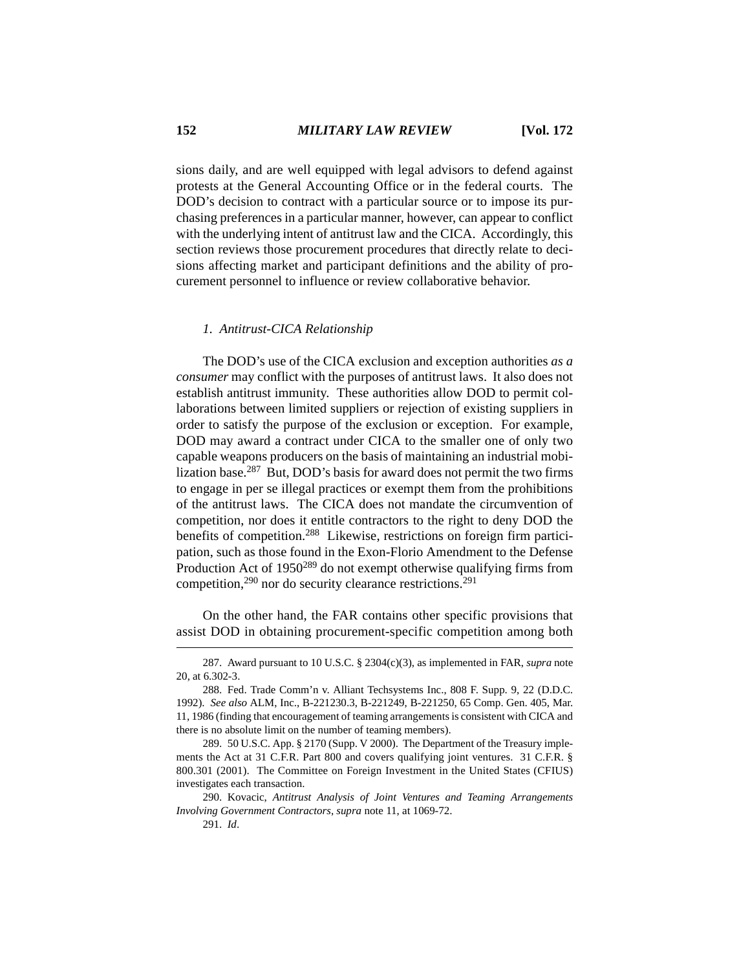sions daily, and are well equipped with legal advisors to defend against protests at the General Accounting Office or in the federal courts. The DOD's decision to contract with a particular source or to impose its purchasing preferences in a particular manner, however, can appear to conflict with the underlying intent of antitrust law and the CICA. Accordingly, this section reviews those procurement procedures that directly relate to decisions affecting market and participant definitions and the ability of procurement personnel to influence or review collaborative behavior.

#### *1. Antitrust-CICA Relationship*

The DOD's use of the CICA exclusion and exception authorities *as a consumer* may conflict with the purposes of antitrust laws. It also does not establish antitrust immunity. These authorities allow DOD to permit collaborations between limited suppliers or rejection of existing suppliers in order to satisfy the purpose of the exclusion or exception. For example, DOD may award a contract under CICA to the smaller one of only two capable weapons producers on the basis of maintaining an industrial mobilization base.287 But, DOD's basis for award does not permit the two firms to engage in per se illegal practices or exempt them from the prohibitions of the antitrust laws. The CICA does not mandate the circumvention of competition, nor does it entitle contractors to the right to deny DOD the benefits of competition.<sup>288</sup> Likewise, restrictions on foreign firm participation, such as those found in the Exon-Florio Amendment to the Defense Production Act of 1950<sup>289</sup> do not exempt otherwise qualifying firms from competition,290 nor do security clearance restrictions.291

On the other hand, the FAR contains other specific provisions that assist DOD in obtaining procurement-specific competition among both

<sup>287.</sup> Award pursuant to 10 U.S.C. § 2304(c)(3), as implemented in FAR, *supra* note 20, at 6.302-3.

<sup>288.</sup> Fed. Trade Comm'n v. Alliant Techsystems Inc., 808 F. Supp. 9, 22 (D.D.C. 1992). *See also* ALM, Inc., B-221230.3, B-221249, B-221250, 65 Comp. Gen. 405, Mar. 11, 1986 (finding that encouragement of teaming arrangements is consistent with CICA and there is no absolute limit on the number of teaming members).

<sup>289. 50</sup> U.S.C. App. § 2170 (Supp. V 2000). The Department of the Treasury implements the Act at 31 C.F.R. Part 800 and covers qualifying joint ventures. 31 C.F.R. § 800.301 (2001). The Committee on Foreign Investment in the United States (CFIUS) investigates each transaction.

<sup>290.</sup> Kovacic, *Antitrust Analysis of Joint Ventures and Teaming Arrangements Involving Government Contractors*, *supra* note 11, at 1069-72.

<sup>291.</sup> *Id*.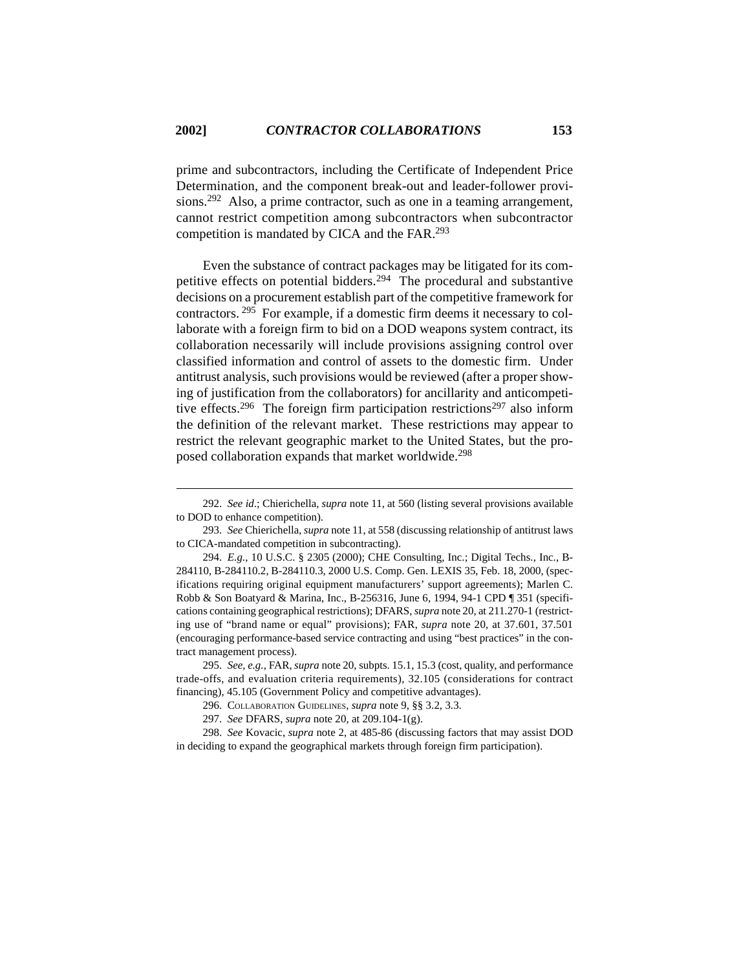prime and subcontractors, including the Certificate of Independent Price Determination, and the component break-out and leader-follower provisions.292 Also, a prime contractor, such as one in a teaming arrangement, cannot restrict competition among subcontractors when subcontractor competition is mandated by CICA and the FAR.293

Even the substance of contract packages may be litigated for its competitive effects on potential bidders.294 The procedural and substantive decisions on a procurement establish part of the competitive framework for contractors. 295 For example, if a domestic firm deems it necessary to collaborate with a foreign firm to bid on a DOD weapons system contract, its collaboration necessarily will include provisions assigning control over classified information and control of assets to the domestic firm. Under antitrust analysis, such provisions would be reviewed (after a proper showing of justification from the collaborators) for ancillarity and anticompetitive effects.<sup>296</sup> The foreign firm participation restrictions<sup>297</sup> also inform the definition of the relevant market. These restrictions may appear to restrict the relevant geographic market to the United States, but the proposed collaboration expands that market worldwide.298

<sup>292.</sup> *See id*.; Chierichella, *supra* note 11, at 560 (listing several provisions available to DOD to enhance competition).

<sup>293.</sup> *See* Chierichella, *supra* note 11, at 558 (discussing relationship of antitrust laws to CICA-mandated competition in subcontracting).

<sup>294.</sup> *E.g*., 10 U.S.C. § 2305 (2000); CHE Consulting, Inc.; Digital Techs., Inc., B-284110, B-284110.2, B-284110.3, 2000 U.S. Comp. Gen. LEXIS 35, Feb. 18, 2000, (specifications requiring original equipment manufacturers' support agreements); Marlen C. Robb & Son Boatyard & Marina, Inc., B-256316, June 6, 1994, 94-1 CPD ¶ 351 (specifications containing geographical restrictions); DFARS, *supra* note 20, at 211.270-1 (restricting use of "brand name or equal" provisions); FAR, *supra* note 20, at 37.601, 37.501 (encouraging performance-based service contracting and using "best practices" in the contract management process).

<sup>295.</sup> *See, e.g.,* FAR, *supra* note 20, subpts. 15.1, 15.3 (cost, quality, and performance trade-offs, and evaluation criteria requirements), 32.105 (considerations for contract financing), 45.105 (Government Policy and competitive advantages).

<sup>296.</sup> COLLABORATION GUIDELINES, *supra* note 9, §§ 3.2, 3.3.

<sup>297.</sup> *See* DFARS, *supra* note 20, at 209.104-1(g).

<sup>298.</sup> *See* Kovacic, *supra* note 2, at 485-86 (discussing factors that may assist DOD in deciding to expand the geographical markets through foreign firm participation).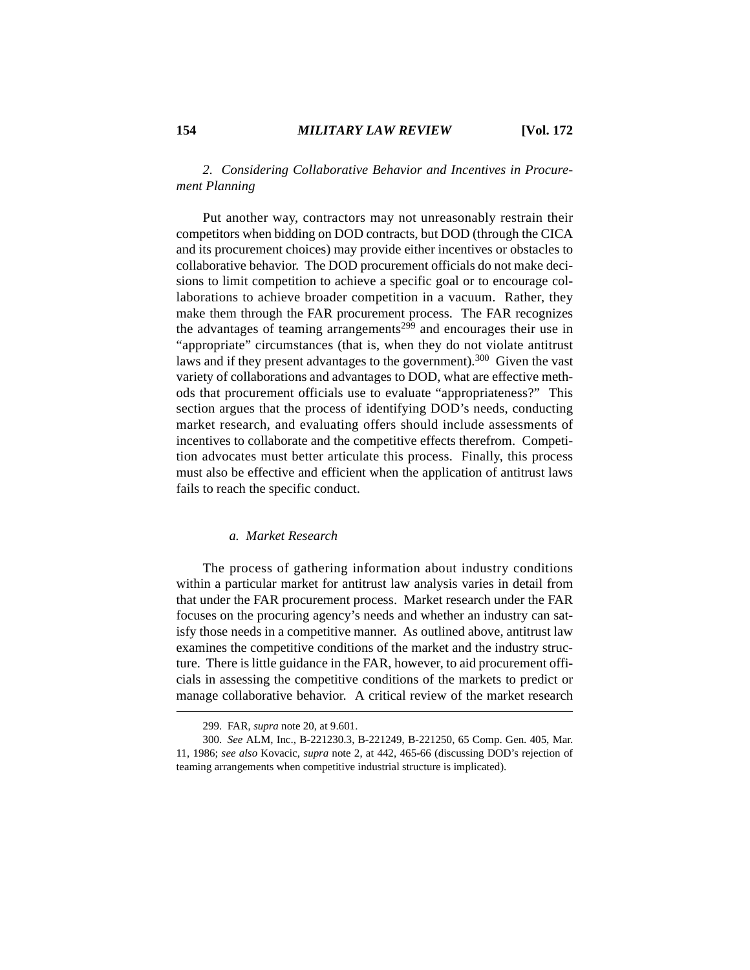# *2. Considering Collaborative Behavior and Incentives in Procurement Planning*

Put another way, contractors may not unreasonably restrain their competitors when bidding on DOD contracts, but DOD (through the CICA and its procurement choices) may provide either incentives or obstacles to collaborative behavior. The DOD procurement officials do not make decisions to limit competition to achieve a specific goal or to encourage collaborations to achieve broader competition in a vacuum. Rather, they make them through the FAR procurement process. The FAR recognizes the advantages of teaming arrangements<sup>299</sup> and encourages their use in "appropriate" circumstances (that is, when they do not violate antitrust laws and if they present advantages to the government).300 Given the vast variety of collaborations and advantages to DOD, what are effective methods that procurement officials use to evaluate "appropriateness?" This section argues that the process of identifying DOD's needs, conducting market research, and evaluating offers should include assessments of incentives to collaborate and the competitive effects therefrom. Competition advocates must better articulate this process. Finally, this process must also be effective and efficient when the application of antitrust laws fails to reach the specific conduct.

# *a. Market Research*

The process of gathering information about industry conditions within a particular market for antitrust law analysis varies in detail from that under the FAR procurement process. Market research under the FAR focuses on the procuring agency's needs and whether an industry can satisfy those needs in a competitive manner. As outlined above, antitrust law examines the competitive conditions of the market and the industry structure. There is little guidance in the FAR, however, to aid procurement officials in assessing the competitive conditions of the markets to predict or manage collaborative behavior. A critical review of the market research

<sup>299.</sup> FAR, *supra* note 20, at 9.601.

<sup>300.</sup> *See* ALM, Inc., B-221230.3, B-221249, B-221250, 65 Comp. Gen. 405, Mar. 11, 1986; *see also* Kovacic, *supra* note 2, at 442, 465-66 (discussing DOD's rejection of teaming arrangements when competitive industrial structure is implicated).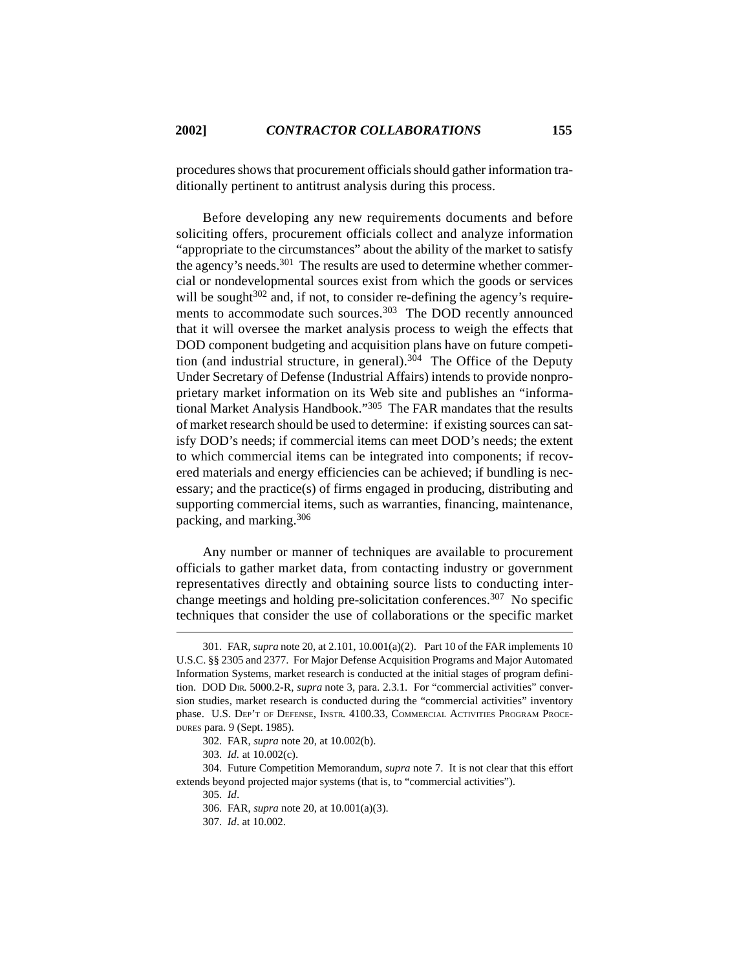procedures shows that procurement officials should gather information traditionally pertinent to antitrust analysis during this process.

Before developing any new requirements documents and before soliciting offers, procurement officials collect and analyze information "appropriate to the circumstances" about the ability of the market to satisfy the agency's needs.301 The results are used to determine whether commercial or nondevelopmental sources exist from which the goods or services will be sought  $302$  and, if not, to consider re-defining the agency's requirements to accommodate such sources.<sup>303</sup> The DOD recently announced that it will oversee the market analysis process to weigh the effects that DOD component budgeting and acquisition plans have on future competition (and industrial structure, in general).<sup>304</sup> The Office of the Deputy Under Secretary of Defense (Industrial Affairs) intends to provide nonproprietary market information on its Web site and publishes an "informational Market Analysis Handbook."<sup>305</sup> The FAR mandates that the results of market research should be used to determine: if existing sources can satisfy DOD's needs; if commercial items can meet DOD's needs; the extent to which commercial items can be integrated into components; if recovered materials and energy efficiencies can be achieved; if bundling is necessary; and the practice(s) of firms engaged in producing, distributing and supporting commercial items, such as warranties, financing, maintenance, packing, and marking.306

Any number or manner of techniques are available to procurement officials to gather market data, from contacting industry or government representatives directly and obtaining source lists to conducting interchange meetings and holding pre-solicitation conferences.307 No specific techniques that consider the use of collaborations or the specific market

<sup>301.</sup> FAR, *supra* note 20, at 2.101, 10.001(a)(2). Part 10 of the FAR implements 10 U.S.C. §§ 2305 and 2377. For Major Defense Acquisition Programs and Major Automated Information Systems, market research is conducted at the initial stages of program definition. DOD DIR. 5000.2-R, *supra* note 3, para. 2.3.1. For "commercial activities" conversion studies, market research is conducted during the "commercial activities" inventory phase. U.S. DEP'T OF DEFENSE, INSTR. 4100.33, COMMERCIAL ACTIVITIES PROGRAM PROCE-DURES para. 9 (Sept. 1985).

<sup>302.</sup> FAR, *supra* note 20, at 10.002(b).

<sup>303.</sup> *Id.* at 10.002(c).

<sup>304.</sup> Future Competition Memorandum, *supra* note 7. It is not clear that this effort extends beyond projected major systems (that is, to "commercial activities").

<sup>305.</sup> *Id*.

<sup>306.</sup> FAR, *supra* note 20, at 10.001(a)(3).

<sup>307.</sup> *Id*. at 10.002.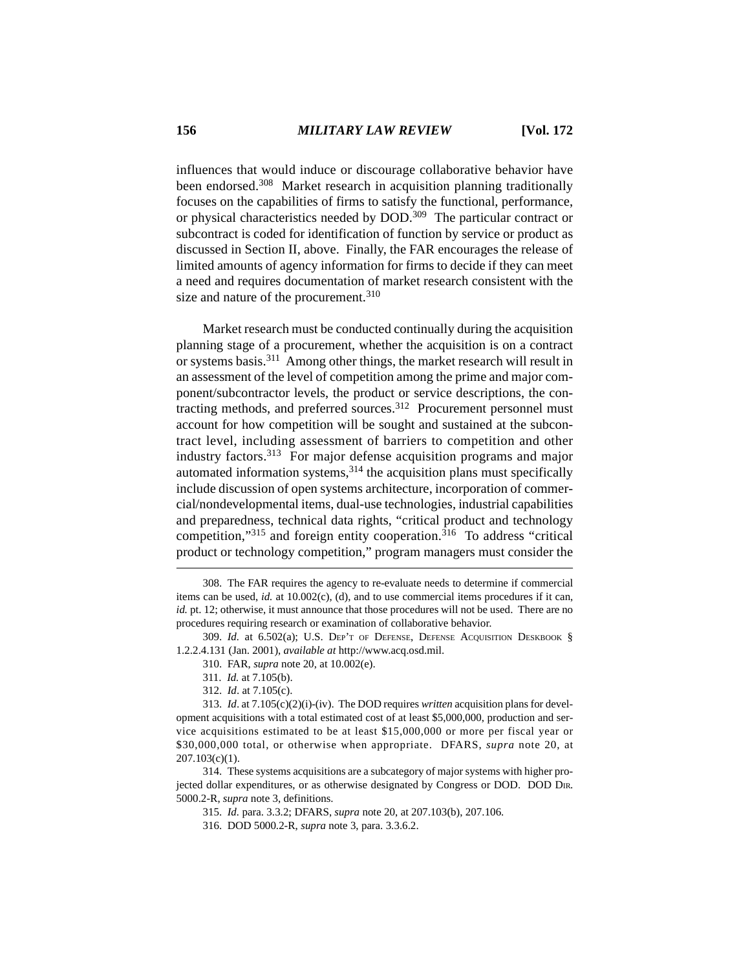influences that would induce or discourage collaborative behavior have been endorsed.<sup>308</sup> Market research in acquisition planning traditionally focuses on the capabilities of firms to satisfy the functional, performance, or physical characteristics needed by DOD.309 The particular contract or subcontract is coded for identification of function by service or product as discussed in Section II, above. Finally, the FAR encourages the release of limited amounts of agency information for firms to decide if they can meet a need and requires documentation of market research consistent with the size and nature of the procurement.<sup>310</sup>

Market research must be conducted continually during the acquisition planning stage of a procurement, whether the acquisition is on a contract or systems basis.311 Among other things, the market research will result in an assessment of the level of competition among the prime and major component/subcontractor levels, the product or service descriptions, the contracting methods, and preferred sources.312 Procurement personnel must account for how competition will be sought and sustained at the subcontract level, including assessment of barriers to competition and other industry factors.313 For major defense acquisition programs and major automated information systems,  $314$  the acquisition plans must specifically include discussion of open systems architecture, incorporation of commercial/nondevelopmental items, dual-use technologies, industrial capabilities and preparedness, technical data rights, "critical product and technology competition,"315 and foreign entity cooperation.<sup>316</sup> To address "critical product or technology competition," program managers must consider the

<sup>308.</sup> The FAR requires the agency to re-evaluate needs to determine if commercial items can be used, *id.* at 10.002(c), (d), and to use commercial items procedures if it can, *id.* pt. 12; otherwise, it must announce that those procedures will not be used. There are no procedures requiring research or examination of collaborative behavior.

<sup>309.</sup> *Id.* at 6.502(a); U.S. DEP'T OF DEFENSE, DEFENSE ACQUISITION DESKBOOK § 1.2.2.4.131 (Jan. 2001), *available at* http://www.acq.osd.mil.

<sup>310.</sup> FAR, *supra* note 20, at 10.002(e).

<sup>311.</sup> *Id.* at 7.105(b).

<sup>312.</sup> *Id*. at 7.105(c).

<sup>313.</sup> *Id*. at 7.105(c)(2)(i)-(iv). The DOD requires *written* acquisition plans for development acquisitions with a total estimated cost of at least \$5,000,000, production and service acquisitions estimated to be at least \$15,000,000 or more per fiscal year or \$30,000,000 total, or otherwise when appropriate. DFARS, *supra* note 20, at 207.103(c)(1).

<sup>314.</sup> These systems acquisitions are a subcategory of major systems with higher projected dollar expenditures, or as otherwise designated by Congress or DOD. DOD DIR. 5000.2-R, *supra* note 3, definitions.

<sup>315.</sup> *Id.* para. 3.3.2; DFARS, *supra* note 20, at 207.103(b), 207.106.

<sup>316.</sup> DOD 5000.2-R, *supra* note 3, para. 3.3.6.2.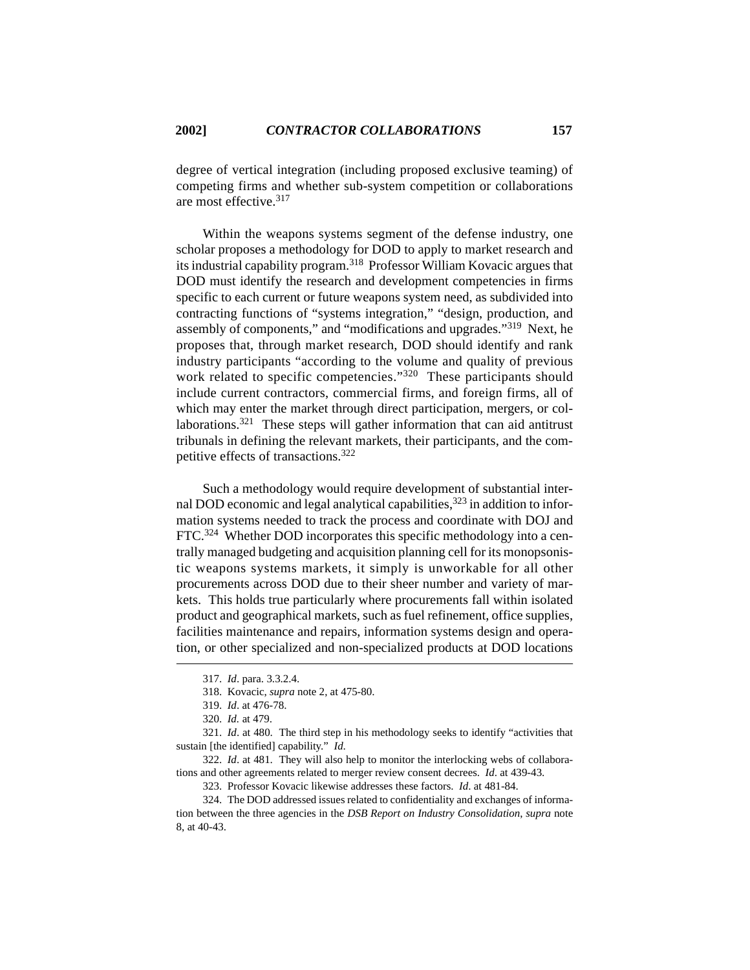degree of vertical integration (including proposed exclusive teaming) of competing firms and whether sub-system competition or collaborations are most effective.<sup>317</sup>

Within the weapons systems segment of the defense industry, one scholar proposes a methodology for DOD to apply to market research and its industrial capability program.318 Professor William Kovacic argues that DOD must identify the research and development competencies in firms specific to each current or future weapons system need, as subdivided into contracting functions of "systems integration," "design, production, and assembly of components," and "modifications and upgrades."319 Next, he proposes that, through market research, DOD should identify and rank industry participants "according to the volume and quality of previous work related to specific competencies."<sup>320</sup> These participants should include current contractors, commercial firms, and foreign firms, all of which may enter the market through direct participation, mergers, or collaborations.321 These steps will gather information that can aid antitrust tribunals in defining the relevant markets, their participants, and the competitive effects of transactions.322

Such a methodology would require development of substantial internal DOD economic and legal analytical capabilities,  $323$  in addition to information systems needed to track the process and coordinate with DOJ and FTC.324 Whether DOD incorporates this specific methodology into a centrally managed budgeting and acquisition planning cell for its monopsonistic weapons systems markets, it simply is unworkable for all other procurements across DOD due to their sheer number and variety of markets. This holds true particularly where procurements fall within isolated product and geographical markets, such as fuel refinement, office supplies, facilities maintenance and repairs, information systems design and operation, or other specialized and non-specialized products at DOD locations

323. Professor Kovacic likewise addresses these factors. *Id*. at 481-84.

324. The DOD addressed issues related to confidentiality and exchanges of information between the three agencies in the *DSB Report on Industry Consolidation*, *supra* note 8, at 40-43.

<sup>317.</sup> *Id*. para. 3.3.2.4.

<sup>318.</sup> Kovacic, *supra* note 2, at 475-80.

<sup>319.</sup> *Id*. at 476-78.

<sup>320.</sup> *Id.* at 479.

<sup>321.</sup> *Id*. at 480. The third step in his methodology seeks to identify "activities that sustain [the identified] capability." *Id*.

<sup>322.</sup> *Id*. at 481. They will also help to monitor the interlocking webs of collaborations and other agreements related to merger review consent decrees. *Id*. at 439-43.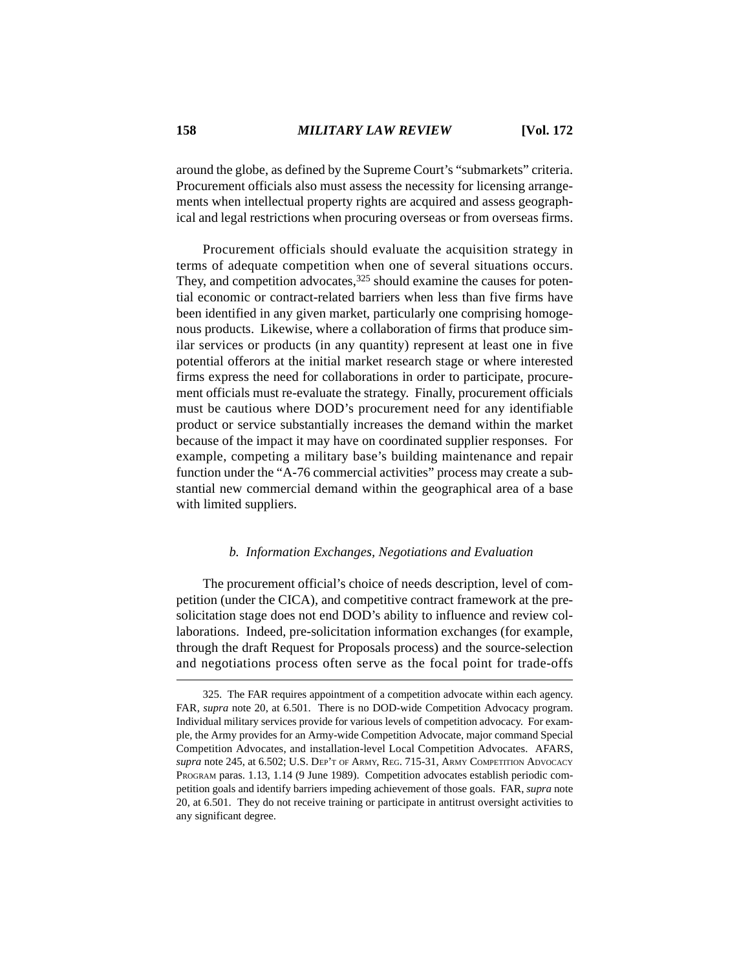around the globe, as defined by the Supreme Court's "submarkets" criteria. Procurement officials also must assess the necessity for licensing arrangements when intellectual property rights are acquired and assess geographical and legal restrictions when procuring overseas or from overseas firms.

Procurement officials should evaluate the acquisition strategy in terms of adequate competition when one of several situations occurs. They, and competition advocates,  $325$  should examine the causes for potential economic or contract-related barriers when less than five firms have been identified in any given market, particularly one comprising homogenous products. Likewise, where a collaboration of firms that produce similar services or products (in any quantity) represent at least one in five potential offerors at the initial market research stage or where interested firms express the need for collaborations in order to participate, procurement officials must re-evaluate the strategy. Finally, procurement officials must be cautious where DOD's procurement need for any identifiable product or service substantially increases the demand within the market because of the impact it may have on coordinated supplier responses. For example, competing a military base's building maintenance and repair function under the "A-76 commercial activities" process may create a substantial new commercial demand within the geographical area of a base with limited suppliers.

#### *b. Information Exchanges, Negotiations and Evaluation*

The procurement official's choice of needs description, level of competition (under the CICA), and competitive contract framework at the presolicitation stage does not end DOD's ability to influence and review collaborations. Indeed, pre-solicitation information exchanges (for example, through the draft Request for Proposals process) and the source-selection and negotiations process often serve as the focal point for trade-offs

<sup>325.</sup> The FAR requires appointment of a competition advocate within each agency. FAR, *supra* note 20, at 6.501. There is no DOD-wide Competition Advocacy program. Individual military services provide for various levels of competition advocacy. For example, the Army provides for an Army-wide Competition Advocate, major command Special Competition Advocates, and installation-level Local Competition Advocates. AFARS, *supra* note 245, at 6.502; U.S. DEP'T OF ARMY, REG. 715-31, ARMY COMPETITION ADVOCACY PROGRAM paras. 1.13, 1.14 (9 June 1989). Competition advocates establish periodic competition goals and identify barriers impeding achievement of those goals. FAR, *supra* note 20, at 6.501. They do not receive training or participate in antitrust oversight activities to any significant degree.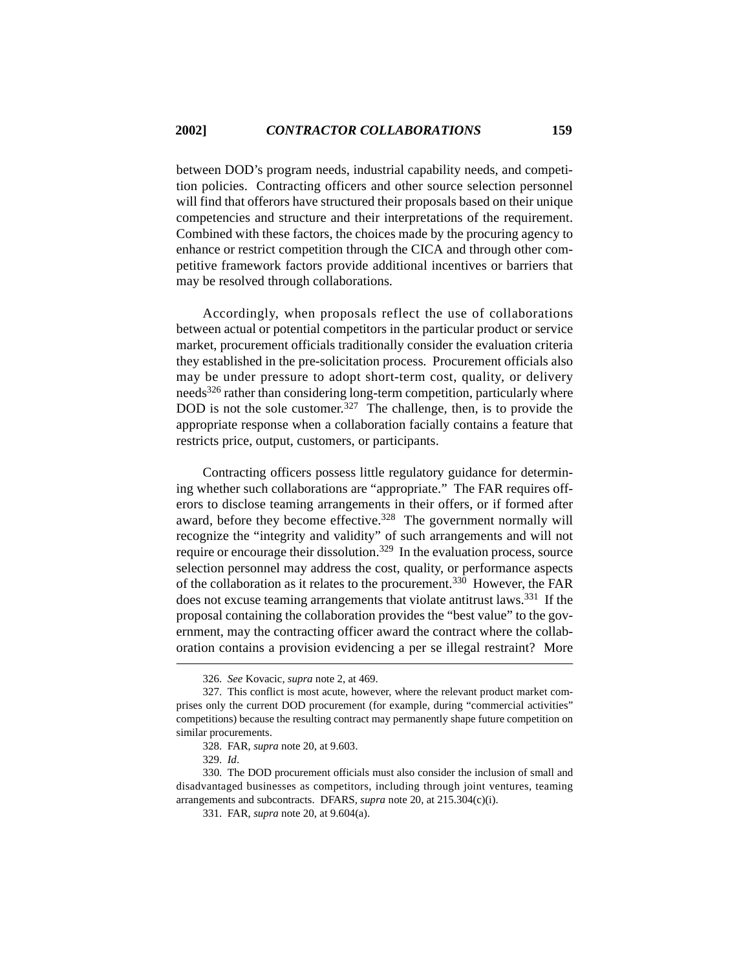between DOD's program needs, industrial capability needs, and competition policies. Contracting officers and other source selection personnel will find that offerors have structured their proposals based on their unique competencies and structure and their interpretations of the requirement. Combined with these factors, the choices made by the procuring agency to enhance or restrict competition through the CICA and through other competitive framework factors provide additional incentives or barriers that may be resolved through collaborations.

Accordingly, when proposals reflect the use of collaborations between actual or potential competitors in the particular product or service market, procurement officials traditionally consider the evaluation criteria they established in the pre-solicitation process. Procurement officials also may be under pressure to adopt short-term cost, quality, or delivery needs<sup>326</sup> rather than considering long-term competition, particularly where DOD is not the sole customer.<sup>327</sup> The challenge, then, is to provide the appropriate response when a collaboration facially contains a feature that restricts price, output, customers, or participants.

Contracting officers possess little regulatory guidance for determining whether such collaborations are "appropriate." The FAR requires offerors to disclose teaming arrangements in their offers, or if formed after award, before they become effective.<sup>328</sup> The government normally will recognize the "integrity and validity" of such arrangements and will not require or encourage their dissolution.<sup>329</sup> In the evaluation process, source selection personnel may address the cost, quality, or performance aspects of the collaboration as it relates to the procurement.330 However, the FAR does not excuse teaming arrangements that violate antitrust laws.331 If the proposal containing the collaboration provides the "best value" to the government, may the contracting officer award the contract where the collaboration contains a provision evidencing a per se illegal restraint? More

<sup>326.</sup> *See* Kovacic, *supra* note 2, at 469.

<sup>327.</sup> This conflict is most acute, however, where the relevant product market comprises only the current DOD procurement (for example, during "commercial activities" competitions) because the resulting contract may permanently shape future competition on similar procurements.

<sup>328.</sup> FAR, *supra* note 20, at 9.603.

<sup>329.</sup> *Id*.

<sup>330.</sup> The DOD procurement officials must also consider the inclusion of small and disadvantaged businesses as competitors, including through joint ventures, teaming arrangements and subcontracts. DFARS, *supra* note 20, at 215.304(c)(i).

<sup>331.</sup> FAR, *supra* note 20, at 9.604(a).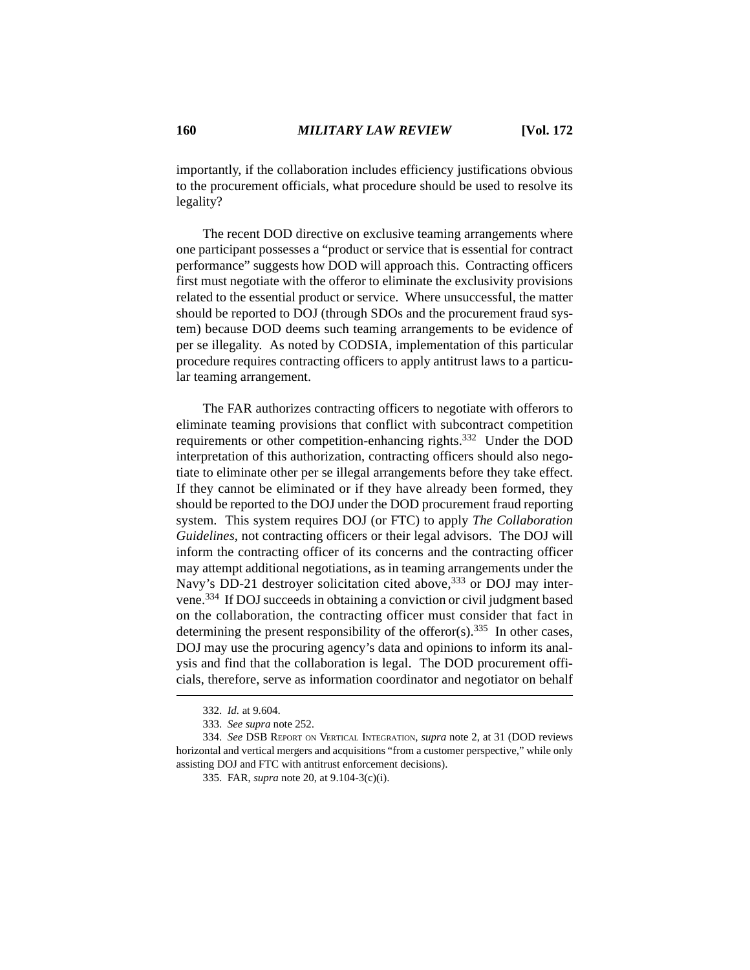importantly, if the collaboration includes efficiency justifications obvious to the procurement officials, what procedure should be used to resolve its legality?

The recent DOD directive on exclusive teaming arrangements where one participant possesses a "product or service that is essential for contract performance" suggests how DOD will approach this. Contracting officers first must negotiate with the offeror to eliminate the exclusivity provisions related to the essential product or service. Where unsuccessful, the matter should be reported to DOJ (through SDOs and the procurement fraud system) because DOD deems such teaming arrangements to be evidence of per se illegality. As noted by CODSIA, implementation of this particular procedure requires contracting officers to apply antitrust laws to a particular teaming arrangement.

The FAR authorizes contracting officers to negotiate with offerors to eliminate teaming provisions that conflict with subcontract competition requirements or other competition-enhancing rights.<sup>332</sup> Under the DOD interpretation of this authorization, contracting officers should also negotiate to eliminate other per se illegal arrangements before they take effect. If they cannot be eliminated or if they have already been formed, they should be reported to the DOJ under the DOD procurement fraud reporting system. This system requires DOJ (or FTC) to apply *The Collaboration Guidelines*, not contracting officers or their legal advisors. The DOJ will inform the contracting officer of its concerns and the contracting officer may attempt additional negotiations, as in teaming arrangements under the Navy's DD-21 destroyer solicitation cited above,<sup>333</sup> or DOJ may intervene.334 If DOJ succeeds in obtaining a conviction or civil judgment based on the collaboration, the contracting officer must consider that fact in determining the present responsibility of the offeror(s).<sup>335</sup> In other cases, DOJ may use the procuring agency's data and opinions to inform its analysis and find that the collaboration is legal. The DOD procurement officials, therefore, serve as information coordinator and negotiator on behalf

<sup>332.</sup> *Id.* at 9.604.

<sup>333.</sup> *See supra* note 252.

<sup>334.</sup> *See* DSB REPORT ON VERTICAL INTEGRATION, *supra* note 2, at 31 (DOD reviews horizontal and vertical mergers and acquisitions "from a customer perspective," while only assisting DOJ and FTC with antitrust enforcement decisions).

<sup>335.</sup> FAR, *supra* note 20, at 9.104-3(c)(i).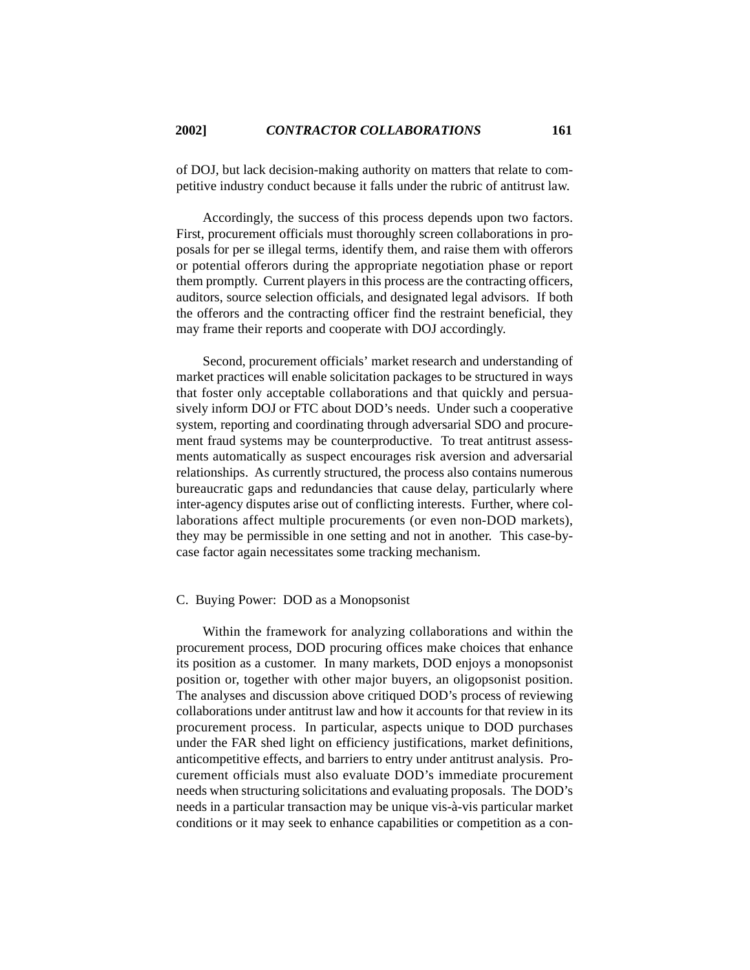of DOJ, but lack decision-making authority on matters that relate to competitive industry conduct because it falls under the rubric of antitrust law.

Accordingly, the success of this process depends upon two factors. First, procurement officials must thoroughly screen collaborations in proposals for per se illegal terms, identify them, and raise them with offerors or potential offerors during the appropriate negotiation phase or report them promptly. Current players in this process are the contracting officers, auditors, source selection officials, and designated legal advisors. If both the offerors and the contracting officer find the restraint beneficial, they may frame their reports and cooperate with DOJ accordingly.

Second, procurement officials' market research and understanding of market practices will enable solicitation packages to be structured in ways that foster only acceptable collaborations and that quickly and persuasively inform DOJ or FTC about DOD's needs. Under such a cooperative system, reporting and coordinating through adversarial SDO and procurement fraud systems may be counterproductive. To treat antitrust assessments automatically as suspect encourages risk aversion and adversarial relationships. As currently structured, the process also contains numerous bureaucratic gaps and redundancies that cause delay, particularly where inter-agency disputes arise out of conflicting interests. Further, where collaborations affect multiple procurements (or even non-DOD markets), they may be permissible in one setting and not in another. This case-bycase factor again necessitates some tracking mechanism.

#### C. Buying Power: DOD as a Monopsonist

Within the framework for analyzing collaborations and within the procurement process, DOD procuring offices make choices that enhance its position as a customer. In many markets, DOD enjoys a monopsonist position or, together with other major buyers, an oligopsonist position. The analyses and discussion above critiqued DOD's process of reviewing collaborations under antitrust law and how it accounts for that review in its procurement process. In particular, aspects unique to DOD purchases under the FAR shed light on efficiency justifications, market definitions, anticompetitive effects, and barriers to entry under antitrust analysis. Procurement officials must also evaluate DOD's immediate procurement needs when structuring solicitations and evaluating proposals. The DOD's needs in a particular transaction may be unique vis-à-vis particular market conditions or it may seek to enhance capabilities or competition as a con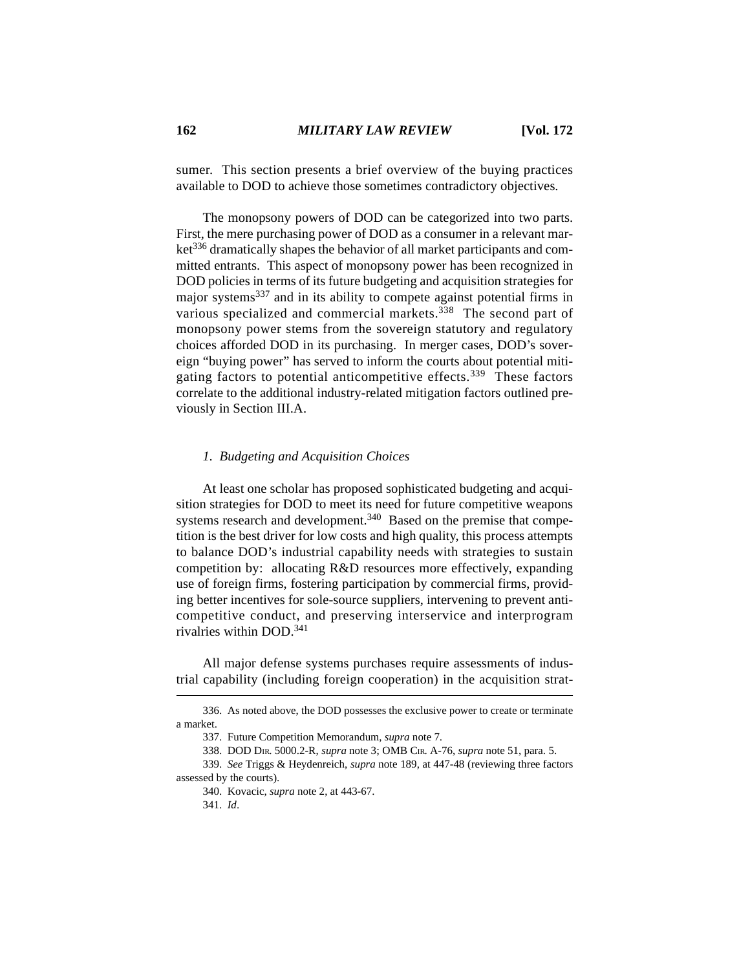sumer. This section presents a brief overview of the buying practices available to DOD to achieve those sometimes contradictory objectives.

The monopsony powers of DOD can be categorized into two parts. First, the mere purchasing power of DOD as a consumer in a relevant market336 dramatically shapes the behavior of all market participants and committed entrants. This aspect of monopsony power has been recognized in DOD policies in terms of its future budgeting and acquisition strategies for major systems337 and in its ability to compete against potential firms in various specialized and commercial markets.<sup>338</sup> The second part of monopsony power stems from the sovereign statutory and regulatory choices afforded DOD in its purchasing. In merger cases, DOD's sovereign "buying power" has served to inform the courts about potential mitigating factors to potential anticompetitive effects.<sup>339</sup> These factors correlate to the additional industry-related mitigation factors outlined previously in Section III.A.

## *1. Budgeting and Acquisition Choices*

At least one scholar has proposed sophisticated budgeting and acquisition strategies for DOD to meet its need for future competitive weapons systems research and development. $340$  Based on the premise that competition is the best driver for low costs and high quality, this process attempts to balance DOD's industrial capability needs with strategies to sustain competition by: allocating R&D resources more effectively, expanding use of foreign firms, fostering participation by commercial firms, providing better incentives for sole-source suppliers, intervening to prevent anticompetitive conduct, and preserving interservice and interprogram rivalries within DOD.341

All major defense systems purchases require assessments of industrial capability (including foreign cooperation) in the acquisition strat-

<sup>336.</sup> As noted above, the DOD possesses the exclusive power to create or terminate a market.

<sup>337.</sup> Future Competition Memorandum, *supra* note 7.

<sup>338.</sup> DOD DIR. 5000.2-R, *supra* note 3; OMB CIR. A-76, *supra* note 51, para. 5.

<sup>339.</sup> *See* Triggs & Heydenreich, *supra* note 189, at 447-48 (reviewing three factors assessed by the courts).

<sup>340.</sup> Kovacic, *supra* note 2, at 443-67.

<sup>341.</sup> *Id*.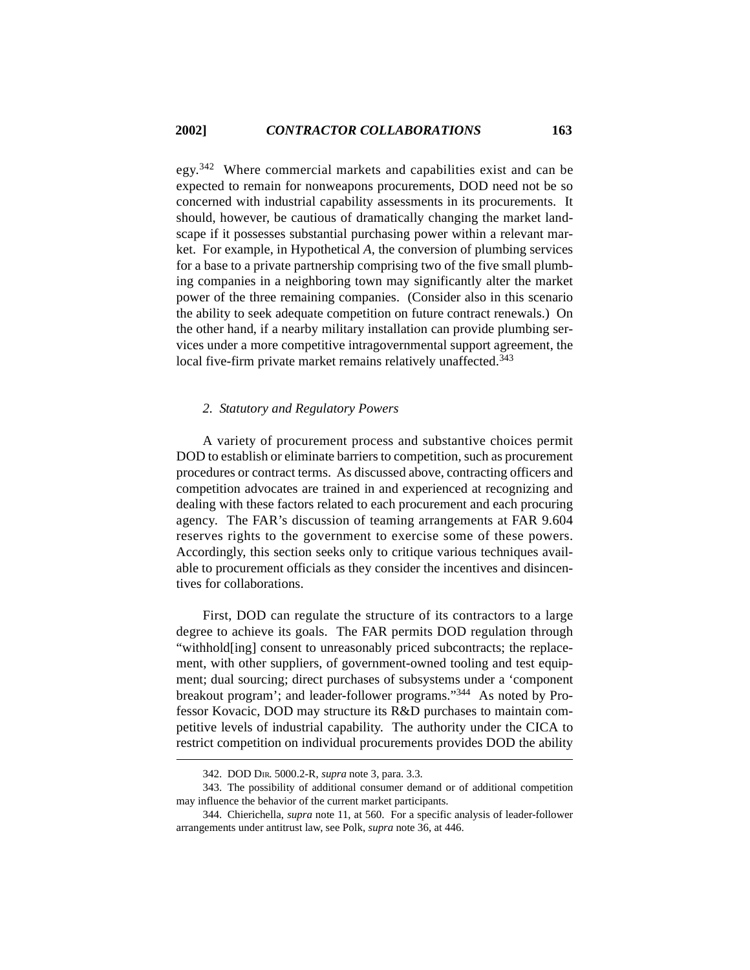egy.342 Where commercial markets and capabilities exist and can be expected to remain for nonweapons procurements, DOD need not be so concerned with industrial capability assessments in its procurements. It should, however, be cautious of dramatically changing the market landscape if it possesses substantial purchasing power within a relevant market. For example, in Hypothetical *A*, the conversion of plumbing services for a base to a private partnership comprising two of the five small plumbing companies in a neighboring town may significantly alter the market power of the three remaining companies. (Consider also in this scenario the ability to seek adequate competition on future contract renewals.) On the other hand, if a nearby military installation can provide plumbing services under a more competitive intragovernmental support agreement, the local five-firm private market remains relatively unaffected.<sup>343</sup>

# *2. Statutory and Regulatory Powers*

A variety of procurement process and substantive choices permit DOD to establish or eliminate barriers to competition, such as procurement procedures or contract terms. As discussed above, contracting officers and competition advocates are trained in and experienced at recognizing and dealing with these factors related to each procurement and each procuring agency. The FAR's discussion of teaming arrangements at FAR 9.604 reserves rights to the government to exercise some of these powers. Accordingly, this section seeks only to critique various techniques available to procurement officials as they consider the incentives and disincentives for collaborations.

First, DOD can regulate the structure of its contractors to a large degree to achieve its goals. The FAR permits DOD regulation through "withhold[ing] consent to unreasonably priced subcontracts; the replacement, with other suppliers, of government-owned tooling and test equipment; dual sourcing; direct purchases of subsystems under a 'component breakout program'; and leader-follower programs."344 As noted by Professor Kovacic, DOD may structure its R&D purchases to maintain competitive levels of industrial capability. The authority under the CICA to restrict competition on individual procurements provides DOD the ability

<sup>342.</sup> DOD DIR. 5000.2-R, *supra* note 3, para. 3.3.

<sup>343.</sup> The possibility of additional consumer demand or of additional competition may influence the behavior of the current market participants.

<sup>344.</sup> Chierichella, *supra* note 11, at 560. For a specific analysis of leader-follower arrangements under antitrust law, see Polk, *supra* note 36, at 446.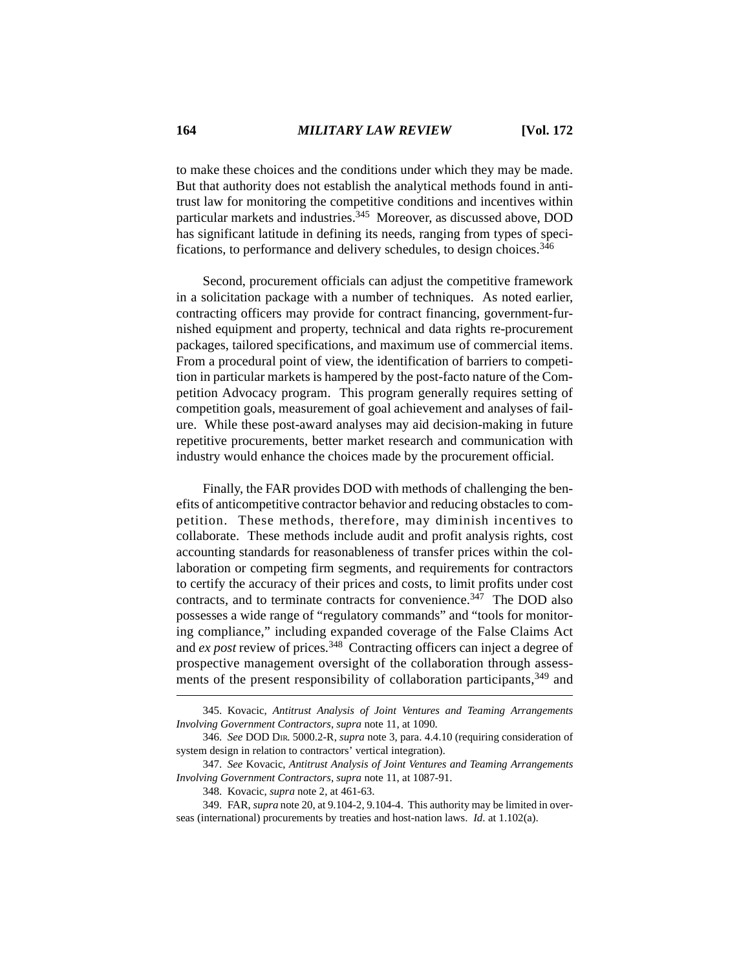to make these choices and the conditions under which they may be made. But that authority does not establish the analytical methods found in antitrust law for monitoring the competitive conditions and incentives within particular markets and industries.<sup>345</sup> Moreover, as discussed above, DOD has significant latitude in defining its needs, ranging from types of specifications, to performance and delivery schedules, to design choices.<sup>346</sup>

Second, procurement officials can adjust the competitive framework in a solicitation package with a number of techniques. As noted earlier, contracting officers may provide for contract financing, government-furnished equipment and property, technical and data rights re-procurement packages, tailored specifications, and maximum use of commercial items. From a procedural point of view, the identification of barriers to competition in particular markets is hampered by the post-facto nature of the Competition Advocacy program. This program generally requires setting of competition goals, measurement of goal achievement and analyses of failure. While these post-award analyses may aid decision-making in future repetitive procurements, better market research and communication with industry would enhance the choices made by the procurement official.

Finally, the FAR provides DOD with methods of challenging the benefits of anticompetitive contractor behavior and reducing obstacles to competition. These methods, therefore, may diminish incentives to collaborate. These methods include audit and profit analysis rights, cost accounting standards for reasonableness of transfer prices within the collaboration or competing firm segments, and requirements for contractors to certify the accuracy of their prices and costs, to limit profits under cost contracts, and to terminate contracts for convenience.<sup>347</sup> The DOD also possesses a wide range of "regulatory commands" and "tools for monitoring compliance," including expanded coverage of the False Claims Act and *ex post* review of prices.348 Contracting officers can inject a degree of prospective management oversight of the collaboration through assessments of the present responsibility of collaboration participants,<sup>349</sup> and

<sup>345.</sup> Kovacic, *Antitrust Analysis of Joint Ventures and Teaming Arrangements Involving Government Contractors*, *supra* note 11, at 1090.

<sup>346.</sup> *See* DOD DIR. 5000.2-R, *supra* note 3, para. 4.4.10 (requiring consideration of system design in relation to contractors' vertical integration).

<sup>347.</sup> *See* Kovacic, *Antitrust Analysis of Joint Ventures and Teaming Arrangements Involving Government Contractors*, *supra* note 11, at 1087-91.

<sup>348.</sup> Kovacic, *supra* note 2, at 461-63.

<sup>349.</sup> FAR, *supra* note 20, at 9.104-2, 9.104-4. This authority may be limited in overseas (international) procurements by treaties and host-nation laws. *Id*. at 1.102(a).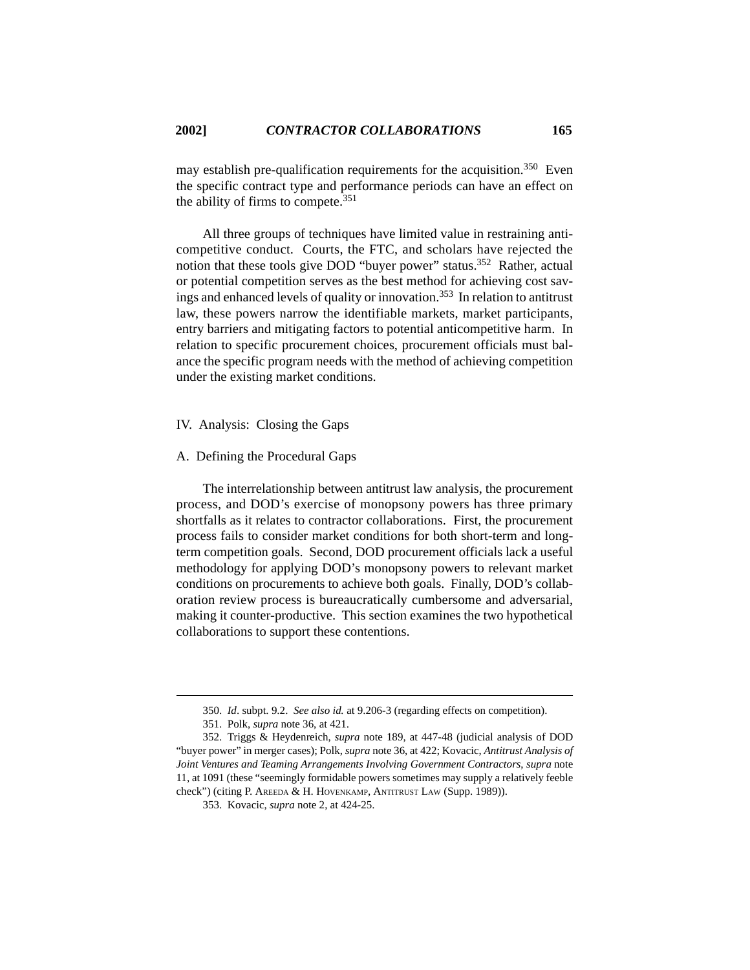may establish pre-qualification requirements for the acquisition.<sup>350</sup> Even the specific contract type and performance periods can have an effect on the ability of firms to compete.<sup>351</sup>

All three groups of techniques have limited value in restraining anticompetitive conduct. Courts, the FTC, and scholars have rejected the notion that these tools give DOD "buyer power" status.<sup>352</sup> Rather, actual or potential competition serves as the best method for achieving cost savings and enhanced levels of quality or innovation.353 In relation to antitrust law, these powers narrow the identifiable markets, market participants, entry barriers and mitigating factors to potential anticompetitive harm. In relation to specific procurement choices, procurement officials must balance the specific program needs with the method of achieving competition under the existing market conditions.

#### IV. Analysis: Closing the Gaps

#### A. Defining the Procedural Gaps

The interrelationship between antitrust law analysis, the procurement process, and DOD's exercise of monopsony powers has three primary shortfalls as it relates to contractor collaborations. First, the procurement process fails to consider market conditions for both short-term and longterm competition goals. Second, DOD procurement officials lack a useful methodology for applying DOD's monopsony powers to relevant market conditions on procurements to achieve both goals. Finally, DOD's collaboration review process is bureaucratically cumbersome and adversarial, making it counter-productive. This section examines the two hypothetical collaborations to support these contentions.

<sup>350.</sup> *Id*. subpt. 9.2. *See also id.* at 9.206-3 (regarding effects on competition).

<sup>351.</sup> Polk, *supra* note 36, at 421.

<sup>352.</sup> Triggs & Heydenreich, *supra* note 189, at 447-48 (judicial analysis of DOD "buyer power" in merger cases); Polk, *supra* note 36, at 422; Kovacic, *Antitrust Analysis of Joint Ventures and Teaming Arrangements Involving Government Contractors*, *supra* note 11, at 1091 (these "seemingly formidable powers sometimes may supply a relatively feeble check") (citing P. AREEDA & H. HOVENKAMP, ANTITRUST LAW (Supp. 1989)).

<sup>353.</sup> Kovacic, *supra* note 2, at 424-25.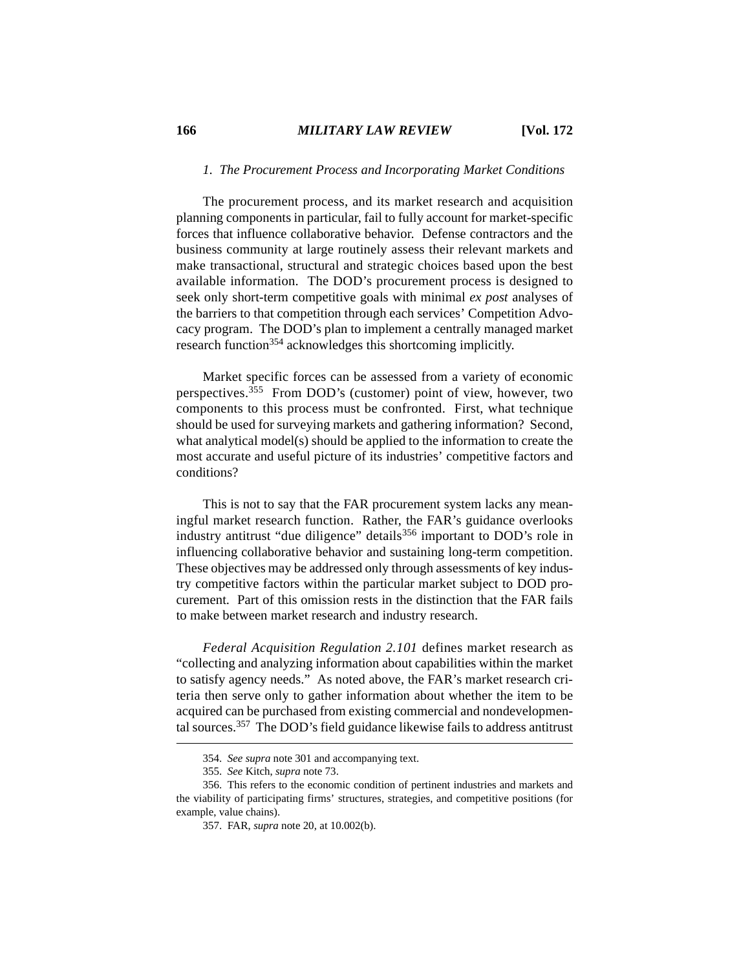#### **166** *MILITARY LAW REVIEW* **[Vol. 172**

# *1. The Procurement Process and Incorporating Market Conditions*

The procurement process, and its market research and acquisition planning components in particular, fail to fully account for market-specific forces that influence collaborative behavior. Defense contractors and the business community at large routinely assess their relevant markets and make transactional, structural and strategic choices based upon the best available information. The DOD's procurement process is designed to seek only short-term competitive goals with minimal *ex post* analyses of the barriers to that competition through each services' Competition Advocacy program. The DOD's plan to implement a centrally managed market research function<sup>354</sup> acknowledges this shortcoming implicitly.

Market specific forces can be assessed from a variety of economic perspectives.355 From DOD's (customer) point of view, however, two components to this process must be confronted. First, what technique should be used for surveying markets and gathering information? Second, what analytical model(s) should be applied to the information to create the most accurate and useful picture of its industries' competitive factors and conditions?

This is not to say that the FAR procurement system lacks any meaningful market research function. Rather, the FAR's guidance overlooks industry antitrust "due diligence" details<sup>356</sup> important to DOD's role in influencing collaborative behavior and sustaining long-term competition. These objectives may be addressed only through assessments of key industry competitive factors within the particular market subject to DOD procurement. Part of this omission rests in the distinction that the FAR fails to make between market research and industry research.

*Federal Acquisition Regulation 2.101* defines market research as "collecting and analyzing information about capabilities within the market to satisfy agency needs." As noted above, the FAR's market research criteria then serve only to gather information about whether the item to be acquired can be purchased from existing commercial and nondevelopmental sources.357 The DOD's field guidance likewise fails to address antitrust

<sup>354.</sup> *See supra* note 301 and accompanying text.

<sup>355.</sup> *See* Kitch, *supra* note 73.

<sup>356.</sup> This refers to the economic condition of pertinent industries and markets and the viability of participating firms' structures, strategies, and competitive positions (for example, value chains).

<sup>357.</sup> FAR, *supra* note 20, at 10.002(b).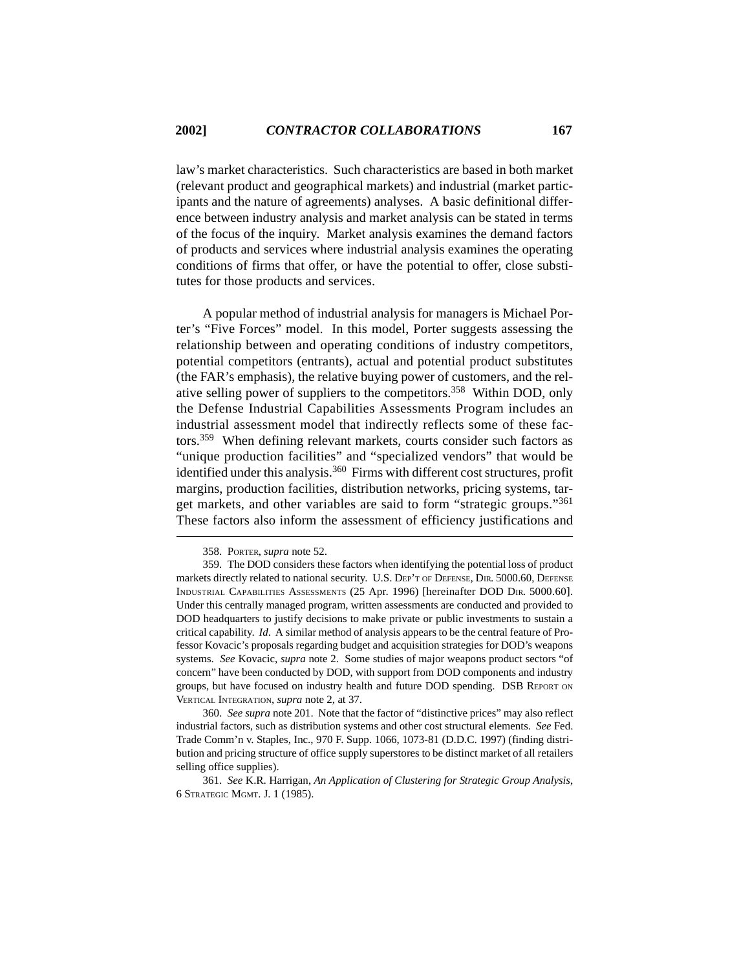law's market characteristics. Such characteristics are based in both market (relevant product and geographical markets) and industrial (market participants and the nature of agreements) analyses. A basic definitional difference between industry analysis and market analysis can be stated in terms of the focus of the inquiry. Market analysis examines the demand factors of products and services where industrial analysis examines the operating conditions of firms that offer, or have the potential to offer, close substitutes for those products and services.

A popular method of industrial analysis for managers is Michael Porter's "Five Forces" model. In this model, Porter suggests assessing the relationship between and operating conditions of industry competitors, potential competitors (entrants), actual and potential product substitutes (the FAR's emphasis), the relative buying power of customers, and the relative selling power of suppliers to the competitors.<sup>358</sup> Within DOD, only the Defense Industrial Capabilities Assessments Program includes an industrial assessment model that indirectly reflects some of these factors.359 When defining relevant markets, courts consider such factors as "unique production facilities" and "specialized vendors" that would be identified under this analysis.<sup>360</sup> Firms with different cost structures, profit margins, production facilities, distribution networks, pricing systems, target markets, and other variables are said to form "strategic groups."361 These factors also inform the assessment of efficiency justifications and

<sup>358.</sup> PORTER, *supra* note 52.

<sup>359.</sup> The DOD considers these factors when identifying the potential loss of product markets directly related to national security. U.S. DEP'T OF DEFENSE, DIR. 5000.60, DEFENSE INDUSTRIAL CAPABILITIES ASSESSMENTS (25 Apr. 1996) [hereinafter DOD DIR. 5000.60]. Under this centrally managed program, written assessments are conducted and provided to DOD headquarters to justify decisions to make private or public investments to sustain a critical capability. *Id*. A similar method of analysis appears to be the central feature of Professor Kovacic's proposals regarding budget and acquisition strategies for DOD's weapons systems. *See* Kovacic, *supra* note 2. Some studies of major weapons product sectors "of concern" have been conducted by DOD, with support from DOD components and industry groups, but have focused on industry health and future DOD spending. DSB REPORT ON VERTICAL INTEGRATION, *supra* note 2, at 37.

<sup>360.</sup> *See supra* note 201. Note that the factor of "distinctive prices" may also reflect industrial factors, such as distribution systems and other cost structural elements. *See* Fed. Trade Comm'n v. Staples, Inc., 970 F. Supp. 1066, 1073-81 (D.D.C. 1997) (finding distribution and pricing structure of office supply superstores to be distinct market of all retailers selling office supplies).

<sup>361.</sup> *See* K.R. Harrigan, *An Application of Clustering for Strategic Group Analysis*, 6 STRATEGIC MGMT. J. 1 (1985).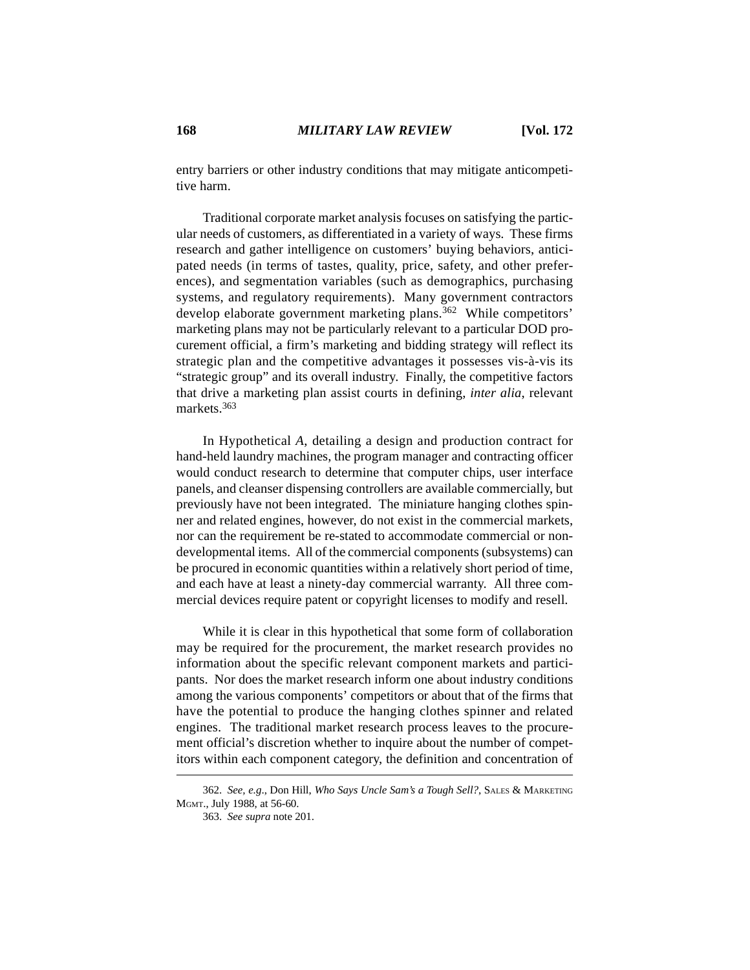entry barriers or other industry conditions that may mitigate anticompetitive harm.

Traditional corporate market analysis focuses on satisfying the particular needs of customers, as differentiated in a variety of ways. These firms research and gather intelligence on customers' buying behaviors, anticipated needs (in terms of tastes, quality, price, safety, and other preferences), and segmentation variables (such as demographics, purchasing systems, and regulatory requirements). Many government contractors develop elaborate government marketing plans.<sup>362</sup> While competitors' marketing plans may not be particularly relevant to a particular DOD procurement official, a firm's marketing and bidding strategy will reflect its strategic plan and the competitive advantages it possesses vis-à-vis its "strategic group" and its overall industry. Finally, the competitive factors that drive a marketing plan assist courts in defining, *inter alia*, relevant markets.363

In Hypothetical *A*, detailing a design and production contract for hand-held laundry machines, the program manager and contracting officer would conduct research to determine that computer chips, user interface panels, and cleanser dispensing controllers are available commercially, but previously have not been integrated. The miniature hanging clothes spinner and related engines, however, do not exist in the commercial markets, nor can the requirement be re-stated to accommodate commercial or nondevelopmental items. All of the commercial components (subsystems) can be procured in economic quantities within a relatively short period of time, and each have at least a ninety-day commercial warranty. All three commercial devices require patent or copyright licenses to modify and resell.

While it is clear in this hypothetical that some form of collaboration may be required for the procurement, the market research provides no information about the specific relevant component markets and participants. Nor does the market research inform one about industry conditions among the various components' competitors or about that of the firms that have the potential to produce the hanging clothes spinner and related engines. The traditional market research process leaves to the procurement official's discretion whether to inquire about the number of competitors within each component category, the definition and concentration of

<sup>362.</sup> *See, e.g*., Don Hill, *Who Says Uncle Sam's a Tough Sell?*, SALES & MARKETING MGMT., July 1988, at 56-60.

<sup>363.</sup> *See supra* note 201.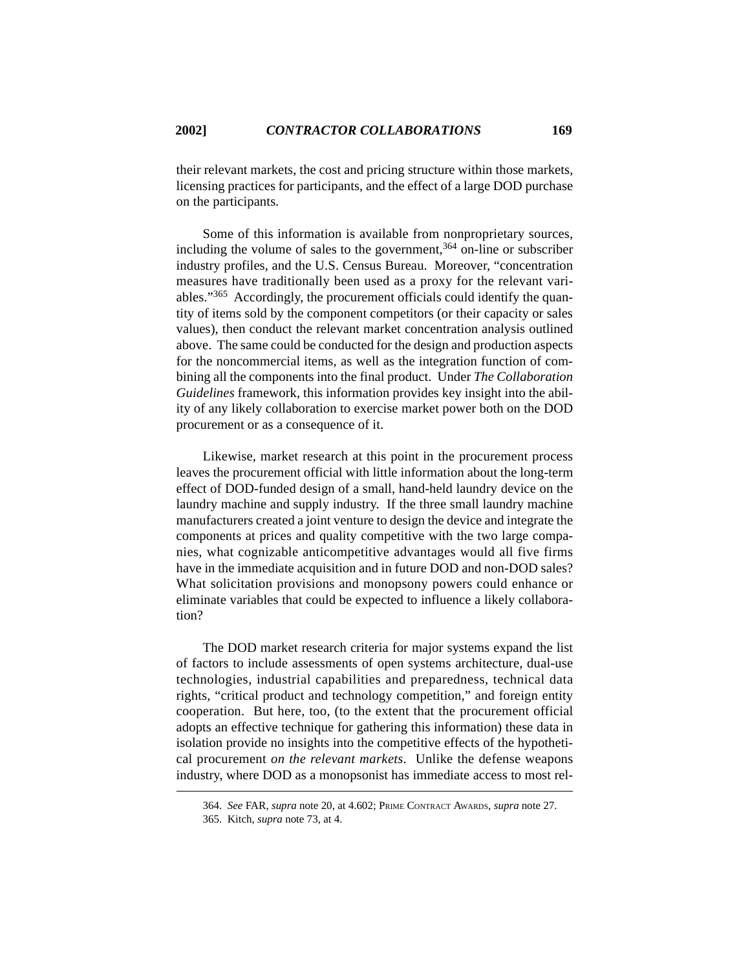their relevant markets, the cost and pricing structure within those markets, licensing practices for participants, and the effect of a large DOD purchase on the participants.

Some of this information is available from nonproprietary sources, including the volume of sales to the government,  $364$  on-line or subscriber industry profiles, and the U.S. Census Bureau. Moreover, "concentration measures have traditionally been used as a proxy for the relevant variables."365 Accordingly, the procurement officials could identify the quantity of items sold by the component competitors (or their capacity or sales values), then conduct the relevant market concentration analysis outlined above. The same could be conducted for the design and production aspects for the noncommercial items, as well as the integration function of combining all the components into the final product. Under *The Collaboration Guidelines* framework, this information provides key insight into the ability of any likely collaboration to exercise market power both on the DOD procurement or as a consequence of it.

Likewise, market research at this point in the procurement process leaves the procurement official with little information about the long-term effect of DOD-funded design of a small, hand-held laundry device on the laundry machine and supply industry. If the three small laundry machine manufacturers created a joint venture to design the device and integrate the components at prices and quality competitive with the two large companies, what cognizable anticompetitive advantages would all five firms have in the immediate acquisition and in future DOD and non-DOD sales? What solicitation provisions and monopsony powers could enhance or eliminate variables that could be expected to influence a likely collaboration?

The DOD market research criteria for major systems expand the list of factors to include assessments of open systems architecture, dual-use technologies, industrial capabilities and preparedness, technical data rights, "critical product and technology competition," and foreign entity cooperation. But here, too, (to the extent that the procurement official adopts an effective technique for gathering this information) these data in isolation provide no insights into the competitive effects of the hypothetical procurement *on the relevant markets*. Unlike the defense weapons industry, where DOD as a monopsonist has immediate access to most rel-

<sup>364.</sup> *See* FAR, *supra* note 20, at 4.602; PRIME CONTRACT AWARDS, *supra* note 27.

<sup>365.</sup> Kitch, *supra* note 73, at 4.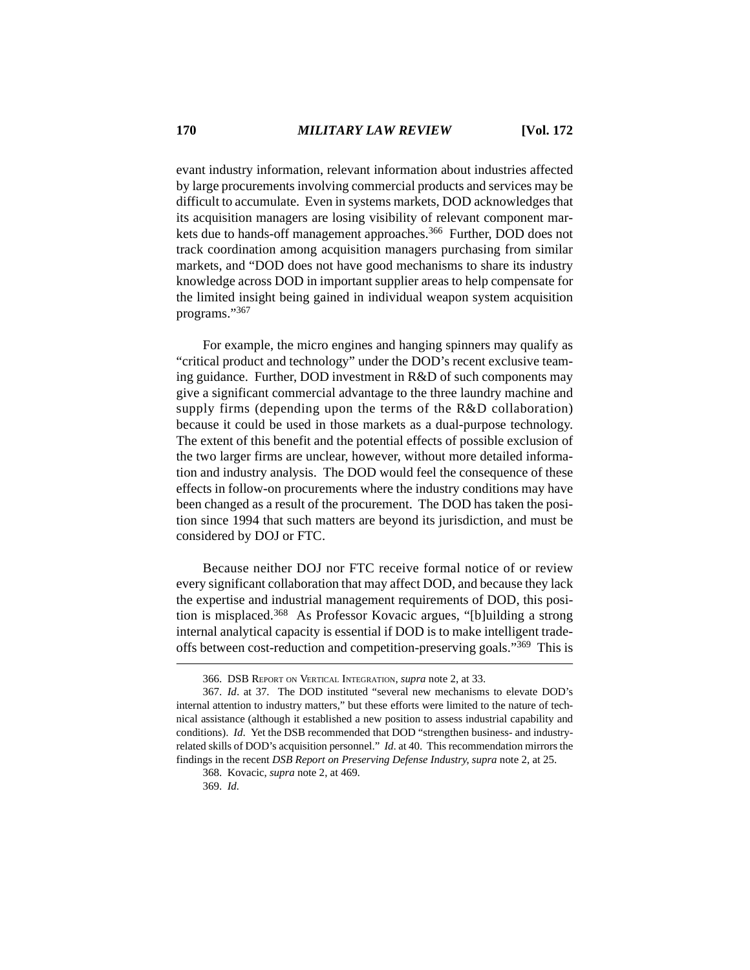evant industry information, relevant information about industries affected by large procurements involving commercial products and services may be difficult to accumulate. Even in systems markets, DOD acknowledges that its acquisition managers are losing visibility of relevant component markets due to hands-off management approaches.<sup>366</sup> Further, DOD does not track coordination among acquisition managers purchasing from similar markets, and "DOD does not have good mechanisms to share its industry knowledge across DOD in important supplier areas to help compensate for the limited insight being gained in individual weapon system acquisition programs."367

For example, the micro engines and hanging spinners may qualify as "critical product and technology" under the DOD's recent exclusive teaming guidance. Further, DOD investment in R&D of such components may give a significant commercial advantage to the three laundry machine and supply firms (depending upon the terms of the R&D collaboration) because it could be used in those markets as a dual-purpose technology. The extent of this benefit and the potential effects of possible exclusion of the two larger firms are unclear, however, without more detailed information and industry analysis. The DOD would feel the consequence of these effects in follow-on procurements where the industry conditions may have been changed as a result of the procurement. The DOD has taken the position since 1994 that such matters are beyond its jurisdiction, and must be considered by DOJ or FTC.

Because neither DOJ nor FTC receive formal notice of or review every significant collaboration that may affect DOD, and because they lack the expertise and industrial management requirements of DOD, this position is misplaced.<sup>368</sup> As Professor Kovacic argues, "[b]uilding a strong internal analytical capacity is essential if DOD is to make intelligent tradeoffs between cost-reduction and competition-preserving goals."369 This is

<sup>366.</sup> DSB REPORT ON VERTICAL INTEGRATION, *supra* note 2, at 33.

<sup>367.</sup> *Id*. at 37. The DOD instituted "several new mechanisms to elevate DOD's internal attention to industry matters," but these efforts were limited to the nature of technical assistance (although it established a new position to assess industrial capability and conditions). *Id*. Yet the DSB recommended that DOD "strengthen business- and industryrelated skills of DOD's acquisition personnel." *Id*. at 40. This recommendation mirrors the findings in the recent *DSB Report on Preserving Defense Industry*, *supra* note 2, at 25.

<sup>368.</sup> Kovacic, *supra* note 2, at 469.

<sup>369.</sup> *Id.*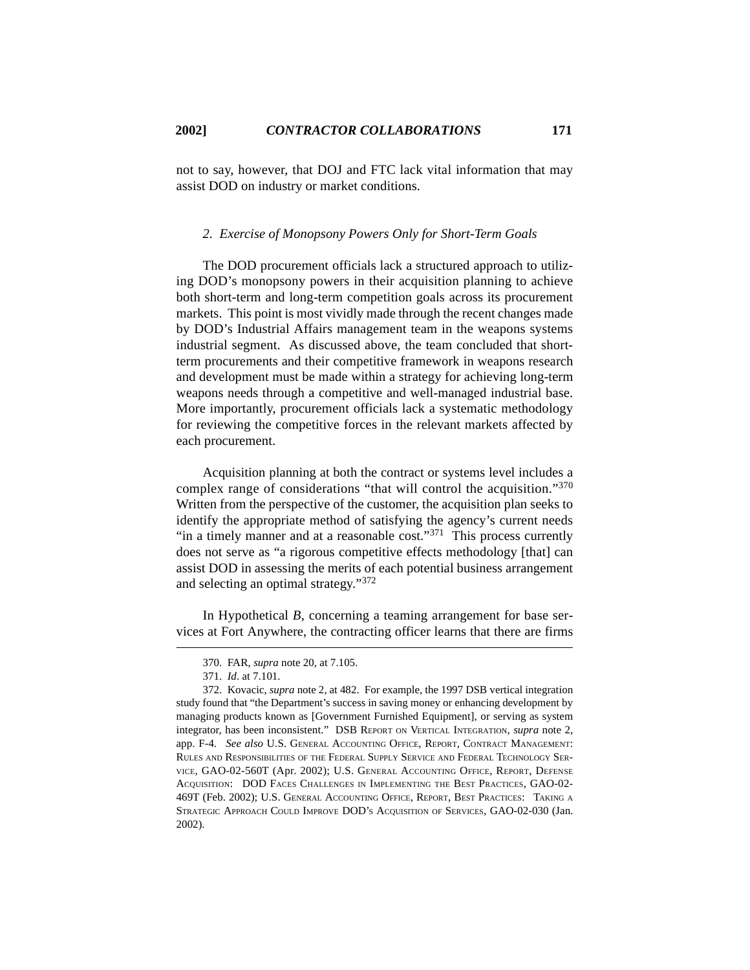not to say, however, that DOJ and FTC lack vital information that may assist DOD on industry or market conditions.

# *2. Exercise of Monopsony Powers Only for Short-Term Goals*

The DOD procurement officials lack a structured approach to utilizing DOD's monopsony powers in their acquisition planning to achieve both short-term and long-term competition goals across its procurement markets. This point is most vividly made through the recent changes made by DOD's Industrial Affairs management team in the weapons systems industrial segment. As discussed above, the team concluded that shortterm procurements and their competitive framework in weapons research and development must be made within a strategy for achieving long-term weapons needs through a competitive and well-managed industrial base. More importantly, procurement officials lack a systematic methodology for reviewing the competitive forces in the relevant markets affected by each procurement.

Acquisition planning at both the contract or systems level includes a complex range of considerations "that will control the acquisition."<sup>370</sup> Written from the perspective of the customer, the acquisition plan seeks to identify the appropriate method of satisfying the agency's current needs "in a timely manner and at a reasonable cost."<sup>371</sup> This process currently does not serve as "a rigorous competitive effects methodology [that] can assist DOD in assessing the merits of each potential business arrangement and selecting an optimal strategy."372

In Hypothetical *B*, concerning a teaming arrangement for base services at Fort Anywhere, the contracting officer learns that there are firms

<sup>370.</sup> FAR, *supra* note 20, at 7.105.

<sup>371.</sup> *Id*. at 7.101.

<sup>372.</sup> Kovacic, *supra* note 2, at 482. For example, the 1997 DSB vertical integration study found that "the Department's success in saving money or enhancing development by managing products known as [Government Furnished Equipment], or serving as system integrator, has been inconsistent." DSB REPORT ON VERTICAL INTEGRATION, *supra* note 2, app. F-4. *See also* U.S. GENERAL ACCOUNTING OFFICE, REPORT, CONTRACT MANAGEMENT: RULES AND RESPONSIBILITIES OF THE FEDERAL SUPPLY SERVICE AND FEDERAL TECHNOLOGY SER-VICE, GAO-02-560T (Apr. 2002); U.S. GENERAL ACCOUNTING OFFICE, REPORT, DEFENSE ACQUISITION: DOD FACES CHALLENGES IN IMPLEMENTING THE BEST PRACTICES, GAO-02- 469T (Feb. 2002); U.S. GENERAL ACCOUNTING OFFICE, REPORT, BEST PRACTICES: TAKING <sup>A</sup> STRATEGIC APPROACH COULD IMPROVE DOD'S ACQUISITION OF SERVICES, GAO-02-030 (Jan. 2002).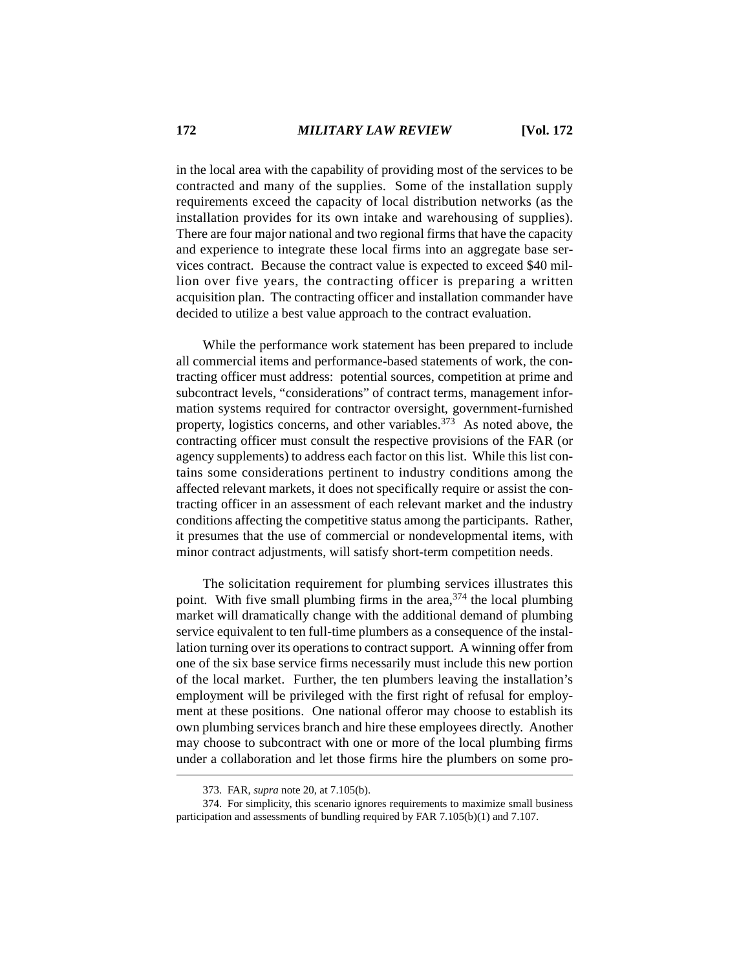in the local area with the capability of providing most of the services to be contracted and many of the supplies. Some of the installation supply requirements exceed the capacity of local distribution networks (as the installation provides for its own intake and warehousing of supplies). There are four major national and two regional firms that have the capacity and experience to integrate these local firms into an aggregate base services contract. Because the contract value is expected to exceed \$40 million over five years, the contracting officer is preparing a written acquisition plan. The contracting officer and installation commander have decided to utilize a best value approach to the contract evaluation.

While the performance work statement has been prepared to include all commercial items and performance-based statements of work, the contracting officer must address: potential sources, competition at prime and subcontract levels, "considerations" of contract terms, management information systems required for contractor oversight, government-furnished property, logistics concerns, and other variables. $373$  As noted above, the contracting officer must consult the respective provisions of the FAR (or agency supplements) to address each factor on this list. While this list contains some considerations pertinent to industry conditions among the affected relevant markets, it does not specifically require or assist the contracting officer in an assessment of each relevant market and the industry conditions affecting the competitive status among the participants. Rather, it presumes that the use of commercial or nondevelopmental items, with minor contract adjustments, will satisfy short-term competition needs.

The solicitation requirement for plumbing services illustrates this point. With five small plumbing firms in the area,  $374$  the local plumbing market will dramatically change with the additional demand of plumbing service equivalent to ten full-time plumbers as a consequence of the installation turning over its operations to contract support. A winning offer from one of the six base service firms necessarily must include this new portion of the local market. Further, the ten plumbers leaving the installation's employment will be privileged with the first right of refusal for employment at these positions. One national offeror may choose to establish its own plumbing services branch and hire these employees directly. Another may choose to subcontract with one or more of the local plumbing firms under a collaboration and let those firms hire the plumbers on some pro-

<sup>373.</sup> FAR, *supra* note 20, at 7.105(b).

<sup>374.</sup> For simplicity, this scenario ignores requirements to maximize small business participation and assessments of bundling required by FAR 7.105(b)(1) and 7.107.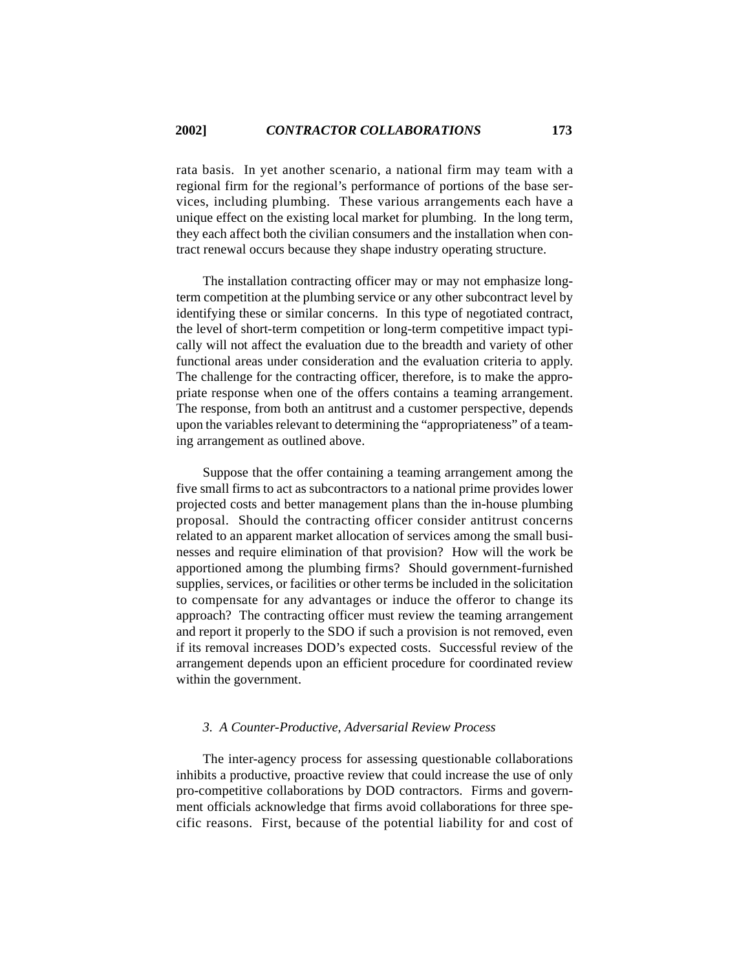rata basis. In yet another scenario, a national firm may team with a regional firm for the regional's performance of portions of the base services, including plumbing. These various arrangements each have a unique effect on the existing local market for plumbing. In the long term, they each affect both the civilian consumers and the installation when contract renewal occurs because they shape industry operating structure.

The installation contracting officer may or may not emphasize longterm competition at the plumbing service or any other subcontract level by identifying these or similar concerns. In this type of negotiated contract, the level of short-term competition or long-term competitive impact typically will not affect the evaluation due to the breadth and variety of other functional areas under consideration and the evaluation criteria to apply. The challenge for the contracting officer, therefore, is to make the appropriate response when one of the offers contains a teaming arrangement. The response, from both an antitrust and a customer perspective, depends upon the variables relevant to determining the "appropriateness" of a teaming arrangement as outlined above.

Suppose that the offer containing a teaming arrangement among the five small firms to act as subcontractors to a national prime provides lower projected costs and better management plans than the in-house plumbing proposal. Should the contracting officer consider antitrust concerns related to an apparent market allocation of services among the small businesses and require elimination of that provision? How will the work be apportioned among the plumbing firms? Should government-furnished supplies, services, or facilities or other terms be included in the solicitation to compensate for any advantages or induce the offeror to change its approach? The contracting officer must review the teaming arrangement and report it properly to the SDO if such a provision is not removed, even if its removal increases DOD's expected costs. Successful review of the arrangement depends upon an efficient procedure for coordinated review within the government.

#### *3. A Counter-Productive, Adversarial Review Process*

The inter-agency process for assessing questionable collaborations inhibits a productive, proactive review that could increase the use of only pro-competitive collaborations by DOD contractors. Firms and government officials acknowledge that firms avoid collaborations for three specific reasons. First, because of the potential liability for and cost of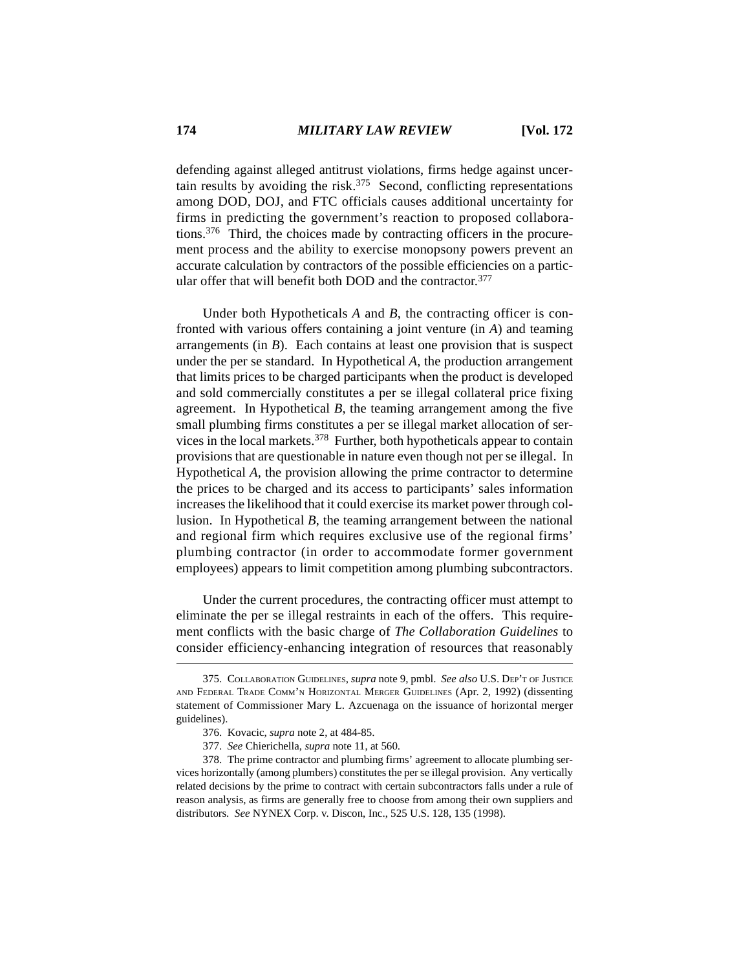defending against alleged antitrust violations, firms hedge against uncertain results by avoiding the risk.<sup>375</sup> Second, conflicting representations among DOD, DOJ, and FTC officials causes additional uncertainty for firms in predicting the government's reaction to proposed collaborations.376 Third, the choices made by contracting officers in the procurement process and the ability to exercise monopsony powers prevent an accurate calculation by contractors of the possible efficiencies on a particular offer that will benefit both DOD and the contractor.<sup>377</sup>

Under both Hypotheticals *A* and *B*, the contracting officer is confronted with various offers containing a joint venture (in *A*) and teaming arrangements (in *B*). Each contains at least one provision that is suspect under the per se standard. In Hypothetical *A*, the production arrangement that limits prices to be charged participants when the product is developed and sold commercially constitutes a per se illegal collateral price fixing agreement. In Hypothetical *B*, the teaming arrangement among the five small plumbing firms constitutes a per se illegal market allocation of services in the local markets. $378$  Further, both hypotheticals appear to contain provisions that are questionable in nature even though not per se illegal. In Hypothetical *A*, the provision allowing the prime contractor to determine the prices to be charged and its access to participants' sales information increases the likelihood that it could exercise its market power through collusion. In Hypothetical *B*, the teaming arrangement between the national and regional firm which requires exclusive use of the regional firms' plumbing contractor (in order to accommodate former government employees) appears to limit competition among plumbing subcontractors.

Under the current procedures, the contracting officer must attempt to eliminate the per se illegal restraints in each of the offers. This requirement conflicts with the basic charge of *The Collaboration Guidelines* to consider efficiency-enhancing integration of resources that reasonably

<sup>375.</sup> COLLABORATION GUIDELINES, *supra* note 9, pmbl. *See also* U.S. DEP'T OF JUSTICE AND FEDERAL TRADE COMM'N HORIZONTAL MERGER GUIDELINES (Apr. 2, 1992) (dissenting statement of Commissioner Mary L. Azcuenaga on the issuance of horizontal merger guidelines).

<sup>376.</sup> Kovacic, *supra* note 2, at 484-85.

<sup>377.</sup> *See* Chierichella, *supra* note 11, at 560.

<sup>378.</sup> The prime contractor and plumbing firms' agreement to allocate plumbing services horizontally (among plumbers) constitutes the per se illegal provision. Any vertically related decisions by the prime to contract with certain subcontractors falls under a rule of reason analysis, as firms are generally free to choose from among their own suppliers and distributors. *See* NYNEX Corp. v. Discon, Inc., 525 U.S. 128, 135 (1998).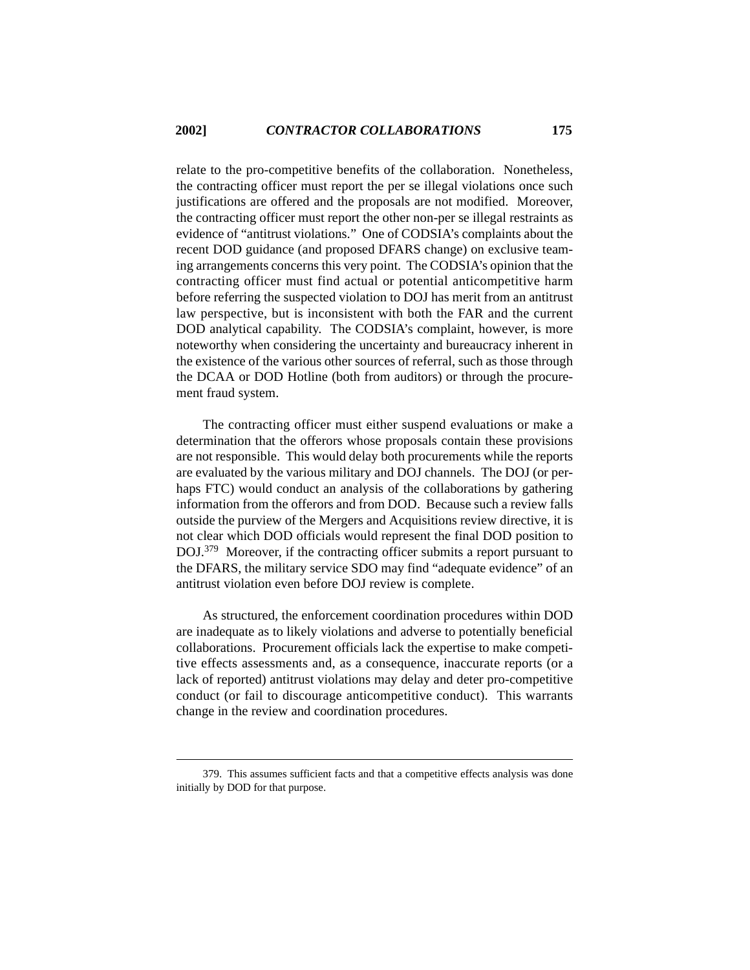relate to the pro-competitive benefits of the collaboration. Nonetheless, the contracting officer must report the per se illegal violations once such justifications are offered and the proposals are not modified. Moreover, the contracting officer must report the other non-per se illegal restraints as evidence of "antitrust violations." One of CODSIA's complaints about the recent DOD guidance (and proposed DFARS change) on exclusive teaming arrangements concerns this very point. The CODSIA's opinion that the contracting officer must find actual or potential anticompetitive harm before referring the suspected violation to DOJ has merit from an antitrust law perspective, but is inconsistent with both the FAR and the current DOD analytical capability. The CODSIA's complaint, however, is more noteworthy when considering the uncertainty and bureaucracy inherent in the existence of the various other sources of referral, such as those through the DCAA or DOD Hotline (both from auditors) or through the procurement fraud system.

The contracting officer must either suspend evaluations or make a determination that the offerors whose proposals contain these provisions are not responsible. This would delay both procurements while the reports are evaluated by the various military and DOJ channels. The DOJ (or perhaps FTC) would conduct an analysis of the collaborations by gathering information from the offerors and from DOD. Because such a review falls outside the purview of the Mergers and Acquisitions review directive, it is not clear which DOD officials would represent the final DOD position to DOJ.379 Moreover, if the contracting officer submits a report pursuant to the DFARS, the military service SDO may find "adequate evidence" of an antitrust violation even before DOJ review is complete.

As structured, the enforcement coordination procedures within DOD are inadequate as to likely violations and adverse to potentially beneficial collaborations. Procurement officials lack the expertise to make competitive effects assessments and, as a consequence, inaccurate reports (or a lack of reported) antitrust violations may delay and deter pro-competitive conduct (or fail to discourage anticompetitive conduct). This warrants change in the review and coordination procedures.

<sup>379.</sup> This assumes sufficient facts and that a competitive effects analysis was done initially by DOD for that purpose.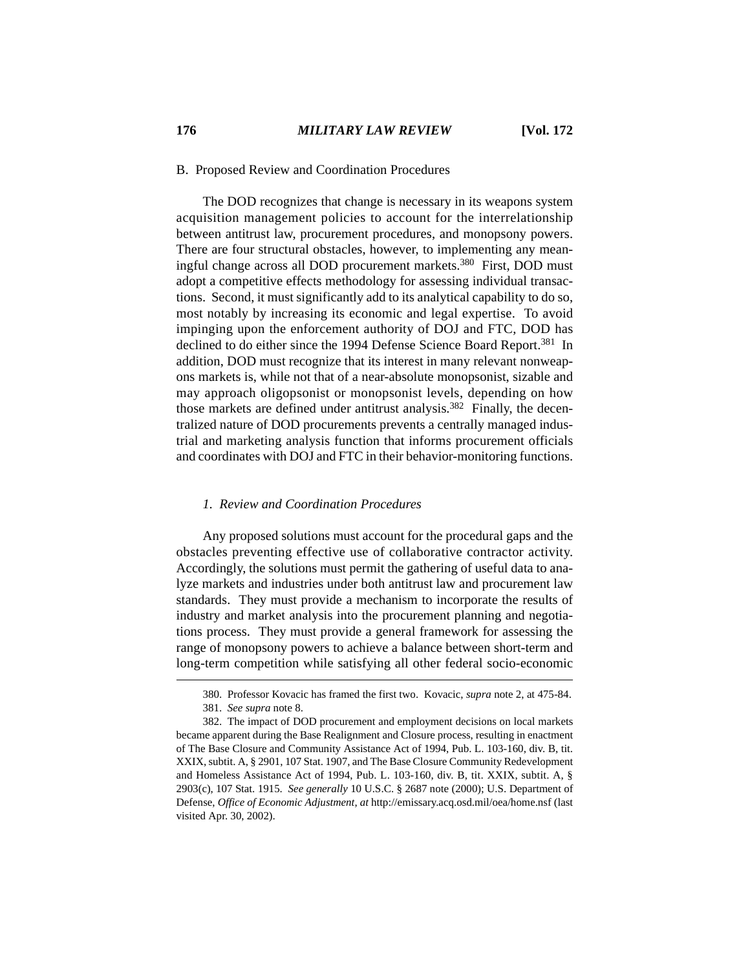# B. Proposed Review and Coordination Procedures

The DOD recognizes that change is necessary in its weapons system acquisition management policies to account for the interrelationship between antitrust law, procurement procedures, and monopsony powers. There are four structural obstacles, however, to implementing any meaningful change across all DOD procurement markets.<sup>380</sup> First, DOD must adopt a competitive effects methodology for assessing individual transactions. Second, it must significantly add to its analytical capability to do so, most notably by increasing its economic and legal expertise. To avoid impinging upon the enforcement authority of DOJ and FTC, DOD has declined to do either since the 1994 Defense Science Board Report.<sup>381</sup> In addition, DOD must recognize that its interest in many relevant nonweapons markets is, while not that of a near-absolute monopsonist, sizable and may approach oligopsonist or monopsonist levels, depending on how those markets are defined under antitrust analysis.<sup>382</sup> Finally, the decentralized nature of DOD procurements prevents a centrally managed industrial and marketing analysis function that informs procurement officials and coordinates with DOJ and FTC in their behavior-monitoring functions.

#### *1. Review and Coordination Procedures*

Any proposed solutions must account for the procedural gaps and the obstacles preventing effective use of collaborative contractor activity. Accordingly, the solutions must permit the gathering of useful data to analyze markets and industries under both antitrust law and procurement law standards. They must provide a mechanism to incorporate the results of industry and market analysis into the procurement planning and negotiations process. They must provide a general framework for assessing the range of monopsony powers to achieve a balance between short-term and long-term competition while satisfying all other federal socio-economic

<sup>380.</sup> Professor Kovacic has framed the first two. Kovacic, *supra* note 2, at 475-84. 381. *See supra* note 8.

<sup>382.</sup> The impact of DOD procurement and employment decisions on local markets became apparent during the Base Realignment and Closure process, resulting in enactment of The Base Closure and Community Assistance Act of 1994, Pub. L. 103-160, div. B, tit. XXIX, subtit. A, § 2901, 107 Stat. 1907, and The Base Closure Community Redevelopment and Homeless Assistance Act of 1994, Pub. L. 103-160, div. B, tit. XXIX, subtit. A, § 2903(c), 107 Stat. 1915. *See generally* 10 U.S.C. § 2687 note (2000); U.S. Department of Defense, *Office of Economic Adjustment*, *at* http://emissary.acq.osd.mil/oea/home.nsf (last visited Apr. 30, 2002).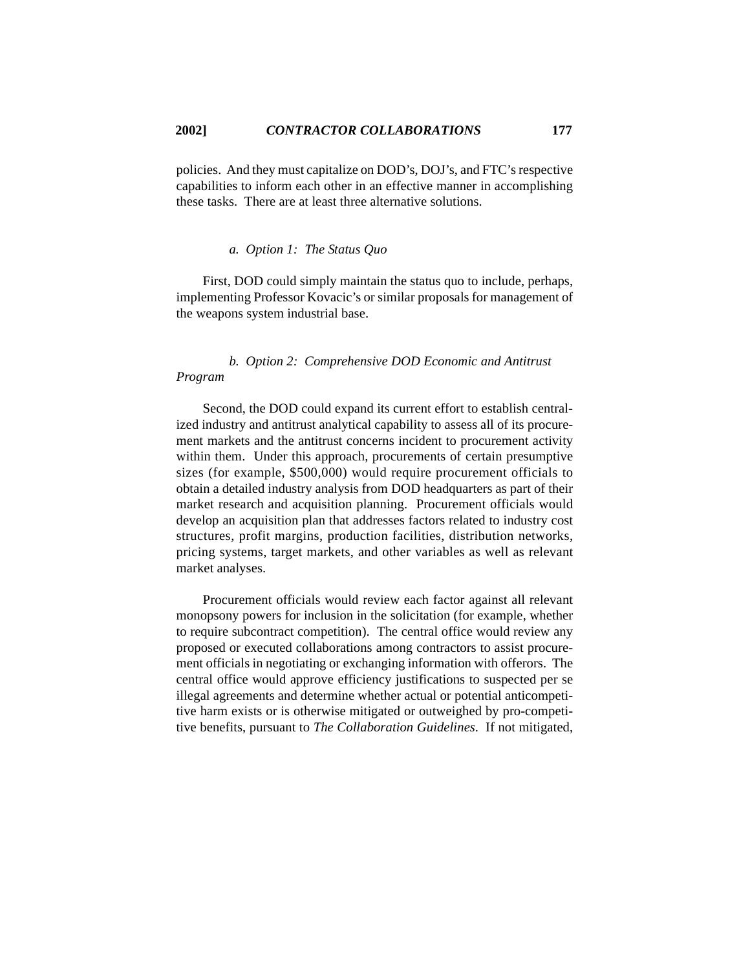policies. And they must capitalize on DOD's, DOJ's, and FTC's respective capabilities to inform each other in an effective manner in accomplishing these tasks. There are at least three alternative solutions.

# *a. Option 1: The Status Quo*

First, DOD could simply maintain the status quo to include, perhaps, implementing Professor Kovacic's or similar proposals for management of the weapons system industrial base.

# *b. Option 2: Comprehensive DOD Economic and Antitrust Program*

Second, the DOD could expand its current effort to establish centralized industry and antitrust analytical capability to assess all of its procurement markets and the antitrust concerns incident to procurement activity within them. Under this approach, procurements of certain presumptive sizes (for example, \$500,000) would require procurement officials to obtain a detailed industry analysis from DOD headquarters as part of their market research and acquisition planning. Procurement officials would develop an acquisition plan that addresses factors related to industry cost structures, profit margins, production facilities, distribution networks, pricing systems, target markets, and other variables as well as relevant market analyses.

Procurement officials would review each factor against all relevant monopsony powers for inclusion in the solicitation (for example, whether to require subcontract competition). The central office would review any proposed or executed collaborations among contractors to assist procurement officials in negotiating or exchanging information with offerors. The central office would approve efficiency justifications to suspected per se illegal agreements and determine whether actual or potential anticompetitive harm exists or is otherwise mitigated or outweighed by pro-competitive benefits, pursuant to *The Collaboration Guidelines*. If not mitigated,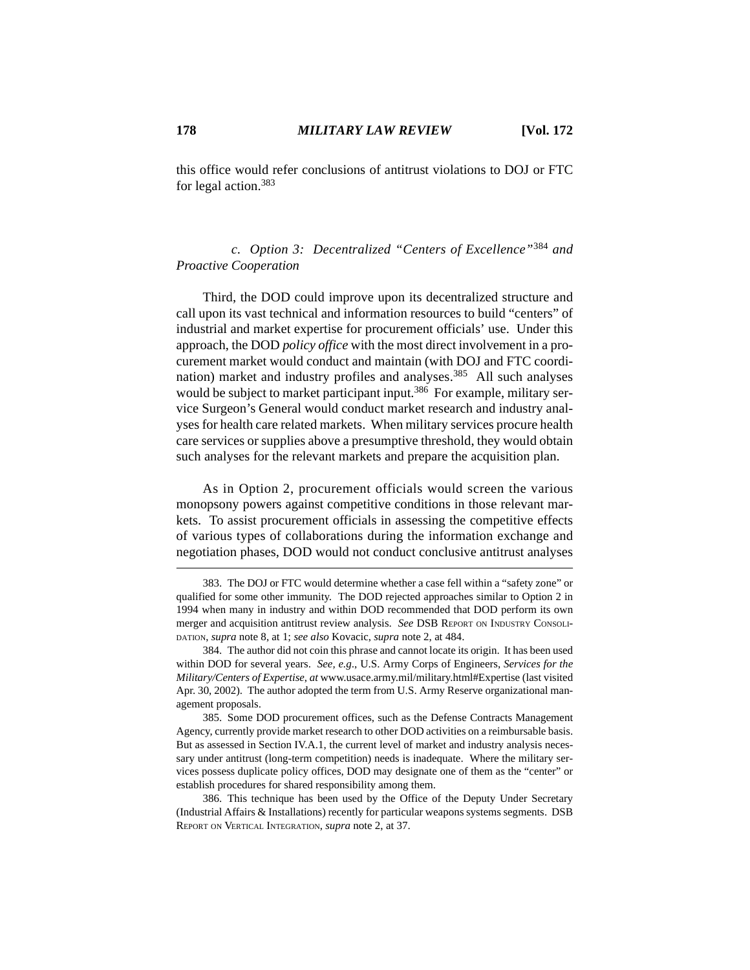this office would refer conclusions of antitrust violations to DOJ or FTC for legal action.383

*c. Option 3: Decentralized "Centers of Excellence"*384 *and Proactive Cooperation*

Third, the DOD could improve upon its decentralized structure and call upon its vast technical and information resources to build "centers" of industrial and market expertise for procurement officials' use. Under this approach, the DOD *policy office* with the most direct involvement in a procurement market would conduct and maintain (with DOJ and FTC coordination) market and industry profiles and analyses.<sup>385</sup> All such analyses would be subject to market participant input.<sup>386</sup> For example, military service Surgeon's General would conduct market research and industry analyses for health care related markets. When military services procure health care services or supplies above a presumptive threshold, they would obtain such analyses for the relevant markets and prepare the acquisition plan.

As in Option 2, procurement officials would screen the various monopsony powers against competitive conditions in those relevant markets. To assist procurement officials in assessing the competitive effects of various types of collaborations during the information exchange and negotiation phases, DOD would not conduct conclusive antitrust analyses

<sup>383.</sup> The DOJ or FTC would determine whether a case fell within a "safety zone" or qualified for some other immunity. The DOD rejected approaches similar to Option 2 in 1994 when many in industry and within DOD recommended that DOD perform its own merger and acquisition antitrust review analysis. *See* DSB REPORT ON INDUSTRY CONSOLI-DATION, *supra* note 8, at 1; *see also* Kovacic, *supra* note 2, at 484.

<sup>384.</sup> The author did not coin this phrase and cannot locate its origin. It has been used within DOD for several years. *See, e.g*., U.S. Army Corps of Engineers, *Services for the Military/Centers of Expertise*, *at* www.usace.army.mil/military.html#Expertise (last visited Apr. 30, 2002). The author adopted the term from U.S. Army Reserve organizational management proposals.

<sup>385.</sup> Some DOD procurement offices, such as the Defense Contracts Management Agency, currently provide market research to other DOD activities on a reimbursable basis. But as assessed in Section IV.A.1, the current level of market and industry analysis necessary under antitrust (long-term competition) needs is inadequate. Where the military services possess duplicate policy offices, DOD may designate one of them as the "center" or establish procedures for shared responsibility among them.

<sup>386.</sup> This technique has been used by the Office of the Deputy Under Secretary (Industrial Affairs & Installations) recently for particular weapons systems segments. DSB REPORT ON VERTICAL INTEGRATION, *supra* note 2, at 37.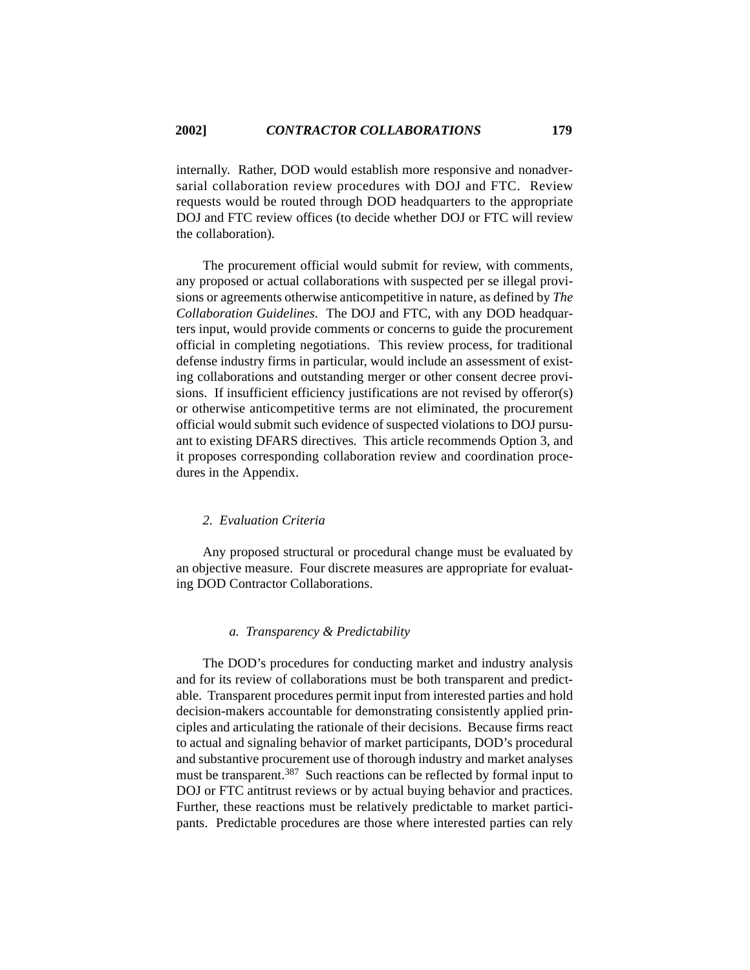internally. Rather, DOD would establish more responsive and nonadversarial collaboration review procedures with DOJ and FTC. Review requests would be routed through DOD headquarters to the appropriate DOJ and FTC review offices (to decide whether DOJ or FTC will review the collaboration).

The procurement official would submit for review, with comments, any proposed or actual collaborations with suspected per se illegal provisions or agreements otherwise anticompetitive in nature, as defined by *The Collaboration Guidelines*. The DOJ and FTC, with any DOD headquarters input, would provide comments or concerns to guide the procurement official in completing negotiations. This review process, for traditional defense industry firms in particular, would include an assessment of existing collaborations and outstanding merger or other consent decree provisions. If insufficient efficiency justifications are not revised by offeror(s) or otherwise anticompetitive terms are not eliminated, the procurement official would submit such evidence of suspected violations to DOJ pursuant to existing DFARS directives. This article recommends Option 3, and it proposes corresponding collaboration review and coordination procedures in the Appendix.

#### *2. Evaluation Criteria*

Any proposed structural or procedural change must be evaluated by an objective measure. Four discrete measures are appropriate for evaluating DOD Contractor Collaborations.

#### *a. Transparency & Predictability*

The DOD's procedures for conducting market and industry analysis and for its review of collaborations must be both transparent and predictable. Transparent procedures permit input from interested parties and hold decision-makers accountable for demonstrating consistently applied principles and articulating the rationale of their decisions. Because firms react to actual and signaling behavior of market participants, DOD's procedural and substantive procurement use of thorough industry and market analyses must be transparent.<sup>387</sup> Such reactions can be reflected by formal input to DOJ or FTC antitrust reviews or by actual buying behavior and practices. Further, these reactions must be relatively predictable to market participants. Predictable procedures are those where interested parties can rely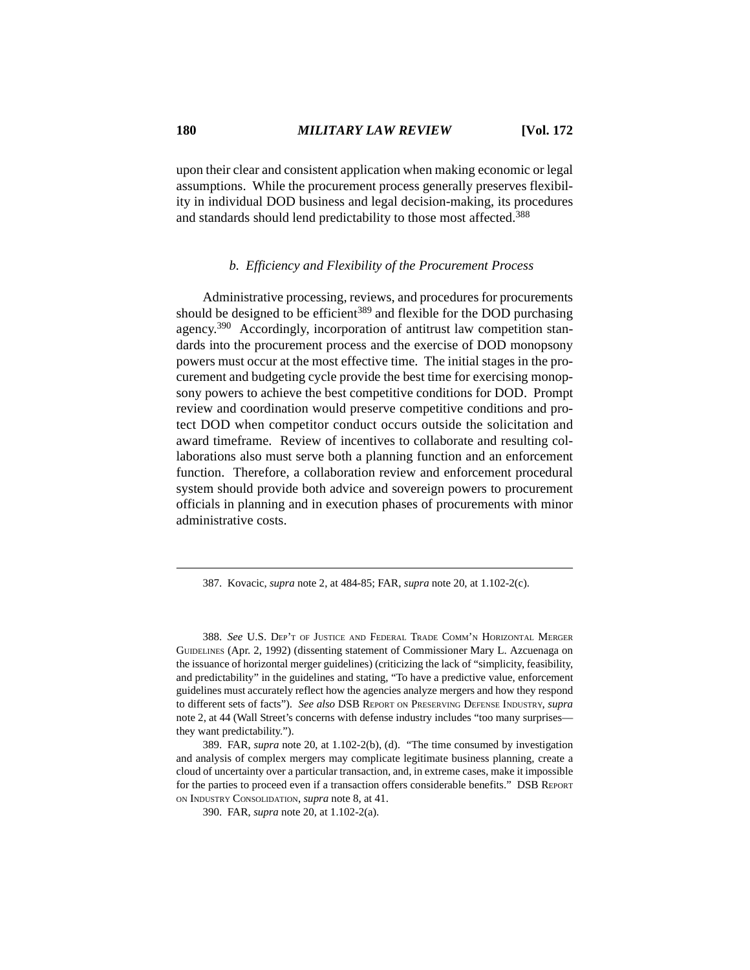upon their clear and consistent application when making economic or legal assumptions. While the procurement process generally preserves flexibility in individual DOD business and legal decision-making, its procedures and standards should lend predictability to those most affected.<sup>388</sup>

#### *b. Efficiency and Flexibility of the Procurement Process*

Administrative processing, reviews, and procedures for procurements should be designed to be efficient<sup>389</sup> and flexible for the DOD purchasing agency.390 Accordingly, incorporation of antitrust law competition standards into the procurement process and the exercise of DOD monopsony powers must occur at the most effective time. The initial stages in the procurement and budgeting cycle provide the best time for exercising monopsony powers to achieve the best competitive conditions for DOD. Prompt review and coordination would preserve competitive conditions and protect DOD when competitor conduct occurs outside the solicitation and award timeframe. Review of incentives to collaborate and resulting collaborations also must serve both a planning function and an enforcement function. Therefore, a collaboration review and enforcement procedural system should provide both advice and sovereign powers to procurement officials in planning and in execution phases of procurements with minor administrative costs.

387. Kovacic, *supra* note 2, at 484-85; FAR, *supra* note 20, at 1.102-2(c).

388. *See* U.S. DEP'T OF JUSTICE AND FEDERAL TRADE COMM'N HORIZONTAL MERGER GUIDELINES (Apr. 2, 1992) (dissenting statement of Commissioner Mary L. Azcuenaga on the issuance of horizontal merger guidelines) (criticizing the lack of "simplicity, feasibility, and predictability" in the guidelines and stating, "To have a predictive value, enforcement guidelines must accurately reflect how the agencies analyze mergers and how they respond to different sets of facts"). *See also* DSB REPORT ON PRESERVING DEFENSE INDUSTRY, *supra* note 2, at 44 (Wall Street's concerns with defense industry includes "too many surprises they want predictability.").

389. FAR, *supra* note 20, at 1.102-2(b), (d). "The time consumed by investigation and analysis of complex mergers may complicate legitimate business planning, create a cloud of uncertainty over a particular transaction, and, in extreme cases, make it impossible for the parties to proceed even if a transaction offers considerable benefits." DSB REPORT ON INDUSTRY CONSOLIDATION, *supra* note 8, at 41.

390. FAR, *supra* note 20, at 1.102-2(a).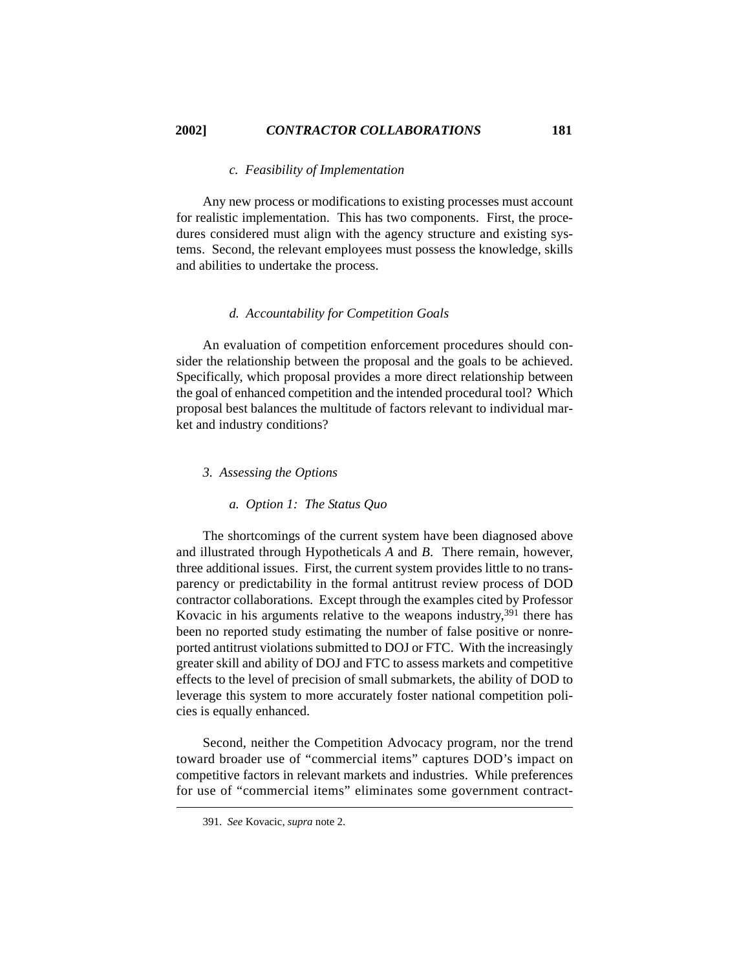## *c. Feasibility of Implementation*

Any new process or modifications to existing processes must account for realistic implementation. This has two components. First, the procedures considered must align with the agency structure and existing systems. Second, the relevant employees must possess the knowledge, skills and abilities to undertake the process.

# *d. Accountability for Competition Goals*

An evaluation of competition enforcement procedures should consider the relationship between the proposal and the goals to be achieved. Specifically, which proposal provides a more direct relationship between the goal of enhanced competition and the intended procedural tool? Which proposal best balances the multitude of factors relevant to individual market and industry conditions?

### *3. Assessing the Options*

### *a. Option 1: The Status Quo*

The shortcomings of the current system have been diagnosed above and illustrated through Hypotheticals *A* and *B*. There remain, however, three additional issues. First, the current system provides little to no transparency or predictability in the formal antitrust review process of DOD contractor collaborations. Except through the examples cited by Professor Kovacic in his arguments relative to the weapons industry,  $391$  there has been no reported study estimating the number of false positive or nonreported antitrust violations submitted to DOJ or FTC. With the increasingly greater skill and ability of DOJ and FTC to assess markets and competitive effects to the level of precision of small submarkets, the ability of DOD to leverage this system to more accurately foster national competition policies is equally enhanced.

Second, neither the Competition Advocacy program, nor the trend toward broader use of "commercial items" captures DOD's impact on competitive factors in relevant markets and industries. While preferences for use of "commercial items" eliminates some government contract-

<sup>391.</sup> *See* Kovacic, *supra* note 2.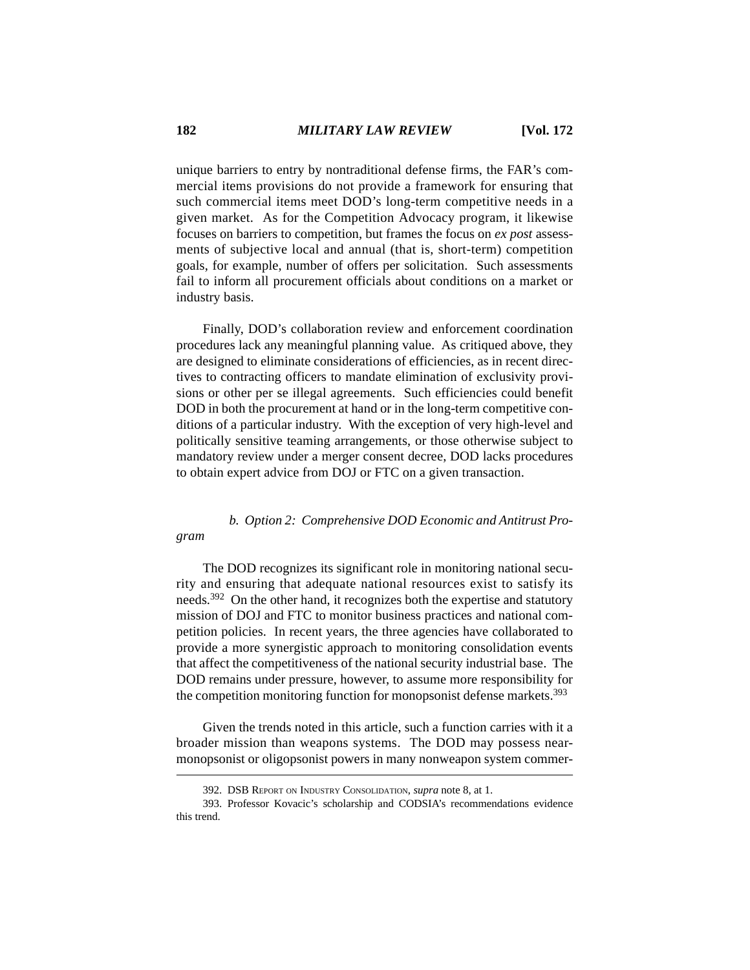unique barriers to entry by nontraditional defense firms, the FAR's commercial items provisions do not provide a framework for ensuring that such commercial items meet DOD's long-term competitive needs in a given market. As for the Competition Advocacy program, it likewise focuses on barriers to competition, but frames the focus on *ex post* assessments of subjective local and annual (that is, short-term) competition goals, for example, number of offers per solicitation. Such assessments fail to inform all procurement officials about conditions on a market or industry basis.

Finally, DOD's collaboration review and enforcement coordination procedures lack any meaningful planning value. As critiqued above, they are designed to eliminate considerations of efficiencies, as in recent directives to contracting officers to mandate elimination of exclusivity provisions or other per se illegal agreements. Such efficiencies could benefit DOD in both the procurement at hand or in the long-term competitive conditions of a particular industry. With the exception of very high-level and politically sensitive teaming arrangements, or those otherwise subject to mandatory review under a merger consent decree, DOD lacks procedures to obtain expert advice from DOJ or FTC on a given transaction.

# *b. Option 2: Comprehensive DOD Economic and Antitrust Pro-*

The DOD recognizes its significant role in monitoring national security and ensuring that adequate national resources exist to satisfy its needs.<sup>392</sup> On the other hand, it recognizes both the expertise and statutory mission of DOJ and FTC to monitor business practices and national competition policies. In recent years, the three agencies have collaborated to provide a more synergistic approach to monitoring consolidation events that affect the competitiveness of the national security industrial base. The DOD remains under pressure, however, to assume more responsibility for the competition monitoring function for monopsonist defense markets.<sup>393</sup>

Given the trends noted in this article, such a function carries with it a broader mission than weapons systems. The DOD may possess nearmonopsonist or oligopsonist powers in many nonweapon system commer-

*gram*

<sup>392.</sup> DSB REPORT ON INDUSTRY CONSOLIDATION, *supra* note 8, at 1.

<sup>393.</sup> Professor Kovacic's scholarship and CODSIA's recommendations evidence this trend.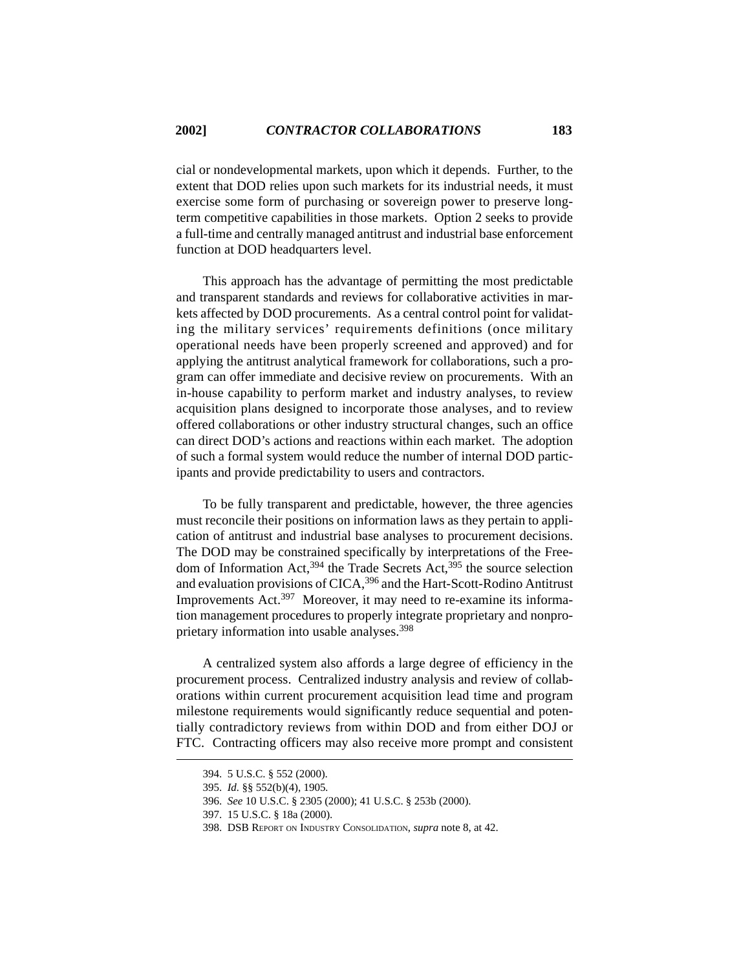cial or nondevelopmental markets, upon which it depends. Further, to the extent that DOD relies upon such markets for its industrial needs, it must exercise some form of purchasing or sovereign power to preserve longterm competitive capabilities in those markets. Option 2 seeks to provide a full-time and centrally managed antitrust and industrial base enforcement function at DOD headquarters level.

This approach has the advantage of permitting the most predictable and transparent standards and reviews for collaborative activities in markets affected by DOD procurements. As a central control point for validating the military services' requirements definitions (once military operational needs have been properly screened and approved) and for applying the antitrust analytical framework for collaborations, such a program can offer immediate and decisive review on procurements. With an in-house capability to perform market and industry analyses, to review acquisition plans designed to incorporate those analyses, and to review offered collaborations or other industry structural changes, such an office can direct DOD's actions and reactions within each market. The adoption of such a formal system would reduce the number of internal DOD participants and provide predictability to users and contractors.

To be fully transparent and predictable, however, the three agencies must reconcile their positions on information laws as they pertain to application of antitrust and industrial base analyses to procurement decisions. The DOD may be constrained specifically by interpretations of the Freedom of Information Act,  $394$  the Trade Secrets Act,  $395$  the source selection and evaluation provisions of CICA,<sup>396</sup> and the Hart-Scott-Rodino Antitrust Improvements Act.397 Moreover, it may need to re-examine its information management procedures to properly integrate proprietary and nonproprietary information into usable analyses.<sup>398</sup>

A centralized system also affords a large degree of efficiency in the procurement process. Centralized industry analysis and review of collaborations within current procurement acquisition lead time and program milestone requirements would significantly reduce sequential and potentially contradictory reviews from within DOD and from either DOJ or FTC. Contracting officers may also receive more prompt and consistent

<sup>394. 5</sup> U.S.C. § 552 (2000).

<sup>395.</sup> *Id.* §§ 552(b)(4), 1905*.* 

<sup>396.</sup> *See* 10 U.S.C. § 2305 (2000); 41 U.S.C. § 253b (2000).

<sup>397. 15</sup> U.S.C. § 18a (2000).

<sup>398.</sup> DSB REPORT ON INDUSTRY CONSOLIDATION, *supra* note 8, at 42.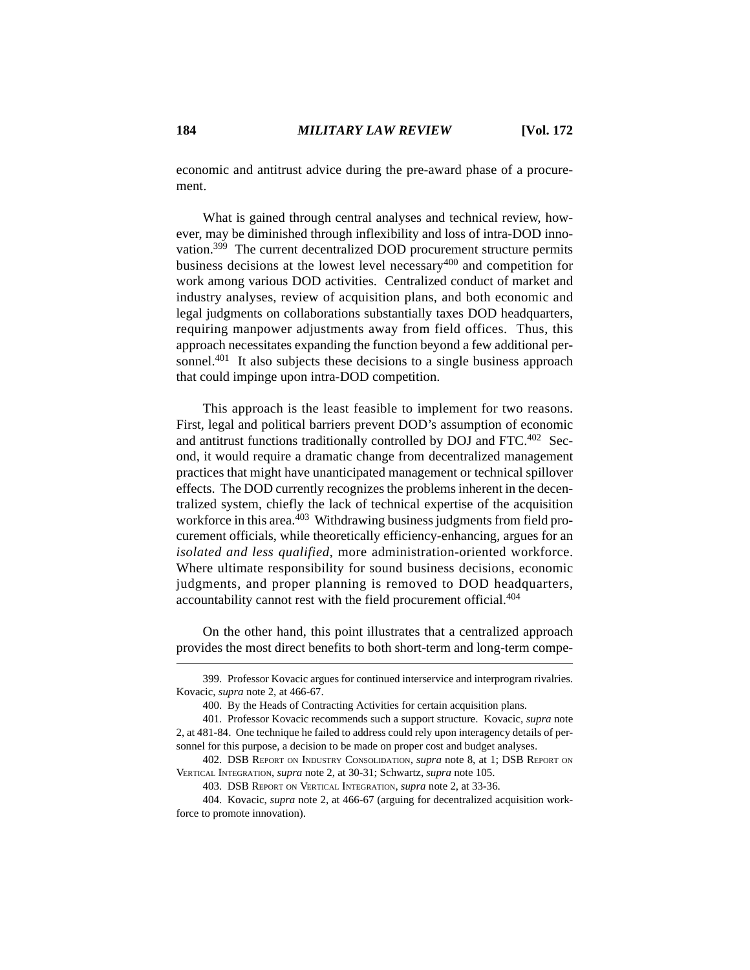economic and antitrust advice during the pre-award phase of a procurement.

What is gained through central analyses and technical review, however, may be diminished through inflexibility and loss of intra-DOD innovation.399 The current decentralized DOD procurement structure permits business decisions at the lowest level necessary<sup>400</sup> and competition for work among various DOD activities. Centralized conduct of market and industry analyses, review of acquisition plans, and both economic and legal judgments on collaborations substantially taxes DOD headquarters, requiring manpower adjustments away from field offices. Thus, this approach necessitates expanding the function beyond a few additional personnel.<sup>401</sup> It also subjects these decisions to a single business approach that could impinge upon intra-DOD competition.

This approach is the least feasible to implement for two reasons. First, legal and political barriers prevent DOD's assumption of economic and antitrust functions traditionally controlled by DOJ and FTC.<sup>402</sup> Second, it would require a dramatic change from decentralized management practices that might have unanticipated management or technical spillover effects. The DOD currently recognizes the problems inherent in the decentralized system, chiefly the lack of technical expertise of the acquisition workforce in this area.<sup>403</sup> Withdrawing business judgments from field procurement officials, while theoretically efficiency-enhancing, argues for an *isolated and less qualified*, more administration-oriented workforce. Where ultimate responsibility for sound business decisions, economic judgments, and proper planning is removed to DOD headquarters, accountability cannot rest with the field procurement official.404

On the other hand, this point illustrates that a centralized approach provides the most direct benefits to both short-term and long-term compe-

<sup>399.</sup> Professor Kovacic argues for continued interservice and interprogram rivalries. Kovacic, *supra* note 2, at 466-67.

<sup>400.</sup> By the Heads of Contracting Activities for certain acquisition plans.

<sup>401.</sup> Professor Kovacic recommends such a support structure. Kovacic, *supra* note 2, at 481-84. One technique he failed to address could rely upon interagency details of personnel for this purpose, a decision to be made on proper cost and budget analyses.

<sup>402.</sup> DSB REPORT ON INDUSTRY CONSOLIDATION, *supra* note 8, at 1; DSB REPORT ON VERTICAL INTEGRATION, *supra* note 2, at 30-31; Schwartz, *supra* note 105.

<sup>403.</sup> DSB REPORT ON VERTICAL INTEGRATION, *supra* note 2, at 33-36.

<sup>404.</sup> Kovacic, *supra* note 2, at 466-67 (arguing for decentralized acquisition workforce to promote innovation).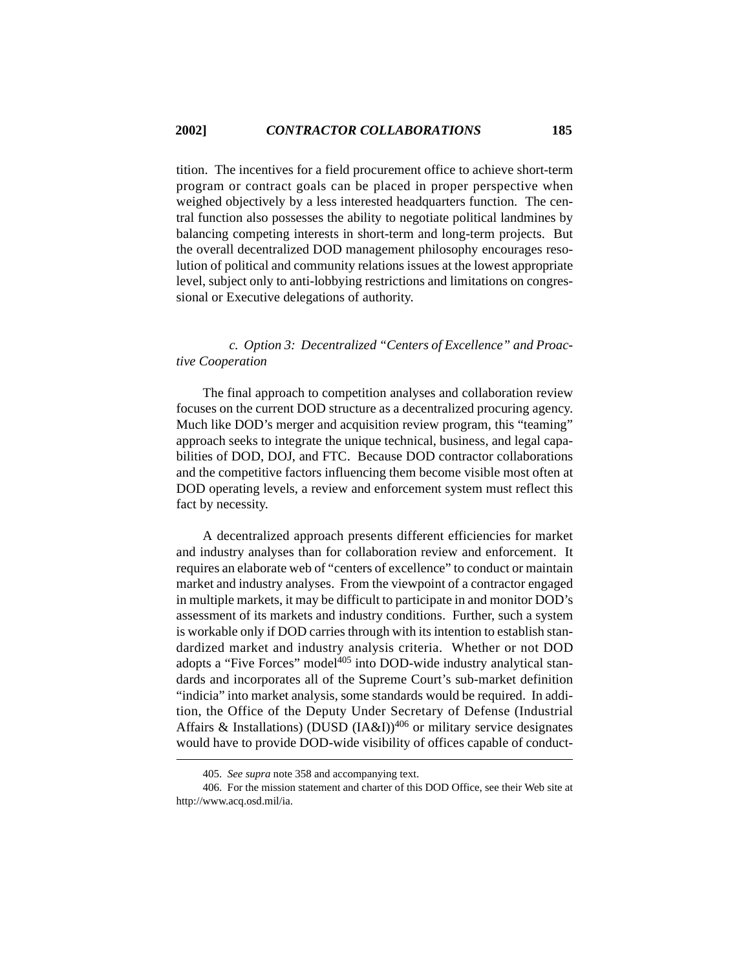tition. The incentives for a field procurement office to achieve short-term program or contract goals can be placed in proper perspective when weighed objectively by a less interested headquarters function. The central function also possesses the ability to negotiate political landmines by balancing competing interests in short-term and long-term projects. But the overall decentralized DOD management philosophy encourages resolution of political and community relations issues at the lowest appropriate level, subject only to anti-lobbying restrictions and limitations on congressional or Executive delegations of authority.

# *c. Option 3: Decentralized "Centers of Excellence" and Proactive Cooperation*

The final approach to competition analyses and collaboration review focuses on the current DOD structure as a decentralized procuring agency. Much like DOD's merger and acquisition review program, this "teaming" approach seeks to integrate the unique technical, business, and legal capabilities of DOD, DOJ, and FTC. Because DOD contractor collaborations and the competitive factors influencing them become visible most often at DOD operating levels, a review and enforcement system must reflect this fact by necessity.

A decentralized approach presents different efficiencies for market and industry analyses than for collaboration review and enforcement. It requires an elaborate web of "centers of excellence" to conduct or maintain market and industry analyses. From the viewpoint of a contractor engaged in multiple markets, it may be difficult to participate in and monitor DOD's assessment of its markets and industry conditions. Further, such a system is workable only if DOD carries through with its intention to establish standardized market and industry analysis criteria. Whether or not DOD adopts a "Five Forces" model<sup>405</sup> into DOD-wide industry analytical standards and incorporates all of the Supreme Court's sub-market definition "indicia" into market analysis, some standards would be required. In addition, the Office of the Deputy Under Secretary of Defense (Industrial Affairs & Installations) (DUSD (IA&I))<sup>406</sup> or military service designates would have to provide DOD-wide visibility of offices capable of conduct-

<sup>405.</sup> *See supra* note 358 and accompanying text.

<sup>406.</sup> For the mission statement and charter of this DOD Office, see their Web site at http://www.acq.osd.mil/ia.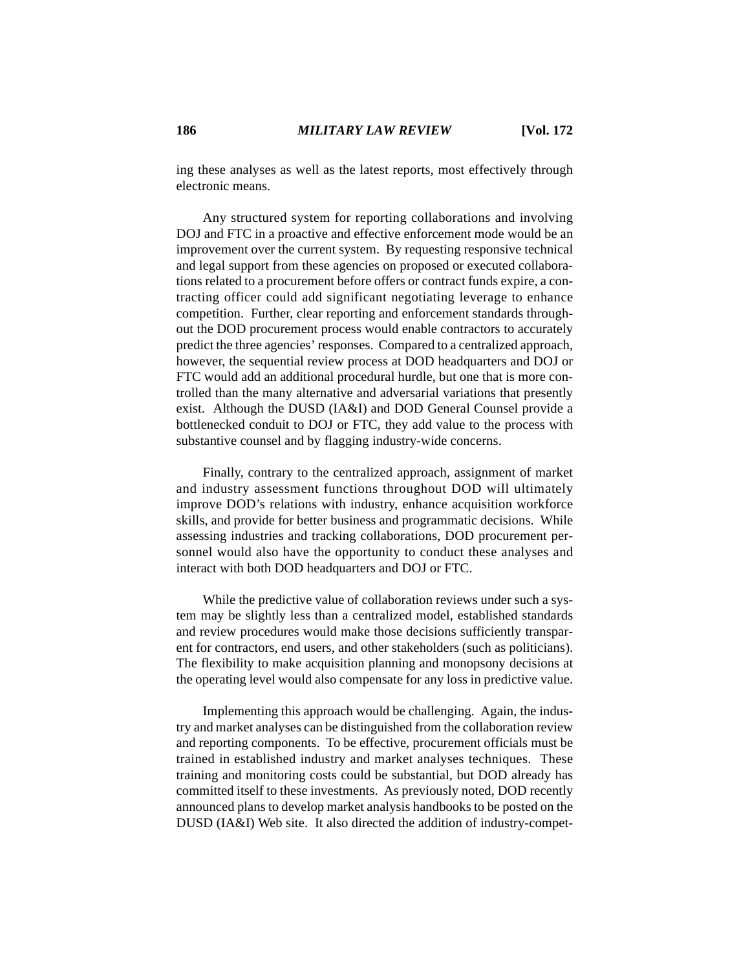ing these analyses as well as the latest reports, most effectively through electronic means.

Any structured system for reporting collaborations and involving DOJ and FTC in a proactive and effective enforcement mode would be an improvement over the current system. By requesting responsive technical and legal support from these agencies on proposed or executed collaborations related to a procurement before offers or contract funds expire, a contracting officer could add significant negotiating leverage to enhance competition. Further, clear reporting and enforcement standards throughout the DOD procurement process would enable contractors to accurately predict the three agencies' responses. Compared to a centralized approach, however, the sequential review process at DOD headquarters and DOJ or FTC would add an additional procedural hurdle, but one that is more controlled than the many alternative and adversarial variations that presently exist. Although the DUSD (IA&I) and DOD General Counsel provide a bottlenecked conduit to DOJ or FTC, they add value to the process with substantive counsel and by flagging industry-wide concerns.

Finally, contrary to the centralized approach, assignment of market and industry assessment functions throughout DOD will ultimately improve DOD's relations with industry, enhance acquisition workforce skills, and provide for better business and programmatic decisions. While assessing industries and tracking collaborations, DOD procurement personnel would also have the opportunity to conduct these analyses and interact with both DOD headquarters and DOJ or FTC.

While the predictive value of collaboration reviews under such a system may be slightly less than a centralized model, established standards and review procedures would make those decisions sufficiently transparent for contractors, end users, and other stakeholders (such as politicians). The flexibility to make acquisition planning and monopsony decisions at the operating level would also compensate for any loss in predictive value.

Implementing this approach would be challenging. Again, the industry and market analyses can be distinguished from the collaboration review and reporting components. To be effective, procurement officials must be trained in established industry and market analyses techniques. These training and monitoring costs could be substantial, but DOD already has committed itself to these investments. As previously noted, DOD recently announced plans to develop market analysis handbooks to be posted on the DUSD (IA&I) Web site. It also directed the addition of industry-compet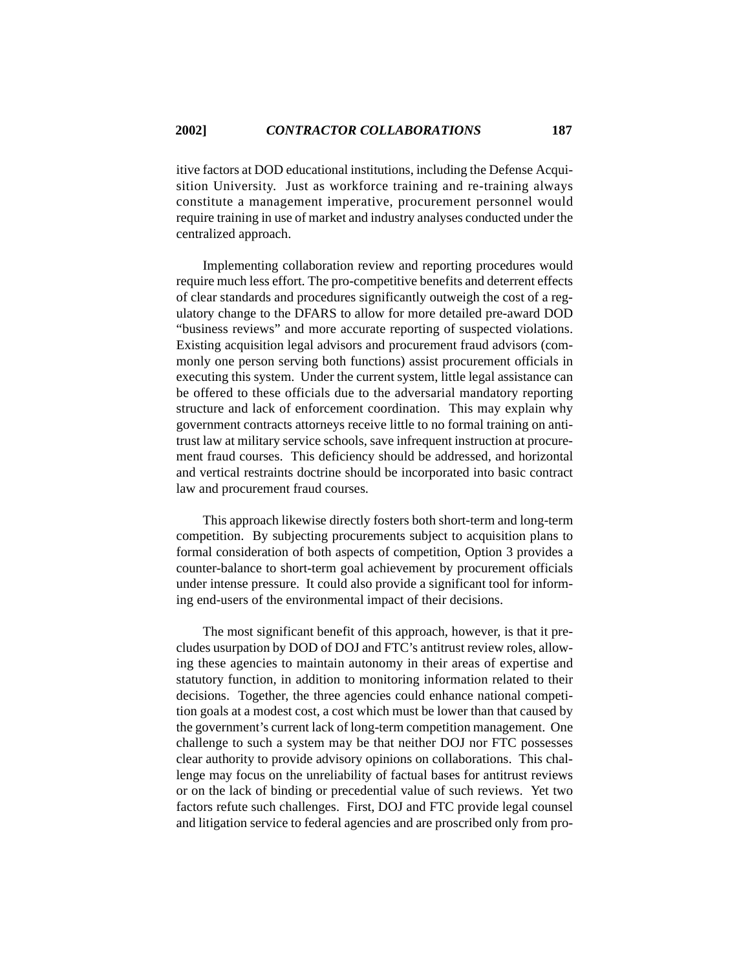itive factors at DOD educational institutions, including the Defense Acquisition University. Just as workforce training and re-training always constitute a management imperative, procurement personnel would require training in use of market and industry analyses conducted under the centralized approach.

Implementing collaboration review and reporting procedures would require much less effort. The pro-competitive benefits and deterrent effects of clear standards and procedures significantly outweigh the cost of a regulatory change to the DFARS to allow for more detailed pre-award DOD "business reviews" and more accurate reporting of suspected violations. Existing acquisition legal advisors and procurement fraud advisors (commonly one person serving both functions) assist procurement officials in executing this system. Under the current system, little legal assistance can be offered to these officials due to the adversarial mandatory reporting structure and lack of enforcement coordination. This may explain why government contracts attorneys receive little to no formal training on antitrust law at military service schools, save infrequent instruction at procurement fraud courses. This deficiency should be addressed, and horizontal and vertical restraints doctrine should be incorporated into basic contract law and procurement fraud courses.

This approach likewise directly fosters both short-term and long-term competition. By subjecting procurements subject to acquisition plans to formal consideration of both aspects of competition, Option 3 provides a counter-balance to short-term goal achievement by procurement officials under intense pressure. It could also provide a significant tool for informing end-users of the environmental impact of their decisions.

The most significant benefit of this approach, however, is that it precludes usurpation by DOD of DOJ and FTC's antitrust review roles, allowing these agencies to maintain autonomy in their areas of expertise and statutory function, in addition to monitoring information related to their decisions. Together, the three agencies could enhance national competition goals at a modest cost, a cost which must be lower than that caused by the government's current lack of long-term competition management. One challenge to such a system may be that neither DOJ nor FTC possesses clear authority to provide advisory opinions on collaborations. This challenge may focus on the unreliability of factual bases for antitrust reviews or on the lack of binding or precedential value of such reviews. Yet two factors refute such challenges. First, DOJ and FTC provide legal counsel and litigation service to federal agencies and are proscribed only from pro-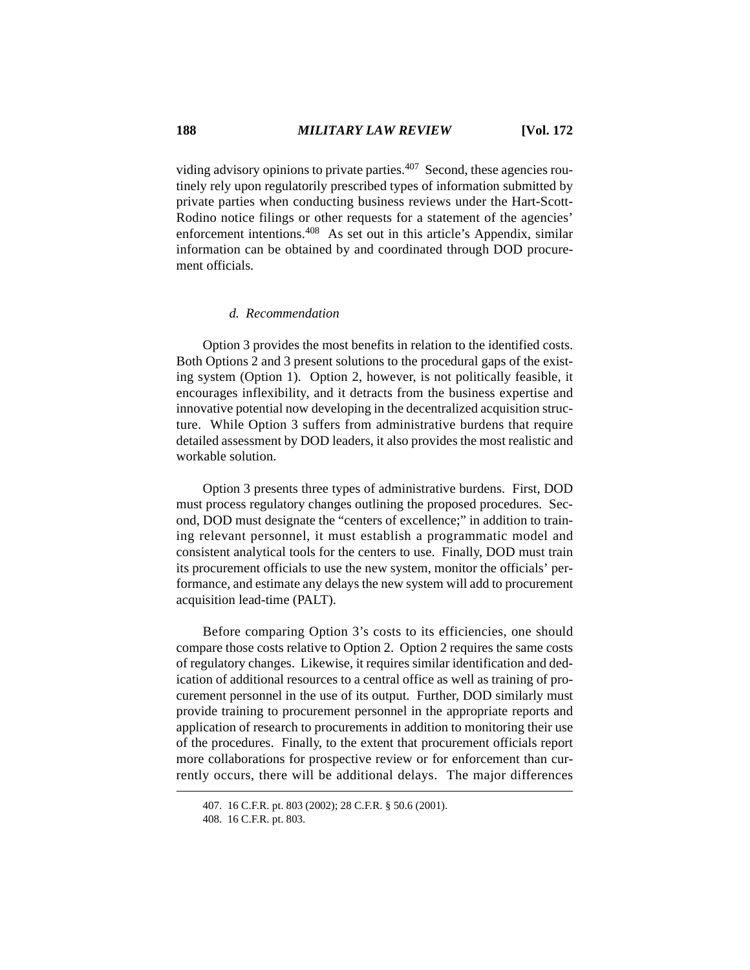viding advisory opinions to private parties.<sup>407</sup> Second, these agencies routinely rely upon regulatorily prescribed types of information submitted by private parties when conducting business reviews under the Hart-Scott-Rodino notice filings or other requests for a statement of the agencies' enforcement intentions.408 As set out in this article's Appendix, similar information can be obtained by and coordinated through DOD procurement officials.

#### *d. Recommendation*

Option 3 provides the most benefits in relation to the identified costs. Both Options 2 and 3 present solutions to the procedural gaps of the existing system (Option 1). Option 2, however, is not politically feasible, it encourages inflexibility, and it detracts from the business expertise and innovative potential now developing in the decentralized acquisition structure. While Option 3 suffers from administrative burdens that require detailed assessment by DOD leaders, it also provides the most realistic and workable solution.

Option 3 presents three types of administrative burdens. First, DOD must process regulatory changes outlining the proposed procedures. Second, DOD must designate the "centers of excellence;" in addition to training relevant personnel, it must establish a programmatic model and consistent analytical tools for the centers to use. Finally, DOD must train its procurement officials to use the new system, monitor the officials' performance, and estimate any delays the new system will add to procurement acquisition lead-time (PALT).

Before comparing Option 3's costs to its efficiencies, one should compare those costs relative to Option 2. Option 2 requires the same costs of regulatory changes. Likewise, it requires similar identification and dedication of additional resources to a central office as well as training of procurement personnel in the use of its output. Further, DOD similarly must provide training to procurement personnel in the appropriate reports and application of research to procurements in addition to monitoring their use of the procedures. Finally, to the extent that procurement officials report more collaborations for prospective review or for enforcement than currently occurs, there will be additional delays. The major differences

<sup>407. 16</sup> C.F.R. pt. 803 (2002); 28 C.F.R. § 50.6 (2001).

<sup>408. 16</sup> C.F.R. pt. 803.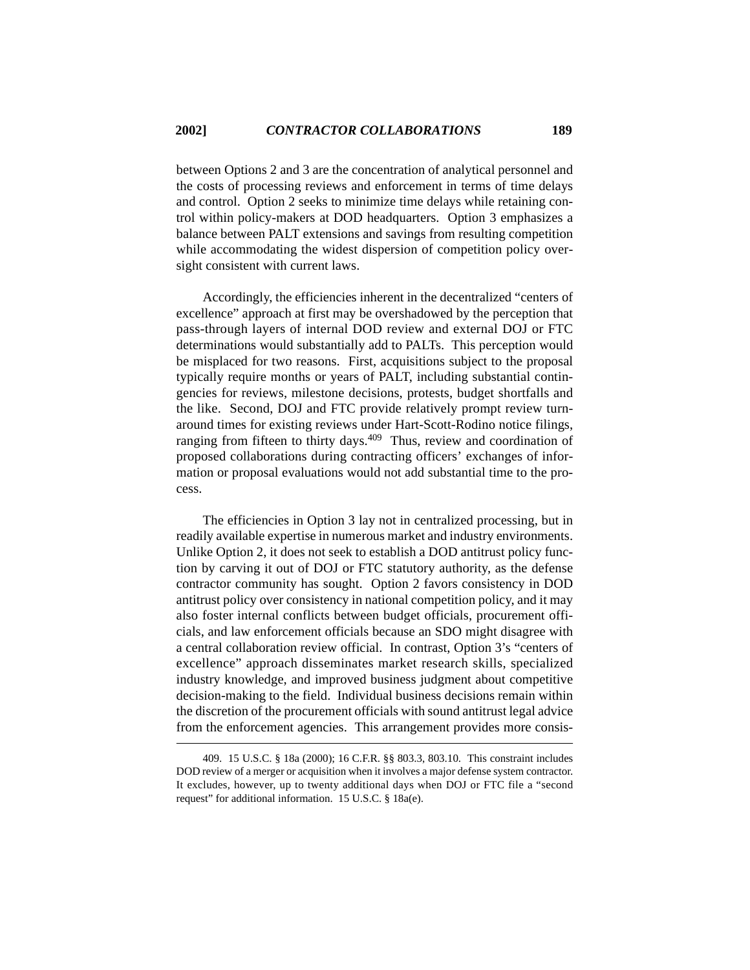between Options 2 and 3 are the concentration of analytical personnel and the costs of processing reviews and enforcement in terms of time delays and control. Option 2 seeks to minimize time delays while retaining control within policy-makers at DOD headquarters. Option 3 emphasizes a balance between PALT extensions and savings from resulting competition while accommodating the widest dispersion of competition policy oversight consistent with current laws.

Accordingly, the efficiencies inherent in the decentralized "centers of excellence" approach at first may be overshadowed by the perception that pass-through layers of internal DOD review and external DOJ or FTC determinations would substantially add to PALTs. This perception would be misplaced for two reasons. First, acquisitions subject to the proposal typically require months or years of PALT, including substantial contingencies for reviews, milestone decisions, protests, budget shortfalls and the like. Second, DOJ and FTC provide relatively prompt review turnaround times for existing reviews under Hart-Scott-Rodino notice filings, ranging from fifteen to thirty days.409 Thus, review and coordination of proposed collaborations during contracting officers' exchanges of information or proposal evaluations would not add substantial time to the process.

The efficiencies in Option 3 lay not in centralized processing, but in readily available expertise in numerous market and industry environments. Unlike Option 2, it does not seek to establish a DOD antitrust policy function by carving it out of DOJ or FTC statutory authority, as the defense contractor community has sought. Option 2 favors consistency in DOD antitrust policy over consistency in national competition policy, and it may also foster internal conflicts between budget officials, procurement officials, and law enforcement officials because an SDO might disagree with a central collaboration review official. In contrast, Option 3's "centers of excellence" approach disseminates market research skills, specialized industry knowledge, and improved business judgment about competitive decision-making to the field. Individual business decisions remain within the discretion of the procurement officials with sound antitrust legal advice from the enforcement agencies. This arrangement provides more consis-

<sup>409. 15</sup> U.S.C. § 18a (2000); 16 C.F.R. §§ 803.3, 803.10. This constraint includes DOD review of a merger or acquisition when it involves a major defense system contractor. It excludes, however, up to twenty additional days when DOJ or FTC file a "second request" for additional information. 15 U.S.C. § 18a(e).